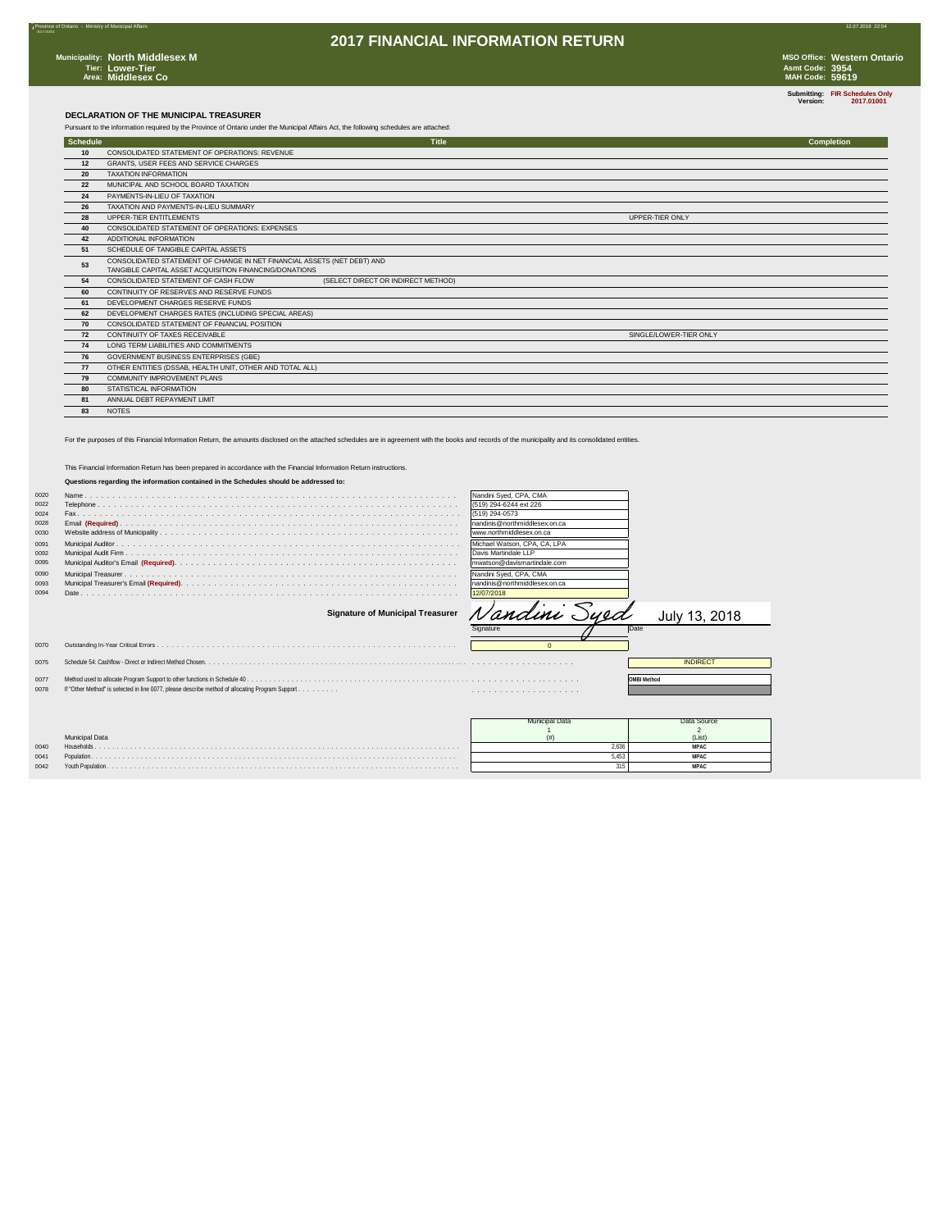7Province of Ontario - Ministry of Municipal Affairs 12.07.2018 22:54

2017.01001

**Submitting: FIR Schedules Only Version: 2017.01001**

#### **DECLARATION OF THE MUNICIPAL TREASURER**

|          | Pursuant to the information required by the Province of Ontario under the Municipal Affairs Act, the following schedules are attached: |                                    |                        |            |
|----------|----------------------------------------------------------------------------------------------------------------------------------------|------------------------------------|------------------------|------------|
| Schedule |                                                                                                                                        | <b>Title</b>                       |                        | Completion |
| 10       | CONSOLIDATED STATEMENT OF OPERATIONS: REVENUE                                                                                          |                                    |                        |            |
| 12       | GRANTS, USER FEES AND SERVICE CHARGES                                                                                                  |                                    |                        |            |
| 20       | <b>TAXATION INFORMATION</b>                                                                                                            |                                    |                        |            |
| 22       | MUNICIPAL AND SCHOOL BOARD TAXATION                                                                                                    |                                    |                        |            |
| 24       | PAYMENTS-IN-LIEU OF TAXATION                                                                                                           |                                    |                        |            |
| 26       | TAXATION AND PAYMENTS-IN-LIEU SUMMARY                                                                                                  |                                    |                        |            |
| 28       | UPPER-TIER ENTITLEMENTS                                                                                                                |                                    | UPPER-TIER ONLY        |            |
| 40       | CONSOLIDATED STATEMENT OF OPERATIONS: EXPENSES                                                                                         |                                    |                        |            |
| 42       | ADDITIONAL INFORMATION                                                                                                                 |                                    |                        |            |
| 51       | SCHEDULE OF TANGIBLE CAPITAL ASSETS                                                                                                    |                                    |                        |            |
| 53       | CONSOLIDATED STATEMENT OF CHANGE IN NET FINANCIAL ASSETS (NET DEBT) AND<br>TANGIBLE CAPITAL ASSET ACQUISITION FINANCING/DONATIONS      |                                    |                        |            |
| 54       | CONSOLIDATED STATEMENT OF CASH FLOW                                                                                                    | (SELECT DIRECT OR INDIRECT METHOD) |                        |            |
| 60       | CONTINUITY OF RESERVES AND RESERVE FUNDS                                                                                               |                                    |                        |            |
| 61       | DEVELOPMENT CHARGES RESERVE FUNDS                                                                                                      |                                    |                        |            |
| 62       | DEVELOPMENT CHARGES RATES (INCLUDING SPECIAL AREAS)                                                                                    |                                    |                        |            |
| 70       | CONSOLIDATED STATEMENT OF FINANCIAL POSITION                                                                                           |                                    |                        |            |
| 72       | CONTINUITY OF TAXES RECEIVABLE                                                                                                         |                                    | SINGLE/LOWER-TIER ONLY |            |
| 74       | LONG TERM LIABILITIES AND COMMITMENTS                                                                                                  |                                    |                        |            |
| 76       | GOVERNMENT BUSINESS ENTERPRISES (GBE)                                                                                                  |                                    |                        |            |
| 77       | OTHER ENTITIES (DSSAB, HEALTH UNIT, OTHER AND TOTAL ALL)                                                                               |                                    |                        |            |
| 79       | COMMUNITY IMPROVEMENT PLANS                                                                                                            |                                    |                        |            |
| 80       | STATISTICAL INFORMATION                                                                                                                |                                    |                        |            |
| 81       | ANNUAL DEBT REPAYMENT LIMIT                                                                                                            |                                    |                        |            |
| 83       | <b>NOTES</b>                                                                                                                           |                                    |                        |            |

For the purposes of this Financial Information Return, the amounts disclosed on the attached schedules are in agreement with the books and records of the municipality and its consolidated entities.

|      | This Financial Information Return has been prepared in accordance with the Financial Information Return instructions. |                               |                    |
|------|-----------------------------------------------------------------------------------------------------------------------|-------------------------------|--------------------|
|      | Questions regarding the information contained in the Schedules should be addressed to:                                |                               |                    |
| 0020 |                                                                                                                       | Nandini Sved, CPA, CMA        |                    |
| 0022 |                                                                                                                       | (519) 294-6244 ext 226        |                    |
| 0024 |                                                                                                                       | (519) 294-0573                |                    |
| 0028 |                                                                                                                       | nandinis@northmiddlesex.on.ca |                    |
| 0030 |                                                                                                                       | www.northmiddlesex.on.ca      |                    |
| 0091 |                                                                                                                       | Michael Watson, CPA, CA, LPA  |                    |
| 0092 |                                                                                                                       | Davis Martindale LLP          |                    |
| 0095 |                                                                                                                       | mwatson@davismartindale.com   |                    |
| 0090 |                                                                                                                       | Nandini Sved, CPA, CMA        |                    |
| 0093 |                                                                                                                       | nandinis@northmiddlesex.on.ca |                    |
| 0094 |                                                                                                                       | 12/07/2018                    |                    |
|      | <b>Signature of Municipal Treasurer</b>                                                                               | Nandini Syed                  | July 13, 2018      |
|      |                                                                                                                       | Signature                     | Date               |
| 0070 |                                                                                                                       | $\Omega$                      |                    |
| 0075 |                                                                                                                       |                               | <b>INDIRECT</b>    |
| 0077 |                                                                                                                       |                               | <b>OMBI Method</b> |
| 0078 | If "Other Method" is selected in line 0077, please describe method of allocating Program Support.                     |                               |                    |
|      |                                                                                                                       |                               |                    |
|      |                                                                                                                       |                               |                    |
|      |                                                                                                                       |                               | Data Source        |
|      |                                                                                                                       | <b>Municipal Data</b>         | $\overline{2}$     |
|      | <b>Municipal Data</b>                                                                                                 | (# )                          | (List)             |
| 0040 | Households                                                                                                            | 2.636                         | <b>MPAC</b>        |

 Population . . . . . . . . . . . . . . . . . . . . . . . . . . . . . . . . . . . . . . . . . . . . . . . . . . . . . . . . . . . . . . . . . . . . . . . . . . . . . . . . . . . 5,453 **MPAC** Youth Population . . . . . . . . . . . . . . . . . . . . . . . . . . . . . . . . . . . . . . . . . . . . . . . . . . . . . . . . . . . . . . . . . . . . . . . . . . . . . . . 315 **MPAC**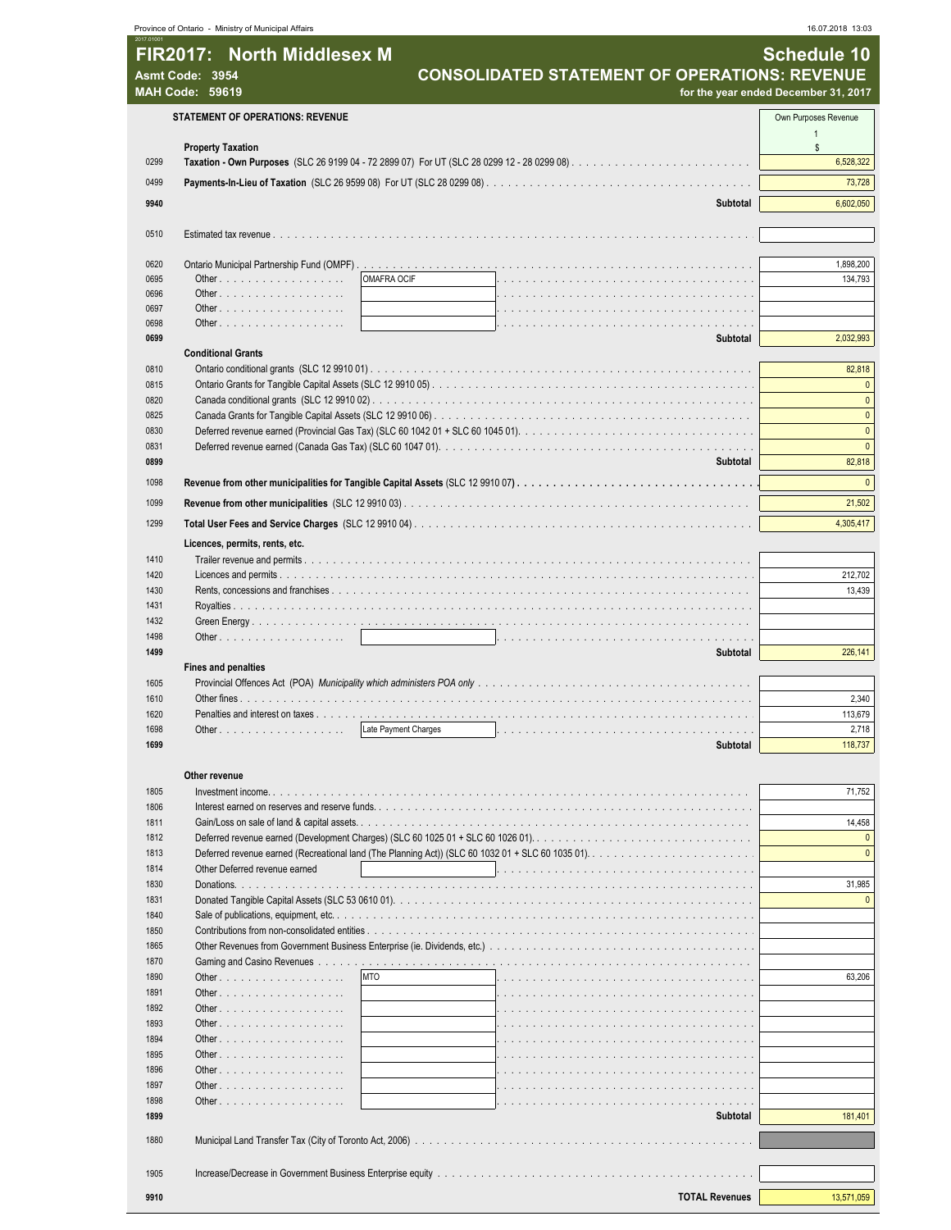| 2017.0100    |                                                             |                           |                                                                                                                                                                       |                                      |
|--------------|-------------------------------------------------------------|---------------------------|-----------------------------------------------------------------------------------------------------------------------------------------------------------------------|--------------------------------------|
|              | FIR2017: North Middlesex M                                  |                           |                                                                                                                                                                       | <b>Schedule 10</b>                   |
|              | Asmt Code: 3954<br><b>MAH Code: 59619</b>                   |                           | <b>CONSOLIDATED STATEMENT OF OPERATIONS: REVENUE</b>                                                                                                                  |                                      |
|              |                                                             |                           |                                                                                                                                                                       | for the year ended December 31, 2017 |
|              | <b>STATEMENT OF OPERATIONS: REVENUE</b>                     |                           |                                                                                                                                                                       | Own Purposes Revenue                 |
|              | <b>Property Taxation</b>                                    |                           |                                                                                                                                                                       | $\overline{1}$<br>$\mathbb{S}$       |
| 0299         |                                                             |                           |                                                                                                                                                                       | 6,528,322                            |
| 0499         |                                                             |                           |                                                                                                                                                                       | 73,728                               |
| 9940         |                                                             |                           | <b>Subtotal</b>                                                                                                                                                       | 6,602,050                            |
|              |                                                             |                           |                                                                                                                                                                       |                                      |
| 0510         |                                                             |                           |                                                                                                                                                                       |                                      |
|              |                                                             |                           |                                                                                                                                                                       |                                      |
| 0620         |                                                             |                           |                                                                                                                                                                       | 1,898,200                            |
| 0695<br>0696 | <b>OMAFRA OCIF</b>                                          |                           |                                                                                                                                                                       | 134,793                              |
| 0697         |                                                             |                           |                                                                                                                                                                       |                                      |
| 0698         | Other, $\ldots$ , $\ldots$ , $\ldots$ , $\ldots$ , $\ldots$ |                           |                                                                                                                                                                       |                                      |
| 0699         |                                                             |                           | Subtotal                                                                                                                                                              | 2,032,993                            |
|              | <b>Conditional Grants</b>                                   |                           |                                                                                                                                                                       |                                      |
| 0810<br>0815 |                                                             |                           |                                                                                                                                                                       | 82,818<br>$\mathbf{0}$               |
| 0820         |                                                             |                           |                                                                                                                                                                       | $\mathbf{0}$                         |
| 0825         |                                                             |                           |                                                                                                                                                                       | $\mathbf{0}$                         |
| 0830         |                                                             |                           | Deferred revenue earned (Provincial Gas Tax) (SLC 60 1042 01 + SLC 60 1045 01). $\ldots \ldots \ldots \ldots \ldots \ldots \ldots \ldots \ldots \ldots \ldots \ldots$ | $\mathbf{0}$                         |
| 0831         |                                                             |                           |                                                                                                                                                                       | $\mathbf{0}$                         |
| 0899         |                                                             |                           | Subtotal                                                                                                                                                              | 82,818                               |
| 1098         |                                                             |                           |                                                                                                                                                                       | $\mathbf{0}$                         |
| 1099         |                                                             |                           |                                                                                                                                                                       | 21,502                               |
| 1299         |                                                             |                           |                                                                                                                                                                       | 4,305,417                            |
|              | Licences, permits, rents, etc.                              |                           |                                                                                                                                                                       |                                      |
| 1410         |                                                             |                           |                                                                                                                                                                       |                                      |
| 1420         |                                                             |                           |                                                                                                                                                                       | 212,702                              |
| 1430         |                                                             |                           |                                                                                                                                                                       | 13,439                               |
| 1431<br>1432 |                                                             |                           |                                                                                                                                                                       |                                      |
| 1498         |                                                             |                           |                                                                                                                                                                       |                                      |
| 1499         |                                                             |                           | Subtotal                                                                                                                                                              | 226,141                              |
|              | <b>Fines and penalties</b>                                  |                           |                                                                                                                                                                       |                                      |
| 1605         |                                                             |                           |                                                                                                                                                                       |                                      |
| 1610<br>1620 | Penalties and interest on taxes                             |                           |                                                                                                                                                                       | 2,340<br>113,679                     |
| 1698         |                                                             | .<br>Late Payment Charges |                                                                                                                                                                       | 2,718                                |
| 1699         |                                                             |                           | Subtotal                                                                                                                                                              | 118,737                              |
|              |                                                             |                           |                                                                                                                                                                       |                                      |
|              | Other revenue                                               |                           |                                                                                                                                                                       |                                      |
| 1805         |                                                             |                           |                                                                                                                                                                       | 71,752                               |
| 1806<br>1811 |                                                             |                           |                                                                                                                                                                       | 14,458                               |
| 1812         |                                                             |                           |                                                                                                                                                                       | $\mathbf{0}$                         |
| 1813         |                                                             |                           |                                                                                                                                                                       | $\theta$                             |
| 1814         | Other Deferred revenue earned                               |                           |                                                                                                                                                                       |                                      |
| 1830         |                                                             |                           |                                                                                                                                                                       | 31,985                               |
| 1831<br>1840 |                                                             |                           |                                                                                                                                                                       | $\theta$                             |
| 1850         |                                                             |                           |                                                                                                                                                                       |                                      |
| 1865         |                                                             |                           |                                                                                                                                                                       |                                      |
| 1870         |                                                             |                           |                                                                                                                                                                       |                                      |
| 1890         | <b>MTO</b>                                                  |                           |                                                                                                                                                                       | 63,206                               |
| 1891         |                                                             |                           |                                                                                                                                                                       |                                      |
| 1892         |                                                             |                           |                                                                                                                                                                       |                                      |
| 1893<br>1894 |                                                             |                           |                                                                                                                                                                       |                                      |
| 1895         |                                                             |                           |                                                                                                                                                                       |                                      |
| 1896         |                                                             |                           |                                                                                                                                                                       |                                      |
| 1897         |                                                             |                           |                                                                                                                                                                       |                                      |
| 1898         |                                                             |                           |                                                                                                                                                                       |                                      |
| 1899         |                                                             |                           | Subtotal                                                                                                                                                              | 181,401                              |
| 1880         |                                                             |                           |                                                                                                                                                                       |                                      |
|              |                                                             |                           |                                                                                                                                                                       |                                      |
| 1905         |                                                             |                           |                                                                                                                                                                       |                                      |
| 9910         |                                                             |                           | <b>TOTAL Revenues</b>                                                                                                                                                 | 13,571,059                           |
|              |                                                             |                           |                                                                                                                                                                       |                                      |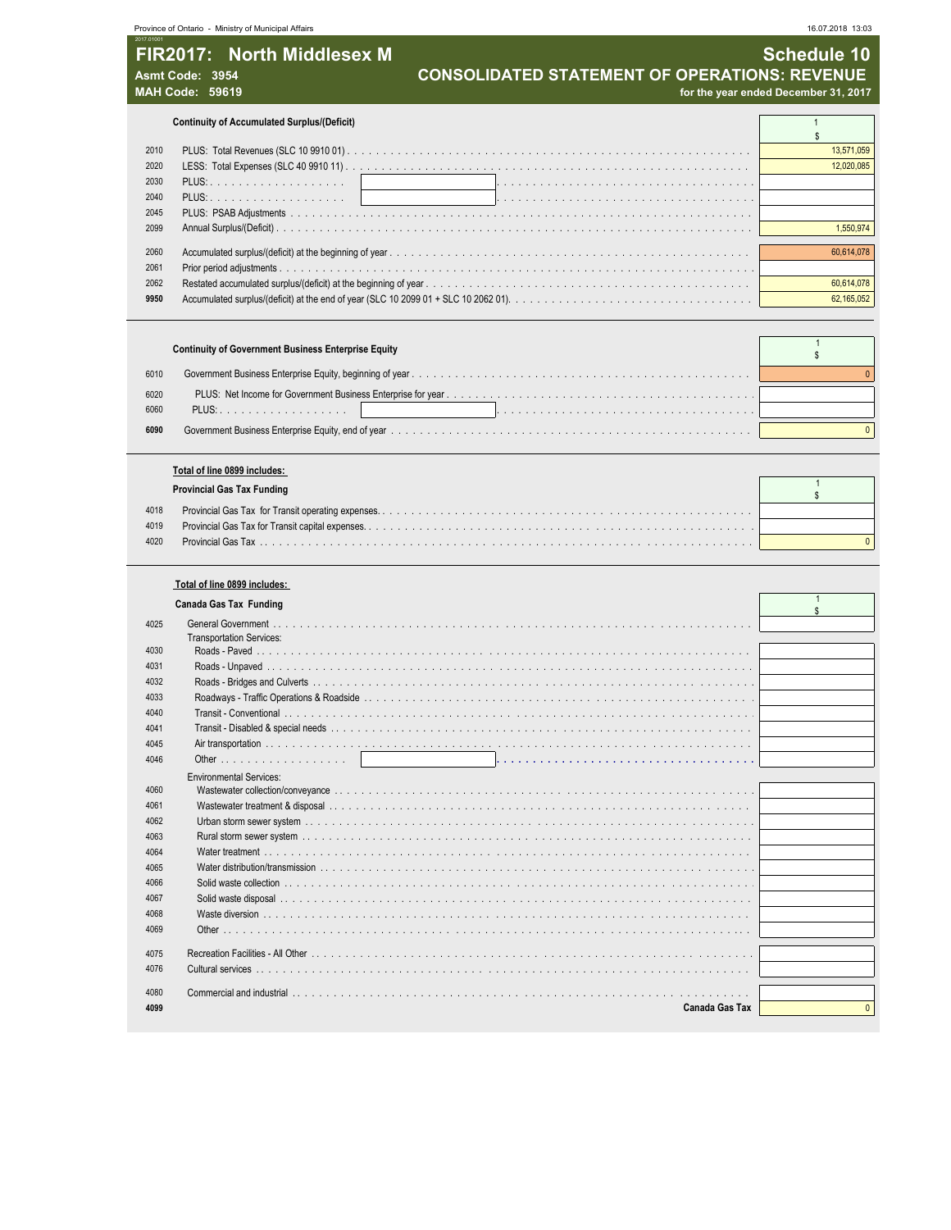|                                                                                       | Province of Ontario - Ministry of Municipal Affairs | 16.07.2018 13:03                                                                                            |  |
|---------------------------------------------------------------------------------------|-----------------------------------------------------|-------------------------------------------------------------------------------------------------------------|--|
| 2017.01001<br>FIR2017: North Middlesex M<br>Asmt Code: 3954<br><b>MAH Code: 59619</b> |                                                     | Schedule 10<br><b>CONSOLIDATED STATEMENT OF OPERATIONS: REVENUE</b><br>for the year ended December 31, 2017 |  |
|                                                                                       |                                                     |                                                                                                             |  |
|                                                                                       | <b>Continuity of Accumulated Surplus/(Deficit)</b>  |                                                                                                             |  |
| 2010                                                                                  |                                                     | 13,571,059                                                                                                  |  |

|      |            | <b>COU.UZU.</b> |
|------|------------|-----------------|
|      |            |                 |
|      | 2040 PLUS: |                 |
|      |            |                 |
|      |            | 1.550.974       |
|      |            |                 |
| 2060 |            | 60,614,078      |
| 2061 |            |                 |
| 2062 |            | 60,614,078      |
| 9950 |            | 62,165,052      |
|      |            |                 |

|              | <b>Continuity of Government Business Enterprise Equity</b> |  |
|--------------|------------------------------------------------------------|--|
| 6010         |                                                            |  |
| 6020<br>6060 | PLUS: 1                                                    |  |
| 6090         |                                                            |  |

|      | Total of line 0899 includes:      |  |
|------|-----------------------------------|--|
|      | <b>Provincial Gas Tax Funding</b> |  |
| 4018 |                                   |  |
| 4019 |                                   |  |
| 4020 |                                   |  |

|  |  |  | Total of line 0899 includes: |
|--|--|--|------------------------------|
|--|--|--|------------------------------|

|      | Canada Gas Tax Funding          |          |
|------|---------------------------------|----------|
| 4025 |                                 |          |
|      | <b>Transportation Services:</b> |          |
| 4030 |                                 |          |
| 4031 |                                 |          |
| 4032 |                                 |          |
| 4033 |                                 |          |
| 4040 |                                 |          |
| 4041 |                                 |          |
| 4045 |                                 |          |
| 4046 |                                 |          |
|      | <b>Environmental Services:</b>  |          |
| 4060 |                                 |          |
| 4061 |                                 |          |
| 4062 |                                 |          |
| 4063 |                                 |          |
| 4064 |                                 |          |
| 4065 |                                 |          |
| 4066 |                                 |          |
| 4067 |                                 |          |
| 4068 |                                 |          |
| 4069 |                                 |          |
|      |                                 |          |
| 4075 |                                 |          |
| 4076 |                                 |          |
| 4080 |                                 |          |
| 4099 | <b>Canada Gas Tax</b>           | $\Omega$ |
|      |                                 |          |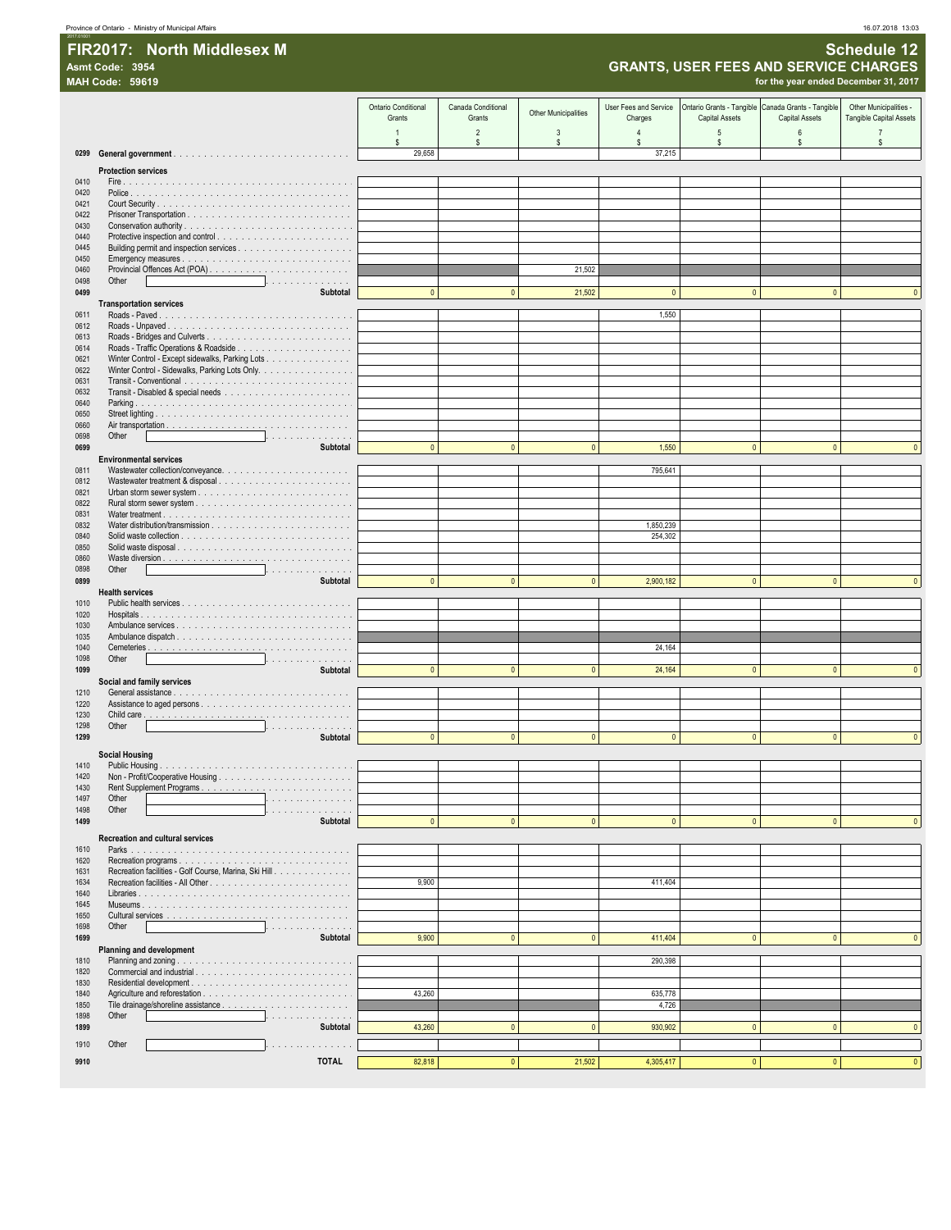### FIR2017: North Middlesex M

### **GRANTS, USER FEES AND SERVICE CHARGES**

|              | <b>GRANTS, USER FEES AND SERVICE CHARGES</b><br>Asmt Code: 3954             |                                      |                              |                             |                                  |                                                                             |                                      |                                                   |
|--------------|-----------------------------------------------------------------------------|--------------------------------------|------------------------------|-----------------------------|----------------------------------|-----------------------------------------------------------------------------|--------------------------------------|---------------------------------------------------|
|              | <b>MAH Code: 59619</b>                                                      |                                      |                              |                             |                                  |                                                                             | for the year ended December 31, 2017 |                                                   |
|              |                                                                             | <b>Ontario Conditional</b><br>Grants | Canada Conditional<br>Grants | <b>Other Municipalities</b> | User Fees and Service<br>Charges | Ontario Grants - Tangible Canada Grants - Tangible<br><b>Capital Assets</b> | <b>Capital Assets</b>                | Other Municipalities -<br>Tangible Capital Assets |
|              |                                                                             | $\mathbf{1}$<br>s.                   | $\overline{2}$<br>\$         | 3<br>s                      | $\overline{4}$<br>s.             | 5<br>s.                                                                     | 6<br>\$                              | $\overline{7}$<br>s                               |
| 0299         |                                                                             | 29,658                               |                              |                             | 37,215                           |                                                                             |                                      |                                                   |
|              | <b>Protection services</b>                                                  |                                      |                              |                             |                                  |                                                                             |                                      |                                                   |
| 0410<br>0420 |                                                                             |                                      |                              |                             |                                  |                                                                             |                                      |                                                   |
| 0421         |                                                                             |                                      |                              |                             |                                  |                                                                             |                                      |                                                   |
| 0422         |                                                                             |                                      |                              |                             |                                  |                                                                             |                                      |                                                   |
| 0430<br>0440 |                                                                             |                                      |                              |                             |                                  |                                                                             |                                      |                                                   |
| 0445         |                                                                             |                                      |                              |                             |                                  |                                                                             |                                      |                                                   |
| 0450<br>0460 |                                                                             |                                      |                              | 21,502                      |                                  |                                                                             |                                      |                                                   |
| 0498         | Other<br>.                                                                  |                                      |                              |                             |                                  |                                                                             |                                      |                                                   |
| 0499         | Subtotal                                                                    | $\pmb{0}$                            | $\mathbf{0}$                 | 21,502                      | $\pmb{0}$                        | $\pmb{0}$                                                                   | $\mathbf{0}$                         |                                                   |
| 0611         | <b>Transportation services</b>                                              |                                      |                              |                             | 1,550                            |                                                                             |                                      |                                                   |
| 0612         |                                                                             |                                      |                              |                             |                                  |                                                                             |                                      |                                                   |
| 0613<br>0614 |                                                                             |                                      |                              |                             |                                  |                                                                             |                                      |                                                   |
| 0621         | Winter Control - Except sidewalks, Parking Lots                             |                                      |                              |                             |                                  |                                                                             |                                      |                                                   |
| 0622         | Winter Control - Sidewalks, Parking Lots Only.                              |                                      |                              |                             |                                  |                                                                             |                                      |                                                   |
| 0631<br>0632 |                                                                             |                                      |                              |                             |                                  |                                                                             |                                      |                                                   |
| 0640         |                                                                             |                                      |                              |                             |                                  |                                                                             |                                      |                                                   |
| 0650<br>0660 |                                                                             |                                      |                              |                             |                                  |                                                                             |                                      |                                                   |
| 0698         | Other<br>.                                                                  |                                      |                              |                             |                                  |                                                                             |                                      |                                                   |
| 0699         | Subtotal                                                                    | $\pmb{0}$                            | $\mathbf{0}$                 | $\mathbf{0}$                | 1,550                            | $\mathbf{0}$                                                                | $\pmb{0}$                            |                                                   |
| 0811         | <b>Environmental services</b>                                               |                                      |                              |                             | 795,641                          |                                                                             |                                      |                                                   |
| 0812         |                                                                             |                                      |                              |                             |                                  |                                                                             |                                      |                                                   |
| 0821<br>0822 |                                                                             |                                      |                              |                             |                                  |                                                                             |                                      |                                                   |
| 0831         |                                                                             |                                      |                              |                             |                                  |                                                                             |                                      |                                                   |
| 0832         |                                                                             |                                      |                              |                             | 1,850,239                        |                                                                             |                                      |                                                   |
| 0840<br>0850 | Solid waste disposal                                                        |                                      |                              |                             | 254,302                          |                                                                             |                                      |                                                   |
| 0860         |                                                                             |                                      |                              |                             |                                  |                                                                             |                                      |                                                   |
| 0898<br>0899 | Other<br>.<br>Subtotal                                                      | $\pmb{0}$                            | $\pmb{0}$                    | $\pmb{0}$                   | 2,900,182                        | $\pmb{0}$                                                                   | $\mathbf{0}$                         |                                                   |
|              | <b>Health services</b>                                                      |                                      |                              |                             |                                  |                                                                             |                                      |                                                   |
| 1010         |                                                                             |                                      |                              |                             |                                  |                                                                             |                                      |                                                   |
| 1020<br>1030 |                                                                             |                                      |                              |                             |                                  |                                                                             |                                      |                                                   |
| 1035         |                                                                             |                                      |                              |                             |                                  |                                                                             |                                      |                                                   |
| 1040<br>1098 | Other<br>.                                                                  |                                      |                              |                             | 24,164                           |                                                                             |                                      |                                                   |
| 1099         | Subtotal                                                                    | $\overline{0}$                       | $\pmb{0}$                    | $\mathbf{0}$                | 24,164                           | $\pmb{0}$                                                                   | $\mathbf{0}$                         |                                                   |
|              | Social and family services                                                  |                                      |                              |                             |                                  |                                                                             |                                      |                                                   |
| 1210<br>1220 |                                                                             |                                      |                              |                             |                                  |                                                                             |                                      |                                                   |
| 1230         |                                                                             |                                      |                              |                             |                                  |                                                                             |                                      |                                                   |
| 1298<br>1299 | Other<br>.<br>Subtotal                                                      | $\mathbf{0}$                         | $\theta$                     | $\mathbf{0}$                | $\Omega$                         | $\mathbf{0}$                                                                | $\mathbf{0}$                         |                                                   |
|              |                                                                             |                                      |                              |                             |                                  |                                                                             |                                      |                                                   |
| 1410         | Social Housing                                                              |                                      |                              |                             |                                  |                                                                             |                                      |                                                   |
| 1420         |                                                                             |                                      |                              |                             |                                  |                                                                             |                                      |                                                   |
| 1430<br>1497 | Other<br>.                                                                  |                                      |                              |                             |                                  |                                                                             |                                      |                                                   |
| 1498         | Other<br>.                                                                  |                                      |                              |                             |                                  |                                                                             |                                      |                                                   |
| 1499         | Subtotal                                                                    | $\pmb{0}$                            | $\pmb{0}$                    | $\pmb{0}$                   | $\pmb{0}$                        | $\pmb{0}$                                                                   | $\mathbf{0}$                         | $\mathbf{0}$                                      |
| 1610         | <b>Recreation and cultural services</b>                                     |                                      |                              |                             |                                  |                                                                             |                                      |                                                   |
| 1620         |                                                                             |                                      |                              |                             |                                  |                                                                             |                                      |                                                   |
| 1631<br>1634 | Recreation facilities - Golf Course, Marina, Ski Hill                       | 9,900                                |                              |                             | 411,404                          |                                                                             |                                      |                                                   |
| 1640         |                                                                             |                                      |                              |                             |                                  |                                                                             |                                      |                                                   |
| 1645         |                                                                             |                                      |                              |                             |                                  |                                                                             |                                      |                                                   |
| 1650<br>1698 | Other                                                                       |                                      |                              |                             |                                  |                                                                             |                                      |                                                   |
| 1699         | Subtotal                                                                    | 9,900                                | $\mathbf{0}$                 | $\pmb{0}$                   | 411,404                          | $\pmb{0}$                                                                   | $\mathbf{0}$                         | $\mathbf{0}$                                      |
|              | Planning and development                                                    |                                      |                              |                             |                                  |                                                                             |                                      |                                                   |
| 1810<br>1820 |                                                                             |                                      |                              |                             | 290,398                          |                                                                             |                                      |                                                   |
| 1830         |                                                                             |                                      |                              |                             |                                  |                                                                             |                                      |                                                   |
| 1840<br>1850 |                                                                             | 43,260                               |                              |                             | 635,778<br>4,726                 |                                                                             |                                      |                                                   |
| 1898         | Other<br>.                                                                  |                                      |                              |                             |                                  |                                                                             |                                      |                                                   |
| 1899         | Subtotal                                                                    | 43,260                               | $\mathbf{0}$                 | $\mathbf{0}$                | 930,902                          | $\mathbf{0}$                                                                | $\mathbf{0}$                         | $\mathbf{0}$                                      |
| 1910         | Other<br>$\mathcal{L}$ . The set of the set of the set of the $\mathcal{L}$ |                                      |                              |                             |                                  |                                                                             |                                      |                                                   |
| 9910         | <b>TOTAL</b>                                                                | 82,818                               | $\mathbf 0$                  | 21,502                      | 4,305,417                        | $\pmb{0}$                                                                   | $\mathbf{0}$                         | $\bullet$                                         |

16.07.2018 13:03

Schedule 12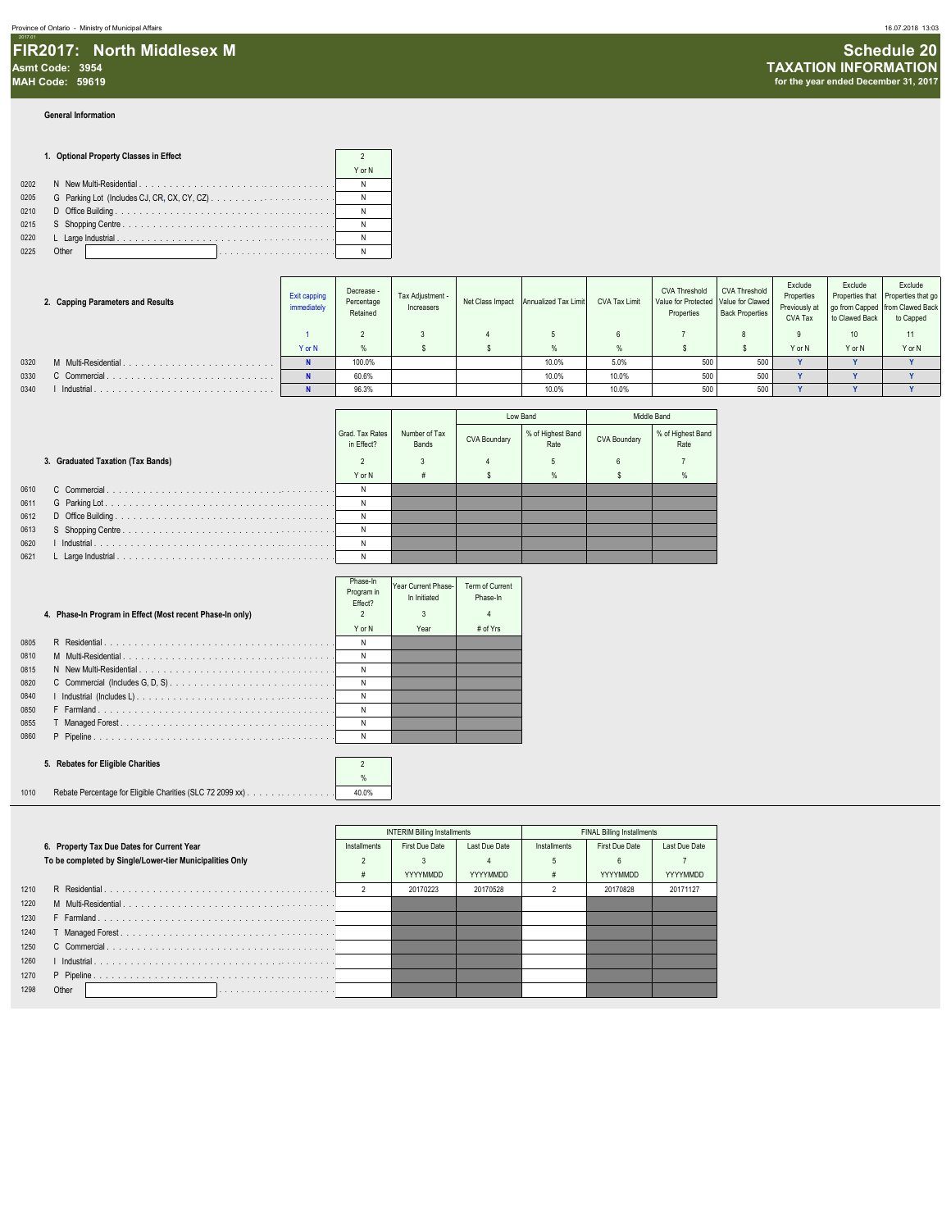**General Information**

#### **1. Optional Property Classes in Effect** 2 **2**

|      |       | Y or N |
|------|-------|--------|
| 0202 |       |        |
| 0205 |       |        |
| 0210 |       |        |
| 0215 |       |        |
| 0220 |       |        |
| 0225 | Other |        |

|      | 2. Capping Parameters and Results | Exit capping<br>immediately | Decrease -<br>Percentage<br>Retained | Tax Adjustment -<br>Increasers | Net Class Impact Annualized Tax Limit | CVA Tax Limit | <b>CVA Threshold</b><br>Value for Protected Value for Clawed<br>Properties | <b>CVA Threshold</b><br><b>Back Properties</b> | Exclude<br>Properties<br>Previously at<br>CVA Tax | Exclude<br>to Clawed Back | Exclude<br>Properties that Properties that go<br>go from Capped from Clawed Back<br>to Capped |
|------|-----------------------------------|-----------------------------|--------------------------------------|--------------------------------|---------------------------------------|---------------|----------------------------------------------------------------------------|------------------------------------------------|---------------------------------------------------|---------------------------|-----------------------------------------------------------------------------------------------|
|      |                                   |                             |                                      |                                |                                       |               |                                                                            |                                                |                                                   | 10                        |                                                                                               |
|      |                                   | Y or N                      |                                      |                                |                                       |               |                                                                            |                                                | Y or N                                            | Y or N                    | Y or N                                                                                        |
| 0320 | M Multi-Residential.              |                             | 100.0%                               |                                | 10.0%                                 | 5.0%          | 500                                                                        | 500                                            |                                                   |                           |                                                                                               |
| 0330 | C Commercial.                     |                             | 60.6%                                |                                | 10.0%                                 | 10.0%         | 500                                                                        | 500                                            |                                                   |                           |                                                                                               |
| 0340 | Industrial                        |                             | 96.3%                                |                                | 10.0%                                 | 10.0%         | 500                                                                        | 500                                            |                                                   |                           |                                                                                               |

|      |                                   |                               |                        |                     | Low Band                  |              | Middle Band               |
|------|-----------------------------------|-------------------------------|------------------------|---------------------|---------------------------|--------------|---------------------------|
|      |                                   | Grad, Tax Rates<br>in Effect? | Number of Tax<br>Bands | <b>CVA Boundary</b> | % of Highest Band<br>Rate | CVA Boundary | % of Highest Band<br>Rate |
|      | 3. Graduated Taxation (Tax Bands) |                               |                        |                     | 5                         |              |                           |
|      |                                   | Y or N                        |                        |                     | %                         |              |                           |
| 0610 |                                   | N                             |                        |                     |                           |              |                           |
| 0611 |                                   |                               |                        |                     |                           |              |                           |
| 0612 |                                   |                               |                        |                     |                           |              |                           |
| 0613 |                                   | N                             |                        |                     |                           |              |                           |
| 0620 |                                   | N                             |                        |                     |                           |              |                           |
| 0621 |                                   | N                             |                        |                     |                           |              |                           |

|      | 4. Phase-In Program in Effect (Most recent Phase-In only) | Phase-In<br>Program in<br>Effect? | Year Current Phase-<br>In Initiated<br>3 | Term of Current<br>Phase-In<br>4 |  |
|------|-----------------------------------------------------------|-----------------------------------|------------------------------------------|----------------------------------|--|
|      |                                                           | Y or N                            | Year                                     | # of Yrs                         |  |
| 0805 |                                                           | N                                 |                                          |                                  |  |
| 0810 |                                                           | N                                 |                                          |                                  |  |
| 0815 |                                                           | N                                 |                                          |                                  |  |
| 0820 |                                                           | N                                 |                                          |                                  |  |
| 0840 |                                                           | N                                 |                                          |                                  |  |
| 0850 |                                                           | N                                 |                                          |                                  |  |
| 0855 |                                                           | N                                 |                                          |                                  |  |
| 0860 |                                                           | N                                 |                                          |                                  |  |

#### **5. Rebates for Eligible Charities** 2

% 1010 Rebate Percentage for Eligible Charities (SLC 72 2099 xx) . . . . . . . . . . . . . . . . . . . . . . . . . . . . . . . . . . . . . . . . . . . . . . . . . . . 40.0%

|      |                                                          |              | <b>INTERIM Billing Installments</b> |                 |                     | <b>FINAL Billing Installments</b> |               |
|------|----------------------------------------------------------|--------------|-------------------------------------|-----------------|---------------------|-----------------------------------|---------------|
|      | 6. Property Tax Due Dates for Current Year               | Installments | First Due Date                      | Last Due Date   | <b>Installments</b> | First Due Date                    | Last Due Date |
|      | To be completed by Single/Lower-tier Municipalities Only |              |                                     |                 |                     |                                   |               |
|      |                                                          |              | <b>YYYYMMDD</b>                     | <b>YYYYMMDD</b> |                     | YYYYMMDD                          | YYYYMMDD      |
| 1210 |                                                          |              | 20170223                            | 20170528        |                     | 20170828                          | 20171127      |
| 1220 |                                                          |              |                                     |                 |                     |                                   |               |
| 1230 |                                                          |              |                                     |                 |                     |                                   |               |
| 1240 |                                                          |              |                                     |                 |                     |                                   |               |
| 1250 |                                                          |              |                                     |                 |                     |                                   |               |
| 1260 |                                                          |              |                                     |                 |                     |                                   |               |
| 1270 |                                                          |              |                                     |                 |                     |                                   |               |
| 1298 | Other                                                    |              |                                     |                 |                     |                                   |               |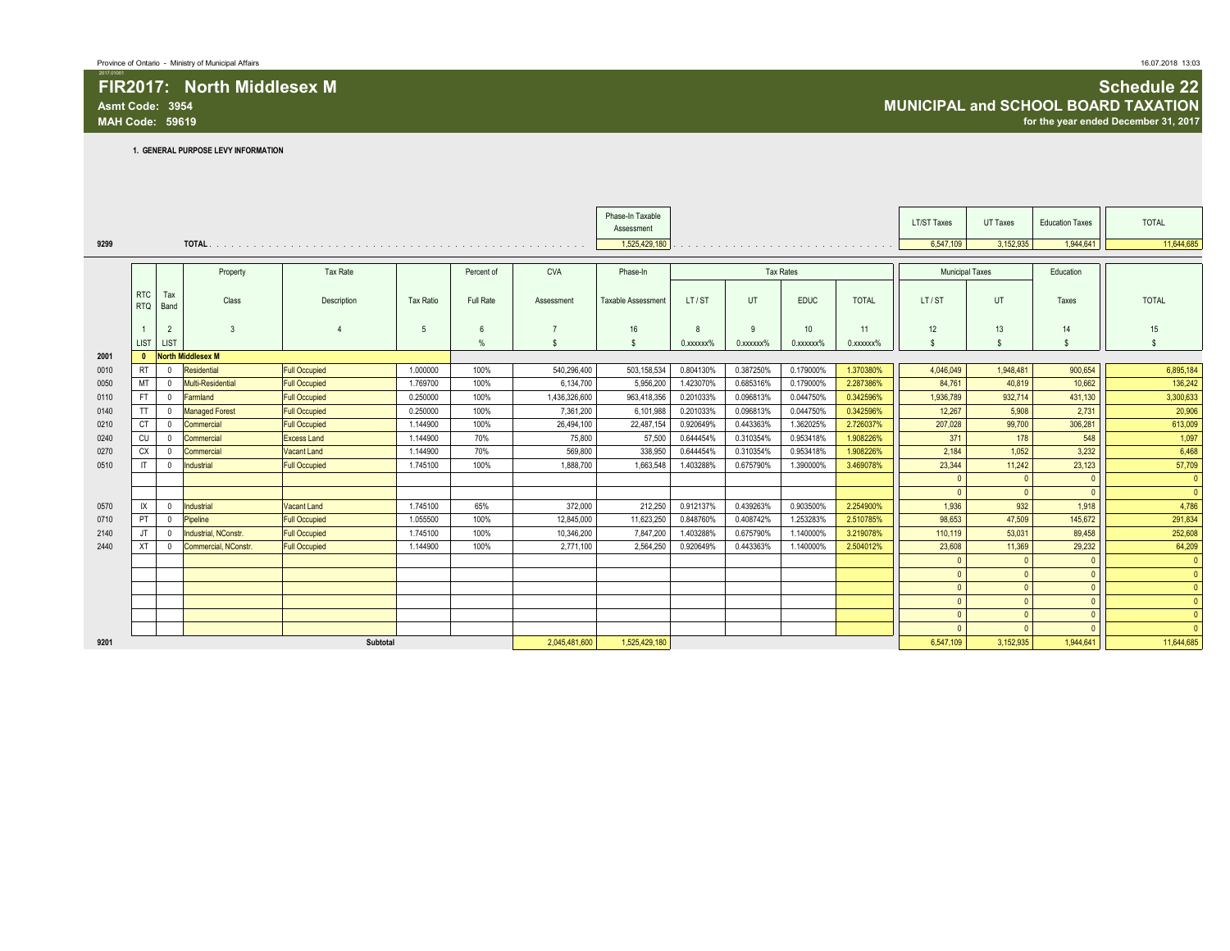**1. GENERAL PURPOSE LEVY INFORMATION**

|      |                          |                |                          |                      |                  |                 |               | Phase-In Taxable<br>Assessment |                 |              |                  |                 | <b>LT/ST Taxes</b>     | UT Taxes     | <b>Education Taxes</b> | <b>TOTAL</b>   |
|------|--------------------------|----------------|--------------------------|----------------------|------------------|-----------------|---------------|--------------------------------|-----------------|--------------|------------------|-----------------|------------------------|--------------|------------------------|----------------|
| 9299 |                          |                |                          |                      |                  |                 |               | 1,525,429,180                  |                 |              |                  |                 | 6,547,109              | 3,152,935    | 1.944.641              | 11,644,685     |
|      |                          |                |                          |                      |                  |                 |               |                                |                 |              |                  |                 |                        |              |                        |                |
|      |                          |                | Property                 | Tax Rate             |                  | Percent of      | <b>CVA</b>    | Phase-In                       |                 |              | <b>Tax Rates</b> |                 | <b>Municipal Taxes</b> |              | Education              |                |
|      | <b>RTC</b><br><b>RTQ</b> | Tax<br>Band    | Class                    | Description          | <b>Tax Ratio</b> | Full Rate       | Assessment    | Taxable Assessment             | LT/ST           | UT           | <b>EDUC</b>      | <b>TOTAL</b>    | LT/ST                  | UT           | Taxes                  | <b>TOTAL</b>   |
|      |                          | $\overline{2}$ | 3                        |                      | 5                | $6\overline{6}$ |               | 16                             | 8               | $\mathbf{q}$ | 10 <sup>10</sup> | 11              | 12                     | 13           | 14                     | 15             |
|      | <b>LIST</b>              | LIST           |                          |                      |                  | $\frac{9}{6}$   | $\mathbf{s}$  | - \$                           | $0.$ xxxxxx $%$ | 0.xxxxxx%    | 0.xxxxxx%        | $0.$ xxxxxx $%$ |                        | $\mathbf{s}$ |                        | $\mathbf{s}$   |
| 2001 | $\mathbf{0}$             |                | <b>North Middlesex M</b> |                      |                  |                 |               |                                |                 |              |                  |                 |                        |              |                        |                |
| 0010 | <b>RT</b>                | $\Omega$       | Residential              | <b>Full Occupied</b> | 1.000000         | 100%            | 540,296,400   | 503,158,534                    | 0.804130%       | 0.387250%    | 0.179000%        | 1.370380%       | 4,046,049              | 1,948,481    | 900,654                | 6,895,184      |
| 0050 | MT                       | $\Omega$       | Multi-Residential        | <b>Full Occupied</b> | 1.769700         | 100%            | 6,134,700     | 5,956,200                      | 1.423070%       | 0.685316%    | 0.179000%        | 2.287386%       | 84,761                 | 40,819       | 10,662                 | 136,242        |
| 0110 | <b>FT</b>                | $^{\circ}$     | Farmland                 | <b>Full Occupied</b> | 0.250000         | 100%            | 1,436,326,600 | 963,418,356                    | 0.201033%       | 0.096813%    | 0.044750%        | 0.342596%       | 1,936,789              | 932,714      | 431,130                | 3,300,633      |
| 0140 | <b>TT</b>                | $^{\circ}$     | <b>Managed Forest</b>    | <b>Full Occupied</b> | 0.250000         | 100%            | 7,361,200     | 6,101,988                      | 0.201033%       | 0.096813%    | 0.044750%        | 0.342596%       | 12.267                 | 5,908        | 2,731                  | 20,906         |
| 0210 | CT                       | 0              | Commercial               | <b>Full Occupied</b> | 1.144900         | 100%            | 26,494,100    | 22,487,154                     | 0.920649%       | 0.443363%    | 1.362025%        | 2.726037%       | 207,028                | 99,700       | 306,281                | 613,009        |
| 0240 | CU                       | $\Omega$       | Commercial               | <b>Excess Land</b>   | 1.144900         | 70%             | 75,800        | 57,500                         | 0.644454%       | 0.310354%    | 0.953418%        | 1.908226%       | 371                    | 178          | 548                    | 1,097          |
| 0270 | CX                       | $^{\circ}$     | Commercial               | Vacant Land          | 1.144900         | 70%             | 569,800       | 338,950                        | 0.644454%       | 0.310354%    | 0.953418%        | 1.908226%       | 2,184                  | 1,052        | 3,232                  | 6,468          |
| 0510 | $\mathsf{I}$             | $^{\circ}$     | Industrial               | <b>Full Occupied</b> | 1.745100         | 100%            | 1.888.700     | 1.663.548                      | 1.403288%       | 0.675790%    | 1.390000%        | 3.469078%       | 23,344                 | 11.242       | 23,123                 | 57,709         |
|      |                          |                |                          |                      |                  |                 |               |                                |                 |              |                  |                 | $\Omega$               | $\sqrt{ }$   | $\mathbf{0}$           | $\mathbf{0}$   |
|      |                          |                |                          |                      |                  |                 |               |                                |                 |              |                  |                 | $\mathbf{0}$           | $\sqrt{ }$   | $\sqrt{ }$             | $\theta$       |
| 0570 | IX                       | $^{\circ}$     | Industrial               | <b>Vacant Land</b>   | 1.745100         | 65%             | 372,000       | 212,250                        | 0.912137%       | 0.439263%    | 0.903500%        | 2.254900%       | 1,936                  | 932          | 1,918                  | 4,786          |
| 0710 | PT                       | 0              | Pipeline                 | <b>Full Occupied</b> | 1.055500         | 100%            | 12,845,000    | 11,623,250                     | 0.848760%       | 0.408742%    | 1.253283%        | 2.510785%       | 98,653                 | 47,509       | 145,672                | 291,834        |
| 2140 | JT.                      | $^{\circ}$     | Industrial, NConstr.     | <b>Full Occupied</b> | 1.745100         | 100%            | 10.346.200    | 7,847,200                      | 1.403288%       | 0.675790%    | 1.140000%        | 3.219078%       | 110.119                | 53,031       | 89.458                 | 252,608        |
| 2440 | XT                       | $\Omega$       | Commercial, NConstr.     | <b>Full Occupied</b> | 1.144900         | 100%            | 2,771,100     | 2,564,250                      | 0.920649%       | 0.443363%    | 1.140000%        | 2.504012%       | 23,608                 | 11,369       | 29,232                 | 64,209         |
|      |                          |                |                          |                      |                  |                 |               |                                |                 |              |                  |                 | $\Omega$               | $\sqrt{ }$   | $\mathbf{0}$           | $\mathbf{0}$   |
|      |                          |                |                          |                      |                  |                 |               |                                |                 |              |                  |                 | $\mathbf{0}$           | $\sqrt{ }$   | $\Omega$               | $\overline{0}$ |
|      |                          |                |                          |                      |                  |                 |               |                                |                 |              |                  |                 | $\mathbf{0}$           | $\Omega$     | $\Omega$               | $\mathbf{0}$   |
|      |                          |                |                          |                      |                  |                 |               |                                |                 |              |                  |                 | $\mathbf{0}$           | $\sqrt{ }$   | $\Omega$               | $\mathbf{0}$   |
|      |                          |                |                          |                      |                  |                 |               |                                |                 |              |                  |                 | $\mathbf{0}$           | $\Omega$     | $\mathbf{0}$           | $\mathbf{0}$   |
|      |                          |                |                          |                      |                  |                 |               |                                |                 |              |                  |                 | $\sqrt{ }$             |              |                        | $\theta$       |
| 9201 |                          |                |                          | Subtotal             |                  |                 | 2,045,481,600 | 1,525,429,180                  |                 |              |                  |                 | 6,547,109              | 3,152,935    | 1,944,641              | 11,644,685     |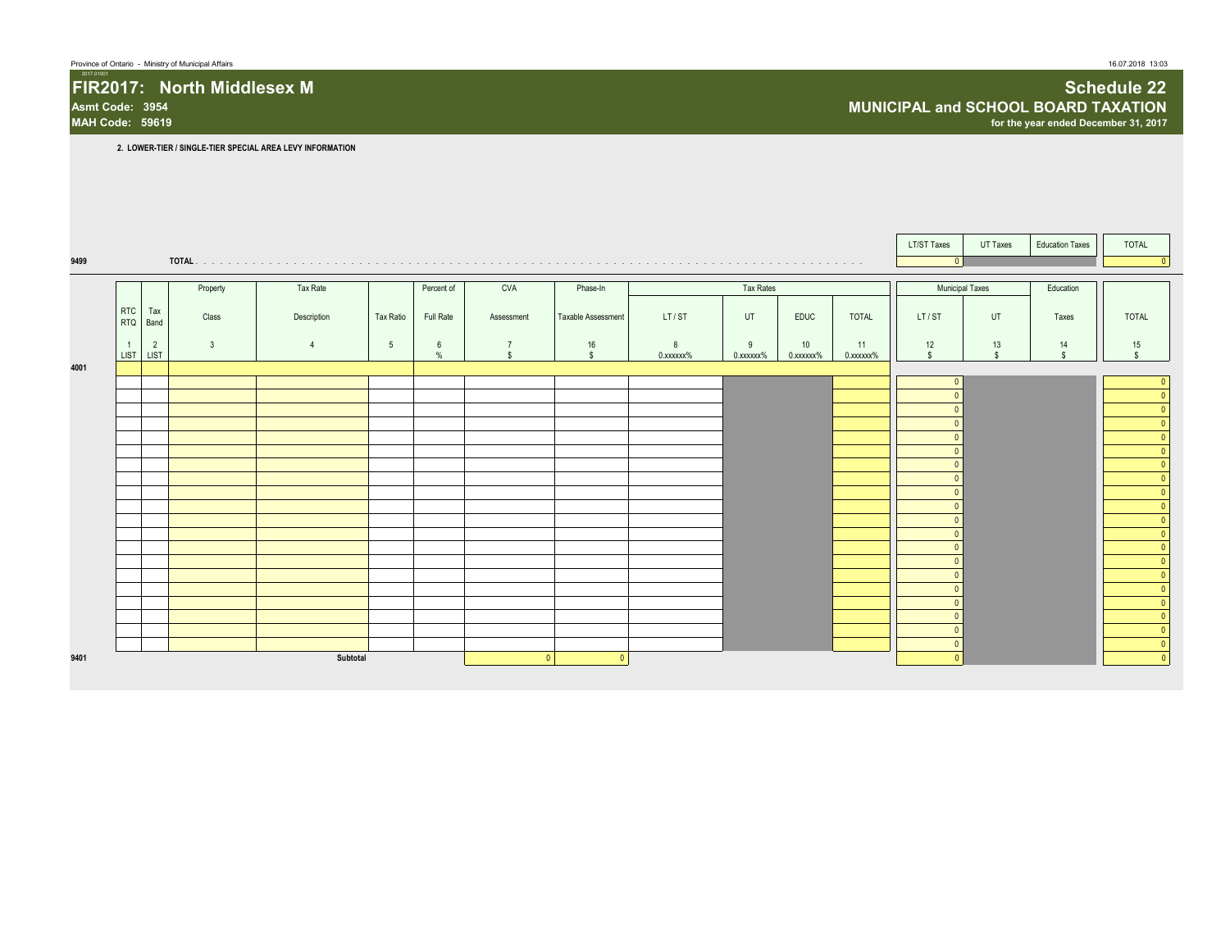#### FIR2017: North Middlesex M **Schedule 22**<br>Asmt Code: 3954 **Schedule 22 MUNICIPAL and SCHOOL BOARD TAXATION Asmt Code: 3954 MUNICIPAL and SCHOOL BOARD TAXATION MAH CODE: 59619919 for the year ended December 31, 2017**

**2. LOWER-TIER / SINGLE-TIER SPECIAL AREA LEVY INFORMATION**

|      |                          |                |                         |                |                 |            |                                      |                    |                |                |                 |                 | LT/ST Taxes          | UT Taxes           | <b>Education Taxes</b> | <b>TOTAL</b>                   |
|------|--------------------------|----------------|-------------------------|----------------|-----------------|------------|--------------------------------------|--------------------|----------------|----------------|-----------------|-----------------|----------------------|--------------------|------------------------|--------------------------------|
| 9499 |                          |                |                         |                |                 |            |                                      |                    |                |                |                 |                 | $\mathbf{0}$         |                    |                        |                                |
|      |                          |                | Property                | Tax Rate       |                 | Percent of | <b>CVA</b>                           | Phase-In           |                | Tax Rates      |                 |                 | Municipal Taxes      |                    | Education              |                                |
|      | <b>RTC</b><br><b>RTQ</b> | Tax<br>Band    | Class                   | Description    | Tax Ratio       | Full Rate  | Assessment                           | Taxable Assessment | LT/ST          | UT             | <b>EDUC</b>     | <b>TOTAL</b>    | LT/ST                | UT                 | Taxes                  | <b>TOTAL</b>                   |
|      | LIST LIST                | $\overline{2}$ | $\overline{\mathbf{3}}$ | $\overline{4}$ | $5\overline{5}$ | 6<br>$\%$  | $\overline{7}$<br>$\mathbf{\hat{s}}$ | 16<br>$\mathbb{S}$ | 8<br>0.xxxxxx% | 9<br>0.xxxxxx% | 10<br>0.xxxxxx% | 11<br>0.xxxxxx% | 12<br>$\mathbb{S}$   | 13<br>$\mathbf{s}$ | 14<br>$\mathbf{s}$     | 15<br>$\mathbb{S}$             |
| 4001 |                          |                |                         |                |                 |            |                                      |                    |                |                |                 |                 |                      |                    |                        |                                |
|      |                          |                |                         |                |                 |            |                                      |                    |                |                |                 |                 | $\sqrt{ }$           |                    |                        | $\Omega$                       |
|      |                          |                |                         |                |                 |            |                                      |                    |                |                |                 |                 |                      |                    |                        | $\Omega$                       |
|      |                          |                |                         |                |                 |            |                                      |                    |                |                |                 |                 |                      |                    |                        | $\Omega$                       |
|      |                          |                |                         |                |                 |            |                                      |                    |                |                |                 |                 | $\Omega$<br>$\Omega$ |                    |                        | $\mathbf{0}$<br>$\mathbf{0}$   |
|      |                          |                |                         |                |                 |            |                                      |                    |                |                |                 |                 | $\Omega$             |                    |                        | $\mathbf{0}$                   |
|      |                          |                |                         |                |                 |            |                                      |                    |                |                |                 |                 | $\sqrt{ }$           |                    |                        | $\mathbf{0}$                   |
|      |                          |                |                         |                |                 |            |                                      |                    |                |                |                 |                 | $\Omega$             |                    |                        | $\mathbf{0}$                   |
|      |                          |                |                         |                |                 |            |                                      |                    |                |                |                 |                 | $\Omega$             |                    |                        | $\overline{0}$                 |
|      |                          |                |                         |                |                 |            |                                      |                    |                |                |                 |                 | $\Omega$             |                    |                        | $\overline{0}$<br>$\mathbf{0}$ |
|      |                          |                |                         |                |                 |            |                                      |                    |                |                |                 |                 |                      |                    |                        | $\mathbf{0}$                   |
|      |                          |                |                         |                |                 |            |                                      |                    |                |                |                 |                 |                      |                    |                        | $\mathbf{0}$                   |
|      |                          |                |                         |                |                 |            |                                      |                    |                |                |                 |                 | $\sqrt{ }$           |                    |                        | $\mathbf{0}$                   |
|      |                          |                |                         |                |                 |            |                                      |                    |                |                |                 |                 | $\Omega$             |                    |                        | $\mathbf{0}$<br>$\mathbf{0}$   |
|      |                          |                |                         |                |                 |            |                                      |                    |                |                |                 |                 | $\Omega$             |                    |                        | $\mathbf{0}$                   |
|      |                          |                |                         |                |                 |            |                                      |                    |                |                |                 |                 | $\sqrt{ }$           |                    |                        | $\mathbf{0}$                   |
|      |                          |                |                         |                |                 |            |                                      |                    |                |                |                 |                 | $\Omega$             |                    |                        | $\overline{0}$                 |
| 9401 |                          |                |                         | Subtotal       |                 |            | $\Omega$                             | $\overline{0}$     |                |                |                 |                 | $\sqrt{ }$           |                    |                        | $\mathbf{0}$                   |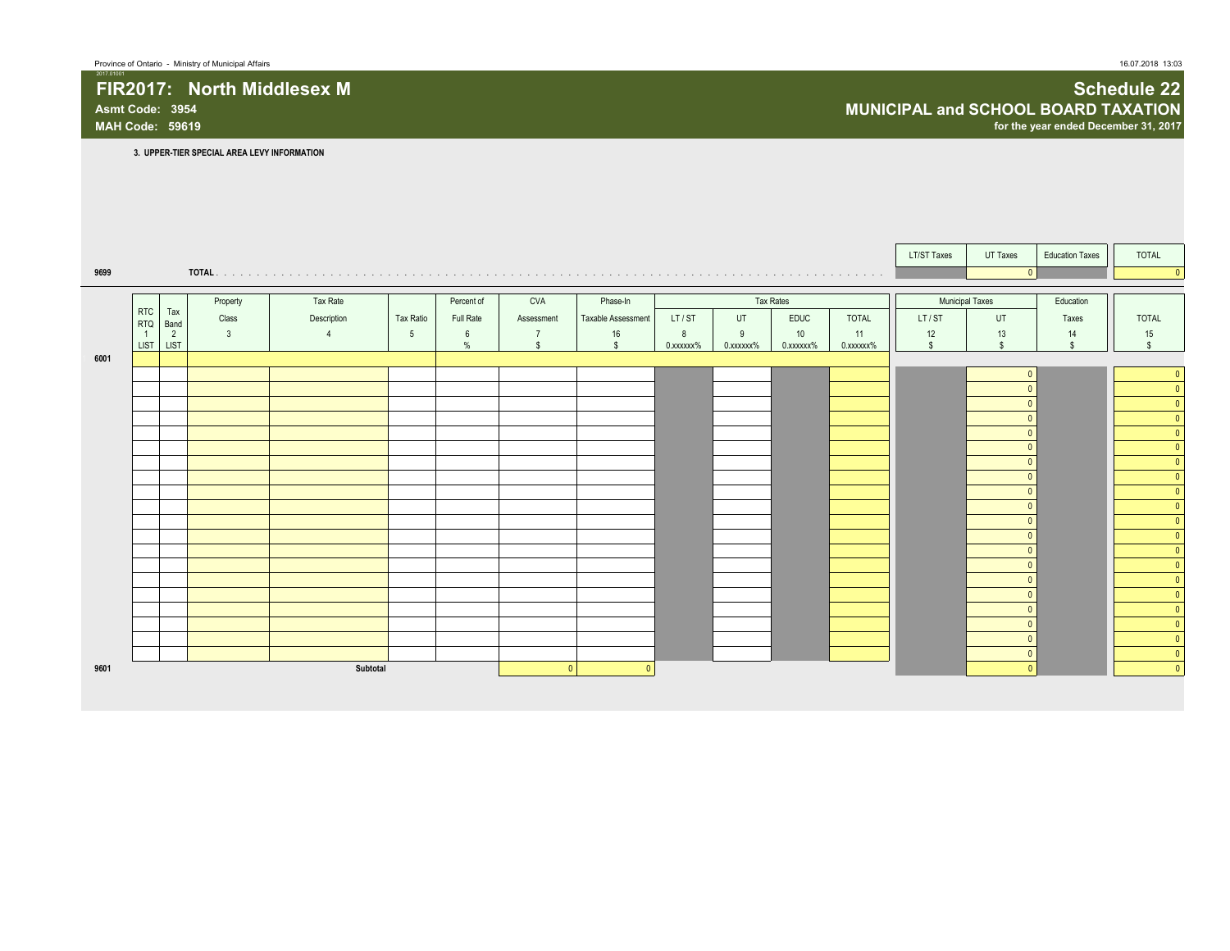**FIR2017:** North Middlesex M **Schedule 22 Asmt Code: 3954 MUNICIPAL and SCHOOL BOARD TAXATION MAH Code: 59619 for the year ended December 31, 2017**

**3. UPPER-TIER SPECIAL AREA LEVY INFORMATION**

|      |                          |             |              |             |           |            |            |                    |           |           |             |              | <b>LT/ST Taxes</b> | UT Taxes               | <b>Education Taxes</b> | TOTAL                     |
|------|--------------------------|-------------|--------------|-------------|-----------|------------|------------|--------------------|-----------|-----------|-------------|--------------|--------------------|------------------------|------------------------|---------------------------|
| 9699 |                          |             |              |             |           |            |            |                    |           |           |             |              |                    | $\Omega$               |                        | $\Omega$                  |
|      |                          |             |              |             |           |            |            |                    |           |           |             |              |                    |                        |                        |                           |
|      |                          |             | Property     | Tax Rate    |           | Percent of | CVA        | Phase-In           |           |           | Tax Rates   |              |                    | <b>Municipal Taxes</b> | Education              |                           |
|      | <b>RTC</b><br><b>RTQ</b> | Tax<br>Band | Class        | Description | Tax Ratio | Full Rate  | Assessment | Taxable Assessment | LT/ST     | UT        | <b>EDUC</b> | <b>TOTAL</b> | LT/ST              | UT                     | Taxes                  | <b>TOTAL</b>              |
|      | $\overline{1}$           | 2           | $\mathbf{3}$ |             | 5         | 6          |            | 16                 | 8         | 9         | 10          | 11           | 12                 | 13                     | 14                     | 15                        |
|      | <b>LIST</b>              | <b>LIST</b> |              |             |           | $\%$       |            | $\mathbb{S}$       | 0.xxxxxx% | 0.xxxxxx% | 0.xxxxxx%   | 0.xxxxxx%    | $\mathbb{S}$       | $\hat{\mathbf{s}}$     | $\mathbf{s}$           | \$.                       |
| 6001 |                          |             |              |             |           |            |            |                    |           |           |             |              |                    |                        |                        |                           |
|      |                          |             |              |             |           |            |            |                    |           |           |             |              |                    | $\Omega$               |                        | $\overline{0}$            |
|      |                          |             |              |             |           |            |            |                    |           |           |             |              |                    |                        |                        | $\overline{0}$            |
|      |                          |             |              |             |           |            |            |                    |           |           |             |              |                    |                        |                        | $\overline{0}$            |
|      |                          |             |              |             |           |            |            |                    |           |           |             |              |                    | $\Omega$               |                        | $\overline{0}$            |
|      |                          |             |              |             |           |            |            |                    |           |           |             |              |                    | $\Omega$               |                        | $\mathbf{0}$              |
|      |                          |             |              |             |           |            |            |                    |           |           |             |              |                    | $\Omega$               |                        | $\overline{0}$            |
|      |                          |             |              |             |           |            |            |                    |           |           |             |              |                    | $\Omega$               |                        | $\mathbf{0}$              |
|      |                          |             |              |             |           |            |            |                    |           |           |             |              |                    | $\Omega$               |                        | $\overline{0}$            |
|      |                          |             |              |             |           |            |            |                    |           |           |             |              |                    | $\Omega$               |                        | $\overline{\mathfrak{o}}$ |
|      |                          |             |              |             |           |            |            |                    |           |           |             |              |                    | $\Omega$               |                        | $\overline{0}$            |
|      |                          |             |              |             |           |            |            |                    |           |           |             |              |                    | $\Omega$               |                        | $\overline{0}$            |
|      |                          |             |              |             |           |            |            |                    |           |           |             |              |                    | $\Omega$               |                        | $\mathbf{0}$              |
|      |                          |             |              |             |           |            |            |                    |           |           |             |              |                    | $\Omega$               |                        | $\overline{0}$            |
|      |                          |             |              |             |           |            |            |                    |           |           |             |              |                    | $\Omega$               |                        | $\mathbf{0}$              |
|      |                          |             |              |             |           |            |            |                    |           |           |             |              |                    | $\Omega$               |                        | $\overline{0}$            |
|      |                          |             |              |             |           |            |            |                    |           |           |             |              |                    | $\sqrt{ }$             |                        | $\overline{0}$            |
|      |                          |             |              |             |           |            |            |                    |           |           |             |              |                    | $\Omega$               |                        | $\overline{0}$            |
|      |                          |             |              |             |           |            |            |                    |           |           |             |              |                    | $\Omega$               |                        | $\overline{0}$            |
|      |                          |             |              |             |           |            |            |                    |           |           |             |              |                    | $\Omega$               |                        | $\overline{0}$            |
|      |                          |             |              |             |           |            |            |                    |           |           |             |              |                    | $\Omega$               |                        | $\overline{0}$<br>e e     |
| 9601 |                          |             |              | Subtotal    |           |            | $\Omega$   |                    |           |           |             |              |                    |                        |                        | $\overline{0}$            |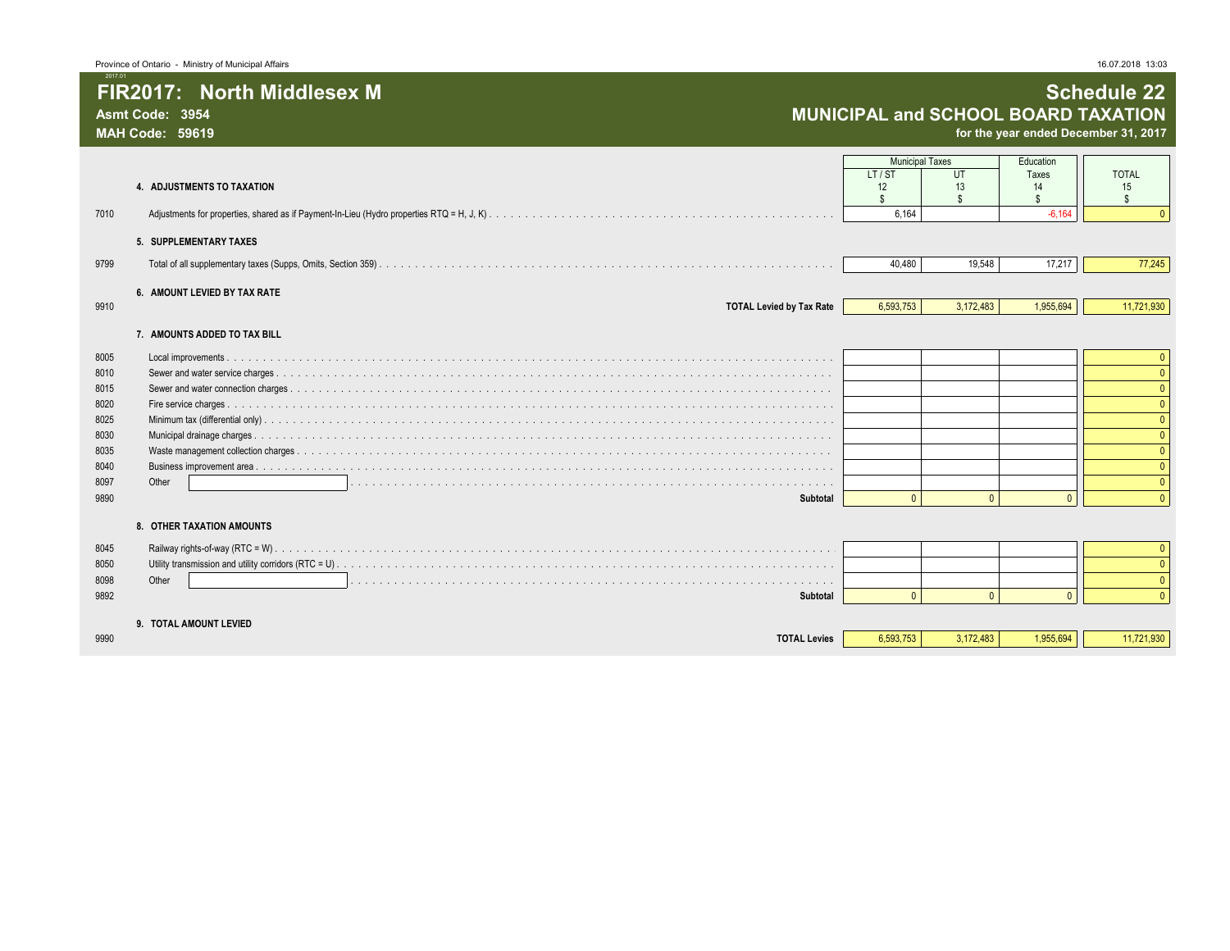**MAH Code: 59619 for the year ended December 31, 2017**

|      | 4. ADJUSTMENTS TO TAXATION      | <b>Municipal Taxes</b><br>LT/ST<br>12<br>\$ | UT<br>13  | Education<br>Taxes<br>14 | <b>TOTAL</b><br>15 |
|------|---------------------------------|---------------------------------------------|-----------|--------------------------|--------------------|
| 7010 |                                 | 6,164                                       |           | $-6.164$                 |                    |
|      | 5. SUPPLEMENTARY TAXES          |                                             |           |                          |                    |
| 9799 |                                 | 40,480                                      | 19,548    | 17,217                   | 77,245             |
|      | 6. AMOUNT LEVIED BY TAX RATE    |                                             |           |                          |                    |
| 9910 | <b>TOTAL Levied by Tax Rate</b> | 6,593,753                                   | 3,172,483 | 1,955,694                | 11,721,930         |
|      | 7. AMOUNTS ADDED TO TAX BILL    |                                             |           |                          |                    |
| 8005 |                                 |                                             |           |                          | $\Omega$           |
| 8010 |                                 |                                             |           |                          |                    |
| 8015 |                                 |                                             |           |                          |                    |
| 8020 |                                 |                                             |           |                          |                    |
| 8025 |                                 |                                             |           |                          |                    |
| 8030 |                                 |                                             |           |                          |                    |
| 8035 |                                 |                                             |           |                          |                    |
| 8040 |                                 |                                             |           |                          |                    |
| 8097 | Other                           |                                             |           |                          |                    |
| 9890 | Subtotal                        | $\Omega$                                    |           | $\Omega$                 |                    |
|      | 8. OTHER TAXATION AMOUNTS       |                                             |           |                          |                    |
| 8045 |                                 |                                             |           |                          |                    |
| 8050 |                                 |                                             |           |                          |                    |
| 8098 | Other                           |                                             |           |                          |                    |
| 9892 | Subtotal                        | $\Omega$                                    | $\Omega$  | $\Omega$                 |                    |
|      | 9. TOTAL AMOUNT LEVIED          |                                             |           |                          |                    |
| 9990 | <b>TOTAL Levies</b>             | 6,593,753                                   | 3,172,483 | 1,955,694                | 11,721,930         |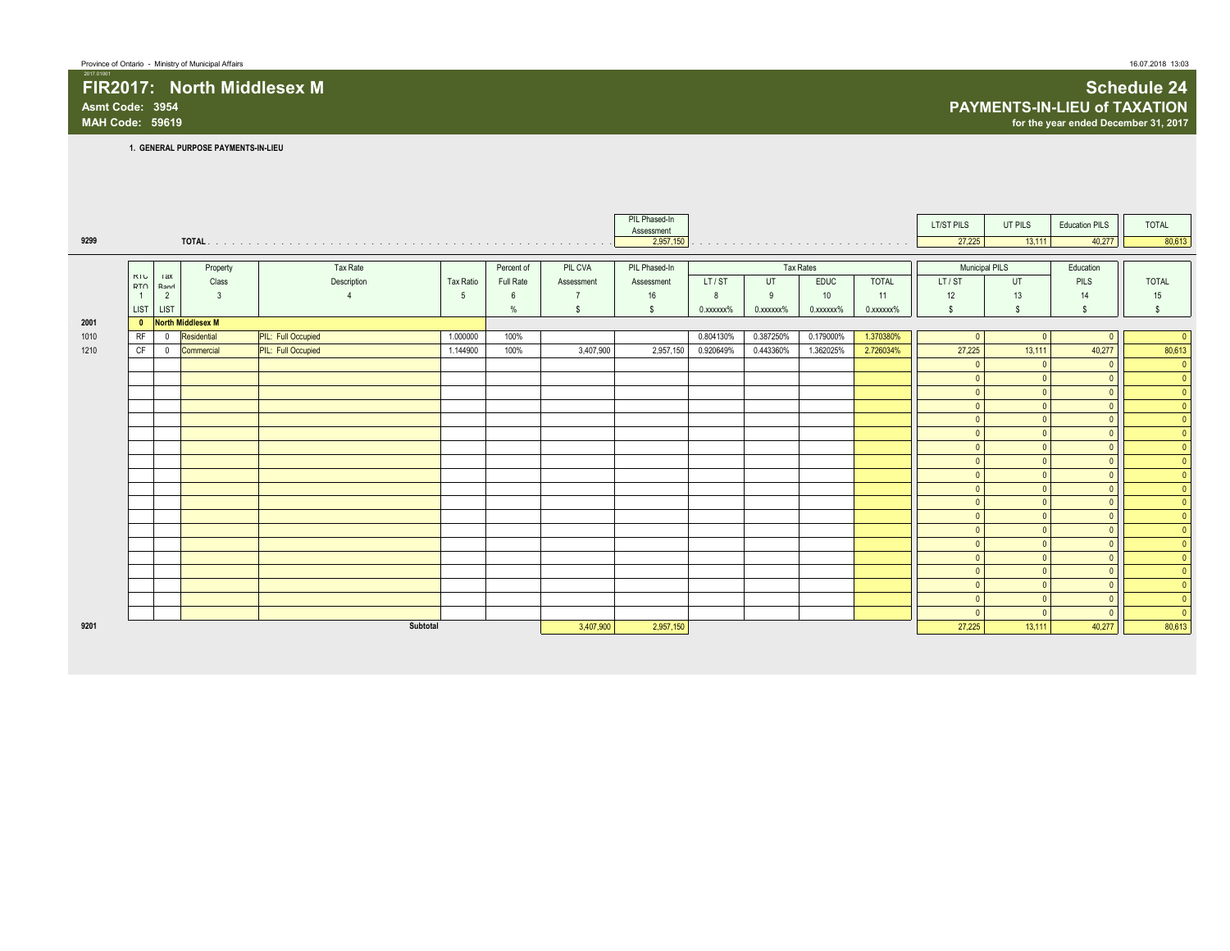# **Asmt Code: 3954 PAYMENTS-IN-LIEU of TAXATION**

2017.01001

## **FIR2017: North Middlesex M Schedule 24 MAH Code: 59619 for the year ended December 31, 2017**

**1. GENERAL PURPOSE PAYMENTS-IN-LIEU**

|      |                   |                    |                     |                           |           |            |            | PIL Phased-In<br>Assessment |                 |           |             |                                                                                                                                                                                                                                | LT/ST PILS           | UT PILS                | <b>Education PILS</b>      | TOTAL                                        |
|------|-------------------|--------------------|---------------------|---------------------------|-----------|------------|------------|-----------------------------|-----------------|-----------|-------------|--------------------------------------------------------------------------------------------------------------------------------------------------------------------------------------------------------------------------------|----------------------|------------------------|----------------------------|----------------------------------------------|
| 9299 |                   |                    |                     |                           |           |            |            | 2,957,150                   |                 |           |             | the contract of the contract of the contract of the contract of the contract of the contract of the contract of the contract of the contract of the contract of the contract of the contract of the contract of the contract o | 27,225               | 13,111                 | 40,277                     | 80,613                                       |
|      |                   |                    |                     |                           |           |            |            |                             |                 |           |             |                                                                                                                                                                                                                                |                      |                        |                            |                                              |
|      |                   |                    | Property            | Tax Rate                  |           | Percent of | PIL CVA    | PIL Phased-In               |                 |           | Tax Rates   |                                                                                                                                                                                                                                | Municipal PILS       |                        | Education                  |                                              |
|      | KIU<br><b>DTO</b> | <b>Tax</b><br>Dona | Class               | Description               | Tax Ratio | Full Rate  | Assessment | Assessment                  | LT/ST           | UT        | <b>EDUC</b> | <b>TOTAL</b>                                                                                                                                                                                                                   | LT/ST                | UT                     | <b>PILS</b>                | <b>TOTAL</b>                                 |
|      | $\overline{1}$    | $\overline{2}$     | $\overline{3}$      |                           | 5         | 6          |            | 16                          | 8               | 9         | 10          | 11                                                                                                                                                                                                                             | 12                   | 13                     | 14                         | 15                                           |
|      | <b>LIST</b>       | <b>LIST</b>        |                     |                           |           | $\%$       | S.         | -S                          | $0.$ xxxxxx $%$ | 0.xxxxxx% | 0.xxxxxx%   | 0.xxxxxx%                                                                                                                                                                                                                      | <b>S</b>             | S.                     | -S                         | s.                                           |
| 2001 |                   |                    | 0 North Middlesex M |                           |           |            |            |                             |                 |           |             |                                                                                                                                                                                                                                |                      |                        |                            |                                              |
| 1010 | <b>RF</b>         | $^{\circ}$         | Residential         | <b>PIL:</b> Full Occupied | 1.000000  | 100%       |            |                             | 0.804130%       | 0.387250% | 0.179000%   | 1.370380%                                                                                                                                                                                                                      | $\Omega$             | $\Omega$               |                            | $\overline{0}$                               |
| 1210 | CF                | $^{\circ}$         | Commercial          | <b>PIL:</b> Full Occupied | 1.144900  | 100%       | 3,407,900  | 2,957,150                   | 0.920649%       | 0.443360% | 1.362025%   | 2.726034%                                                                                                                                                                                                                      | 27,225               | 13,111                 | 40,277                     | 80,613                                       |
|      |                   |                    |                     |                           |           |            |            |                             |                 |           |             |                                                                                                                                                                                                                                | $\Omega$             | $\sqrt{ }$             | $\Omega$                   | $\overline{\mathbf{0}}$                      |
|      |                   |                    |                     |                           |           |            |            |                             |                 |           |             |                                                                                                                                                                                                                                | $\mathbf{0}$         | $\Omega$               | $\overline{0}$             | $\overline{\mathbf{0}}$                      |
|      |                   |                    |                     |                           |           |            |            |                             |                 |           |             |                                                                                                                                                                                                                                | $\mathbf{0}$         | $\Omega$               | $\Omega$                   | $\begin{array}{c c} \mathbf{0} \end{array}$  |
|      |                   |                    |                     |                           |           |            |            |                             |                 |           |             |                                                                                                                                                                                                                                | $\mathbf{0}$         | $\Omega$               | $\Omega$                   |                                              |
|      |                   |                    |                     |                           |           |            |            |                             |                 |           |             |                                                                                                                                                                                                                                | $\theta$             | $\Omega$               | $\Omega$                   | $\overline{\ }$                              |
|      |                   |                    |                     |                           |           |            |            |                             |                 |           |             |                                                                                                                                                                                                                                | $\mathbf{0}$         | $\Omega$               | $\Omega$                   | $\begin{array}{c}\n0 \\ \hline\n\end{array}$ |
|      |                   |                    |                     |                           |           |            |            |                             |                 |           |             |                                                                                                                                                                                                                                | $\mathbf{0}$         | $\Omega$<br>$\Omega$   | $\Omega$                   |                                              |
|      |                   |                    |                     |                           |           |            |            |                             |                 |           |             |                                                                                                                                                                                                                                | $\Omega$             |                        | $\Omega$                   | $\overline{\mathbf{0}}$                      |
|      |                   |                    |                     |                           |           |            |            |                             |                 |           |             |                                                                                                                                                                                                                                | $\Omega$             | $\Omega$<br>$\sqrt{ }$ | $\Omega$                   | $\bullet$                                    |
|      |                   |                    |                     |                           |           |            |            |                             |                 |           |             |                                                                                                                                                                                                                                | $\Omega$<br>$\Omega$ | $\sqrt{ }$             | $\overline{0}$<br>$\Omega$ | $\bullet$<br>$\overline{\ }$                 |
|      |                   |                    |                     |                           |           |            |            |                             |                 |           |             |                                                                                                                                                                                                                                | $\Omega$             | $\Omega$               | $\Omega$                   | $\overline{\bullet}$                         |
|      |                   |                    |                     |                           |           |            |            |                             |                 |           |             |                                                                                                                                                                                                                                | $\Omega$             |                        |                            | $\bullet$                                    |
|      |                   |                    |                     |                           |           |            |            |                             |                 |           |             |                                                                                                                                                                                                                                | $\theta$             |                        | $\overline{0}$             |                                              |
|      |                   |                    |                     |                           |           |            |            |                             |                 |           |             |                                                                                                                                                                                                                                | $\Omega$             | $\Omega$               | $\Omega$                   | $\circ$                                      |
|      |                   |                    |                     |                           |           |            |            |                             |                 |           |             |                                                                                                                                                                                                                                | $\Omega$             | $\sqrt{2}$             | $\Omega$                   | $\bullet$                                    |
|      |                   |                    |                     |                           |           |            |            |                             |                 |           |             |                                                                                                                                                                                                                                | $\mathbf{0}$         | $\overline{0}$         | $\Omega$                   |                                              |
|      |                   |                    |                     |                           |           |            |            |                             |                 |           |             |                                                                                                                                                                                                                                | $\mathbf{0}$         | $\Omega$               | $\overline{0}$             | $\begin{array}{c}\n0 \\ 0\n\end{array}$      |
|      |                   |                    |                     |                           |           |            |            |                             |                 |           |             |                                                                                                                                                                                                                                | $\Omega$             | $\Omega$               | $\Omega$                   | $\overline{0}$                               |
| 9201 |                   |                    |                     | Subtotal                  |           |            | 3,407,900  | 2,957,150                   |                 |           |             |                                                                                                                                                                                                                                | 27,225               | 13,111                 | 40,277                     | 80,613                                       |
|      |                   |                    |                     |                           |           |            |            |                             |                 |           |             |                                                                                                                                                                                                                                |                      |                        |                            |                                              |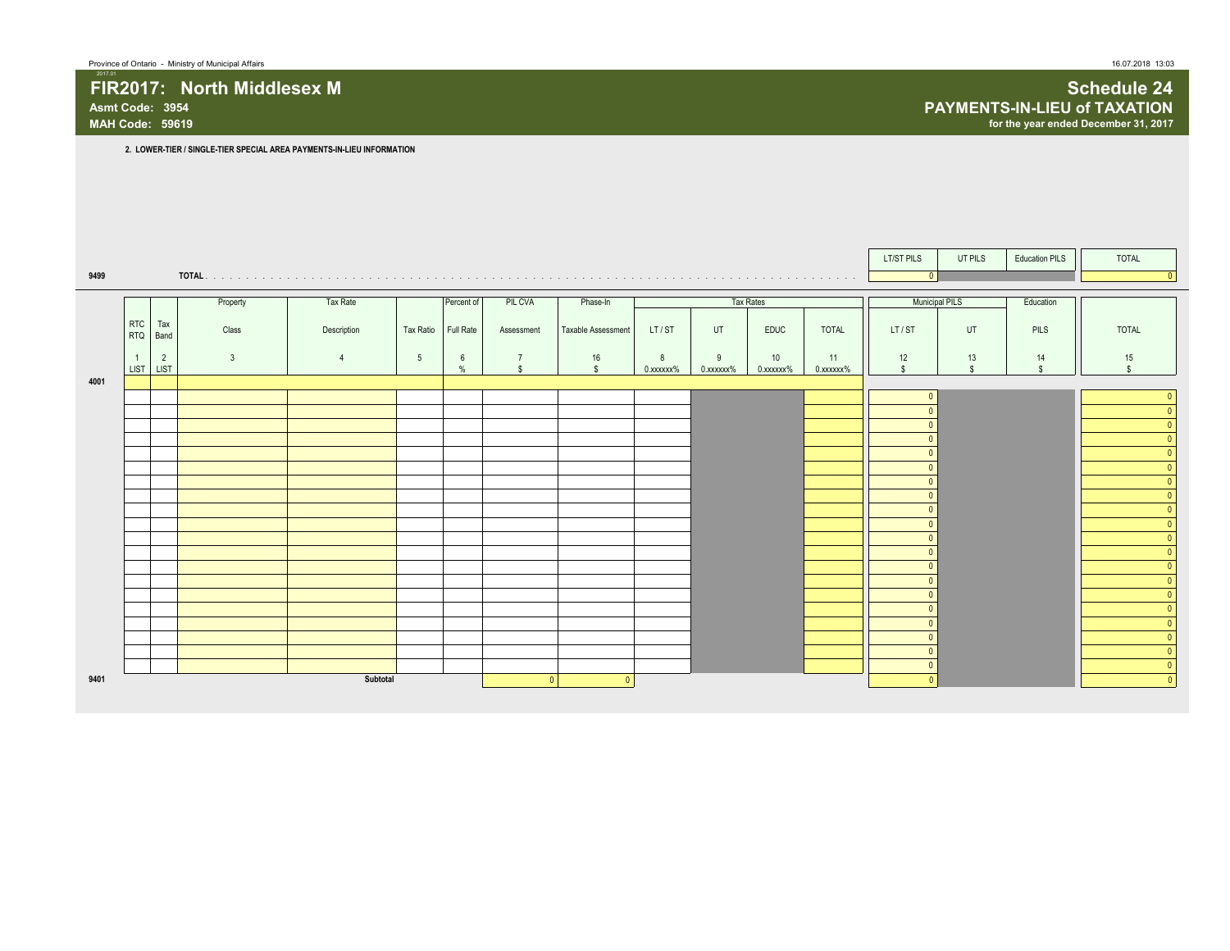|      |                        |                |              |                |                 |                      |                                |                    |                |                |                 |                 | LT/ST PILS             | UT PILS               | <b>Education PILS</b> | <b>TOTAL</b>             |
|------|------------------------|----------------|--------------|----------------|-----------------|----------------------|--------------------------------|--------------------|----------------|----------------|-----------------|-----------------|------------------------|-----------------------|-----------------------|--------------------------|
| 9499 |                        |                |              |                |                 |                      |                                |                    |                |                |                 |                 | $\Omega$               |                       |                       |                          |
|      |                        |                | Property     | Tax Rate       |                 | Percent of           | PIL CVA                        | Phase-In           |                |                | Tax Rates       |                 |                        | <b>Municipal PILS</b> | Education             |                          |
|      | <b>RTC</b><br>RTQ Band | Tax            | Class        | Description    | Tax Ratio       | Full Rate            | Assessment                     | Taxable Assessment | LT/ST          | UT             | <b>EDUC</b>     | <b>TOTAL</b>    | LT/ST                  | UT                    | PILS                  | TOTAL                    |
|      | LIST LIST              | $\overline{2}$ | $\mathbf{3}$ | $\overline{4}$ | $5\overline{)}$ | $6\overline{6}$<br>% | $\overline{7}$<br>$\mathbf{s}$ | 16<br>$\mathbb{S}$ | 8<br>0.xxxxxx% | 9<br>0.xxxxxx% | 10<br>0.xxxxxx% | 11<br>0.xxxxxx% | 12<br>$\mathbb{S}$     | 13<br>$\mathbb{S}$    | 14<br>$\mathbb{S}$    | 15<br>$\mathbf{\hat{s}}$ |
| 4001 |                        |                |              |                |                 |                      |                                |                    |                |                |                 |                 | $\Omega$               |                       |                       |                          |
|      |                        |                |              |                |                 |                      |                                |                    |                |                |                 |                 | $\Omega$               |                       |                       |                          |
|      |                        |                |              |                |                 |                      |                                |                    |                |                |                 |                 |                        |                       |                       |                          |
|      |                        |                |              |                |                 |                      |                                |                    |                |                |                 |                 | $\Omega$               |                       |                       |                          |
|      |                        |                |              |                |                 |                      |                                |                    |                |                |                 |                 | $\sqrt{ }$             |                       |                       |                          |
|      |                        |                |              |                |                 |                      |                                |                    |                |                |                 |                 | $\Omega$               |                       |                       |                          |
|      |                        |                |              |                |                 |                      |                                |                    |                |                |                 |                 | $\Omega$               |                       |                       |                          |
|      |                        |                |              |                |                 |                      |                                |                    |                |                |                 |                 | $\sqrt{2}$             |                       |                       |                          |
|      |                        |                |              |                |                 |                      |                                |                    |                |                |                 |                 | $\Omega$               |                       |                       |                          |
|      |                        |                |              |                |                 |                      |                                |                    |                |                |                 |                 |                        |                       |                       |                          |
|      |                        |                |              |                |                 |                      |                                |                    |                |                |                 |                 | $\sqrt{2}$<br>$\Omega$ |                       |                       |                          |
|      |                        |                |              |                |                 |                      |                                |                    |                |                |                 |                 |                        |                       |                       |                          |
|      |                        |                |              |                |                 |                      |                                |                    |                |                |                 |                 | $\Omega$               |                       |                       | $\Omega$                 |
|      |                        |                |              |                |                 |                      |                                |                    |                |                |                 |                 | $\Omega$<br>$\Omega$   |                       |                       | $\Omega$<br>$\Omega$     |
|      |                        |                |              |                |                 |                      |                                |                    |                |                |                 |                 | $\Omega$               |                       |                       | $\overline{0}$           |
| 9401 |                        |                |              | Subtotal       |                 |                      | $\Omega$                       | $\mathbf{0}$       |                |                |                 |                 | $\Omega$               |                       |                       | $\Omega$                 |

2017.01 **FIR2017: North Middlesex M Schedule 24 Asmt Code: 3954 PAYMENTS-IN-LIEU of TAXATION** for the year ended December 31, 2017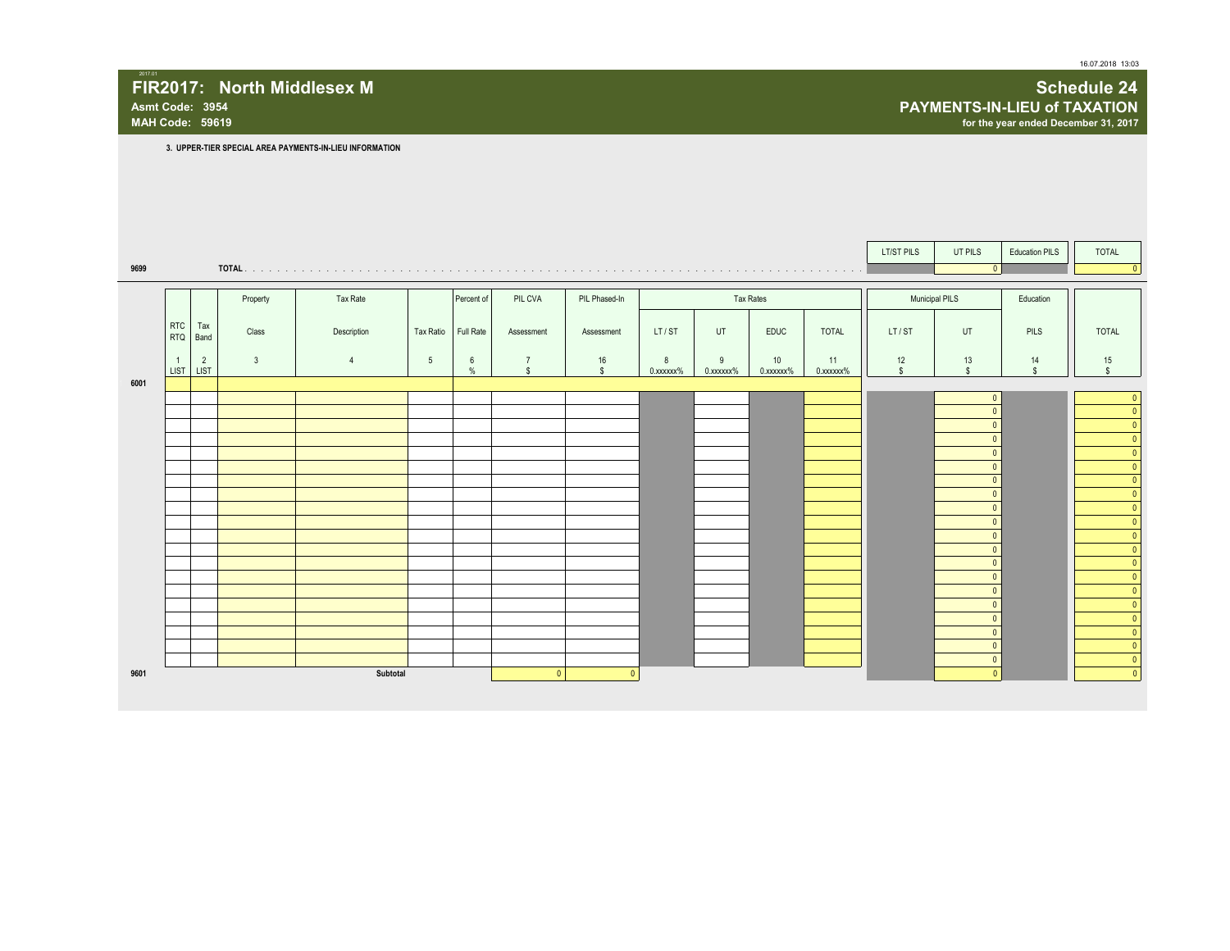**MAH Code: 59619 for the year ended December 31, 2017**

## 2017.01 **FIR2017: North Middlesex M Schedule 24**

**Asmt Code: 3954 PAYMENTS-IN-LIEU of TAXATION**

**3. UPPER-TIER SPECIAL AREA PAYMENTS-IN-LIEU INFORMATION**

|      |                             |                |              |                |                 |                    |                                |                    |                |                |                 |                 | LT/ST PILS         | UT PILS              | <b>Education PILS</b>    | <b>TOTAL</b>           |
|------|-----------------------------|----------------|--------------|----------------|-----------------|--------------------|--------------------------------|--------------------|----------------|----------------|-----------------|-----------------|--------------------|----------------------|--------------------------|------------------------|
| 9699 |                             |                |              |                |                 |                    |                                |                    |                |                |                 |                 |                    |                      |                          |                        |
|      |                             |                |              |                |                 |                    |                                |                    |                |                |                 |                 |                    |                      |                          |                        |
|      |                             |                | Property     | Tax Rate       |                 | Percent of         | PIL CVA                        | PIL Phased-In      |                |                | Tax Rates       |                 | Municipal PILS     |                      | Education                |                        |
|      | <b>RTC</b><br><b>RTQ</b>    | Tax<br>Band    | Class        | Description    | Tax Ratio       | Full Rate          | Assessment                     | Assessment         | LT/ST          | UT             | EDUC            | <b>TOTAL</b>    | LT/ST              | UT                   | <b>PILS</b>              | <b>TOTAL</b>           |
|      | $\overline{1}$<br>LIST LIST | $\overline{2}$ | $\mathbf{3}$ | $\overline{4}$ | $5\phantom{.0}$ | 6<br>$\frac{0}{2}$ | $\overline{7}$<br>$\mathbf{s}$ | 16<br>$\mathbf{s}$ | 8<br>0.xxxxxx% | 9<br>0.xxxxxx% | 10<br>0.xxxxxx% | 11<br>0.xxxxxx% | 12<br>$\mathbf{s}$ | $13$<br>$\mathbf{s}$ | 14<br>$\hat{\mathbf{S}}$ | 15<br>$\mathbf{s}$     |
| 6001 |                             |                |              |                |                 |                    |                                |                    |                |                |                 |                 |                    |                      |                          |                        |
|      |                             |                |              |                |                 |                    |                                |                    |                |                |                 |                 |                    |                      |                          | $\Omega$<br>$\sqrt{ }$ |
|      |                             |                |              |                |                 |                    |                                |                    |                |                |                 |                 |                    |                      |                          |                        |
|      |                             |                |              |                |                 |                    |                                |                    |                |                |                 |                 |                    |                      |                          |                        |
|      |                             |                |              |                |                 |                    |                                |                    |                |                |                 |                 |                    | $\Omega$             |                          |                        |
|      |                             |                |              |                |                 |                    |                                |                    |                |                |                 |                 |                    | $\Omega$             |                          |                        |
|      |                             |                |              |                |                 |                    |                                |                    |                |                |                 |                 |                    | $\Omega$             |                          |                        |
|      |                             |                |              |                |                 |                    |                                |                    |                |                |                 |                 |                    | $\Omega$             |                          |                        |
|      |                             |                |              |                |                 |                    |                                |                    |                |                |                 |                 |                    | $\mathbf{0}$         |                          |                        |
|      |                             |                |              |                |                 |                    |                                |                    |                |                |                 |                 |                    | $\Omega$<br>$\Omega$ |                          |                        |
|      |                             |                |              |                |                 |                    |                                |                    |                |                |                 |                 |                    | $\mathbf{0}$         |                          |                        |
|      |                             |                |              |                |                 |                    |                                |                    |                |                |                 |                 |                    | $\Omega$             |                          |                        |
|      |                             |                |              |                |                 |                    |                                |                    |                |                |                 |                 |                    | $\Omega$             |                          |                        |
|      |                             |                |              |                |                 |                    |                                |                    |                |                |                 |                 |                    | $\Omega$<br>$\Omega$ |                          |                        |
|      |                             |                |              |                |                 |                    |                                |                    |                |                |                 |                 |                    | $\Omega$             |                          |                        |
|      |                             |                |              |                |                 |                    |                                |                    |                |                |                 |                 |                    | $\mathbf{0}$         |                          |                        |
|      |                             |                |              |                |                 |                    |                                |                    |                |                |                 |                 |                    | $\Omega$             |                          |                        |
| 9601 |                             |                |              | Subtotal       |                 |                    | 0                              | $\mathbf{0}$       |                |                |                 |                 |                    |                      |                          |                        |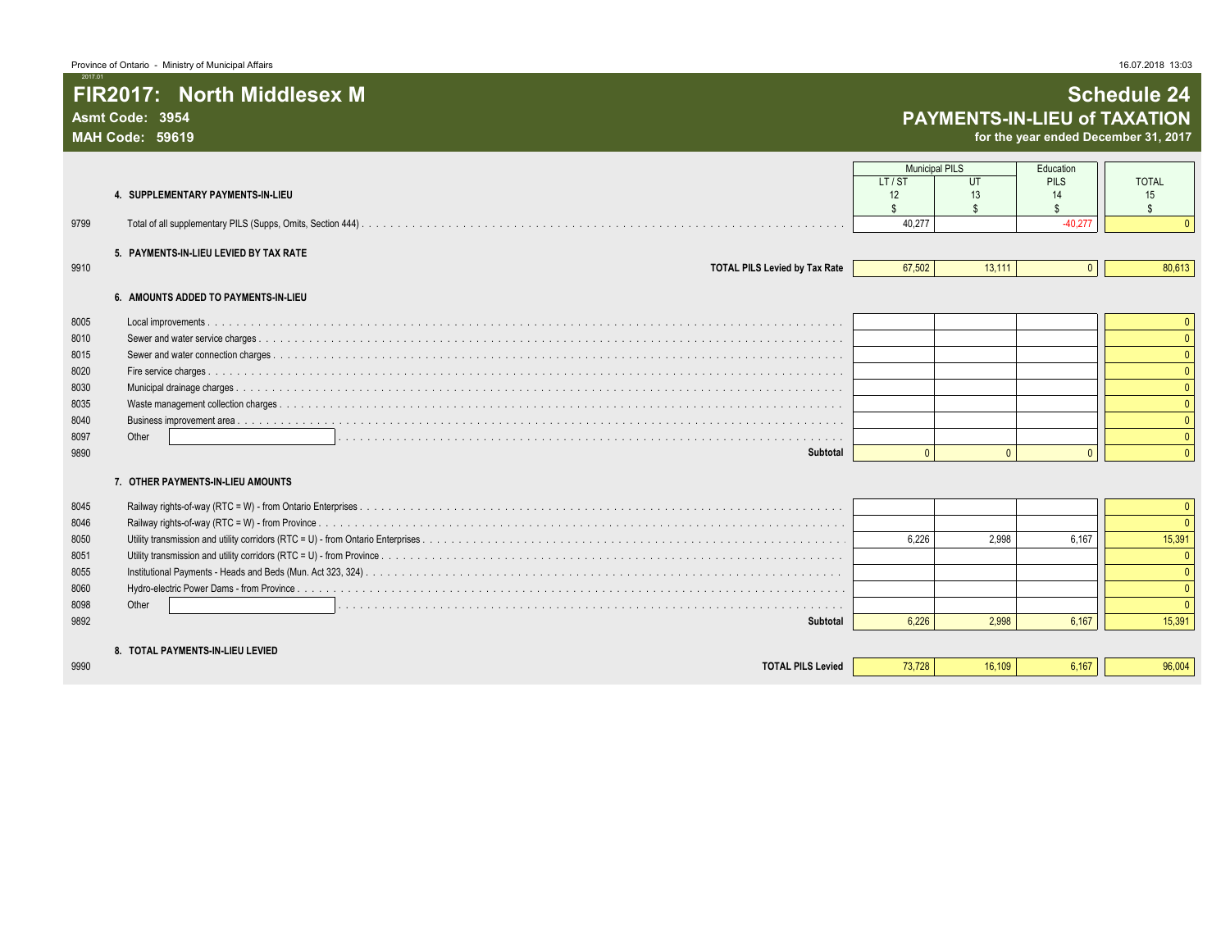# **Asmt Code: 3954 PAYMENTS-IN-LIEU of TAXATION**

**MAH Code: 59619 for the year ended December 31, 2017**

|      |                                        | <b>Municipal PILS</b> |              | Education         |                          |
|------|----------------------------------------|-----------------------|--------------|-------------------|--------------------------|
|      | 4. SUPPLEMENTARY PAYMENTS-IN-LIEU      | LT/ST<br>12           | UT<br>13     | <b>PILS</b><br>14 | <b>TOTAL</b><br>15       |
|      |                                        |                       | \$.          |                   | $\mathfrak{L}$           |
| 9799 |                                        | 40.277                |              | $-40.277$         | $\Omega$                 |
|      | 5. PAYMENTS-IN-LIEU LEVIED BY TAX RATE |                       |              |                   |                          |
| 9910 | <b>TOTAL PILS Levied by Tax Rate</b>   | 67,502                | 13.111       | $\mathbf{0}$      | 80,613                   |
|      | 6. AMOUNTS ADDED TO PAYMENTS-IN-LIEU   |                       |              |                   |                          |
|      |                                        |                       |              |                   |                          |
| 8005 |                                        |                       |              |                   | $\mathbf{0}$<br>$\Omega$ |
| 8010 |                                        |                       |              |                   |                          |
| 8015 |                                        |                       |              |                   | $\Omega$                 |
| 8020 |                                        |                       |              |                   | $\Omega$                 |
| 8030 |                                        |                       |              |                   |                          |
| 8035 |                                        |                       |              |                   | $\Omega$                 |
| 8040 |                                        |                       |              |                   | $\Omega$                 |
| 8097 | Other                                  |                       |              |                   | $\Omega$                 |
| 9890 | Subtotal                               | $\Omega$              | $\mathbf{0}$ | $\mathbf{0}$      | $\Omega$                 |
|      | 7. OTHER PAYMENTS-IN-LIEU AMOUNTS      |                       |              |                   |                          |
| 8045 |                                        |                       |              |                   | $\mathbf{0}$             |
| 8046 |                                        |                       |              |                   | $\Omega$                 |
| 8050 |                                        | 6.226                 | 2.998        | 6.167             | 15,391                   |
| 8051 |                                        |                       |              |                   | $\Omega$                 |
| 8055 |                                        |                       |              |                   | $\Omega$                 |
| 8060 |                                        |                       |              |                   | $\Omega$                 |
| 8098 | Other                                  |                       |              |                   |                          |
| 9892 | Subtotal                               | 6,226                 | 2.998        | 6,167             | 15,391                   |
|      | 8. TOTAL PAYMENTS-IN-LIEU LEVIED       |                       |              |                   |                          |
| 9990 | <b>TOTAL PILS Levied</b>               | 73.728                | 16.109       | 6.167             | 96,004                   |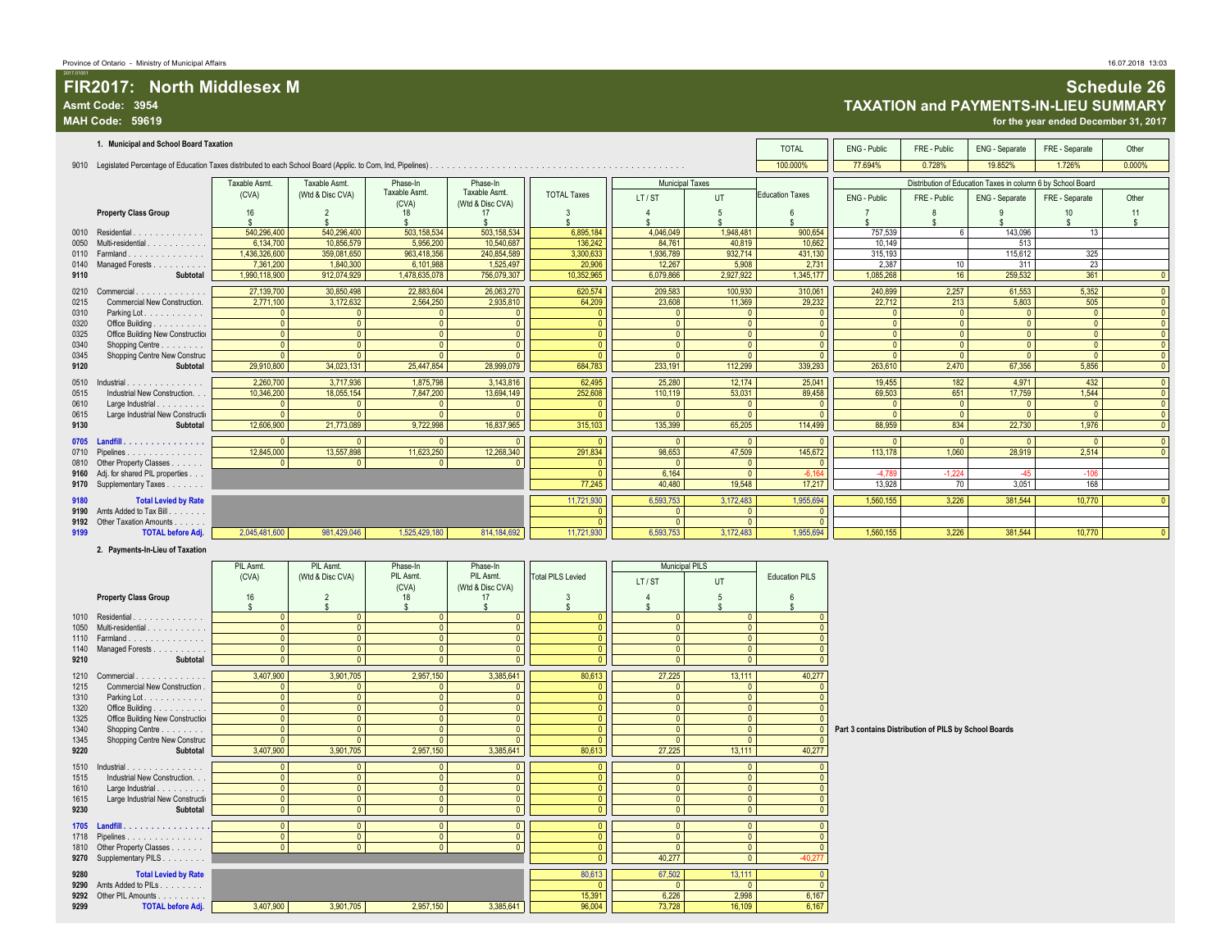#### **FIR2017:** North Middlesex M<br>
Asmt Code: 3954<br>
MAH Code: 59619<br>
MAH Code: 59619<br>
MAH Code: 59619 **Asmt Code: 3954 TAXATION and PAYMENTS-IN-LIEU SUMMARY MAH Code: 59619 for the year ended December 31, 2017**

|              | INTI VOUG. VJUTJ                                   |                                |                                |                           |                                   |                                |                                  |                                  |                                |                                                       |                                           |                                                             | ior the year ended December 91, 2011 |                                |
|--------------|----------------------------------------------------|--------------------------------|--------------------------------|---------------------------|-----------------------------------|--------------------------------|----------------------------------|----------------------------------|--------------------------------|-------------------------------------------------------|-------------------------------------------|-------------------------------------------------------------|--------------------------------------|--------------------------------|
|              | 1. Municipal and School Board Taxation             |                                |                                |                           |                                   |                                |                                  |                                  | <b>TOTAL</b>                   | ENG - Public                                          | FRE - Public                              | ENG - Separate                                              | FRE - Separate                       | Other                          |
|              |                                                    |                                |                                |                           |                                   |                                |                                  |                                  | 100.000%                       | 77.694%                                               | 0.728%                                    | 19.852%                                                     | 1.726%                               | 0.000%                         |
|              |                                                    | Taxable Asmt.                  | Taxable Asmt.                  | Phase-In                  | Phase-In                          |                                | <b>Municipal Taxes</b>           |                                  |                                |                                                       |                                           | Distribution of Education Taxes in column 6 by School Board |                                      |                                |
|              |                                                    | (CVA)                          | (Wtd & Disc CVA)               | Taxable Asmt.<br>(CVA)    | Taxable Asmt.<br>(Wtd & Disc CVA) | <b>TOTAL Taxes</b>             | LT/ST                            | UT                               | <b>Education Taxes</b>         | <b>ENG - Public</b>                                   | FRE - Public                              | ENG - Separate                                              | FRE - Separate                       | Other                          |
|              | <b>Property Class Group</b>                        | $16\,$                         | $\overline{2}$                 | 18<br>\$                  | 17<br>Ŝ                           |                                | $\overline{4}$                   | 5                                | 6                              |                                                       | 8                                         | $\mathbf{q}$                                                | 10<br>$\mathbf{\hat{s}}$             | 11<br>s                        |
|              | 0010 Residential                                   | 540,296,400                    | 540,296,400                    | 503,158,534               | 503,158,534                       | 6,895,184                      | 4,046,049                        | 1,948,481                        | 900,654                        | 757,539                                               | 6                                         | 143,096                                                     | 13                                   |                                |
| 0050         | Multi-residential                                  | 6,134,700                      | 10,856,579                     | 5,956,200                 | 10,540,687                        | 136,242                        | 84,761                           | 40,819                           | 10,662                         | 10,149                                                |                                           | 513                                                         |                                      |                                |
| 0110         | Farmland                                           | 1,436,326,600                  | 359,081,650                    | 963,418,356               | 240,854,589                       | 3,300,633                      | 1,936,789                        | 932,714                          | 431,130                        | 315,193                                               |                                           | 115,612                                                     | 325                                  |                                |
| 0140         | Managed Forests                                    | 7,361,200                      | 1,840,300                      | 6,101,988                 | 1,525,497                         | 20,906                         | 12,267                           | 5,908                            | 2,731                          | 2,387                                                 | 10                                        | 311                                                         | 23                                   |                                |
| 9110         | Subtotal                                           | 1,990,118,900                  | 912,074,929                    | 1,478,635,078             | 756,079,307                       | 10,352,965                     | 6,079,866                        | 2,927,922                        | 1,345,177                      | 1,085,268                                             | 16                                        | 259,532                                                     | 361                                  | $\overline{0}$                 |
| 0210         | Commercial                                         | 27,139,700                     | 30,850,498                     | 22,883,604                | 26,063,270                        | 620,574                        | 209,583                          | 100,930                          | 310,061                        | 240,899                                               | 2,257                                     | 61,553                                                      | 5,352                                | $\overline{\mathbf{0}}$        |
| 0215         | Commercial New Construction.                       | 2,771,100                      | 3,172,632                      | 2,564,250                 | 2,935,810                         | 64,209                         | 23,608                           | 11,369                           | 29,232                         | 22,712                                                | 213                                       | 5,803                                                       | 505                                  | $\mathbf{0}$                   |
| 0310         | Parking Lot.                                       | $\Omega$                       | $\mathbf{0}$                   | $\mathbf{0}$              | $\Omega$                          | $\mathbf{0}$                   | $\mathbf{0}$                     | $\Omega$                         | $\overline{0}$                 | $\mathbf{0}$                                          | $\overline{0}$                            | $\mathbf{0}$                                                | $\Omega$                             | $\overline{0}$                 |
| 0320         | Office Building                                    | $\overline{0}$                 | $\mathbf{0}$                   | $\mathbf{0}$              | $\overline{0}$                    | $\mathbf{0}$                   | $\bullet$                        | $\overline{0}$                   | $\overline{0}$                 | $\overline{0}$                                        | $\overline{\mathbf{0}}$                   | $\mathbf{0}$                                                | $\Omega$                             | $\mathbf 0$                    |
| 0325         | Office Building New Construction                   | $\Omega$<br>$\Omega$           | $\mathbf{0}$                   | $\Omega$<br>$\Omega$      | $\Omega$<br>$\Omega$              | $\mathbf{0}$<br>$\mathbf{0}$   | $\overline{0}$<br>$\overline{0}$ | $\Omega$<br>$\overline{0}$       | $\overline{0}$<br>$\mathbf{0}$ | $\overline{0}$                                        | $\overline{0}$<br>$\overline{\mathbf{0}}$ | $\Omega$<br>$\Omega$                                        | $\Omega$<br>$\Omega$                 | $\mathbf{0}$                   |
| 0340<br>0345 | Shopping Centre<br>Shopping Centre New Construc    | $\Omega$                       | $\mathbf{0}$<br>$\overline{0}$ | $\overline{0}$            | $\overline{0}$                    | $\overline{0}$                 | $\overline{0}$                   | $\overline{0}$                   | $\overline{0}$                 | $\overline{0}$<br>$\bullet$                           | $\overline{0}$                            | $\mathbf{0}$                                                | $\overline{0}$                       | $\mathbf{0}$<br>$\overline{0}$ |
| 9120         | Subtotal                                           | 29,910,800                     | 34,023,131                     | 25,447,854                | 28,999,079                        | 684,783                        | 233,191                          | 112,299                          | 339,293                        | 263,610                                               | 2,470                                     | 67,356                                                      | 5,856                                | $\mathbf 0$                    |
| 0510         | Industrial                                         | 2,260,700                      | 3,717,936                      | 1,875,798                 | 3,143,816                         | 62,495                         | 25,280                           | 12,174                           | 25,041                         | 19,455                                                | 182                                       | 4,971                                                       | 432                                  | $\overline{0}$                 |
| 0515         | Industrial New Construction.                       | 10,346,200                     | 18,055,154                     | 7,847,200                 | 13,694,149                        | 252,608                        | 110,119                          | 53,031                           | 89,458                         | 69,503                                                | 651                                       | 17,759                                                      | 1,544                                | $\mathbf{0}$                   |
| 0610         | Large Industrial                                   | $\mathbf{0}$                   | $\mathbf{0}$                   | $\Omega$                  | $\Omega$                          | $\Omega$                       | $\overline{0}$                   | $\overline{0}$                   | $\mathbf{0}$                   | $\Omega$                                              | $\mathbf{0}$                              | $\mathbf{0}$                                                | $\Omega$                             | $\mathbf{0}$                   |
| 0615         | Large Industrial New Constructio                   | $\overline{0}$                 | $\mathbf{0}$                   | $\mathbf{0}$              | $\overline{0}$                    | $\mathbf{0}$                   | $\overline{0}$                   | $\overline{0}$                   | $\overline{0}$                 | $\mathbf{0}$                                          | $\mathbf{0}$                              | $\overline{0}$                                              | $\overline{0}$                       | $\mathbf{0}$                   |
| 9130         | Subtotal                                           | 12,606,900                     | 21,773,089                     | 9,722,998                 | 16,837,965                        | 315,103                        | 135,399                          | 65,205                           | 114,499                        | 88,959                                                | 834                                       | 22,730                                                      | 1,976                                | $\mathbf{0}$                   |
| 0705         | Landfill.                                          | $\mathbf{0}$                   | $\Omega$                       |                           |                                   | $\Omega$                       | $\mathbf{0}$                     | $\Omega$                         | $\Omega$                       | $\Omega$                                              | $\Omega$                                  | $\Omega$                                                    | $\Omega$                             | $\overline{0}$                 |
| 0710         | Pipelines                                          | 12,845,000                     | 13,557,898                     | 11,623,250                | 12,268,340                        | 291,834                        | 98,653                           | 47,509                           | 145,672                        | 113,178                                               | 1,060                                     | 28,919                                                      | 2,514                                | $\mathbf 0$                    |
| 0810         | Other Property Classes                             | $\Omega$                       | $\mathbf{0}$                   | $\mathbf{0}$              | $\Omega$                          | $\Omega$                       | $\Omega$                         | $\Omega$                         | $\Omega$                       |                                                       |                                           |                                                             |                                      |                                |
|              | 9160 Adj. for shared PIL properties                |                                |                                |                           |                                   | $\Omega$                       | 6,164                            | $\overline{0}$                   | $-6.164$                       | $-4.789$                                              | $-1.224$                                  | $-45$                                                       | $-106$                               |                                |
|              | 9170 Supplementary Taxes                           |                                |                                |                           |                                   | 77,245                         | 40,480                           | 19,548                           | 17,217                         | 13,928                                                | 70                                        | 3,051                                                       | 168                                  |                                |
| 9180         | <b>Total Levied by Rate</b>                        |                                |                                |                           |                                   | 11,721,930                     | 6,593,753                        | 3,172,483                        | 1,955,694                      | 1,560,155                                             | 3,226                                     | 381,544                                                     | 10,770                               | $\overline{0}$                 |
| 9190         | Amts Added to Tax Bill                             |                                |                                |                           |                                   | $\Omega$<br>$\Omega$           | $\Omega$                         | $\mathbf{0}$                     | $\mathbf{0}$<br>$\overline{0}$ |                                                       |                                           |                                                             |                                      |                                |
| 9192<br>9199 | Other Taxation Amounts<br><b>TOTAL before Adj.</b> | 2,045,481,600                  | 981,429,046                    | 1,525,429,180             | 814, 184, 692                     | 11,721,930                     | $\mathbf{0}$<br>6,593,753        | $\mathbf{0}$<br>3,172,483        | 1,955,694                      | 1,560,155                                             | 3,226                                     | 381,544                                                     | 10,770                               | $\overline{0}$                 |
|              |                                                    |                                |                                |                           |                                   |                                |                                  |                                  |                                |                                                       |                                           |                                                             |                                      |                                |
|              | 2. Payments-In-Lieu of Taxation                    |                                |                                |                           |                                   |                                |                                  |                                  |                                |                                                       |                                           |                                                             |                                      |                                |
|              |                                                    | PIL Asmt.                      | PIL Asmt.<br>(Wtd & Disc CVA)  | Phase-In<br>PIL Asmt.     | Phase-In<br>PIL Asmt.             | <b>Total PILS Levied</b>       | <b>Municipal PILS</b>            |                                  | <b>Education PILS</b>          |                                                       |                                           |                                                             |                                      |                                |
|              |                                                    | (CVA)                          |                                | (CVA)                     | (Wtd & Disc CVA)                  |                                | LT/ST                            | UT                               |                                |                                                       |                                           |                                                             |                                      |                                |
|              | <b>Property Class Group</b>                        | 16                             | $\overline{2}$                 | 18                        | 17                                | 3                              | $\overline{4}$                   | 5                                | 6                              |                                                       |                                           |                                                             |                                      |                                |
|              |                                                    | s.                             |                                | \$                        | <sub>S</sub>                      |                                |                                  |                                  |                                |                                                       |                                           |                                                             |                                      |                                |
|              | 1010 Residential                                   | $\mathbf{0}$<br>$\overline{0}$ | $\mathbf{0}$                   | $\Omega$<br>$\mathbf{0}$  | $\Omega$<br>$\Omega$              | $\mathbf{0}$<br>$\mathbf{0}$   | $\Omega$                         | $\overline{0}$<br>$\overline{0}$ | $\mathbf{0}$<br>$\overline{0}$ |                                                       |                                           |                                                             |                                      |                                |
| 1050<br>1110 | Multi-residential<br>Farmland                      | $\mathbf{0}$                   | $\mathbf{0}$<br>$\mathbf{0}$   | $\overline{0}$            | $\mathbf{0}$                      | $\mathbf{0}$                   | $\overline{0}$<br>$\mathbf{0}$   | $\overline{0}$                   | $\overline{0}$                 |                                                       |                                           |                                                             |                                      |                                |
| 1140         | Managed Forests                                    | $\overline{0}$                 | $\mathbf{0}$                   | $\mathbf{0}$              | $\mathbf{0}$                      | $\mathbf{0}$                   | $\overline{0}$                   | $\overline{0}$                   | $\mathbf{0}$                   |                                                       |                                           |                                                             |                                      |                                |
| 9210         | Subtotal                                           | $\overline{0}$                 | $\mathbf{0}$                   | $\Omega$                  | $\mathbf{0}$                      | $\mathbf{0}$                   | $\overline{0}$                   | $\overline{0}$                   | $\mathbf{0}$                   |                                                       |                                           |                                                             |                                      |                                |
| 1210         | Commercial.                                        | 3,407,900                      | 3,901,705                      | 2,957,150                 | 3,385,641                         | 80,613                         | 27,225                           | 13,111                           | 40,277                         |                                                       |                                           |                                                             |                                      |                                |
| 1215         | Commercial New Construction.                       | $\Omega$                       | $\mathbf{0}$                   | 0                         | $\overline{0}$                    | $\mathbf{0}$                   | $^{\circ}$                       | $^{\circ}$                       | $\mathbf 0$                    |                                                       |                                           |                                                             |                                      |                                |
| 1310         | Parking Lot.                                       | $\Omega$                       | $\mathbf{0}$                   | $\mathbf{0}$              | $\overline{0}$                    | $\mathbf{0}$                   | $\circ$                          | $\overline{0}$                   | $\overline{0}$                 |                                                       |                                           |                                                             |                                      |                                |
| 1320         | Office Building                                    | $\Omega$                       | $\mathbf{0}$                   | $\overline{\mathbf{0}}$   | $\overline{0}$                    | $\overline{0}$                 | $\overline{0}$                   | $\mathbf{0}$                     | $\overline{0}$                 |                                                       |                                           |                                                             |                                      |                                |
| 1325         | Office Building New Construction                   | $\Omega$                       | $\overline{0}$                 | $\overline{0}$            | $\overline{0}$                    | $\overline{0}$                 | $\overline{0}$                   | $\mathbf{0}$                     | $\overline{0}$                 |                                                       |                                           |                                                             |                                      |                                |
| 1340         | Shopping Centre                                    | $\Omega$<br>$\Omega$           | $\mathbf{0}$                   | $\overline{0}$            | $\mathbf{0}$<br>$\overline{0}$    | $\mathbf{0}$<br>$\overline{0}$ | $\overline{0}$                   | $\overline{0}$                   | $\mathbf{0}$                   | Part 3 contains Distribution of PILS by School Boards |                                           |                                                             |                                      |                                |
| 1345<br>9220 | Shopping Centre New Construc<br>Subtotal           | 3,407,900                      | $\mathbf{0}$<br>3,901,705      | $\mathbf{0}$<br>2,957,150 | 3,385,641                         | 80,613                         | $\overline{0}$<br>27,225         | $\overline{0}$<br>13,111         | $\Omega$<br>40,277             |                                                       |                                           |                                                             |                                      |                                |
|              |                                                    |                                |                                |                           |                                   |                                |                                  |                                  |                                |                                                       |                                           |                                                             |                                      |                                |
| 1510         | Industrial                                         | $\overline{0}$                 | $\Omega$                       | $\Omega$                  | $\mathbf{0}$                      | $\mathbf{0}$                   | $\Omega$                         | $\overline{0}$                   | $\mathbf{0}$                   |                                                       |                                           |                                                             |                                      |                                |
| 1515<br>1610 | Industrial New Construction.<br>Large Industrial   | $\overline{0}$<br> 0           | $\mathbf{0}$<br>$\mathbf{0}$   | $\Omega$<br>$\mathbf{0}$  | $\mathbf{0}$<br>$\mathbf{0}$      | $\mathbf{0}$<br>$\mathbf{0}$   | $\circ$<br>$\circ$               | $\overline{0}$<br>$\overline{0}$ | $\mathbf{0}$<br>$\mathbf{0}$   |                                                       |                                           |                                                             |                                      |                                |
| 1615         | Large Industrial New Constructiv                   | 0                              | $\overline{0}$                 | $\overline{0}$            | $\bullet$                         | $\overline{0}$                 | $\overline{0}$                   | 0                                | $\overline{0}$                 |                                                       |                                           |                                                             |                                      |                                |
| 9230         | Subtotal                                           | 0                              | $\overline{0}$                 | $\bullet$                 | $\bullet$                         | $\bullet$                      | $\overline{0}$                   | 0                                | $\pmb{0}$                      |                                                       |                                           |                                                             |                                      |                                |
|              | 1705 Landfill.                                     | $\overline{0}$                 | $\overline{0}$                 | $\overline{0}$            | $\overline{0}$                    | $\boxed{0}$                    | $\overline{0}$                   | 0 <sup>1</sup>                   | $\overline{0}$                 |                                                       |                                           |                                                             |                                      |                                |
| 1718         | Pipelines                                          | $\overline{0}$                 | $\mathbf{0}$                   | $\overline{0}$            | $\sqrt{0}$                        | $\overline{0}$                 | $\Omega$                         | $\Omega$                         | $\mathbf{0}$                   |                                                       |                                           |                                                             |                                      |                                |
| 1810         | Other Property Classes                             | 0                              | 0                              | $\overline{0}$            | $\overline{0}$                    | $\overline{0}$                 | $\overline{0}$                   | $\overline{0}$                   | $\overline{0}$                 |                                                       |                                           |                                                             |                                      |                                |
| 9270         | Supplementary PILS                                 |                                |                                |                           |                                   | $\mathbf{0}$                   | 40,277                           | $\overline{0}$                   | $-40,277$                      |                                                       |                                           |                                                             |                                      |                                |
| 9280         | <b>Total Levied by Rate</b>                        |                                |                                |                           |                                   | 80,613                         | 67,502                           | 13,111                           | $\mathbf{0}$                   |                                                       |                                           |                                                             |                                      |                                |
| 9290         | Amts Added to PILs                                 |                                |                                |                           |                                   |                                |                                  | $\mathbf{0}$                     | $\overline{0}$                 |                                                       |                                           |                                                             |                                      |                                |
| 9299         | 9292 Other PIL Amounts<br><b>TOTAL before Adj.</b> | 3,407,900                      | 3,901,705                      | 2,957,150                 | 3,385,641                         | 15,391<br>96.004               | 6,226<br>73.728                  | 2,998<br>16,109                  | 6,167<br>6,167                 |                                                       |                                           |                                                             |                                      |                                |
|              |                                                    |                                |                                |                           |                                   |                                |                                  |                                  |                                |                                                       |                                           |                                                             |                                      |                                |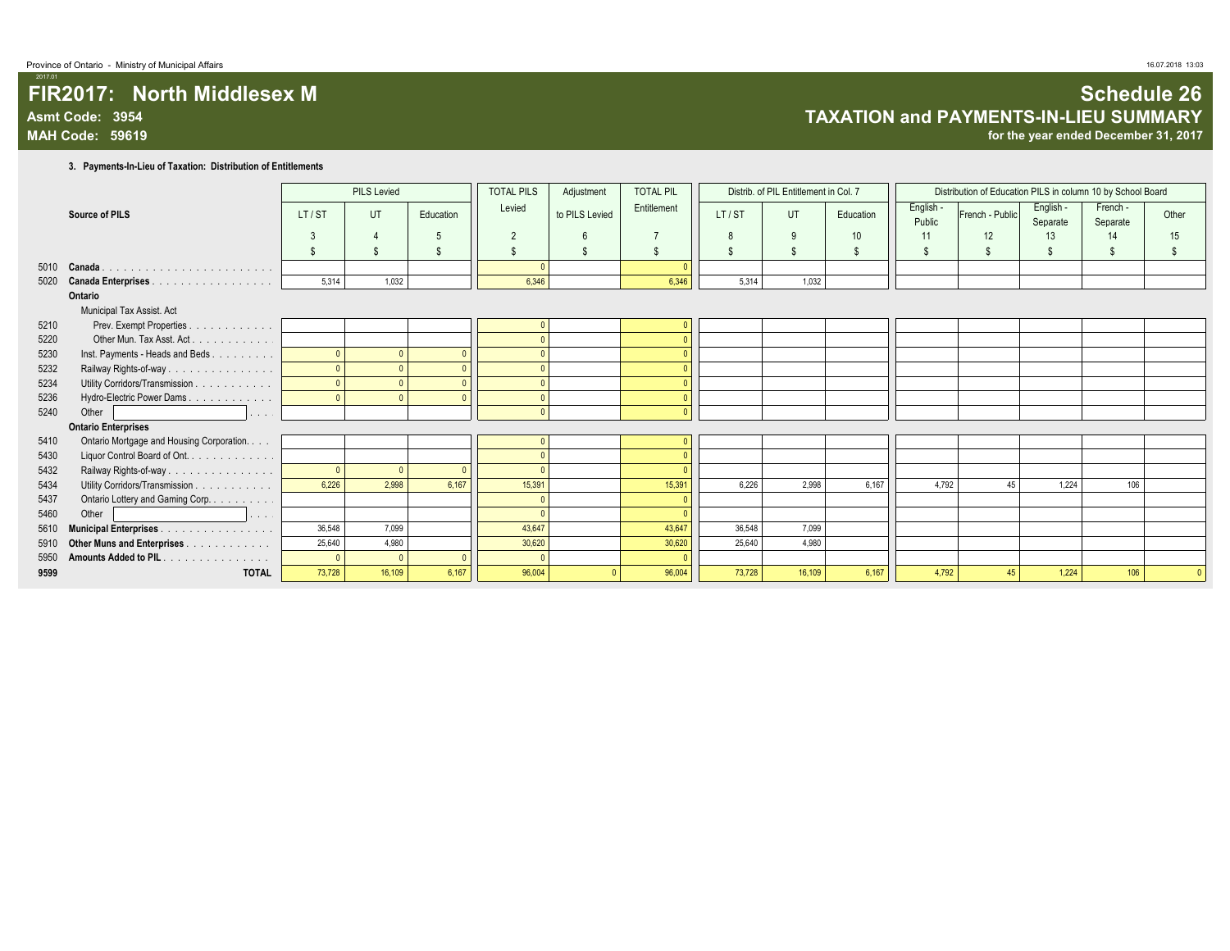## **FIR2017: North Middlesex M Schedule 26 Asmt Code: 3954 TAXATION and PAYMENTS-IN-LIEU SUMMARY**

for the year ended December 31, 2017

**3. Payments-In-Lieu of Taxation: Distribution of Entitlements**

|      |                                                            |        | <b>PILS Levied</b> |           | <b>TOTAL PILS</b>  | Adjustment         | <b>TOTAL PIL</b>   |        | Distrib. of PIL Entitlement in Col. 7 |                 |                     | Distribution of Education PILS in column 10 by School Board |                       |                      |                |
|------|------------------------------------------------------------|--------|--------------------|-----------|--------------------|--------------------|--------------------|--------|---------------------------------------|-----------------|---------------------|-------------------------------------------------------------|-----------------------|----------------------|----------------|
|      | Source of PILS                                             | LT/ST  | UT                 | Education | Levied             | to PILS Levied     | Entitlement        | LT/ST  | UT                                    | Education       | English -<br>Public | French - Public                                             | English -<br>Separate | French -<br>Separate | Other          |
|      |                                                            |        |                    |           | $\overline{2}$     | $\kappa$           |                    | 8      | 9                                     | 10 <sup>°</sup> | 11                  | 12                                                          | 13                    | 14                   | 15             |
|      |                                                            |        |                    |           | $\mathbf{\hat{S}}$ | $\mathbf{\hat{s}}$ | $\mathbf{\hat{s}}$ | \$     | \$                                    | $\mathfrak{s}$  |                     | \$                                                          |                       | $\mathbf{\hat{S}}$   | $\mathfrak{L}$ |
| 5010 | Canada                                                     |        |                    |           |                    |                    |                    |        |                                       |                 |                     |                                                             |                       |                      |                |
| 5020 | <b>Canada Enterprises</b><br>.                             | 5,314  | 1,032              |           | 6,346              |                    | 6,346              | 5,314  | 1,032                                 |                 |                     |                                                             |                       |                      |                |
|      | Ontario                                                    |        |                    |           |                    |                    |                    |        |                                       |                 |                     |                                                             |                       |                      |                |
|      | Municipal Tax Assist. Act                                  |        |                    |           |                    |                    |                    |        |                                       |                 |                     |                                                             |                       |                      |                |
| 5210 | Prev. Exempt Properties.<br>and a straight and             |        |                    |           |                    |                    |                    |        |                                       |                 |                     |                                                             |                       |                      |                |
| 5220 | Other Mun. Tax Asst. Act.<br>and a straight and a straight |        |                    |           |                    |                    |                    |        |                                       |                 |                     |                                                             |                       |                      |                |
| 5230 | Inst. Payments - Heads and Beds                            |        |                    |           |                    |                    |                    |        |                                       |                 |                     |                                                             |                       |                      |                |
| 5232 | Railway Rights-of-way                                      |        |                    |           |                    |                    |                    |        |                                       |                 |                     |                                                             |                       |                      |                |
| 5234 | Utility Corridors/Transmission                             |        |                    |           |                    |                    |                    |        |                                       |                 |                     |                                                             |                       |                      |                |
| 5236 | Hydro-Electric Power Dams                                  |        |                    |           |                    |                    |                    |        |                                       |                 |                     |                                                             |                       |                      |                |
| 5240 | Other<br>.                                                 |        |                    |           | $\Omega$           |                    |                    |        |                                       |                 |                     |                                                             |                       |                      |                |
|      | <b>Ontario Enterprises</b>                                 |        |                    |           |                    |                    |                    |        |                                       |                 |                     |                                                             |                       |                      |                |
| 5410 | Ontario Mortgage and Housing Corporation.                  |        |                    |           |                    |                    |                    |        |                                       |                 |                     |                                                             |                       |                      |                |
| 5430 | Liquor Control Board of Ont.                               |        |                    |           | $\Omega$           |                    |                    |        |                                       |                 |                     |                                                             |                       |                      |                |
| 5432 | Railway Rights-of-way                                      |        | $\Omega$           |           | $\sqrt{2}$         |                    |                    |        |                                       |                 |                     |                                                             |                       |                      |                |
| 5434 | Utility Corridors/Transmission                             | 6.226  | 2.998              | 6.167     | 15.391             |                    | 15.391             | 6.226  | 2.998                                 | 6.167           | 4.792               | 45                                                          | 1.224                 | 106                  |                |
| 5437 | Ontario Lottery and Gaming Corp.                           |        |                    |           |                    |                    |                    |        |                                       |                 |                     |                                                             |                       |                      |                |
| 5460 | Other<br>.                                                 |        |                    |           |                    |                    |                    |        |                                       |                 |                     |                                                             |                       |                      |                |
| 5610 | <b>Municipal Enterprises.</b><br>.                         | 36,548 | 7.099              |           | 43.647             |                    | 43,647             | 36,548 | 7,099                                 |                 |                     |                                                             |                       |                      |                |
| 5910 | Other Muns and Enterprises                                 | 25,640 | 4,980              |           | 30,620             |                    | 30,620             | 25,640 | 4,980                                 |                 |                     |                                                             |                       |                      |                |
| 5950 | Amounts Added to PIL.<br>.                                 |        |                    |           | $\Omega$           |                    |                    |        |                                       |                 |                     |                                                             |                       |                      |                |
| 9599 | <b>TOTAL</b>                                               | 73,728 | 16,109             | 6,167     | 96,004             |                    | 96,004             | 73,728 | 16,109                                | 6,167           | 4,792               | 45                                                          | 1,224                 | 106                  |                |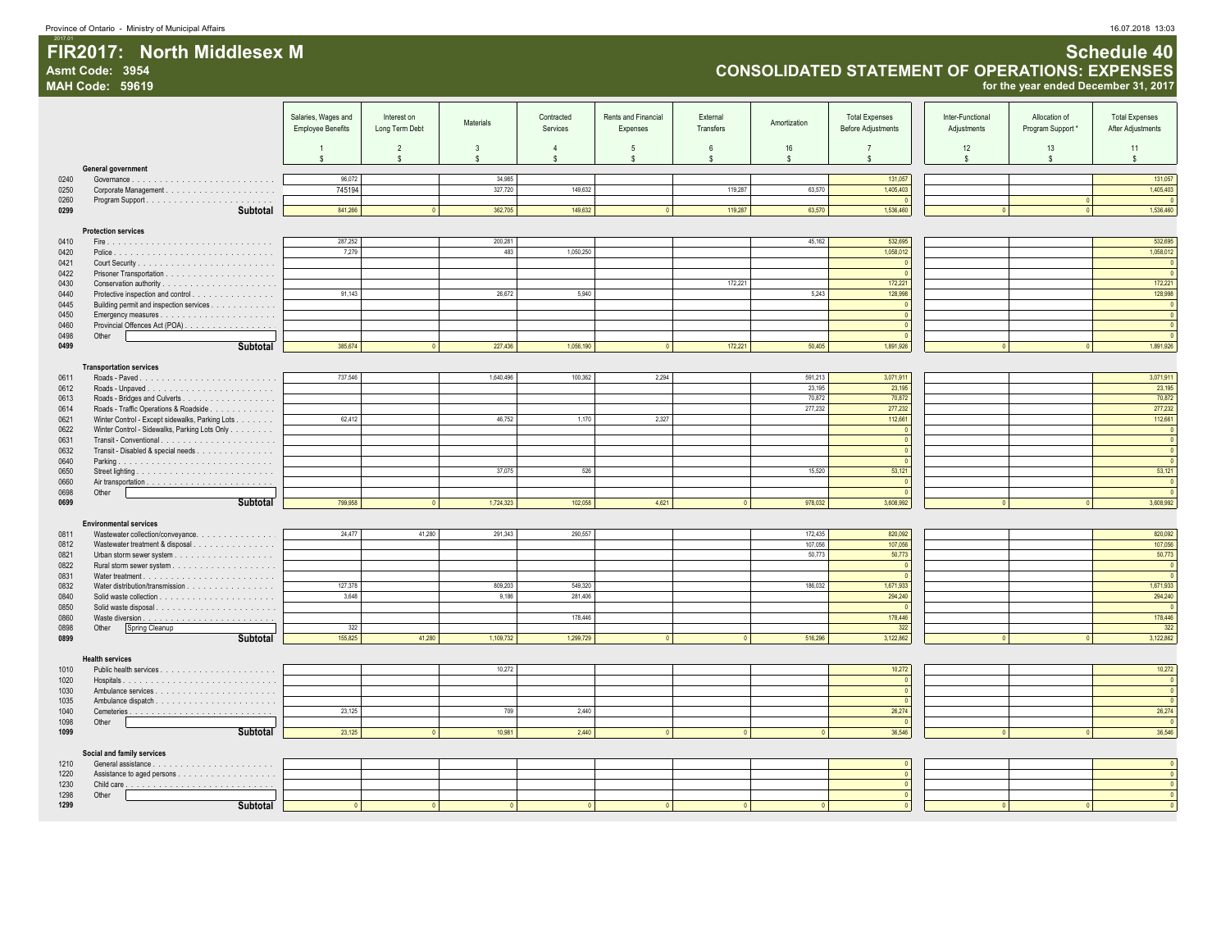FIR2017: North Middlesex M

#### **FIR2017: North Middlesex M Schedule 40 Asmt Code: 3954 CONSOLIDATED STATEMENT OF OPERATIONS: EXPENSES**

**MAH Code: 59619 for the year ended December 31, 2017**

|              |                        |                                                 | Salaries, Wages and      | Interest on    |                  | Contracted         | Rents and Financial | External     |                         | <b>Total Expenses</b>     | Inter-Functional | Allocation of   | <b>Total Expenses</b>            |
|--------------|------------------------|-------------------------------------------------|--------------------------|----------------|------------------|--------------------|---------------------|--------------|-------------------------|---------------------------|------------------|-----------------|----------------------------------|
|              |                        |                                                 | <b>Employee Benefits</b> | Long Term Debt | Materials        | Services           | Expenses            | Transfers    | Amortization            | <b>Before Adjustments</b> | Adjustments      | Program Support | After Adjustments                |
|              |                        |                                                 |                          |                |                  |                    |                     |              |                         |                           |                  |                 |                                  |
|              |                        |                                                 |                          | $\overline{2}$ | 3                | $\overline{4}$     | $\overline{5}$      | 6            | 16                      | $\overline{7}$            | 12               | 13              | 11                               |
|              |                        | General government                              | s                        | \$             | -S               | $\mathbf{s}$       | -S                  | \$           | $\mathbb{S}$            | \$                        | \$               | \$              | \$                               |
| 0240         |                        |                                                 | 96,072                   |                | 34,985           |                    |                     |              |                         | 131,057                   |                  |                 | 131.057                          |
| 0250         |                        |                                                 | 745194                   |                | 327,720          | 149,632            |                     | 119,287      | 63,570                  | 1,405,403                 |                  |                 | 1,405,403                        |
| 0260         |                        |                                                 |                          |                |                  |                    |                     |              |                         |                           |                  |                 | $\sqrt{0}$                       |
| 0299         |                        | Subtotal                                        | 841,266                  | $\overline{0}$ | 362,705          | 149,632            | $\overline{0}$      | 119,287      | 63,570                  | 1,536,460                 | $\mathbf{0}$     | $\mathbf{0}$    | 1,536,460                        |
|              |                        |                                                 |                          |                |                  |                    |                     |              |                         |                           |                  |                 |                                  |
|              |                        | <b>Protection services</b>                      |                          |                |                  |                    |                     |              |                         |                           |                  |                 |                                  |
| 0410         |                        |                                                 | 287,252<br>7,279         |                | 200,281<br>483   | 1,050,250          |                     |              | 45.162                  | 532,695                   |                  |                 | 532,695<br>1,058,012             |
| 0420<br>0421 |                        |                                                 |                          |                |                  |                    |                     |              |                         | 1,058,012                 |                  |                 | $\mathbf 0$                      |
| 0422         |                        |                                                 |                          |                |                  |                    |                     |              |                         | $\sqrt{2}$                |                  |                 | $\overline{0}$                   |
| 0430         |                        |                                                 |                          |                |                  |                    |                     | 172,221      |                         | 172,221                   |                  |                 | 172,221                          |
| 0440         |                        | Protective inspection and control               | 91,143                   |                | 26,672           | 5,940              |                     |              | 5,243                   | 128,998                   |                  |                 | 128,998                          |
| 0445         |                        | Building permit and inspection services         |                          |                |                  |                    |                     |              |                         |                           |                  |                 | $\overline{\mathbf{0}}$          |
| 0450         |                        |                                                 |                          |                |                  |                    |                     |              |                         | $\sqrt{2}$                |                  |                 | $\overline{0}$                   |
| 0460         |                        | Provincial Offences Act (POA)                   |                          |                |                  |                    |                     |              |                         | $\sqrt{2}$                |                  |                 | $\mathbf 0$                      |
| 0498         | Other                  |                                                 |                          |                |                  |                    |                     |              |                         |                           |                  |                 | $\sqrt{0}$                       |
| 0499         |                        | <b>Subtotal</b>                                 | 385,674                  | $\overline{0}$ | 227,436          | 1,056,190          | $\overline{0}$      | 172,221      | 50,405                  | 1,891,926                 | $\overline{0}$   |                 | 1,891,926                        |
|              |                        |                                                 |                          |                |                  |                    |                     |              |                         |                           |                  |                 |                                  |
| 0611         |                        | <b>Transportation services</b>                  | 737.546                  |                | 1.640.496        | 100.362            | 2.294               |              | 591.213                 | 3.071.911                 |                  |                 | 3.071.911                        |
| 0612         |                        |                                                 |                          |                |                  |                    |                     |              | 23,195                  | 23,195                    |                  |                 | 23,195                           |
| 0613         |                        |                                                 |                          |                |                  |                    |                     |              | 70,872                  | 70,872                    |                  |                 | 70,872                           |
| 0614         |                        | Roads - Traffic Operations & Roadside           |                          |                |                  |                    |                     |              | 277,232                 | 277,232                   |                  |                 | 277,232                          |
| 0621         |                        | Winter Control - Except sidewalks, Parking Lots | 62,412                   |                | 46.752           | 1,170              | 2,327               |              |                         | 112,661                   |                  |                 | 112,661                          |
| 0622         |                        | Winter Control - Sidewalks, Parking Lots Only   |                          |                |                  |                    |                     |              |                         |                           |                  |                 | $\,$ 0                           |
| 0631         |                        |                                                 |                          |                |                  |                    |                     |              |                         | $\sqrt{0}$                |                  |                 | $\overline{\mathbf{0}}$          |
| 0632         |                        | Transit - Disabled & special needs              |                          |                |                  |                    |                     |              |                         | $\sqrt{2}$                |                  |                 | $\mathbf 0$                      |
| 0640         |                        |                                                 |                          |                |                  |                    |                     |              |                         | $\sqrt{2}$                |                  |                 | $\overline{0}$                   |
| 0650         |                        |                                                 |                          |                | 37.075           | 526                |                     |              | 15.520                  | 53,121                    |                  |                 | 53,121                           |
| 0660<br>0698 | Other                  |                                                 |                          |                |                  |                    |                     |              |                         |                           |                  |                 | $\mathbf{0}$<br>$\overline{0}$   |
| 0699         |                        | Subtotal                                        | 799,958                  | $\overline{0}$ | 1,724,323        | 102,058            | 4,621               | $\circ$      | 978,032                 | 3,608,992                 | 0                | $\Omega$        | 3,608,992                        |
|              |                        |                                                 |                          |                |                  |                    |                     |              |                         |                           |                  |                 |                                  |
|              |                        | <b>Environmental services</b>                   |                          |                |                  |                    |                     |              |                         |                           |                  |                 |                                  |
| 0811         |                        | Wastewater collection/conveyance.               | 24,477                   | 41,280         | 291.343          | 290,557            |                     |              | 172,435                 | 820,092                   |                  |                 | 820,092                          |
| 0812         |                        | Wastewater treatment & disposal                 |                          |                |                  |                    |                     |              | 107,056                 | 107,056                   |                  |                 | 107,056                          |
| 0821         |                        |                                                 |                          |                |                  |                    |                     |              | 50,773                  | 50,773                    |                  |                 | 50,773                           |
| 0822         |                        |                                                 |                          |                |                  |                    |                     |              |                         |                           |                  |                 | $\,$ 0                           |
| 0831         |                        |                                                 |                          |                |                  |                    |                     |              |                         |                           |                  |                 | $\overline{0}$                   |
| 0832<br>0840 |                        | Water distribution/transmission                 | 127,378<br>3.648         |                | 809,203<br>9.186 | 549,320<br>281.406 |                     |              | 186,032                 | 1,671,933<br>294,240      |                  |                 | 1,671,933<br>294,240             |
| 0850         |                        |                                                 |                          |                |                  |                    |                     |              |                         | $\sqrt{2}$                |                  |                 | $\sqrt{2}$                       |
| 0860         |                        |                                                 |                          |                |                  | 178,446            |                     |              |                         | 178,446                   |                  |                 | 178,446                          |
| 0898         | Other                  | Spring Cleanup                                  | 322                      |                |                  |                    |                     |              |                         | 322                       |                  |                 | 322                              |
| 0899         |                        | Subtotal                                        | 155,825                  | 41,280         | 1,109,732        | 1,299,729          | $\Omega$            | $\mathbf{0}$ | 516,296                 | 3,122,862                 | $\Omega$         |                 | 3,122,862                        |
|              |                        |                                                 |                          |                |                  |                    |                     |              |                         |                           |                  |                 |                                  |
|              | <b>Health services</b> |                                                 |                          |                |                  |                    |                     |              |                         |                           |                  |                 |                                  |
| 1010         |                        |                                                 |                          |                | 10.272           |                    |                     |              |                         | 10,272                    |                  |                 | 10,272                           |
| 1020         |                        |                                                 |                          |                |                  |                    |                     |              |                         | $\sqrt{0}$                |                  |                 | $\mathbf 0$                      |
| 1030         |                        |                                                 |                          |                |                  |                    |                     |              |                         | $\Omega$<br>$\sqrt{2}$    |                  |                 | $\overline{0}$<br>$\overline{0}$ |
| 1035<br>1040 |                        |                                                 | 23,125                   |                | 709              | 2,440              |                     |              |                         | 26,274                    |                  |                 | 26,274                           |
| 1098         | Other                  |                                                 |                          |                |                  |                    |                     |              |                         | $\sqrt{0}$                |                  |                 | $\sqrt{0}$                       |
| 1099         |                        | Subtotal                                        | 23,125                   | $\overline{0}$ | 10,981           | 2,440              | $\overline{0}$      | $\circ$      | $\overline{\mathbf{0}}$ | 36,546                    | $\circ$          | $\mathbf{0}$    | 36,546                           |
|              |                        |                                                 |                          |                |                  |                    |                     |              |                         |                           |                  |                 |                                  |
|              |                        | Social and family services                      |                          |                |                  |                    |                     |              |                         |                           |                  |                 |                                  |
| 1210         |                        |                                                 |                          |                |                  |                    |                     |              |                         |                           |                  |                 | $\mathbf 0$                      |
| 1220         |                        |                                                 |                          |                |                  |                    |                     |              |                         |                           |                  |                 | $\overline{\mathbf{0}}$          |
| 1230         |                        |                                                 |                          |                |                  |                    |                     |              |                         | $\sqrt{2}$                |                  |                 | $\overline{\mathbf{0}}$          |
| 1298         | Other                  |                                                 |                          |                |                  |                    |                     |              |                         |                           |                  |                 | $\mathbf{0}$                     |
| 1299         |                        | Subtotal                                        |                          | $\sqrt{2}$     |                  |                    |                     |              |                         |                           |                  |                 | $\sqrt{2}$                       |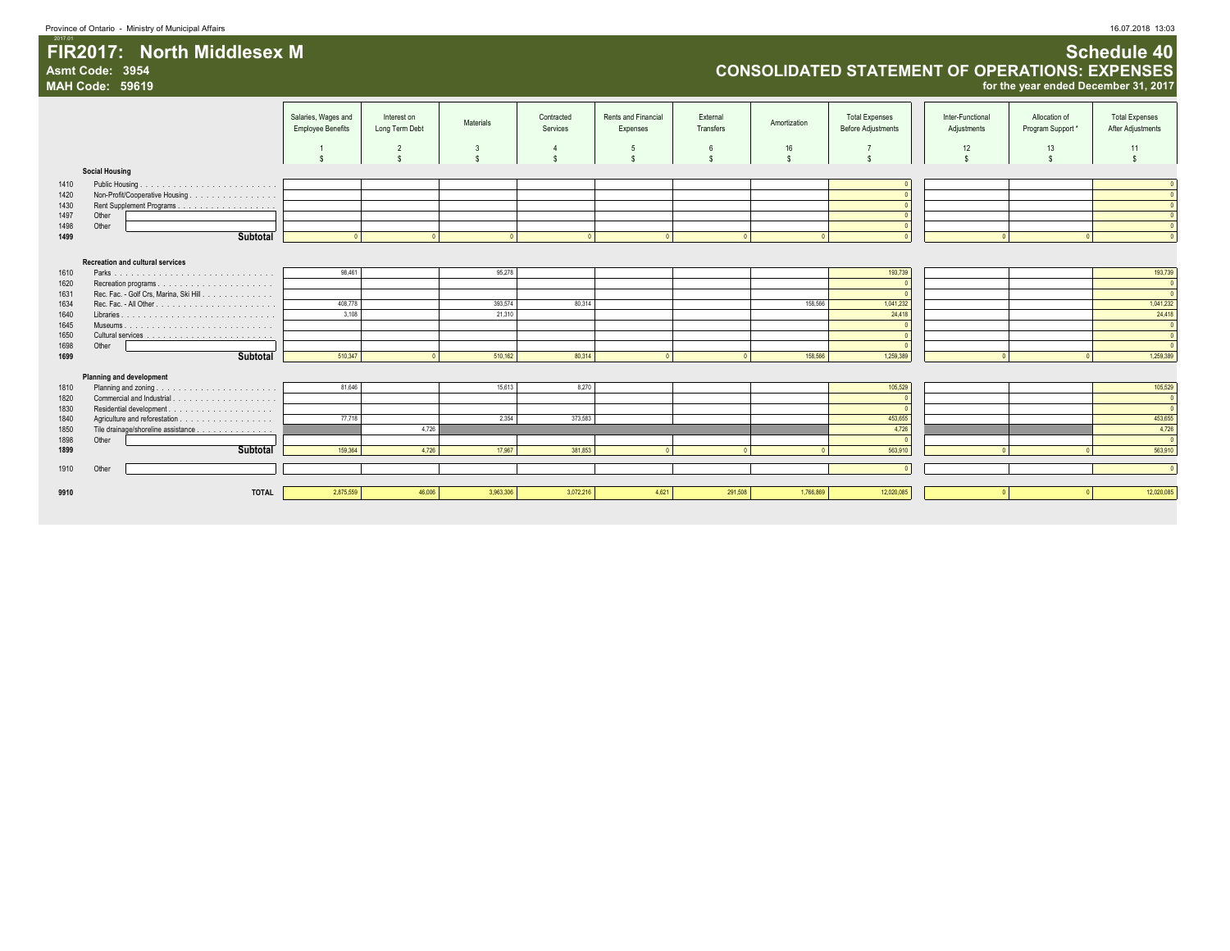### 2017.01 **FIR2017: North Middlesex M Schedule 40 Asmt Code: 3954 CONSOLIDATED STATEMENT OF OPERATIONS: EXPENSES**

|              | <b>MAH Code: 59619</b> |                                         |                                                 |                                |                   |                                |                                 |                       |                    |                                                    |                                 | for the year ended December 31, 2017 |                                            |
|--------------|------------------------|-----------------------------------------|-------------------------------------------------|--------------------------------|-------------------|--------------------------------|---------------------------------|-----------------------|--------------------|----------------------------------------------------|---------------------------------|--------------------------------------|--------------------------------------------|
|              |                        |                                         | Salaries, Wages and<br><b>Employee Benefits</b> | Interest on<br>Long Term Debt  | Materials         | Contracted<br>Services         | Rents and Financial<br>Expenses | External<br>Transfers | Amortization       | <b>Total Expenses</b><br><b>Before Adjustments</b> | Inter-Functional<br>Adjustments | Allocation of<br>Program Support*    | <b>Total Expenses</b><br>After Adjustments |
|              |                        |                                         | $\mathbf{s}$                                    | $\overline{2}$<br>$\mathbf{s}$ | 3<br>$\mathbb{S}$ | $\overline{4}$<br>$\mathbf{s}$ | -5                              | 6<br>$\mathbf{s}$     | 16<br>$\mathbf{s}$ | $\overline{7}$<br>$\mathbf{s}$                     | 12<br>$\mathbf{s}$              | 13<br>$\mathbf{s}$                   | 11<br>$\mathbf{s}$                         |
|              | <b>Social Housing</b>  |                                         |                                                 |                                |                   |                                |                                 |                       |                    |                                                    |                                 |                                      |                                            |
| 1410         |                        |                                         |                                                 |                                |                   |                                |                                 |                       |                    |                                                    |                                 |                                      |                                            |
| 1420         |                        | Non-Profit/Cooperative Housing          |                                                 |                                |                   |                                |                                 |                       |                    |                                                    |                                 |                                      |                                            |
| 1430         |                        |                                         |                                                 |                                |                   |                                |                                 |                       |                    |                                                    |                                 |                                      | $\Omega$                                   |
| 1497         | Other                  |                                         |                                                 |                                |                   |                                |                                 |                       |                    |                                                    |                                 |                                      | $\Omega$                                   |
| 1498         | Other                  |                                         |                                                 |                                |                   |                                |                                 |                       |                    |                                                    |                                 |                                      | $\overline{0}$                             |
| 1499         |                        | Subtotal                                |                                                 |                                |                   |                                |                                 | $\sqrt{2}$            |                    |                                                    |                                 |                                      | $\overline{0}$                             |
|              |                        |                                         |                                                 |                                |                   |                                |                                 |                       |                    |                                                    |                                 |                                      |                                            |
|              |                        | <b>Recreation and cultural services</b> |                                                 |                                |                   |                                |                                 |                       |                    |                                                    |                                 |                                      |                                            |
| 1610<br>1620 |                        |                                         | 98,461                                          |                                | 95,278            |                                |                                 |                       |                    | 193,739                                            |                                 |                                      | 193,739<br>$\overline{\phantom{a}}$        |
| 1631         |                        | Rec. Fac. - Golf Crs, Marina, Ski Hill. |                                                 |                                |                   |                                |                                 |                       |                    |                                                    |                                 |                                      | $\overline{0}$                             |
| 1634         |                        |                                         | 408,778                                         |                                | 393,574           | 80,314                         |                                 |                       | 158,566            | 1,041,232                                          |                                 |                                      | 1,041,232                                  |
| 1640         |                        |                                         | 3,108                                           |                                | 21,310            |                                |                                 |                       |                    | 24,418                                             |                                 |                                      | 24,418                                     |
| 1645         |                        |                                         |                                                 |                                |                   |                                |                                 |                       |                    |                                                    |                                 |                                      | $\overline{0}$                             |
| 1650         |                        |                                         |                                                 |                                |                   |                                |                                 |                       |                    |                                                    |                                 |                                      | $\overline{0}$                             |
| 1698         | Other                  |                                         |                                                 |                                |                   |                                |                                 |                       |                    |                                                    |                                 |                                      | $\overline{0}$                             |
| 1699         |                        | <b>Subtotal</b>                         | 510,347                                         |                                | 510,162           | 80,314                         |                                 | $\sqrt{2}$            | 158,566            | 1,259,389                                          |                                 |                                      | 1,259,389                                  |
|              |                        | <b>Planning and development</b>         |                                                 |                                |                   |                                |                                 |                       |                    |                                                    |                                 |                                      |                                            |
| 1810         |                        |                                         | 81,646                                          |                                | 15,613            | 8,270                          |                                 |                       |                    | 105,529                                            |                                 |                                      | 105,529                                    |
| 1820         |                        |                                         |                                                 |                                |                   |                                |                                 |                       |                    |                                                    |                                 |                                      | $\overline{\mathbf{0}}$                    |
| 1830         |                        |                                         |                                                 |                                |                   |                                |                                 |                       |                    |                                                    |                                 |                                      | $\overline{\phantom{a}}$                   |
| 1840         |                        |                                         | 77,718                                          |                                | 2,354             | 373,583                        |                                 |                       |                    | 453,655                                            |                                 |                                      | 453,655                                    |
| 1850         |                        | Tile drainage/shoreline assistance      |                                                 | 4,726                          |                   |                                |                                 |                       |                    | 4,726                                              |                                 |                                      | 4,726                                      |
| 1898         | Other                  |                                         |                                                 |                                |                   |                                |                                 |                       |                    |                                                    |                                 |                                      | $\overline{\phantom{a}}$                   |
| 1899         |                        | Subtotal                                | 159,364                                         | 4.726                          | 17,967            | 381,853                        |                                 |                       |                    | 563,910                                            |                                 |                                      | 563,910                                    |
| 1910         | Other                  |                                         |                                                 |                                |                   |                                |                                 |                       |                    |                                                    |                                 |                                      | $\overline{0}$                             |
|              |                        |                                         |                                                 |                                |                   |                                |                                 |                       |                    |                                                    |                                 |                                      |                                            |
| 9910         |                        | <b>TOTAL</b>                            | 2,875,559                                       | 46,006                         | 3,963,306         | 3,072,216                      | 4,621                           | 291,508               | 1,766,869          | 12,020,085                                         |                                 |                                      | 12,020,085                                 |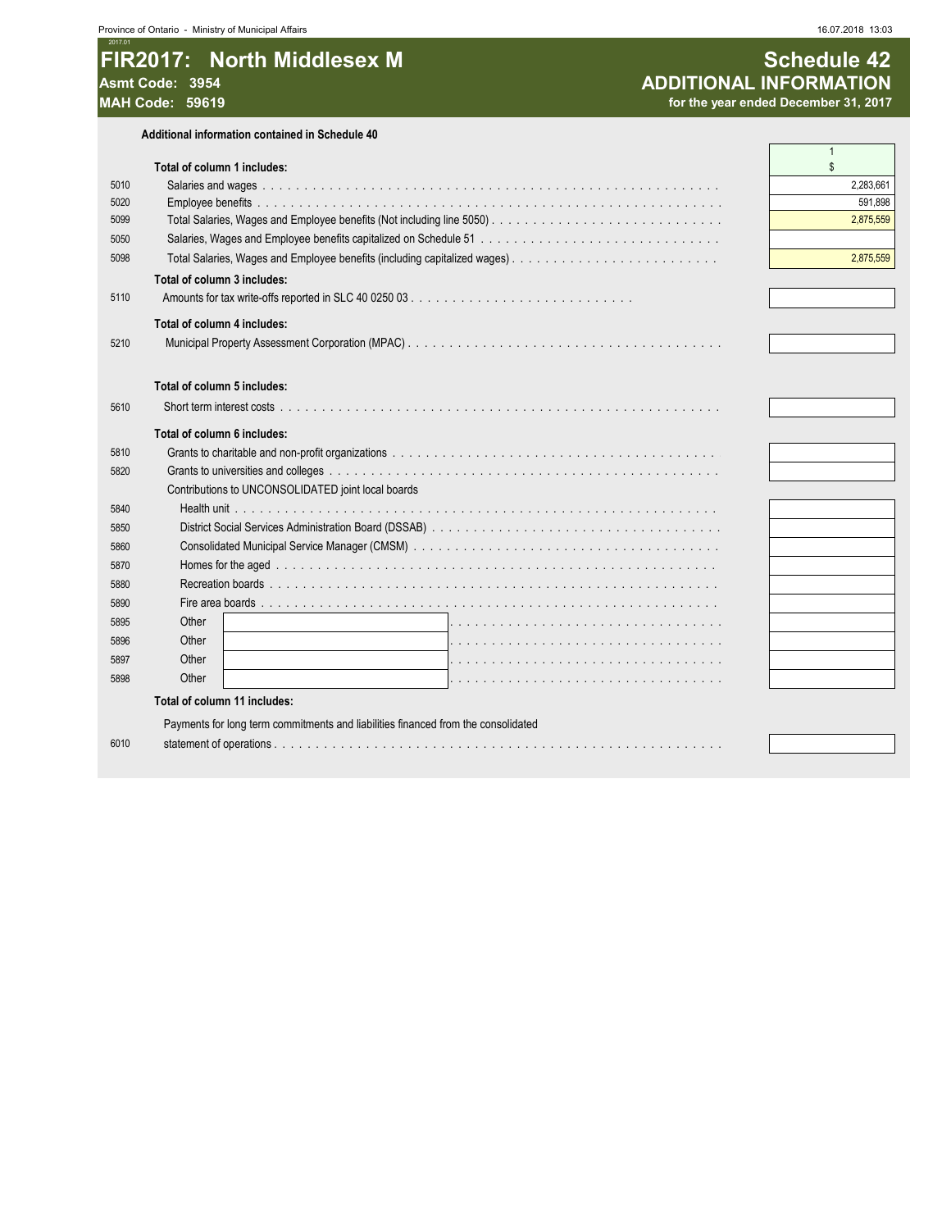#### $2017.0$ FIR2017: North Middlesex M Asmt Code: 3954 **MAH Code: 59619**

Additional information contained in Schedule 40

|              |                                                                                   | $\overline{1}$       |
|--------------|-----------------------------------------------------------------------------------|----------------------|
|              | Total of column 1 includes:                                                       | \$                   |
| 5010<br>5020 |                                                                                   | 2,283,661<br>591,898 |
| 5099         |                                                                                   | 2,875,559            |
| 5050         |                                                                                   |                      |
| 5098         |                                                                                   | 2,875,559            |
|              | Total of column 3 includes:                                                       |                      |
| 5110         |                                                                                   |                      |
|              |                                                                                   |                      |
|              | Total of column 4 includes:                                                       |                      |
| 5210         |                                                                                   |                      |
|              |                                                                                   |                      |
|              | Total of column 5 includes:                                                       |                      |
| 5610         |                                                                                   |                      |
|              | Total of column 6 includes:                                                       |                      |
| 5810         |                                                                                   |                      |
| 5820         |                                                                                   |                      |
|              | Contributions to UNCONSOLIDATED joint local boards                                |                      |
| 5840         |                                                                                   |                      |
| 5850         |                                                                                   |                      |
| 5860         |                                                                                   |                      |
| 5870         |                                                                                   |                      |
| 5880         |                                                                                   |                      |
| 5890         |                                                                                   |                      |
| 5895         | Other                                                                             |                      |
| 5896         | Other                                                                             |                      |
| 5897         | Other                                                                             |                      |
| 5898         | Other                                                                             |                      |
|              | Total of column 11 includes:                                                      |                      |
|              | Payments for long term commitments and liabilities financed from the consolidated |                      |
| 6010         |                                                                                   |                      |
|              |                                                                                   |                      |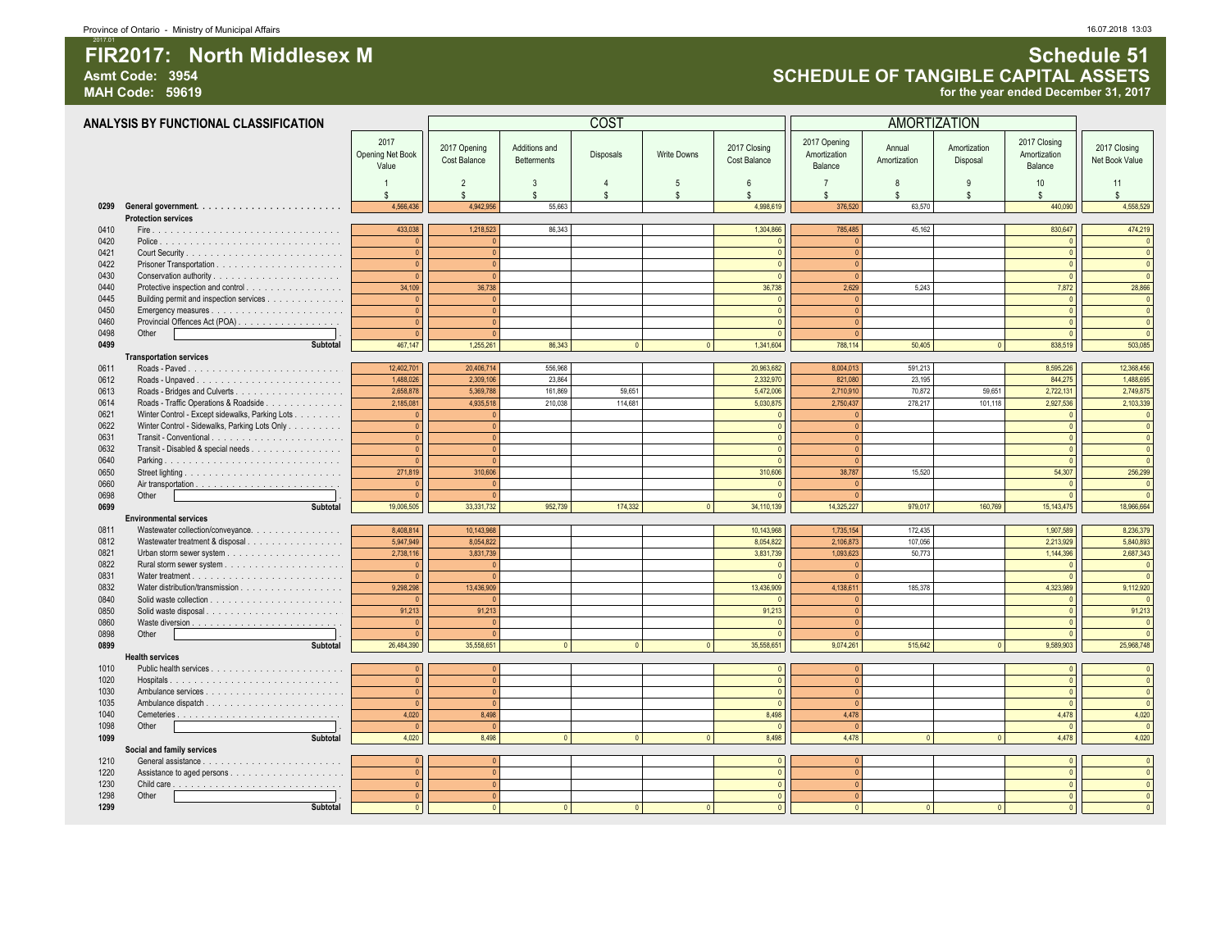### Asmt Code: 3954 **Asmt Code: 3954 Asmt Code: 3954 SCHEDULE OF TANGIBLE CAPITAL ASSETS**<br>MAH Code: 59619 *Asmt Code: 59619 BCHEDULE OF TANGIBLE CAPITAL ASSETS* for the year ended December 31, 2017

|              | ANALYSIS BY FUNCTIONAL CLASSIFICATION           |                                          |                              |                                     | COST      |                    |                              |                                         | <b>AMORTIZATION</b>    |                          |                                         |                                |
|--------------|-------------------------------------------------|------------------------------------------|------------------------------|-------------------------------------|-----------|--------------------|------------------------------|-----------------------------------------|------------------------|--------------------------|-----------------------------------------|--------------------------------|
|              |                                                 | 2017<br><b>Opening Net Book</b><br>Value | 2017 Opening<br>Cost Balance | Additions and<br><b>Betterments</b> | Disposals | <b>Write Downs</b> | 2017 Closing<br>Cost Balance | 2017 Opening<br>Amortization<br>Balance | Annual<br>Amortization | Amortization<br>Disposal | 2017 Closing<br>Amortization<br>Balance | 2017 Closing<br>Net Book Value |
|              |                                                 | $\mathbf{1}$<br>\$                       | $\overline{2}$<br>\$         | 3<br>\$                             | <b>S</b>  | 5<br><b>S</b>      | 6<br>\$.                     | $\overline{7}$<br>£.                    | 8<br>\$                | 9<br>$\mathbf{s}$        | 10<br>s.                                | 11<br>$\mathbf{\hat{s}}$       |
|              |                                                 | 4,566,436                                | 4,942,956                    | 55,663                              |           |                    | 4.998.619                    | 376,520                                 | 63,570                 |                          | 440,090                                 | 4,558,529                      |
|              | <b>Protection services</b>                      |                                          |                              |                                     |           |                    |                              |                                         |                        |                          |                                         |                                |
| 0410         |                                                 | 433,038                                  | 1,218,523                    | 86,343                              |           |                    | 1,304,866                    | 785,485                                 | 45,162                 |                          | 830,647                                 | 474,219                        |
| 0420         |                                                 | $\mathbf{0}$                             |                              |                                     |           |                    |                              | $\bullet$                               |                        |                          | $\theta$                                | $\overline{0}$                 |
| 0421         |                                                 | $\mathbf{0}$                             |                              |                                     |           |                    |                              | $\overline{0}$                          |                        |                          | $\theta$                                | $\overline{0}$                 |
| 0422         |                                                 | $\mathbf{0}$                             | $\Omega$                     |                                     |           |                    | $\sqrt{ }$                   | $\bullet$                               |                        |                          | $\theta$                                | $\overline{0}$                 |
| 0430<br>0440 |                                                 | $\mathbf 0$                              |                              |                                     |           |                    |                              | $\overline{0}$                          |                        |                          | $\theta$                                | $\Omega$                       |
| 0445         | Protective inspection and control               | 34,109<br>$\mathbf{0}$                   | 36,738                       |                                     |           |                    | 36,738                       | 2,629<br>$\mathbf{0}$                   | 5,243                  |                          | 7,872                                   | 28,866<br>$\overline{0}$       |
| 0450         | Building permit and inspection services         | $\mathbf{0}$                             |                              |                                     |           |                    |                              | $\bullet$                               |                        |                          | $\theta$                                | $\overline{0}$                 |
| 0460         | Provincial Offences Act (POA)                   | $\mathbf{0}$                             |                              |                                     |           |                    |                              | $\overline{0}$                          |                        |                          |                                         | $\overline{0}$                 |
| 0498         | Other                                           | $\mathbf{0}$                             |                              |                                     |           |                    |                              | $\mathbf{0}$                            |                        |                          | $\sqrt{ }$                              | $\overline{\mathbf{0}}$        |
| 0499         | Subtotal                                        | 467,147                                  | 1,255,261                    | 86,343                              |           | $\mathbf{0}$       | 1,341,604                    | 788,114                                 | 50,405                 | $\circ$                  | 838,519                                 | 503,085                        |
|              | <b>Transportation services</b>                  |                                          |                              |                                     |           |                    |                              |                                         |                        |                          |                                         |                                |
| 0611         |                                                 | 12,402,701                               | 20,406,714                   | 556,968                             |           |                    | 20,963,682                   | 8,004,013                               | 591,213                |                          | 8,595,226                               | 12,368,456                     |
| 0612         |                                                 | 1,488,026                                | 2,309,106                    | 23,864                              |           |                    | 2,332,970                    | 821,080                                 | 23,195                 |                          | 844,275                                 | 1,488,695                      |
| 0613         |                                                 | 2,658,878                                | 5,369,788                    | 161,869                             | 59,651    |                    | 5,472,006                    | 2,710,910                               | 70,872                 | 59,651                   | 2,722,131                               | 2,749,875                      |
| 0614         | Roads - Traffic Operations & Roadside           | 2,185,081                                | 4,935,518                    | 210,038                             | 114,681   |                    | 5,030,875                    | 2,750,437                               | 278,217                | 101.118                  | 2,927,536                               | 2,103,339                      |
| 0621         | Winter Control - Except sidewalks, Parking Lots | $\mathbf{0}$                             |                              |                                     |           |                    |                              | $\Omega$                                |                        |                          |                                         | $\mathbf{0}$                   |
| 0622         | Winter Control - Sidewalks, Parking Lots Only   | $\pmb{0}$                                |                              |                                     |           |                    |                              | $\Omega$                                |                        |                          | $\sqrt{2}$                              | $\overline{0}$                 |
| 0631         |                                                 | $\pmb{0}$                                | $\Omega$                     |                                     |           |                    |                              | $\overline{0}$                          |                        |                          | $\sqrt{2}$                              | $\overline{0}$                 |
| 0632         | Transit - Disabled & special needs              | $\mathbf{0}$                             |                              |                                     |           |                    |                              | $\Omega$                                |                        |                          | $\sqrt{2}$                              | $\Omega$                       |
| 0640         |                                                 | $\mathbf{0}$                             |                              |                                     |           |                    |                              | $\overline{0}$                          |                        |                          | $\sqrt{2}$                              | $\Omega$                       |
| 0650         |                                                 | 271,819                                  | 310,606                      |                                     |           |                    | 310,606                      | 38.787                                  | 15,520                 |                          | 54,307                                  | 256,299                        |
| 0660         |                                                 | $\mathbf{0}$                             |                              |                                     |           |                    |                              | $\Omega$                                |                        |                          | $\sqrt{2}$                              | $\overline{0}$                 |
| 0698         | Other                                           | $\mathbf{0}$                             |                              |                                     |           |                    |                              | $\Omega$                                |                        |                          |                                         | $\Omega$                       |
| 0699         | Subtotal                                        | 19,006,505                               | 33,331,732                   | 952,739                             | 174,332   | $\Omega$           | 34,110,139                   | 14,325,227                              | 979,017                | 160,769                  | 15,143,475                              | 18,966,664                     |
|              | <b>Environmental services</b>                   |                                          |                              |                                     |           |                    |                              |                                         |                        |                          |                                         |                                |
| 0811         | Wastewater collection/conveyance.               | 8,408,814                                | 10,143,968                   |                                     |           |                    | 10,143,968                   | 1,735,154                               | 172,435                |                          | 1,907,589                               | 8,236,379                      |
| 0812         | Wastewater treatment & disposal                 | 5,947,949                                | 8.054.822                    |                                     |           |                    | 8.054.822                    | 2,106,873                               | 107,056                |                          | 2,213,929                               | 5,840,893                      |
| 0821         |                                                 | 2,738,116                                | 3.831.739                    |                                     |           |                    | 3,831,739                    | 1,093,623                               | 50,773                 |                          | 1,144,396                               | 2,687,343                      |
| 0822         |                                                 | $\mathbf{0}$                             |                              |                                     |           |                    |                              | $\Omega$                                |                        |                          |                                         | $\overline{0}$                 |
| 0831         |                                                 | $\mathbf{0}$                             |                              |                                     |           |                    |                              | $\Omega$                                |                        |                          |                                         | $\Omega$                       |
| 0832         |                                                 | 9,298,298                                | 13,436,909                   |                                     |           |                    | 13,436,909                   | 4,138,611                               | 185,378                |                          | 4,323,989                               | 9,112,920                      |
| 0840         |                                                 | $\Omega$                                 |                              |                                     |           |                    |                              | $\mathbf{0}$                            |                        |                          |                                         | $\Omega$                       |
| 0850         | Solid waste disposal                            | 91,213                                   | 91,213                       |                                     |           |                    | 91,213                       | $\bullet$                               |                        |                          |                                         | 91,213                         |
| 0860         |                                                 | $\mathbf{0}$                             |                              |                                     |           |                    |                              | $\mathbf{0}$                            |                        |                          |                                         | $\overline{0}$                 |
| 0898         | Other                                           | $\mathbf{0}$                             |                              |                                     |           |                    |                              | $\overline{0}$                          |                        |                          |                                         | $\overline{0}$                 |
| 0899         | Subtotal                                        | 26,484,390                               | 35,558,651                   | $\Omega$                            |           |                    | 35,558,651                   | 9,074,261                               | 515,642                | $\overline{0}$           | 9,589,903                               | 25,968,748                     |
|              | <b>Health services</b>                          |                                          |                              |                                     |           |                    |                              |                                         |                        |                          |                                         |                                |
| 1010         |                                                 | $\pmb{0}$                                |                              |                                     |           |                    |                              | $\Omega$                                |                        |                          | $\Omega$                                | $\Omega$                       |
| 1020         |                                                 | $\mathbf{0}$                             | $\sqrt{2}$                   |                                     |           |                    |                              | $\Omega$                                |                        |                          | $\sqrt{2}$                              | $\theta$                       |
| 1030         |                                                 | $\mathbf{0}$                             |                              |                                     |           |                    |                              | $\Omega$                                |                        |                          | $\sqrt{2}$                              | $\theta$                       |
| 1035         |                                                 | $\Omega$                                 |                              |                                     |           |                    |                              | $\overline{0}$                          |                        |                          | $\sqrt{2}$                              | $\sqrt{2}$                     |
| 1040         |                                                 | 4,020                                    | 8.498                        |                                     |           |                    | 8,498                        | 4.478                                   |                        |                          | 4.478                                   | 4.020                          |
| 1098         | Other                                           | $\overline{0}$                           | $\sqrt{2}$                   |                                     |           |                    | $\sqrt{2}$                   | $\mathbf{0}$                            |                        |                          | $\sqrt{ }$                              | $\overline{\mathbf{0}}$        |
| 1099         | Subtotal                                        | 4.020                                    | 8,498                        | $\sim$                              |           | $\Omega$           | 8,498                        | 4.478                                   | $\sqrt{2}$             | $\Omega$                 | 4.478                                   | 4.020                          |
|              | Social and family services                      |                                          |                              |                                     |           |                    |                              |                                         |                        |                          |                                         |                                |
| 1210         |                                                 | $\mathbf{0}$                             |                              |                                     |           |                    |                              | $\Omega$                                |                        |                          | $\sqrt{2}$                              | $\Omega$                       |
| 1220         |                                                 | $\mathbf{0}$                             | $\mathbf{0}$                 |                                     |           |                    | $\Omega$                     | $\circ$                                 |                        |                          | $\sqrt{2}$                              | $\theta$                       |
| 1230         |                                                 | $\overline{0}$                           | $\sqrt{2}$                   |                                     |           |                    |                              | $\overline{0}$                          |                        |                          | $\theta$                                | $\theta$                       |
| 1298         | Other                                           | $\mathbf{0}$<br>$\overline{0}$           |                              |                                     |           |                    |                              | $\Omega$                                |                        |                          | $\sqrt{2}$                              | $\Omega$                       |
| 1299         | Subtotal                                        |                                          | $\sqrt{2}$                   |                                     |           |                    |                              | $\mathbf{0}$                            |                        | $\Omega$                 |                                         |                                |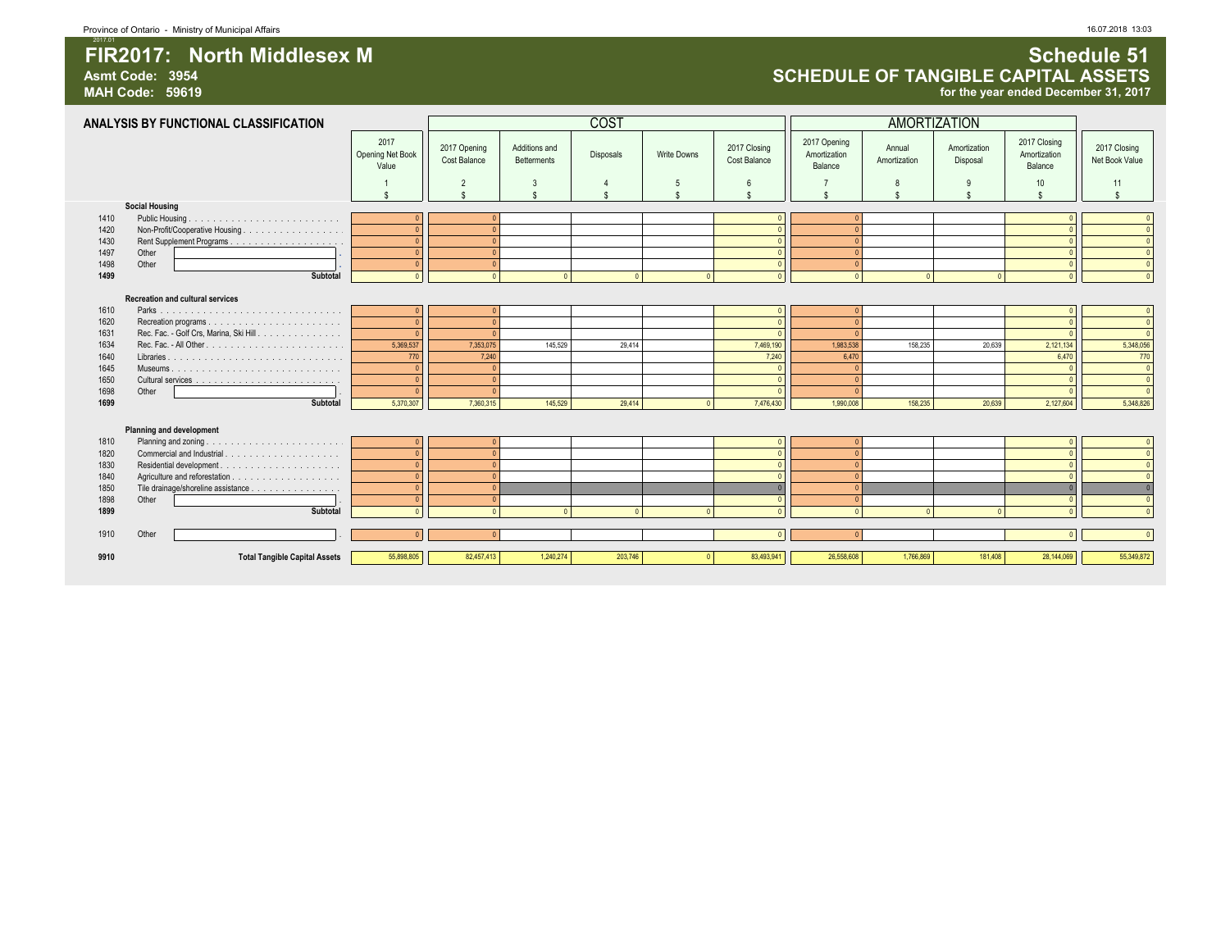# **Asmt Code: 3954 SCHEDULE OF TANGIBLE CAPITAL ASSETS**

for the year ended December 31, 2017

|      | ANALYSIS BY FUNCTIONAL CLASSIFICATION   |                                   |                              |                                     | <b>COST</b>      |                    |                              |                                         | <b>AMORTIZATION</b>    |                          |                                         |                                |
|------|-----------------------------------------|-----------------------------------|------------------------------|-------------------------------------|------------------|--------------------|------------------------------|-----------------------------------------|------------------------|--------------------------|-----------------------------------------|--------------------------------|
|      |                                         | 2017<br>Opening Net Book<br>Value | 2017 Opening<br>Cost Balance | Additions and<br><b>Betterments</b> | <b>Disposals</b> | <b>Write Downs</b> | 2017 Closing<br>Cost Balance | 2017 Opening<br>Amortization<br>Balance | Annual<br>Amortization | Amortization<br>Disposal | 2017 Closing<br>Amortization<br>Balance | 2017 Closing<br>Net Book Value |
|      |                                         |                                   | $\overline{2}$               | 3                                   |                  | 5                  | 6                            |                                         |                        | 9                        | 10                                      | 11                             |
|      |                                         | $\mathbf{c}$                      | $\hat{\mathbf{S}}$           | $\hat{\mathbf{S}}$                  | \$.              | ¢                  | \$.                          |                                         |                        | $\hat{\mathbf{r}}$       | \$.                                     | $\mathbf{s}$                   |
|      | <b>Social Housing</b>                   |                                   |                              |                                     |                  |                    |                              |                                         |                        |                          |                                         |                                |
| 1410 | Public Housing.                         |                                   |                              |                                     |                  |                    |                              |                                         |                        |                          |                                         |                                |
| 1420 | Non-Profit/Cooperative Housing          |                                   | $\sqrt{ }$                   |                                     |                  |                    | $\sqrt{2}$                   | $\Omega$                                |                        |                          |                                         |                                |
| 1430 |                                         | $\theta$                          | $\sqrt{ }$                   |                                     |                  |                    | $\sqrt{2}$                   | $\Omega$                                |                        |                          |                                         |                                |
| 1497 | Other                                   | $\sqrt{2}$                        | $\sqrt{ }$                   |                                     |                  |                    | $\sqrt{2}$                   | $\Omega$                                |                        |                          |                                         |                                |
| 1498 | Other                                   | $\sqrt{ }$                        | $\Omega$                     |                                     |                  |                    | $\sqrt{2}$                   | $\Omega$                                |                        |                          |                                         | $\Omega$                       |
| 1499 | Subtotal                                |                                   |                              | $\sqrt{2}$                          | $\sqrt{ }$       | $\sqrt{2}$         |                              | $\sqrt{2}$                              |                        |                          |                                         |                                |
|      | <b>Recreation and cultural services</b> |                                   |                              |                                     |                  |                    |                              |                                         |                        |                          |                                         |                                |
| 1610 |                                         | $\sqrt{2}$                        |                              |                                     |                  |                    |                              | $\Omega$                                |                        |                          |                                         |                                |
| 1620 |                                         |                                   | $\Omega$                     |                                     |                  |                    | $\sqrt{2}$                   | $\Omega$                                |                        |                          |                                         |                                |
| 1631 | Rec. Fac. - Golf Crs, Marina, Ski Hill. | $\sqrt{2}$                        | $\sqrt{ }$                   |                                     |                  |                    | $\sqrt{2}$                   | $\Omega$                                |                        |                          |                                         |                                |
| 1634 |                                         | 5,369,537                         | 7,353,075                    | 145,529                             | 29,414           |                    | 7,469,190                    | 1,983,538                               | 158,235                | 20,639                   | 2,121,134                               | 5,348,056                      |
| 1640 |                                         | 770                               | 7,240                        |                                     |                  |                    | 7,240                        | 6,470                                   |                        |                          | 6,470                                   | 770                            |
| 1645 |                                         | $\theta$                          |                              |                                     |                  |                    |                              | $\Omega$                                |                        |                          |                                         | $\Omega$                       |
| 1650 |                                         |                                   | $\sqrt{ }$                   |                                     |                  |                    |                              | $\Omega$                                |                        |                          |                                         |                                |
| 1698 | Other                                   |                                   |                              |                                     |                  |                    |                              | $\Omega$                                |                        |                          |                                         |                                |
| 1699 | Subtotal                                | 5,370,307                         | 7,360,315                    | 145,529                             | 29,414           | $\Omega$           | 7,476,430                    | 1,990,008                               | 158,235                | 20,639                   | 2,127,604                               | 5,348,826                      |
|      |                                         |                                   |                              |                                     |                  |                    |                              |                                         |                        |                          |                                         |                                |
|      | Planning and development                |                                   |                              |                                     |                  |                    |                              |                                         |                        |                          |                                         |                                |
| 1810 |                                         | $\sqrt{2}$                        |                              |                                     |                  |                    | $\sqrt{ }$                   | $\Omega$                                |                        |                          |                                         | $\Omega$                       |
| 1820 | Commercial and Industrial.<br>.         | $\sqrt{2}$                        | $\Omega$                     |                                     |                  |                    | $\sqrt{2}$                   | $\Omega$                                |                        |                          |                                         | $\Omega$                       |
| 1830 |                                         |                                   | $\sqrt{ }$                   |                                     |                  |                    | $\sqrt{2}$                   | $\Omega$                                |                        |                          |                                         |                                |
| 1840 |                                         | $\theta$                          | $\sqrt{2}$                   |                                     |                  |                    | $\sqrt{2}$                   | $\Omega$                                |                        |                          |                                         |                                |
| 1850 | Tile drainage/shoreline assistance      | $\theta$                          |                              |                                     |                  |                    | $\Omega$                     | $\Omega$                                |                        |                          |                                         |                                |
| 1898 | Other                                   | $\sqrt{2}$                        | $\Omega$                     |                                     |                  |                    | $\sqrt{2}$                   | $\Omega$                                |                        |                          |                                         |                                |
| 1899 | Subtotal                                |                                   |                              |                                     |                  |                    |                              | $\sqrt{2}$                              |                        |                          |                                         |                                |
|      |                                         |                                   |                              |                                     |                  |                    |                              |                                         |                        |                          |                                         |                                |
| 1910 | Other                                   | $\sqrt{2}$                        |                              |                                     |                  |                    |                              | $\Omega$                                |                        |                          |                                         |                                |
| 9910 | <b>Total Tangible Capital Assets</b>    | 55,898,805                        | 82,457,413                   | 1,240,274                           | 203,746          | $\sqrt{ }$         | 83,493,941                   | 26,558,608                              | 1,766,869              | 181,408                  | 28,144,069                              | 55,349,872                     |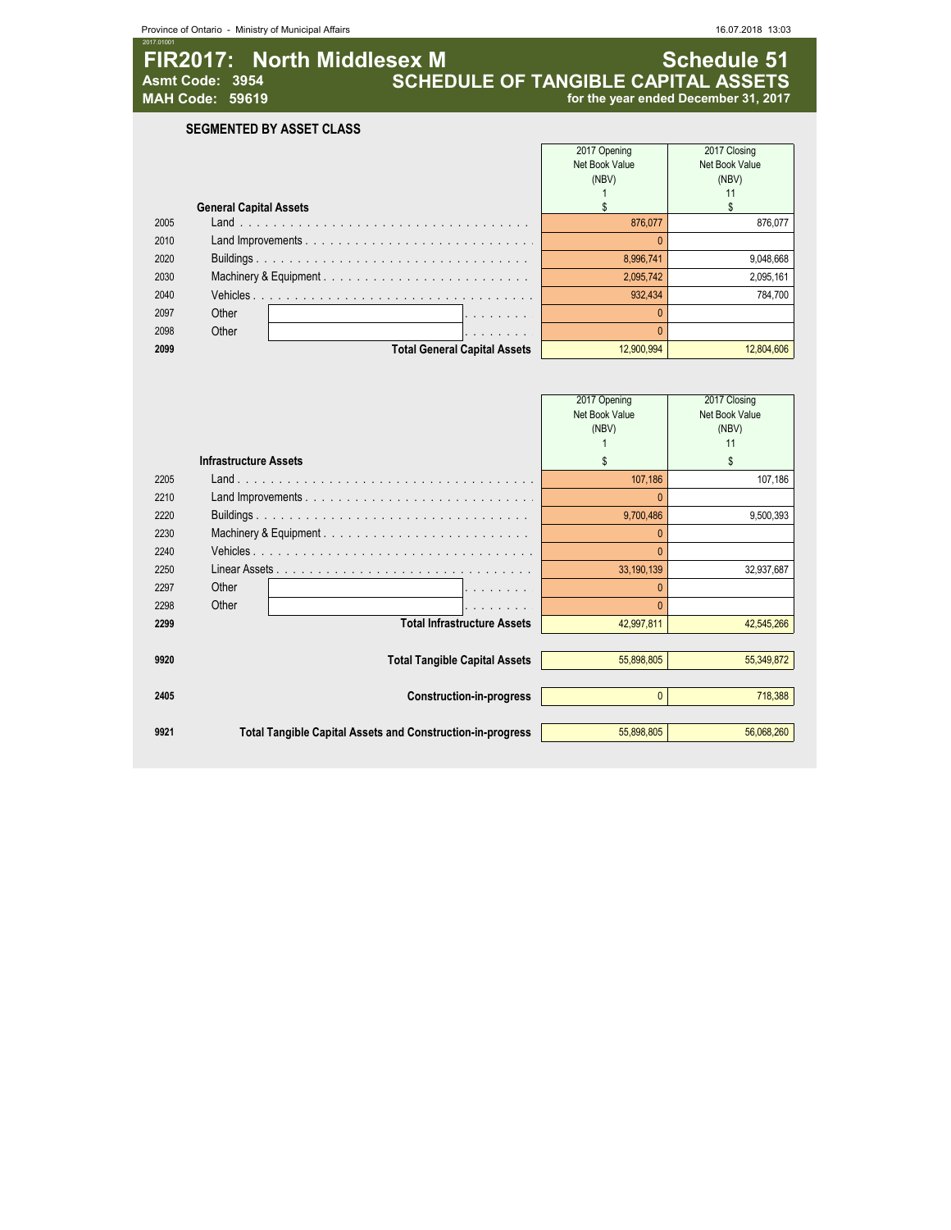| Province of Ontario - Ministry of Municipal Affairs                                      |                                                                           | 16.07.2018 13:03                                                                                                                                                                                                                                                              |
|------------------------------------------------------------------------------------------|---------------------------------------------------------------------------|-------------------------------------------------------------------------------------------------------------------------------------------------------------------------------------------------------------------------------------------------------------------------------|
| FIR2017: North Middlesex M<br>Asmt Code: 3954<br><b>MAH Code: 59619</b>                  |                                                                           | <b>Schedule 51</b><br>for the year ended December 31, 2017                                                                                                                                                                                                                    |
| <b>SEGMENTED BY ASSET CLASS</b>                                                          |                                                                           |                                                                                                                                                                                                                                                                               |
| <b>General Capital Assets</b>                                                            | 2017 Opening<br>Net Book Value<br>(NBV)<br>$\overline{1}$<br>$\mathbb{S}$ | 2017 Closing<br>Net Book Value<br>(NBV)<br>11<br>$$\mathbb{S}$$                                                                                                                                                                                                               |
|                                                                                          | 876,077                                                                   | 876,077                                                                                                                                                                                                                                                                       |
|                                                                                          | $\mathbf{0}$<br>8,996,741                                                 | 9,048,668                                                                                                                                                                                                                                                                     |
|                                                                                          | 2,095,742                                                                 | 2,095,161                                                                                                                                                                                                                                                                     |
|                                                                                          | 932,434                                                                   | 784,700                                                                                                                                                                                                                                                                       |
| Other                                                                                    | $\mathbf{0}$                                                              |                                                                                                                                                                                                                                                                               |
| Other                                                                                    |                                                                           |                                                                                                                                                                                                                                                                               |
|                                                                                          |                                                                           | 12,804,606                                                                                                                                                                                                                                                                    |
|                                                                                          |                                                                           |                                                                                                                                                                                                                                                                               |
|                                                                                          | 2017 Opening<br>Net Book Value<br>(NBV)                                   | 2017 Closing<br>Net Book Value<br>(NBV)<br>11                                                                                                                                                                                                                                 |
| <b>Infrastructure Assets</b>                                                             | \$                                                                        | \$                                                                                                                                                                                                                                                                            |
|                                                                                          | 107,186                                                                   | 107,186                                                                                                                                                                                                                                                                       |
|                                                                                          | $\Omega$                                                                  |                                                                                                                                                                                                                                                                               |
|                                                                                          | 9,700,486                                                                 | 9,500,393                                                                                                                                                                                                                                                                     |
|                                                                                          | $\pmb{0}$                                                                 |                                                                                                                                                                                                                                                                               |
| Vehicles                                                                                 | $\Omega$                                                                  |                                                                                                                                                                                                                                                                               |
| Linear Assets $\ldots$ , $\ldots$ , $\ldots$ , $\ldots$ , $\ldots$ , $\ldots$ , $\ldots$ | 33,190,139                                                                | 32,937,687                                                                                                                                                                                                                                                                    |
|                                                                                          | $\pmb{0}$                                                                 |                                                                                                                                                                                                                                                                               |
|                                                                                          |                                                                           |                                                                                                                                                                                                                                                                               |
|                                                                                          |                                                                           | 42,545,266                                                                                                                                                                                                                                                                    |
|                                                                                          | 55,898,805                                                                | 55,349,872                                                                                                                                                                                                                                                                    |
|                                                                                          |                                                                           |                                                                                                                                                                                                                                                                               |
| <b>Construction-in-progress</b>                                                          | $\pmb{0}$                                                                 | 718,388                                                                                                                                                                                                                                                                       |
|                                                                                          | Other<br>Other                                                            | <b>SCHEDULE OF TANGIBLE CAPITAL ASSETS</b><br>Machinery & Equipment<br>$\mathbf{0}$<br><b>Total General Capital Assets</b><br>12,900,994<br>Machinery & Equipment<br>$\mathbf{0}$<br><b>Total Infrastructure Assets</b><br>42,997,811<br><b>Total Tangible Capital Assets</b> |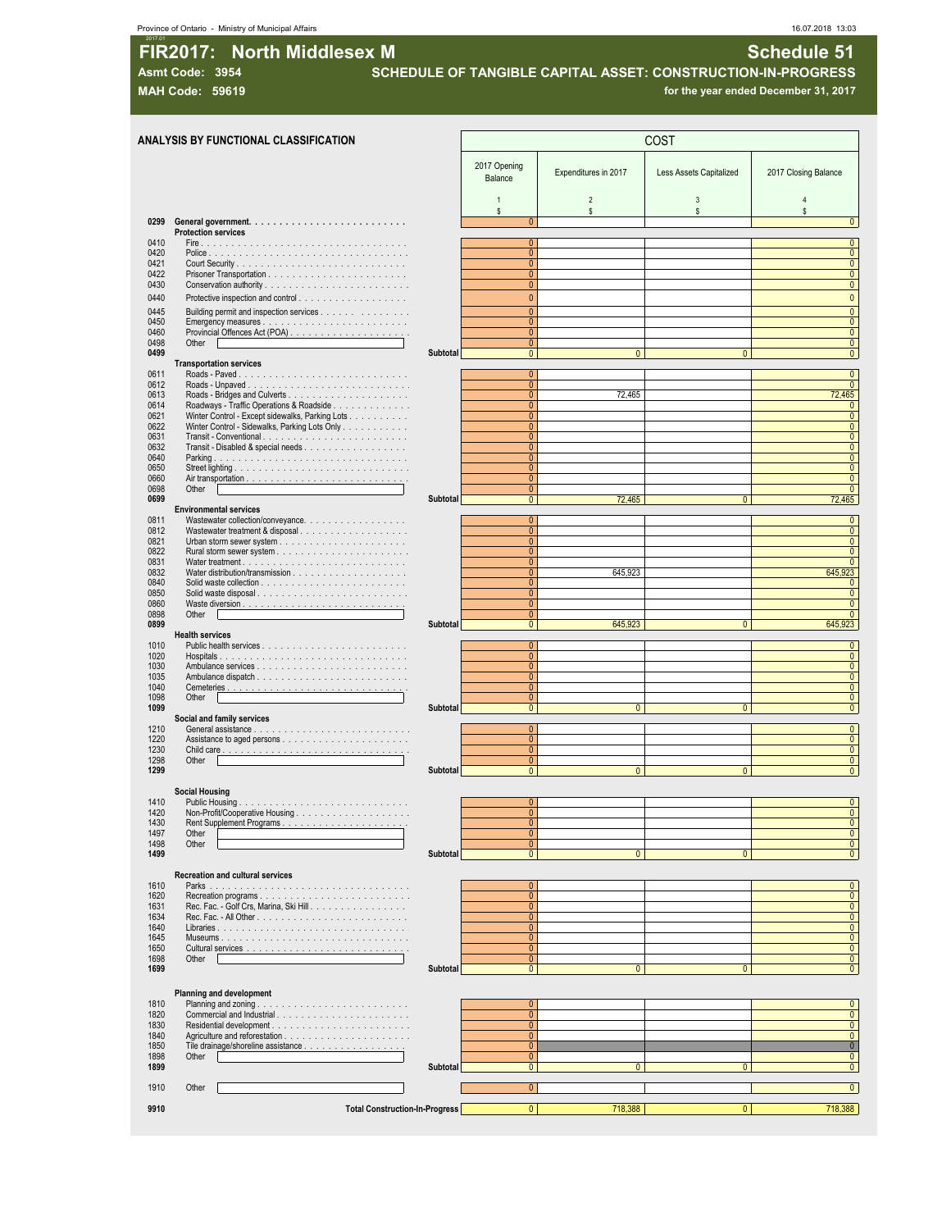**Asmt Code: 3954 SCHEDULE OF TANGIBLE CAPITAL ASSET: CONSTRUCTION-IN-PROGRESS**

**MAH Code: 59619 for the year ended December 31, 2017**

|                               | <b>ANALYSIS BY FUNCTIONAL CLASSIFICATION</b>                                                |                 |                                |                      | COST                           |                                |
|-------------------------------|---------------------------------------------------------------------------------------------|-----------------|--------------------------------|----------------------|--------------------------------|--------------------------------|
|                               |                                                                                             |                 | 2017 Opening<br>Balance        | Expenditures in 2017 | Less Assets Capitalized        | 2017 Closing Balance           |
|                               |                                                                                             |                 | $\mathbf{1}$<br>\$             | $\overline{2}$<br>s. | $\overline{3}$<br>$\mathsf{s}$ | $\overline{4}$<br>s            |
| 0299                          | <b>Protection services</b>                                                                  |                 | $\mathbf{0}$                   |                      |                                | $\overline{0}$                 |
| 0410<br>0420                  |                                                                                             |                 | $\mathbf{0}$<br>$\mathbf{0}$   |                      |                                | $\overline{0}$<br>0            |
| 0421                          |                                                                                             |                 | $\mathbf{0}$                   |                      |                                | 0                              |
| 0422<br>0430                  |                                                                                             |                 | $\mathbf{0}$<br>$\mathbf{0}$   |                      |                                | 0<br>$\mathbf{0}$              |
| 0440                          |                                                                                             |                 | $\Omega$                       |                      |                                | $\mathbf{0}$                   |
| 0445                          | Building permit and inspection services                                                     |                 | $\Omega$                       |                      |                                | $\pmb{0}$                      |
| 0450                          | Emergency measures                                                                          |                 | $\mathbf{0}$                   |                      |                                | 0                              |
| 0460<br>0498<br>Other I       |                                                                                             |                 | $\mathbf{0}$<br>$\mathbf{0}$   |                      |                                | 0<br>$\pmb{0}$                 |
| 0499                          |                                                                                             | <b>Subtotal</b> | $\overline{0}$                 | $\overline{0}$       | $\mathbf{0}$                   | $\overline{\mathbf{0}}$        |
|                               | <b>Transportation services</b>                                                              |                 | $\mathbf{0}$                   |                      |                                |                                |
| 0611<br>0612                  |                                                                                             |                 | $\mathbf{0}$                   |                      |                                | $\mathbf{0}$<br>$\mathbf{0}$   |
| 0613                          |                                                                                             |                 | $\mathbf{0}$                   | 72,465               |                                | 72,465                         |
| 0614<br>0621                  | Roadways - Traffic Operations & Roadside<br>Winter Control - Except sidewalks, Parking Lots |                 | $\mathbf{0}$<br>$\mathbf{0}$   |                      |                                | 0<br>0                         |
| 0622                          | Winter Control - Sidewalks, Parking Lots Only                                               |                 | $\Omega$                       |                      |                                | 0                              |
| 0631                          | Transit - Conventional                                                                      |                 | $\Omega$                       |                      |                                | $\mathbf{0}$                   |
| 0632<br>0640                  | Transit - Disabled & special needs                                                          |                 | $\mathbf{0}$<br>$\mathbf{0}$   |                      |                                | 0<br>$\mathbf{0}$              |
| 0650                          |                                                                                             |                 | $\mathbf{0}$                   |                      |                                | 0                              |
| 0660<br>0698                  |                                                                                             |                 | $\mathbf{0}$<br>$\mathbf{0}$   |                      |                                | $\pmb{0}$<br>0                 |
| Other<br>0699                 |                                                                                             | Subtotal        | $\overline{0}$                 | 72,465               | $\mathbf{0}$                   | 72,465                         |
|                               | <b>Environmental services</b>                                                               |                 |                                |                      |                                |                                |
| 0811<br>0812                  | Wastewater collection/conveyance.<br>Wastewater treatment & disposal                        |                 | $\mathbf{0}$<br>$\Omega$       |                      |                                | 0<br>0                         |
| 0821                          |                                                                                             |                 | $\mathbf{0}$                   |                      |                                | $\overline{\mathbf{0}}$        |
| 0822                          |                                                                                             |                 | $\mathbf{0}$                   |                      |                                | $\mathbf{0}$                   |
| 0831<br>0832                  |                                                                                             |                 | $\mathbf{0}$<br>$\mathbf{0}$   | 645,923              |                                | $\mathbf{0}$<br>645,923        |
| 0840                          |                                                                                             |                 | $\mathbf{0}$                   |                      |                                | $\mathbf{0}$                   |
| 0850                          | Solid waste disposal                                                                        |                 | $\mathbf{0}$                   |                      |                                | $\pmb{0}$                      |
| 0860<br>0898<br>Other         |                                                                                             |                 | $\mathbf{0}$<br>$\mathbf{0}$   |                      |                                | $\pmb{0}$<br>$\mathbf{0}$      |
| 0899                          |                                                                                             | <b>Subtotal</b> | $\overline{0}$                 | 645,923              | $\mathbf{0}$                   | 645,923                        |
| <b>Health services</b>        |                                                                                             |                 | $\overline{0}$                 |                      |                                | $\mathbf{0}$                   |
| 1010<br>1020                  |                                                                                             |                 | $\mathbf{0}$                   |                      |                                | 0                              |
| 1030                          |                                                                                             |                 | $\mathbf{0}$                   |                      |                                | 0                              |
| 1035<br>1040                  |                                                                                             |                 | $\mathbf{0}$<br>$\mathbf{0}$   |                      |                                | 0<br>0                         |
| 1098<br>Other                 |                                                                                             |                 | $\mathbf{0}$                   |                      |                                | $\mathbf{0}$                   |
| 1099                          |                                                                                             | <b>Subtotal</b> | $\mathbf{0}$                   | $\mathbf{0}$         | $\mathbf{0}$                   | $\mathbf{0}$                   |
| 1210                          | Social and family services                                                                  |                 | $\overline{0}$                 |                      |                                | $\mathbf{0}$                   |
| 1220                          |                                                                                             |                 | $\mathbf{0}$                   |                      |                                | $\overline{\mathbf{0}}$        |
| 1230<br>1298                  |                                                                                             |                 | $\Omega$<br>$\mathbf{0}$       |                      |                                | 0<br>$\overline{\mathbf{0}}$   |
| Other<br>1299                 |                                                                                             | Subtotal        | $\mathbf{0}$                   | $\mathbf{0}$         | $\overline{0}$                 | $\pmb{0}$                      |
|                               |                                                                                             |                 |                                |                      |                                |                                |
| <b>Social Housing</b><br>1410 |                                                                                             |                 | $\mathbf{0}$                   |                      |                                | $\mathbf{0}$                   |
| 1420                          |                                                                                             |                 | $\Omega$                       |                      |                                | $\Omega$                       |
| 1430<br>1497<br>Other         |                                                                                             |                 | $\mathbf{0}$<br>$\mathbf{0}$   |                      |                                | 0<br>0                         |
| 1498<br>Other                 |                                                                                             |                 | $\mathbf{0}$                   |                      |                                | 0                              |
| 1499                          |                                                                                             | Subtotal        | $\overline{0}$                 | $\mathbf{0}$         | $\mathbf{0}$                   | $\pmb{0}$                      |
|                               | <b>Recreation and cultural services</b>                                                     |                 |                                |                      |                                |                                |
|                               |                                                                                             |                 | $\mathbf{0}$                   |                      |                                | 0                              |
|                               | Rec. Fac. - Golf Crs, Marina, Ski Hill.                                                     |                 | $\overline{0}$<br>$\mathbf{0}$ |                      |                                | 0<br>0                         |
|                               |                                                                                             |                 | $\mathbf{0}$                   |                      |                                | $\overline{0}$                 |
| 1640                          |                                                                                             |                 | $\mathbf{0}$                   |                      |                                | 0                              |
| 1645<br>1650                  |                                                                                             |                 | $\overline{0}$<br>$\mathbf{0}$ |                      |                                | 0<br>$\overline{0}$            |
| 1698<br>Other I               |                                                                                             |                 | $\mathbf{0}$                   |                      |                                | $\mathbf{0}$                   |
|                               |                                                                                             | Subtotal        | $\overline{0}$                 | $\mathbf{0}$         | $\mathbf{0}$                   | $\pmb{0}$                      |
|                               |                                                                                             |                 |                                |                      |                                |                                |
|                               | Planning and development                                                                    |                 | $\mathbf{0}$                   |                      |                                | $\pmb{0}$                      |
| 1810<br>1820                  |                                                                                             |                 | $\mathbf{0}$                   |                      |                                | 0                              |
| 1830                          |                                                                                             |                 | $\mathbf{0}$                   |                      |                                | 0                              |
| 1840<br>1850                  |                                                                                             |                 | $\overline{0}$<br>$\mathbf{0}$ |                      |                                | $\mathbf{0}$<br>$\overline{0}$ |
| 1898<br>Other                 |                                                                                             |                 | $\mathbf{0}$                   |                      |                                | $\mathbf{0}$                   |
| 1899                          |                                                                                             | Subtotal        | $\overline{0}$                 | $\mathbf{0}$         | $\mathbf{0}$                   | $\pmb{0}$                      |
| 1910<br>Other                 |                                                                                             |                 | $\overline{0}$                 |                      |                                | $\mathbf{0}$                   |
| 9910                          | <b>Total Construction-In-Progress</b>                                                       |                 | $\overline{0}$                 | 718,388              | $\mathbf{0}$                   | 718,388                        |
|                               |                                                                                             |                 |                                |                      |                                |                                |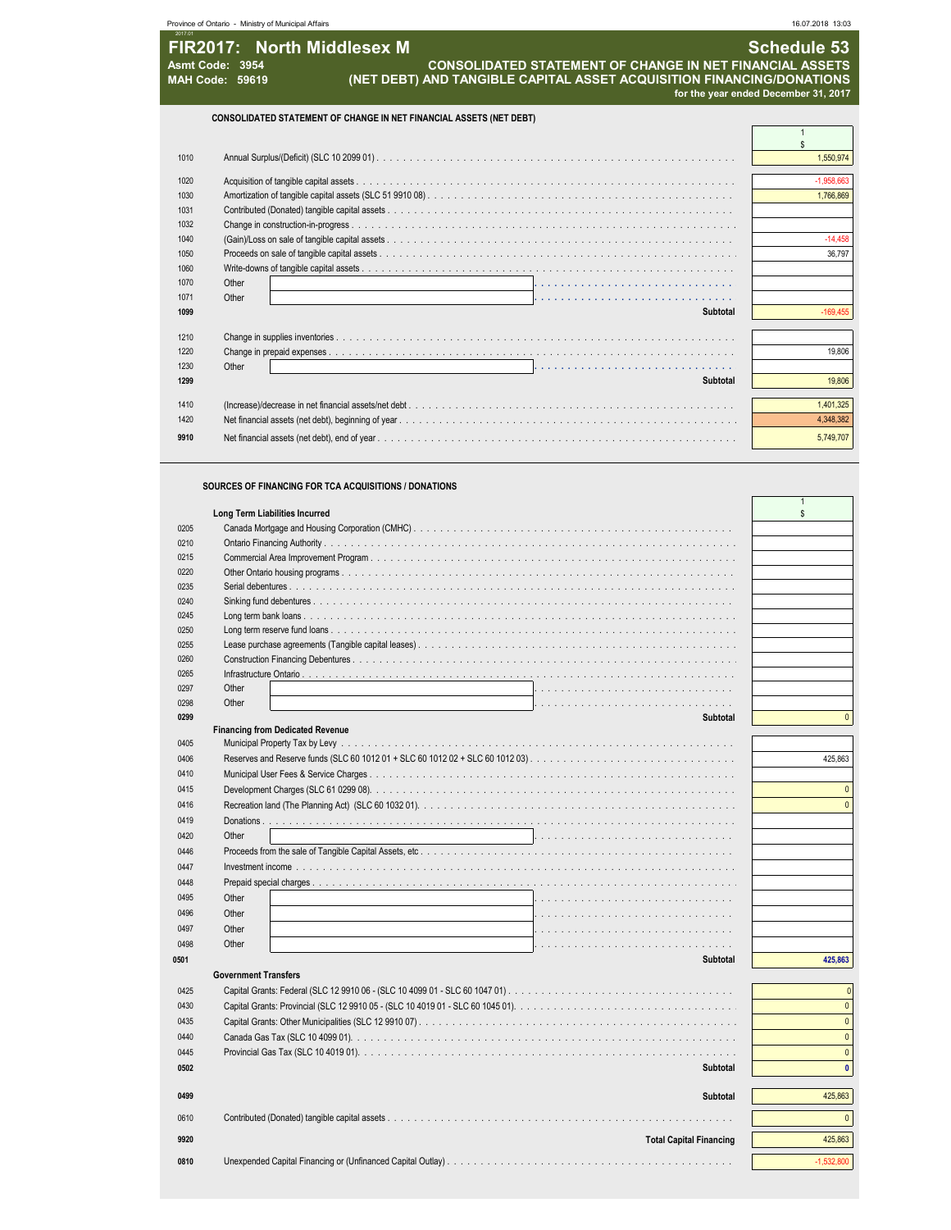|      | Province of Ontario - Ministry of Municipal Affairs                                                                                                                                                          | 16.07.2018 13:03                                    |
|------|--------------------------------------------------------------------------------------------------------------------------------------------------------------------------------------------------------------|-----------------------------------------------------|
|      | FIR2017: North Middlesex M<br><b>CONSOLIDATED STATEMENT OF CHANGE IN NET FINANCIAL ASSETS</b><br>Asmt Code: 3954<br>(NET DEBT) AND TANGIBLE CAPITAL ASSET ACQUISITION FINANCING/DONATIONS<br>MAH Code: 59619 | Schedule 53<br>for the year ended December 31, 2017 |
|      | CONSOLIDATED STATEMENT OF CHANGE IN NET FINANCIAL ASSETS (NET DEBT)                                                                                                                                          |                                                     |
|      |                                                                                                                                                                                                              |                                                     |
| 1010 |                                                                                                                                                                                                              | 1,550,974                                           |
| 1020 |                                                                                                                                                                                                              | 1,958,66                                            |
| 1030 |                                                                                                                                                                                                              | 1,766,869                                           |
| 1031 |                                                                                                                                                                                                              |                                                     |
| 1032 | Change in construction-in-progress.                                                                                                                                                                          |                                                     |
| 1040 |                                                                                                                                                                                                              | 14,458                                              |

Proceeds on sale of tangible capital assets . . . . . . . . . . . . . . . . . . . . . . . . . . . . . . . . . . . . . . . . . . . . . . . . . . . . . . . . . . . . . . . . . . . . . . . . . . . . . . . . . . . . . . . . . . . . . . . . . . 36,797

**Subtotal** -169,455

 **Subtotal** 19,806 (Increase)/decrease in net financial assets/net debt . . . . . . . . . . . . . . . . . . . . . . . . . . . . . . . . . . . . . . . . . . . . . . . . . . . . . . . . . . . . . . . . . . . . . . . . . . . . . . . . . . . . . . . . . . . . . . . . . . 1,401,325 Net financial assets (net debt), beginning of year . . . . . . . . . . . . . . . . . . . . . . . . . . . . . . . . . . . . . . . . . . . . . . . . . . . . . . . . . . . . . . . . . . . . . . . . . . . . . . . . . . . . . . . . . . . . . . . . . . 4,348,382 Net financial assets (net debt), end of year . . . . . . . . . . . . . . . . . . . . . . . . . . . . . . . . . . . . . . . . . . . . . . . . . . . . . . . . . . . . . . . . . . . . . . . . . . . . . . . . . . . . . . . . . . . . . . . . . . 5,749,707

Change in prepaid expenses . . . . . . . . . . . . . . . . . . . . . . . . . . . . . . . . . . . . . . . . . . . . . . . . . . . . . . . . . . . . . . . . . . . . . . . . . . . . . . . . . . . . . . . . . . . . . . . . . . 19,806

Other **. . . . . . . . . . . . . . . . . . . . . . . . . . . . . . . . . . . . . . . . . . . . . . . . . . . . . . . . . . . . . . . . . . . . . . . . . . . . . .**

 Write-downs of tangible capital assets . . . . . . . . . . . . . . . . . . . . . . . . . . . . . . . . . . . . . . . . . . . . . . . . . . . . . . . . . . . . . . . . . . . . . . . . . . . . . . . . . . . . . . . . . . . . . . . . . . Other **. . . . . . . . . . . . . . . . . . . . . . . . . . . . . . . . . . . . . . . . . . . . . . . . . . . . . . . . . . . . . . . . . . . . . . . . . . . . . .** Other **. . . . . . . . . . . . . . . . . . . . . . . . . . . . . . . . . . . . . . . . . . . . . . . . . . . . . . . . . . . . . . . . . . . . . . . . . . . . . .**

Change in supplies inventories . . . . . . . . . . . . . . . . . . . . . . . . . . . . . . . . . . . . . . . . . . . . . . . . . . . . . . . . . . . . . . . . . . . . . . . . . . . . . . . . . . . . . . . . . . . . . . . . . .

**SOURCES OF FINANCING FOR TCA ACQUISITIONS / DONATIONS**

|      | Long Term Liabilities Incurred          | $\mathbf{s}$ |
|------|-----------------------------------------|--------------|
| 0205 |                                         |              |
| 0210 |                                         |              |
| 0215 |                                         |              |
| 0220 |                                         |              |
| 0235 |                                         |              |
| 0240 |                                         |              |
| 0245 |                                         |              |
| 0250 |                                         |              |
| 0255 |                                         |              |
| 0260 |                                         |              |
|      |                                         |              |
| 0265 |                                         |              |
| 0297 | Other                                   |              |
| 0298 | Other                                   |              |
| 0299 | <b>Subtotal</b>                         | $\Omega$     |
|      | <b>Financing from Dedicated Revenue</b> |              |
| 0405 |                                         |              |
| 0406 |                                         | 425,863      |
| 0410 |                                         |              |
| 0415 |                                         | $\Omega$     |
| 0416 |                                         | $\Omega$     |
| 0419 |                                         |              |
| 0420 | Other                                   |              |
| 0446 |                                         |              |
| 0447 |                                         |              |
| 0448 |                                         |              |
|      |                                         |              |
| 0495 | Other                                   |              |
| 0496 | Other                                   |              |
| 0497 | Other                                   |              |
| 0498 | Other                                   |              |
| 0501 | <b>Subtotal</b>                         | 425,863      |
|      | <b>Government Transfers</b>             |              |
| 0425 |                                         |              |
| 0430 |                                         | $\mathbf{0}$ |
| 0435 |                                         | $\mathbf{0}$ |
|      |                                         | $\mathbf{0}$ |
| 0440 |                                         |              |
| 0445 |                                         | $\mathbf{0}$ |
| 0502 | Subtotal                                | $\mathbf{0}$ |
|      |                                         |              |
| 0499 | <b>Subtotal</b>                         | 425,863      |
| 0610 |                                         | $\Omega$     |
|      |                                         |              |
| 9920 | <b>Total Capital Financing</b>          | 425,863      |
| 0810 |                                         | $-1.532.800$ |
|      |                                         |              |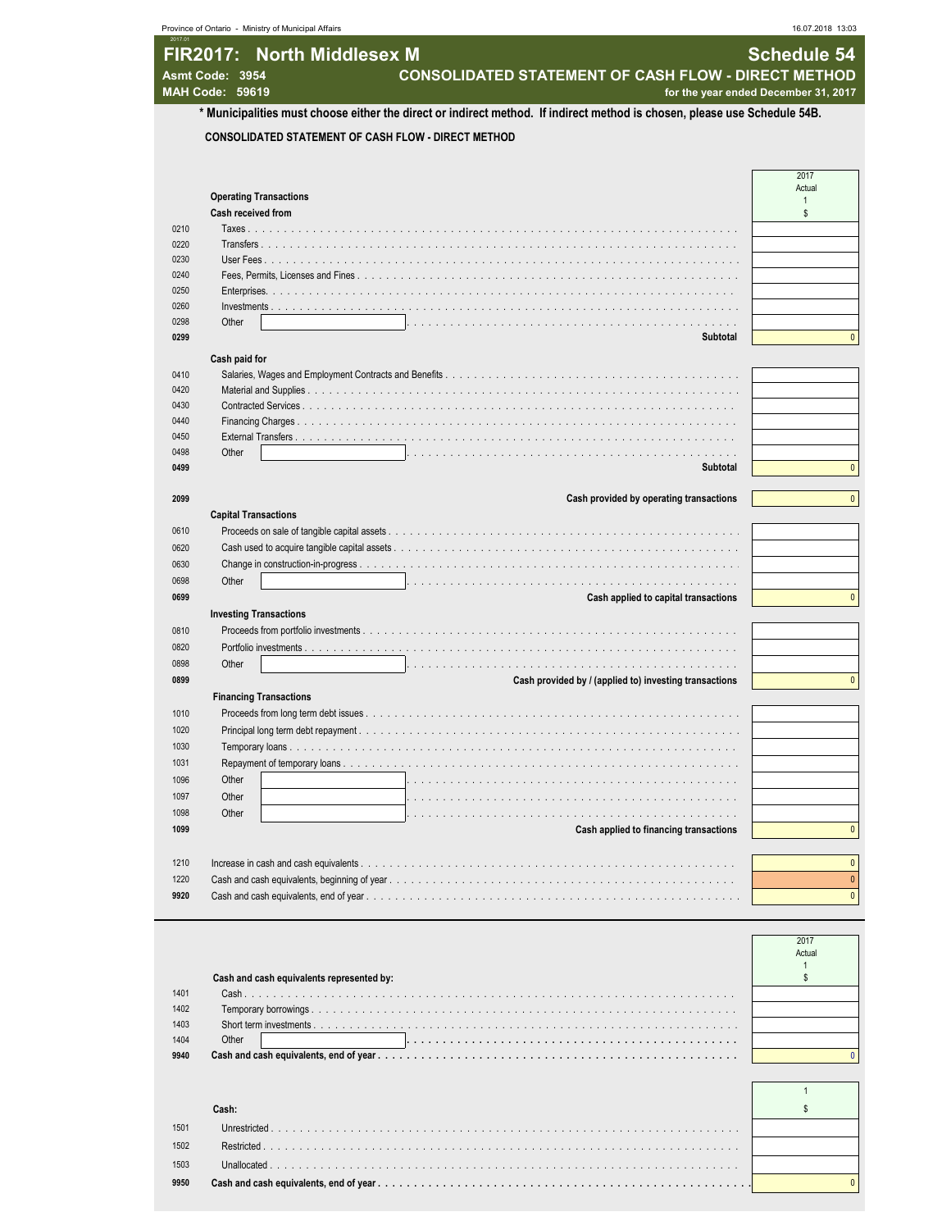| Province of Ontario - Ministry of Municipal Affairs                                                                                          | 16.07.2018 13:03                     |
|----------------------------------------------------------------------------------------------------------------------------------------------|--------------------------------------|
| FIR2017: North Middlesex M                                                                                                                   | <b>Schedule 54</b>                   |
| <b>CONSOLIDATED STATEMENT OF CASH FLOW - DIRECT METHOD</b><br>Asmt Code: 3954                                                                |                                      |
| MAH Code: 59619<br>* Municipalities must choose either the direct or indirect method. If indirect method is chosen, please use Schedule 54B. | for the year ended December 31, 2017 |
| <b>CONSOLIDATED STATEMENT OF CASH FLOW - DIRECT METHOD</b>                                                                                   |                                      |
|                                                                                                                                              |                                      |
|                                                                                                                                              | 2017                                 |
| <b>Operating Transactions</b>                                                                                                                | Actual<br>$\overline{1}$             |
| Cash received from                                                                                                                           | \$                                   |
| 0210                                                                                                                                         |                                      |
| 0220<br>Transfers                                                                                                                            |                                      |
| 0230<br>User Fees                                                                                                                            |                                      |
| 0240<br>Fees, Permits, Licenses and Fines.                                                                                                   |                                      |
| 0250                                                                                                                                         |                                      |
| 0260                                                                                                                                         |                                      |
| 0298<br>Other<br>and a strategies                                                                                                            |                                      |
| 0299<br>Subtotal                                                                                                                             |                                      |
| Cash paid for                                                                                                                                |                                      |
| 0410                                                                                                                                         |                                      |
| 0420                                                                                                                                         |                                      |
| 0430                                                                                                                                         |                                      |
| 0440                                                                                                                                         |                                      |
| 0450                                                                                                                                         |                                      |
| 0498<br>Other                                                                                                                                |                                      |
| 0499<br>Subtotal                                                                                                                             |                                      |
| Cash provided by operating transactions<br>2099                                                                                              |                                      |
| <b>Capital Transactions</b>                                                                                                                  |                                      |
| 0610                                                                                                                                         |                                      |
| 0620<br>Cash used to acquire tangible capital assets.                                                                                        |                                      |
| 0630<br>Change in construction-in-progress                                                                                                   |                                      |
| Other<br>0698                                                                                                                                |                                      |
| 0699<br>Cash applied to capital transactions                                                                                                 |                                      |
|                                                                                                                                              |                                      |
| <b>Investing Transactions</b>                                                                                                                |                                      |
| 0810<br>Proceeds from portfolio investments                                                                                                  |                                      |
| 0820<br>Portfolio investments                                                                                                                |                                      |
| 0898<br>Other                                                                                                                                |                                      |
| 0899<br>Cash provided by / (applied to) investing transactions                                                                               |                                      |
| <b>Financing Transactions</b>                                                                                                                |                                      |
| 1010                                                                                                                                         |                                      |
| 1020                                                                                                                                         |                                      |
| 1030                                                                                                                                         |                                      |
| 1031                                                                                                                                         |                                      |
| 1096<br>Other                                                                                                                                |                                      |
| 1097<br>Other                                                                                                                                |                                      |
| Other<br>1098                                                                                                                                |                                      |
| 1099<br>Cash applied to financing transactions                                                                                               |                                      |
|                                                                                                                                              |                                      |
|                                                                                                                                              |                                      |
| 1210<br>Increase in cash and cash equivalents                                                                                                |                                      |
| 1220<br>Cash and cash equivalents, beginning of year.                                                                                        |                                      |

|      |                                           | 2017<br>Actual |  |
|------|-------------------------------------------|----------------|--|
|      | Cash and cash equivalents represented by: |                |  |
| 1401 |                                           |                |  |
| 1402 |                                           |                |  |
| 1403 | Short term investments.                   |                |  |
| 1404 | Other                                     |                |  |
| 9940 |                                           |                |  |

|      | Cash:        |  |
|------|--------------|--|
| 1501 |              |  |
| 1502 |              |  |
| 1503 | Unallocated. |  |
| 9950 |              |  |
|      |              |  |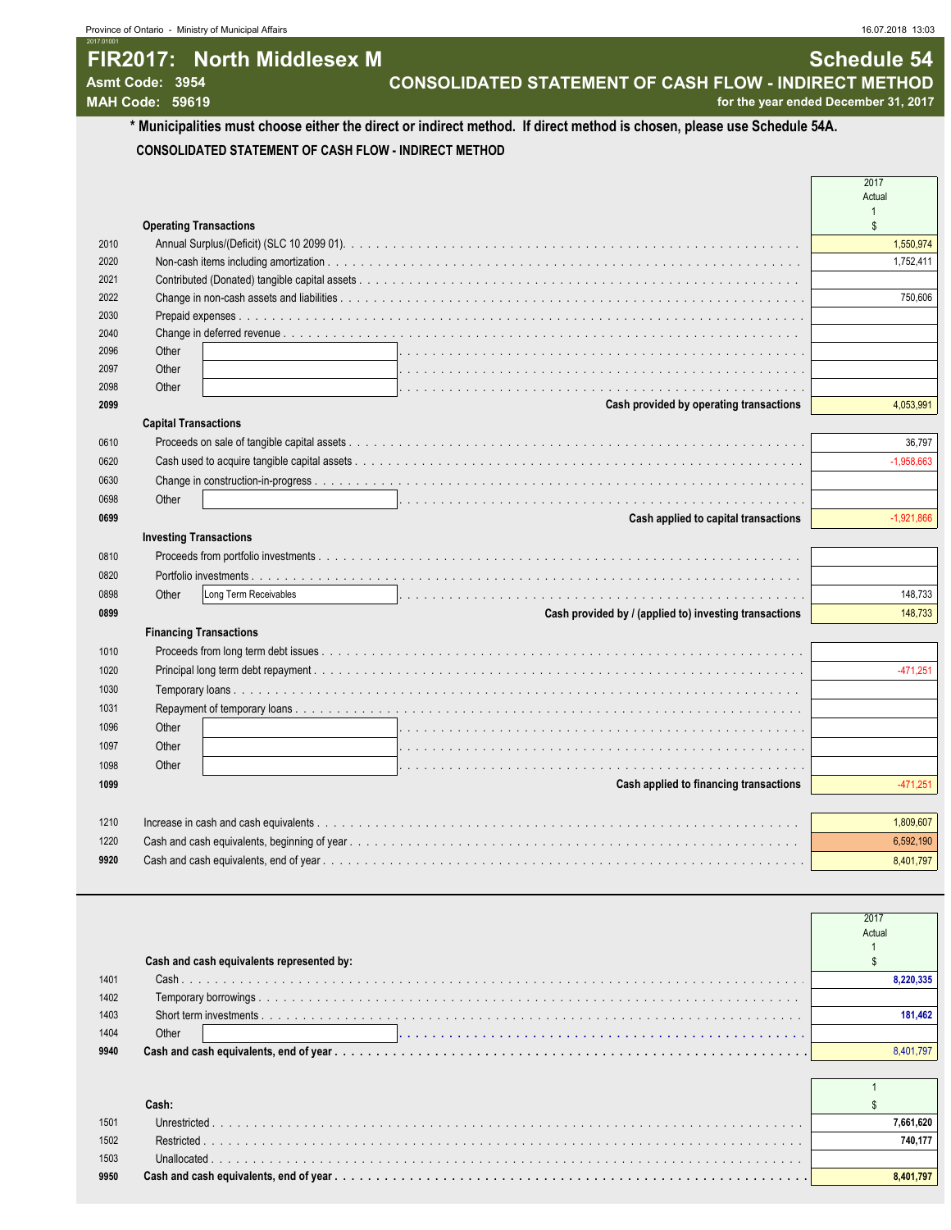1

# **FIR2017: North Middlesex M Schedule 54**

**Asmt Code: 3954 CONSOLIDATED STATEMENT OF CASH FLOW - INDIRECT METHOD**

**MAH Code: 59619 for the year ended December 31, 2017**

2017.01001

**\* Municipalities must choose either the direct or indirect method. If direct method is chosen, please use Schedule 54A. CONSOLIDATED STATEMENT OF CASH FLOW - INDIRECT METHOD**

2017 Actual 1 **Operating Transactions**  $\sim$ 2010 Annual Surplus/(Deficit) (SLC 10 2099 01). . . . . . . . . . . . . . . . . . . . . . . . . . . . . . . . . . . . . . . . . . . . . . . . . . . . . . . . . . . . . . . . . . . . . . . . . . . . . . . . . . . . . . . . . . . . . . . . . . 1,550,974 2020 Non-cash items including amortization . . . . . . . . . . . . . . . . . . . . . . . . . . . . . . . . . . . . . . . . . . . . . . . . . . . . . . . . . . . . . . . . . . . . . . . . . . . . . . . . . . . . . . . . . . . . . . . . . . 1,752,411 2021 Contributed (Donated) tangible capital assets . . 2022 Change in non-cash assets and liabilities . . . . . . . . . . . . . . . . . . . . . . . . . . . . . . . . . . . . . . . . . . . . . . . . . . . . . . . . . . . . . . . . . . . . . . . . . . . . . . . . . . . . . . . . . . . . . . . . . . 750,606 2030 Prepaid expenses . . . 2040 Change in deferred revenue 2096 Other . . . . . . . . . . . . . . . . . . . . . . . . . . . . . . . . . . . . . . . . . . . . . . . . . . . . . . . . . . . . . . . . . . . . . . . . . . . . . . 2097 Other . . . . . . . . . . . . . . . . . . . . . . . . . . . . . . . . . . . . . . . . . . . . . . . . . . . . . . . . . . . . . . . . . . . . . . . . . . . . . . 2098 Other . . . . . . . . . . . . . . . . . . . . . . . . . . . . . . . . . . . . . . . . . . . . . . . . . . . . . . . . . . . . . . . . . . . . . . . . . . . . . . **2099 Cash provided by operating transactions** 4,053,991 **Capital Transactions** 0610 Proceeds on sale of tangible capital assets . . . . . . . . . . . . . . . . . . . . . . . . . . . . . . . . . . . . . . . . . . . . . . . . . . . . . . . . . . . . . . . . . . . . . . . . . . . . . . . . . . . . . . . . . . . . . . . . . . 36,797 0620 Cash used to acquire tangible capital assets . . . . . . . . . . . . . . . . . . . . . . . . . . . . . . . . . . . . . . . . . . . . . . . . . . . . . . . . . . . . . . . . . . . . . . . . . . . . . . . . . . . . . . . . . . . . . . . . . . -1,958,663 0630 Change in construction-in-progress . . . 0698 Other . . . . . . . . . . . . . . . . . . . . . . . . . . . . . . . . . . . . . . . . . . . . . . . . . . . . . . . . . . . . . . . . . . . . . . . . . . . . . . **0699 Cash applied to capital transactions** -1,921,866 **Investing Transactions** 0810 Proceeds from portfolio investments. 0820 Portfolio investments . . . . . . . . . . . . . . . . . . . . . . . . . . . . . . . . . . . . . . . . . . . . . . . . . . . . . . . . . . . . . . . . . . . . . . . . . . . . . . . . . . . . . . . . . . . . . . . . . . 0898 Other Long Term Receivables . . . . . . . . . . . . . . . . . . . . . . . . . . . . . . . . . . . . . . . . . . . . . . . . . . . . . . . . . . . . . . . . . . . . . . . . . . . . . . 148,733 **0899 Cash provided by / (applied to) investing transactions** 148,733  **Financing Transactions** 1010 Proceeds from long term debt issues 1020 Principal long term debt repayment . . . . . . . . . . . . . . . . . . . . . . . . . . . . . . . . . . . . . . . . . . . . . . . . . . . . . . . . . . . . . . . . . . . . . . . . . . . . . . . . . . . . . . . . . . . . . . . . . . -471,251 1030 Temporary loans . . . . . . . . . . . . . . . . . . . . . . . . . . . . . . . . . . . . . . . . . . . . . . . . . . . . . . . . . . . . . . . . . . . . . . . . . . . . . . . . . . . . . . . . . . . . . . . . . . 1031 Repayment of temporary loans. 1096 Other . . . . . . . . . . . . . . . . . . . . . . . . . . . . . . . . . . . . . . . . . . . . . . . . . . . . . . . . . . . . . . . . . . . . . . . . . . . . . . 1097 Other . . . . . . . . . . . . . . . . . . . . . . . . . . . . . . . . . . . . . . . . . . . . . . . . . . . . . . . . . . . . . . . . . . . . . . . . . . . . . . 1098 Other . . . . . . . . . . . . . . . . . . . . . . . . . . . . . . . . . . . . . . . . . . . . . . . . . . . . . . . . . . . . . . . . . . . . . . . . . . . . . . **1099 Cash applied to financing transactions** -471,251 1210 Increase in cash and cash equivalents . . . . . . . . . . . . . . . . . . . . . . . . . . . . . . . . . . . . . . . . . . . . . . . . . . . . . . . . . . . . . . . . . . . . . . . . . . . . . . . . . . . . . . . . . . . . . . . . . . 1,809,607 1220 Cash and cash equivalents, beginning of year . . . . . . . . . . . . . . . . . . . . . . . . . . . . . . . . . . . . . . . . . . . . . . . . . . . . . . . . . . . . . . . . . . . . . . . . . . . . . . . . . . . . . . . . . . . . . . . . . . 6,592,190 **9920** Cash and cash equivalents, end of year . . . . . . . . . . . . . . . . . . . . . . . . . . . . . . . . . . . . . . . . . . . . . . . . . . . . . . . . . . . . . . . . . . . . . . . . . . . . . . . . . . . . . . . . . . . . . . . . . . 8,401,797

|      |                                           | 2017      |
|------|-------------------------------------------|-----------|
|      |                                           | Actual    |
|      |                                           |           |
|      | Cash and cash equivalents represented by: |           |
| 1401 |                                           | 8.220.335 |
| 1402 |                                           |           |
| 1403 |                                           | 181.462   |
| 1404 | Other                                     |           |
| 9940 |                                           | 8 401 79  |
|      |                                           |           |

#### **Cash:** Sample of the contract of the contract of the contract of the contract of the contract of the contract of the contract of the contract of the contract of the contract of the contract of the contract of the contract 1501 Unrestricted . . . . . . . . . . . . . . . . . . . . . . . . . . . . . . . . . . . . . . . . . . . . . . . . . . . . . . . . . . . . . . . . . . . . . . . . . . . . . . . . . . . . . . . . . . . . . . . . . . **7,661,620** 1502 Restricted . . . . . . . . . . . . . . . . . . . . . . . . . . . . . . . . . . . . . . . . . . . . . . . . . . . . . . . . . . . . . . . . . . . . . . . . . . . . . . . . . . . . . . . . . . . . . . . . . . **740,177** 1503 Unallocated . . . . . . . . . . . . . . . . . . . . . . . . . . . . . . . . . . . . . . . . . . . . . . . . . . . . . . . . . . . . . . . . . . . . . . . . . . . . . . . . . . . . . . . . . . . . . . . . . . **9950 Cash and cash equivalents, end of year . . . . . . . . . . . . . . . . . . . . . . . . . . . . . . . . . . . . . . . . . . . . . . . . . . . . . . . . . . . . . . . . . . . . . . . . . . . . . . . . . . . . . . . . . . . . . . . . . . 8,401,797**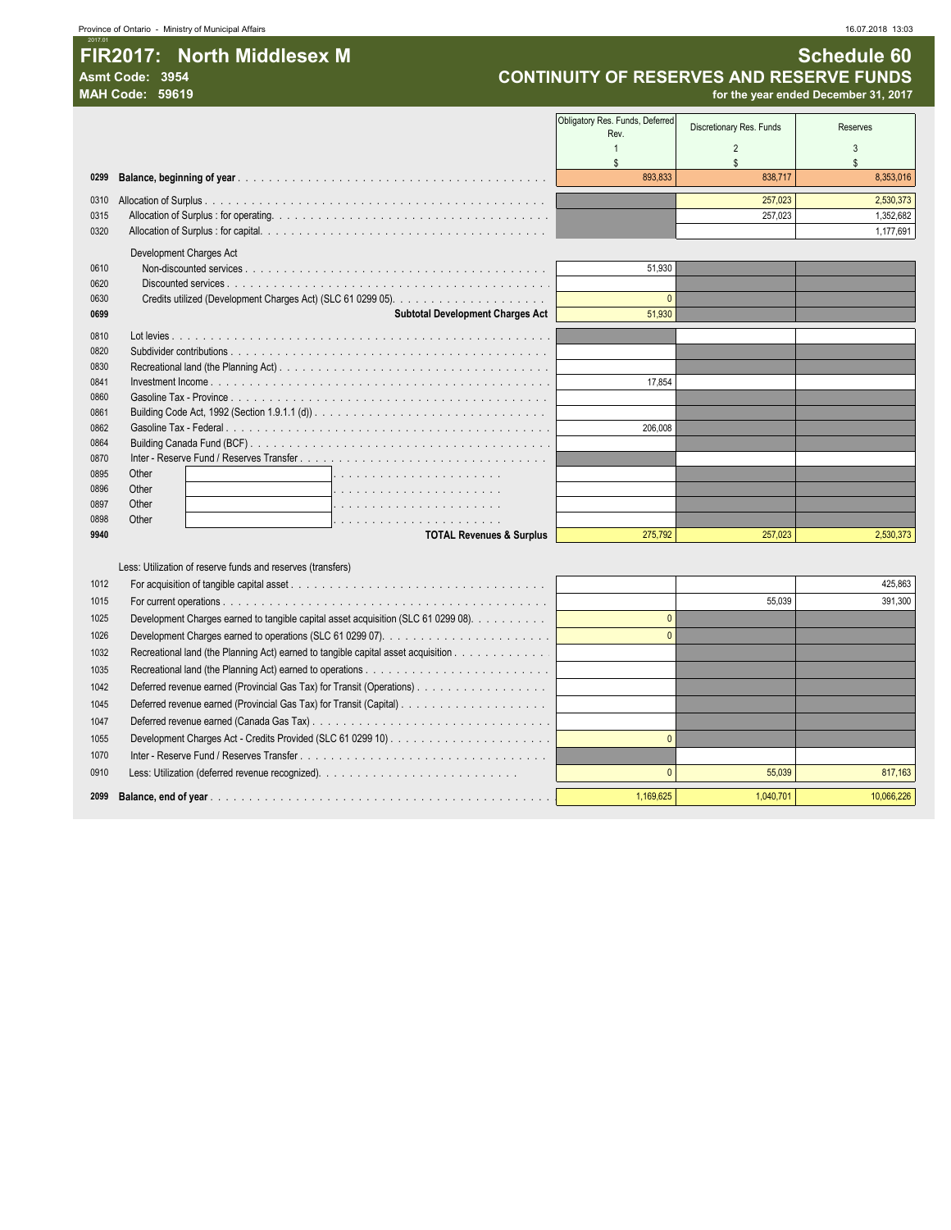## **FIR2017:** North Middlesex M<br>Asmt Code: 3954 **Schedule 60**<br>CONTINUITY OF RESERVES AND RESERVE FUNDS Asmt Code: 3954<br>**CONTINUITY OF RESERVES AND RESERVE FUNDS**<br>for the year ended December 31, 2017

**MAH Code: 59619 for the year ended December 31, 2017**

|              | 11711 VUUT. JJU IJ                                                                 |                                         |                          | ioi the year ended Deceniber 31, <b>zu</b> m |
|--------------|------------------------------------------------------------------------------------|-----------------------------------------|--------------------------|----------------------------------------------|
|              |                                                                                    | Obligatory Res. Funds, Deferred<br>Rev. | Discretionary Res. Funds | Reserves                                     |
|              |                                                                                    | $\overline{1}$                          | $\overline{2}$           | 3                                            |
| 0299         |                                                                                    | $\mathbb{S}$<br>893.833                 | $\mathbb{S}$<br>838,717  | $\mathbf{\hat{s}}$<br>8,353,016              |
|              |                                                                                    |                                         |                          |                                              |
|              |                                                                                    |                                         | 257,023                  | 2,530,373                                    |
| 0315         |                                                                                    |                                         | 257,023                  | 1,352,682<br>1,177,691                       |
| 0320         |                                                                                    |                                         |                          |                                              |
|              | Development Charges Act                                                            |                                         |                          |                                              |
| 0610<br>0620 |                                                                                    | 51,930                                  |                          |                                              |
| 0630         |                                                                                    | $\Omega$                                |                          |                                              |
| 0699         | <b>Subtotal Development Charges Act</b>                                            | 51,930                                  |                          |                                              |
| 0810         |                                                                                    |                                         |                          |                                              |
| 0820         |                                                                                    |                                         |                          |                                              |
| 0830         |                                                                                    |                                         |                          |                                              |
| 0841         |                                                                                    | 17,854                                  |                          |                                              |
| 0860         |                                                                                    |                                         |                          |                                              |
| 0861         |                                                                                    |                                         |                          |                                              |
| 0862         |                                                                                    | 206.008                                 |                          |                                              |
| 0864         |                                                                                    |                                         |                          |                                              |
| 0870         |                                                                                    |                                         |                          |                                              |
| 0895         | Other                                                                              |                                         |                          |                                              |
| 0896         | Other                                                                              |                                         |                          |                                              |
| 0897         | Other                                                                              |                                         |                          |                                              |
| 0898<br>9940 | Other                                                                              | 275.792                                 | 257.023                  |                                              |
|              | <b>TOTAL Revenues &amp; Surplus</b>                                                |                                         |                          | 2,530,373                                    |
|              | Less: Utilization of reserve funds and reserves (transfers)                        |                                         |                          |                                              |
| 1012         |                                                                                    |                                         |                          | 425,863                                      |
| 1015         |                                                                                    |                                         | 55.039                   | 391.300                                      |
| 1025         | Development Charges earned to tangible capital asset acquisition (SLC 61 0299 08). | $\Omega$                                |                          |                                              |
| 1026         |                                                                                    | $\mathbf{0}$                            |                          |                                              |
| 1032         | Recreational land (the Planning Act) earned to tangible capital asset acquisition  |                                         |                          |                                              |
| 1035         |                                                                                    |                                         |                          |                                              |
| 1042         | Deferred revenue earned (Provincial Gas Tax) for Transit (Operations).             |                                         |                          |                                              |
| 1045         |                                                                                    |                                         |                          |                                              |
| 1047         |                                                                                    |                                         |                          |                                              |
| 1055         |                                                                                    | $\Omega$                                |                          |                                              |
| 1070         |                                                                                    |                                         |                          |                                              |
|              |                                                                                    |                                         |                          |                                              |

0910 Less: Utilization (deferred revenue recognized). . . . . . . . . . . . . . . . . . . . . . . . . . 0 55,039 817,163 **Balance, end of year** . . . . . . . . . . . . . . . . . . . . . . . . . . . . . . . . . . . . . . . . . . . . . . . . . . . . . . . . . . . . . . . . . . . . . . . . . . . . . . . . . . . . . . . . . . . . . . . . . . 1,169,625 1,040,701 10,066,226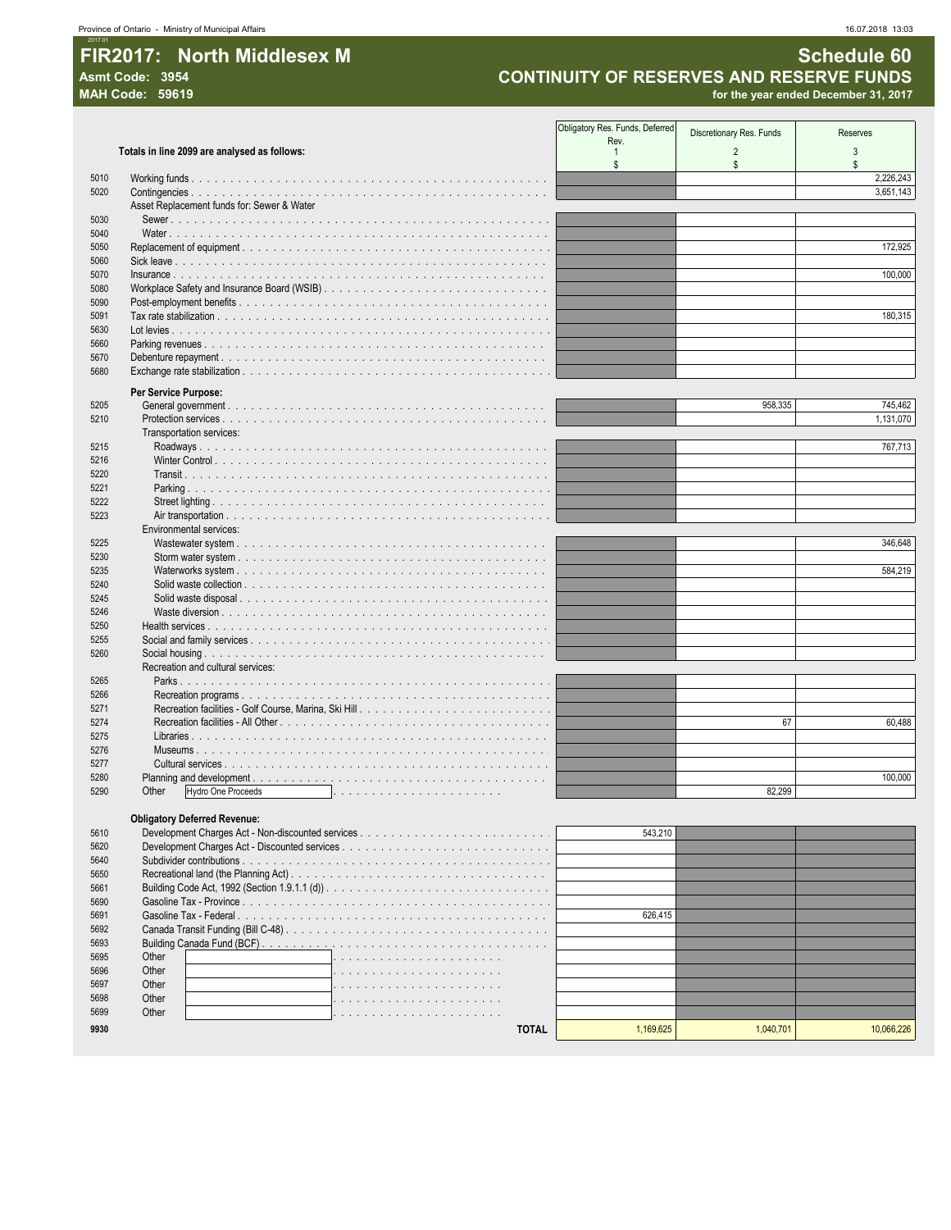### FIR2017: North Middlesex M Asmt Code: 3954

16.07.2018 13:03

**Schedule 60** 

**CONTINUITY OF RESERVES AND RESERVE FUNDS** 

|      | <b>MAH Code: 59619</b>                                                                                                               |                                         |                          | for the year ended December 31, 2017 |
|------|--------------------------------------------------------------------------------------------------------------------------------------|-----------------------------------------|--------------------------|--------------------------------------|
|      |                                                                                                                                      |                                         |                          |                                      |
|      |                                                                                                                                      | Obligatory Res. Funds, Deferred<br>Rev. | Discretionary Res. Funds | Reserves                             |
|      | Totals in line 2099 are analysed as follows:                                                                                         | 1                                       | $\overline{2}$           | 3                                    |
|      |                                                                                                                                      | \$                                      | \$                       | \$                                   |
| 5010 |                                                                                                                                      |                                         |                          | 2,226,243                            |
| 5020 |                                                                                                                                      |                                         |                          | 3,651,143                            |
|      | Asset Replacement funds for: Sewer & Water                                                                                           |                                         |                          |                                      |
| 5030 |                                                                                                                                      |                                         |                          |                                      |
| 5040 |                                                                                                                                      |                                         |                          |                                      |
| 5050 | Replacement of equipment $\ldots$ , $\ldots$ , $\ldots$ , $\ldots$ , $\ldots$ , $\ldots$ , $\ldots$ , $\ldots$ , $\ldots$ , $\ldots$ |                                         |                          | 172,925                              |
| 5060 |                                                                                                                                      |                                         |                          |                                      |
| 5070 | $insurance \ldots \ldots \ldots \ldots \ldots \ldots$                                                                                |                                         |                          | 100,000                              |
| 5080 |                                                                                                                                      |                                         |                          |                                      |
| 5090 |                                                                                                                                      |                                         |                          |                                      |
| 5091 |                                                                                                                                      |                                         |                          | 180,315                              |
| 5630 |                                                                                                                                      |                                         |                          |                                      |
| 5660 |                                                                                                                                      |                                         |                          |                                      |
| 5670 |                                                                                                                                      |                                         |                          |                                      |
| 5680 |                                                                                                                                      |                                         |                          |                                      |
|      | Per Service Purpose:                                                                                                                 |                                         |                          |                                      |
| 5205 |                                                                                                                                      |                                         | 958,335                  | 745,462                              |
| 5210 |                                                                                                                                      |                                         |                          | 1,131,070                            |
|      | Transportation services:                                                                                                             |                                         |                          |                                      |
| 5215 |                                                                                                                                      |                                         |                          | 767,713                              |
| 5216 |                                                                                                                                      |                                         |                          |                                      |
| 5220 |                                                                                                                                      |                                         |                          |                                      |
| 5221 |                                                                                                                                      |                                         |                          |                                      |
| 5222 |                                                                                                                                      |                                         |                          |                                      |
| 5223 |                                                                                                                                      |                                         |                          |                                      |
|      | Environmental services:                                                                                                              |                                         |                          |                                      |
| 5225 |                                                                                                                                      |                                         |                          | 346,648                              |
| 5230 |                                                                                                                                      |                                         |                          |                                      |
| 5235 |                                                                                                                                      |                                         |                          | 584.219                              |
| 5240 |                                                                                                                                      |                                         |                          |                                      |
| 5245 |                                                                                                                                      |                                         |                          |                                      |
| 5246 |                                                                                                                                      |                                         |                          |                                      |
| 5250 |                                                                                                                                      |                                         |                          |                                      |
| 5255 |                                                                                                                                      |                                         |                          |                                      |
| 5260 |                                                                                                                                      |                                         |                          |                                      |
|      | Recreation and cultural services:                                                                                                    |                                         |                          |                                      |
| 5265 |                                                                                                                                      |                                         |                          |                                      |
| 5266 |                                                                                                                                      |                                         |                          |                                      |
| 5271 |                                                                                                                                      |                                         |                          |                                      |
| 5274 | $\sim 100$                                                                                                                           |                                         | 67                       | 60,488                               |
| 5275 |                                                                                                                                      |                                         |                          |                                      |
| 5276 |                                                                                                                                      |                                         |                          |                                      |
| 5277 | $\sim$ $\sim$ $\sim$                                                                                                                 |                                         |                          |                                      |
| 5280 |                                                                                                                                      |                                         |                          | 100.000                              |
| 5290 | Hydro One Proceeds<br>Other                                                                                                          |                                         | 82,299                   |                                      |
|      |                                                                                                                                      |                                         |                          |                                      |
|      | <b>Obligatory Deferred Revenue:</b>                                                                                                  |                                         |                          |                                      |
| 5610 |                                                                                                                                      | 543,210                                 |                          |                                      |
| 5620 |                                                                                                                                      |                                         |                          |                                      |
| 5640 |                                                                                                                                      |                                         |                          |                                      |

| 5650 |       |         |         |
|------|-------|---------|---------|
| 5661 |       |         |         |
| 5690 |       |         |         |
| 5691 |       | 626.415 |         |
| 5692 |       |         |         |
| 5693 |       |         |         |
| 5695 | Other |         |         |
| 5696 | Other |         |         |
| 5697 | Other |         |         |
| 5698 | Other |         |         |
| 5699 | Other |         |         |
| 9930 | ΤΟΤΑΙ |         | .066.22 |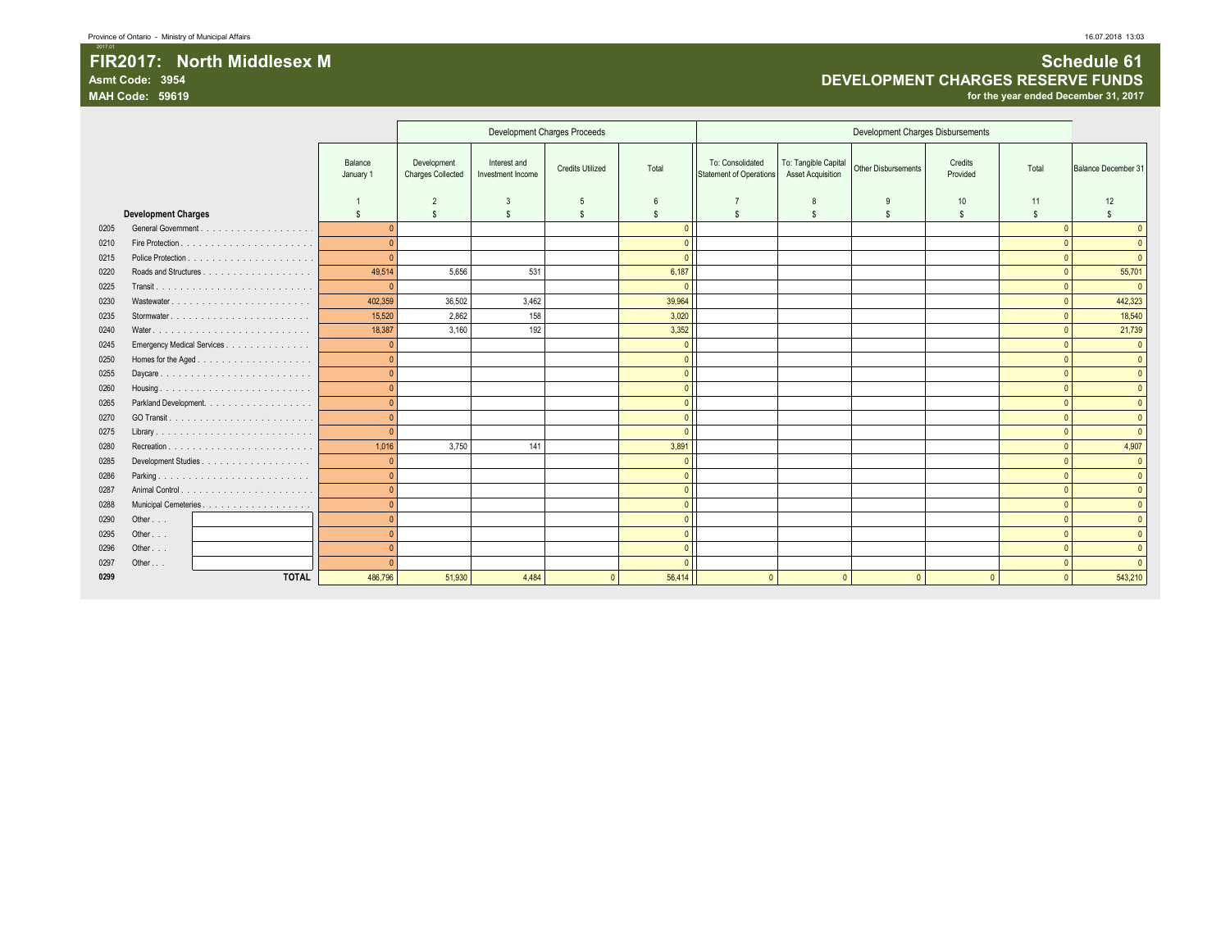#### **2018 - Province of Ontario - Ministry of Municipal Affairs** 16.07.2018 13:03

2017.01

### FIR2017: North Middlesex M<br>Asmt Code: 3954 **Schedule 61**<br>DEVELOPMENT CHARGES RESERVE FUNDS **Asmt Code: 3954 DEVELOPMENT CHARGES RESERVE FUNDS**

**MAH Code: 59619 for the year ended December 31, 2017**

|      |                            |                      |                                         |                                   | Development Charges Proceeds |                |                                             |                                                  | Development Charges Disbursements |                     |                    |                     |
|------|----------------------------|----------------------|-----------------------------------------|-----------------------------------|------------------------------|----------------|---------------------------------------------|--------------------------------------------------|-----------------------------------|---------------------|--------------------|---------------------|
|      |                            | Balance<br>January 1 | Development<br><b>Charges Collected</b> | Interest and<br>Investment Income | <b>Credits Utilized</b>      | Total          | To: Consolidated<br>Statement of Operations | To: Tangible Capital<br><b>Asset Acquisition</b> | Other Disbursements               | Credits<br>Provided | Total              | Balance December 31 |
|      |                            |                      |                                         | 3                                 | 5                            | 6              |                                             |                                                  |                                   | 10                  | 11                 | 12                  |
|      | <b>Development Charges</b> | \$.                  | \$.                                     | $\mathbb{S}$                      | $\mathbf{s}$                 | s.             | $\mathbf{s}$                                | <sub>S</sub>                                     | \$.                               | <b>S</b>            | $\mathbf{\hat{S}}$ | \$.                 |
| 0205 |                            | $\Omega$             |                                         |                                   |                              | $\mathbf{0}$   |                                             |                                                  |                                   |                     |                    | $\Omega$            |
| 0210 |                            | $\overline{0}$       |                                         |                                   |                              | $\mathbf{0}$   |                                             |                                                  |                                   |                     |                    | $\overline{0}$      |
| 0215 |                            | $\sqrt{ }$           |                                         |                                   |                              | $\Omega$       |                                             |                                                  |                                   |                     |                    | $\Omega$            |
| 0220 |                            | 49,514               | 5,656                                   | 531                               |                              | 6,187          |                                             |                                                  |                                   |                     |                    | 55,701              |
| 0225 |                            | $\mathbf{0}$         |                                         |                                   |                              | $\Omega$       |                                             |                                                  |                                   |                     |                    | $\overline{0}$      |
| 0230 | Wastewater                 | 402,359              | 36,502                                  | 3,462                             |                              | 39,964         |                                             |                                                  |                                   |                     |                    | 442,323             |
| 0235 |                            | 15,520               | 2,862                                   | 158                               |                              | 3,020          |                                             |                                                  |                                   |                     |                    | 18,540              |
| 0240 |                            | 18,387               | 3.160                                   | 192                               |                              | 3,352          |                                             |                                                  |                                   |                     |                    | 21,739              |
| 0245 | Emergency Medical Services | $\epsilon$           |                                         |                                   |                              | $\mathbf{0}$   |                                             |                                                  |                                   |                     |                    | $\overline{0}$      |
| 0250 |                            | $\Omega$             |                                         |                                   |                              | $\overline{0}$ |                                             |                                                  |                                   |                     |                    | $\overline{0}$      |
| 0255 |                            | $\Omega$             |                                         |                                   |                              | $\mathbf{0}$   |                                             |                                                  |                                   |                     |                    | $\overline{0}$      |
| 0260 |                            |                      |                                         |                                   |                              | $\mathbf{0}$   |                                             |                                                  |                                   |                     |                    | $\overline{0}$      |
| 0265 | Parkland Development.      | $\Omega$             |                                         |                                   |                              | $\mathbf{0}$   |                                             |                                                  |                                   |                     |                    | $\overline{0}$      |
| 0270 |                            | $\overline{C}$       |                                         |                                   |                              | $\mathbf{0}$   |                                             |                                                  |                                   |                     |                    | $\overline{0}$      |
| 0275 |                            | $\epsilon$           |                                         |                                   |                              | $\Omega$       |                                             |                                                  |                                   |                     |                    | $\overline{0}$      |
| 0280 |                            | 1,016                | 3,750                                   | 141                               |                              | 3,891          |                                             |                                                  |                                   |                     |                    | 4,907               |
| 0285 |                            | $\Omega$             |                                         |                                   |                              | $\mathbf{0}$   |                                             |                                                  |                                   |                     |                    | $\overline{0}$      |
| 0286 | Parking                    | $\overline{C}$       |                                         |                                   |                              | $\mathbf{0}$   |                                             |                                                  |                                   |                     |                    | $\overline{0}$      |
| 0287 |                            | $\overline{0}$       |                                         |                                   |                              | $\overline{0}$ |                                             |                                                  |                                   |                     |                    | $\overline{0}$      |
| 0288 |                            | $\overline{C}$       |                                         |                                   |                              | $\overline{0}$ |                                             |                                                  |                                   |                     |                    | $\overline{0}$      |
| 0290 | Other                      |                      |                                         |                                   |                              | $\mathbf{0}$   |                                             |                                                  |                                   |                     |                    | $\overline{0}$      |
| 0295 | Other                      | $\sqrt{ }$           |                                         |                                   |                              | $\overline{0}$ |                                             |                                                  |                                   |                     |                    | $\overline{0}$      |
| 0296 | Other                      | $\epsilon$           |                                         |                                   |                              | $\overline{0}$ |                                             |                                                  |                                   |                     |                    | $\overline{0}$      |
| 0297 | Other                      |                      |                                         |                                   |                              | $\Omega$       |                                             |                                                  |                                   |                     |                    | $\overline{0}$      |
| 0299 | <b>TOTAL</b>               | 486,796              | 51,930                                  | 4,484                             |                              | 56,414         | $\overline{0}$                              | $\sqrt{2}$                                       | $\Omega$                          |                     |                    | 543,210             |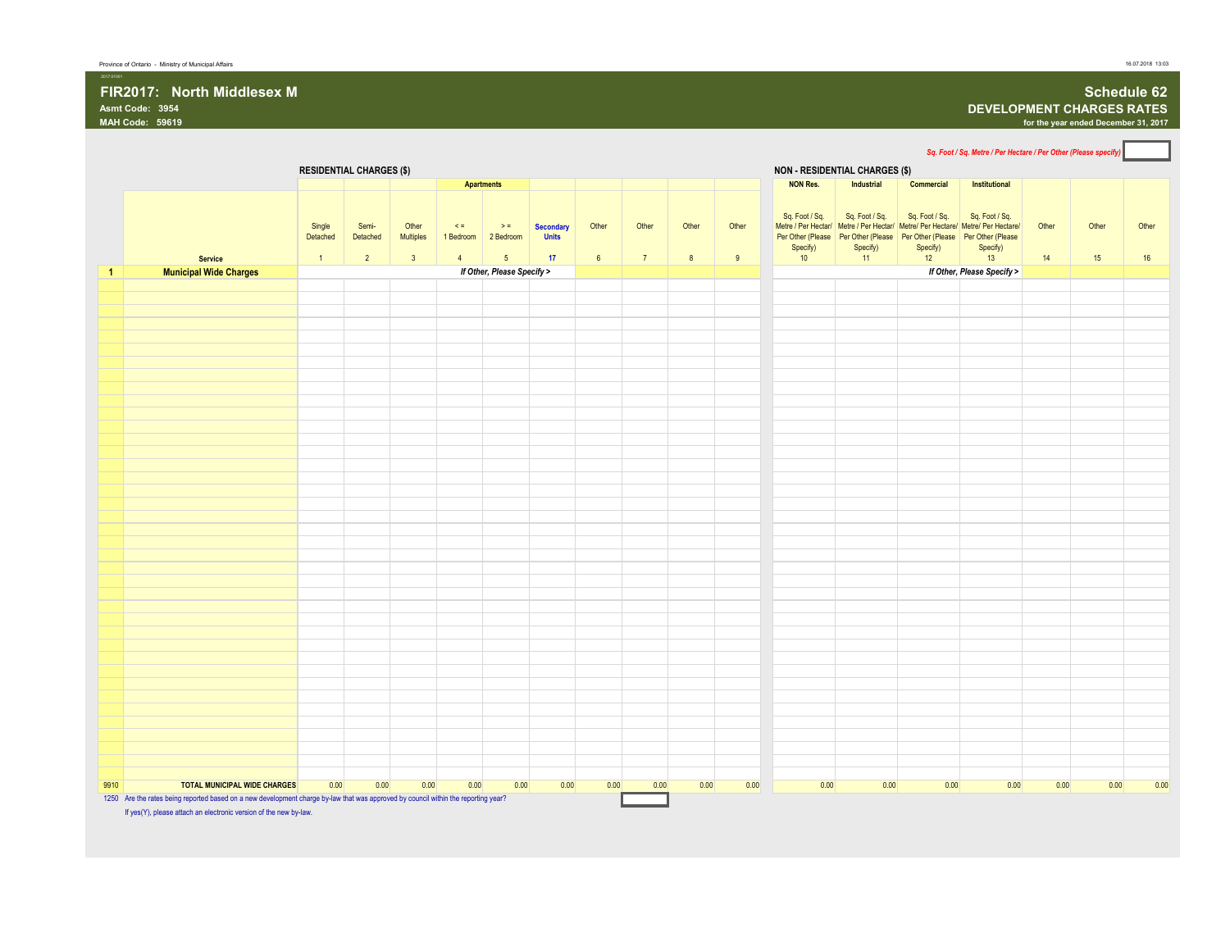# **FIR2017: North Middlesex M Schedule 62**<br>Asmt Code: 3954 **DEVELOPMENT CHARGES RATES**<br>MAH Code: 59619 for the year ended December 31, 2017

 $\overline{\phantom{0}}$ 

## **Asmt Code: 3954 DEVELOPMENT CHARGES RATES**

**MAH Code: 59619 for the year ended December 31, 2017**

|                                                                                                                                                                           |                    |                                 |                         |                         |                              |                                  |                 |                |       |       |                                       |                            |                                                                                                                                                                                          |                            |       | Sq. Foot / Sq. Metre / Per Hectare / Per Other (Please specify) |       |
|---------------------------------------------------------------------------------------------------------------------------------------------------------------------------|--------------------|---------------------------------|-------------------------|-------------------------|------------------------------|----------------------------------|-----------------|----------------|-------|-------|---------------------------------------|----------------------------|------------------------------------------------------------------------------------------------------------------------------------------------------------------------------------------|----------------------------|-------|-----------------------------------------------------------------|-------|
|                                                                                                                                                                           |                    | <b>RESIDENTIAL CHARGES (\$)</b> |                         |                         |                              |                                  |                 |                |       |       | <b>NON - RESIDENTIAL CHARGES (\$)</b> |                            |                                                                                                                                                                                          |                            |       |                                                                 |       |
|                                                                                                                                                                           |                    |                                 |                         |                         | <b>Apartments</b>            |                                  |                 |                |       |       | <b>NON Res.</b>                       | Industrial                 | Commercial                                                                                                                                                                               | Institutional              |       |                                                                 |       |
|                                                                                                                                                                           | Single<br>Detached | Semi-<br>Detached               | Other<br>Multiples      | $\leq$ $=$<br>1 Bedroom | $\geq$ $\equiv$<br>2 Bedroom | <b>Secondary</b><br><b>Units</b> | Other           | Other          | Other | Other | Sq. Foot / Sq.<br>Specify)            | Sq. Foot / Sq.<br>Specify) | Sq. Foot / Sq.<br>Metre / Per Hectar/ Metre / Per Hectar/ Metre/ Per Hectare/ Metre/ Per Hectare/<br>Per Other (Please Per Other (Please Per Other (Please Per Other (Please<br>Specify) | Sq. Foot / Sq.<br>Specify) | Other | Other                                                           | Other |
| <b>Service</b>                                                                                                                                                            | $\overline{1}$     | $\overline{2}$                  | $\overline{\mathbf{3}}$ | $\overline{4}$          | $5\phantom{.0}$              | 17                               | $6\overline{6}$ | 7 <sup>7</sup> | 8     | $9\,$ | 10 <sup>°</sup>                       | 11                         | 12                                                                                                                                                                                       | 13                         | 14    | 15                                                              | 16    |
| <b>Municipal Wide Charges</b>                                                                                                                                             |                    |                                 |                         |                         | If Other, Please Specify >   |                                  |                 |                |       |       |                                       |                            |                                                                                                                                                                                          | If Other, Please Specify > |       |                                                                 |       |
|                                                                                                                                                                           |                    |                                 |                         |                         |                              |                                  |                 |                |       |       |                                       |                            |                                                                                                                                                                                          |                            |       |                                                                 |       |
|                                                                                                                                                                           |                    |                                 |                         |                         |                              |                                  |                 |                |       |       |                                       |                            |                                                                                                                                                                                          |                            |       |                                                                 |       |
|                                                                                                                                                                           |                    |                                 |                         |                         |                              |                                  |                 |                |       |       |                                       |                            |                                                                                                                                                                                          |                            |       |                                                                 |       |
|                                                                                                                                                                           |                    |                                 |                         |                         |                              |                                  |                 |                |       |       |                                       |                            |                                                                                                                                                                                          |                            |       |                                                                 |       |
|                                                                                                                                                                           |                    |                                 |                         |                         |                              |                                  |                 |                |       |       |                                       |                            |                                                                                                                                                                                          |                            |       |                                                                 |       |
|                                                                                                                                                                           |                    |                                 |                         |                         |                              |                                  |                 |                |       |       |                                       |                            |                                                                                                                                                                                          |                            |       |                                                                 |       |
|                                                                                                                                                                           |                    |                                 |                         |                         |                              |                                  |                 |                |       |       |                                       |                            |                                                                                                                                                                                          |                            |       |                                                                 |       |
|                                                                                                                                                                           |                    |                                 |                         |                         |                              |                                  |                 |                |       |       |                                       |                            |                                                                                                                                                                                          |                            |       |                                                                 |       |
|                                                                                                                                                                           |                    |                                 |                         |                         |                              |                                  |                 |                |       |       |                                       |                            |                                                                                                                                                                                          |                            |       |                                                                 |       |
|                                                                                                                                                                           |                    |                                 |                         |                         |                              |                                  |                 |                |       |       |                                       |                            |                                                                                                                                                                                          |                            |       |                                                                 |       |
|                                                                                                                                                                           |                    |                                 |                         |                         |                              |                                  |                 |                |       |       |                                       |                            |                                                                                                                                                                                          |                            |       |                                                                 |       |
|                                                                                                                                                                           |                    |                                 |                         |                         |                              |                                  |                 |                |       |       |                                       |                            |                                                                                                                                                                                          |                            |       |                                                                 |       |
|                                                                                                                                                                           |                    |                                 |                         |                         |                              |                                  |                 |                |       |       |                                       |                            |                                                                                                                                                                                          |                            |       |                                                                 |       |
|                                                                                                                                                                           |                    |                                 |                         |                         |                              |                                  |                 |                |       |       |                                       |                            |                                                                                                                                                                                          |                            |       |                                                                 |       |
|                                                                                                                                                                           |                    |                                 |                         |                         |                              |                                  |                 |                |       |       |                                       |                            |                                                                                                                                                                                          |                            |       |                                                                 |       |
|                                                                                                                                                                           |                    |                                 |                         |                         |                              |                                  |                 |                |       |       |                                       |                            |                                                                                                                                                                                          |                            |       |                                                                 |       |
|                                                                                                                                                                           |                    |                                 |                         |                         |                              |                                  |                 |                |       |       |                                       |                            |                                                                                                                                                                                          |                            |       |                                                                 |       |
|                                                                                                                                                                           |                    |                                 |                         |                         |                              |                                  |                 |                |       |       |                                       |                            |                                                                                                                                                                                          |                            |       |                                                                 |       |
|                                                                                                                                                                           |                    |                                 |                         |                         |                              |                                  |                 |                |       |       |                                       |                            |                                                                                                                                                                                          |                            |       |                                                                 |       |
|                                                                                                                                                                           |                    |                                 |                         |                         |                              |                                  |                 |                |       |       |                                       |                            |                                                                                                                                                                                          |                            |       |                                                                 |       |
|                                                                                                                                                                           |                    |                                 |                         |                         |                              |                                  |                 |                |       |       |                                       |                            |                                                                                                                                                                                          |                            |       |                                                                 |       |
|                                                                                                                                                                           |                    |                                 |                         |                         |                              |                                  |                 |                |       |       |                                       |                            |                                                                                                                                                                                          |                            |       |                                                                 |       |
|                                                                                                                                                                           |                    |                                 |                         |                         |                              |                                  |                 |                |       |       |                                       |                            |                                                                                                                                                                                          |                            |       |                                                                 |       |
|                                                                                                                                                                           |                    |                                 |                         |                         |                              |                                  |                 |                |       |       |                                       |                            |                                                                                                                                                                                          |                            |       |                                                                 |       |
|                                                                                                                                                                           |                    |                                 |                         |                         |                              |                                  |                 |                |       |       |                                       |                            |                                                                                                                                                                                          |                            |       |                                                                 |       |
|                                                                                                                                                                           |                    |                                 |                         |                         |                              |                                  |                 |                |       |       |                                       |                            |                                                                                                                                                                                          |                            |       |                                                                 |       |
|                                                                                                                                                                           |                    |                                 |                         |                         |                              |                                  |                 |                |       |       |                                       |                            |                                                                                                                                                                                          |                            |       |                                                                 |       |
|                                                                                                                                                                           |                    |                                 |                         |                         |                              |                                  |                 |                |       |       |                                       |                            |                                                                                                                                                                                          |                            |       |                                                                 |       |
|                                                                                                                                                                           |                    |                                 |                         |                         |                              |                                  |                 |                |       |       |                                       |                            |                                                                                                                                                                                          |                            |       |                                                                 |       |
|                                                                                                                                                                           |                    |                                 |                         |                         |                              |                                  |                 |                |       |       |                                       |                            |                                                                                                                                                                                          |                            |       |                                                                 |       |
|                                                                                                                                                                           |                    |                                 |                         |                         |                              |                                  |                 |                |       |       |                                       |                            |                                                                                                                                                                                          |                            |       |                                                                 |       |
|                                                                                                                                                                           |                    |                                 |                         |                         |                              |                                  |                 |                |       |       |                                       |                            |                                                                                                                                                                                          |                            |       |                                                                 |       |
|                                                                                                                                                                           |                    |                                 |                         |                         |                              |                                  |                 |                |       |       |                                       |                            |                                                                                                                                                                                          |                            |       |                                                                 |       |
|                                                                                                                                                                           |                    |                                 |                         |                         |                              |                                  |                 |                |       |       |                                       |                            |                                                                                                                                                                                          |                            |       |                                                                 |       |
| <b>TOTAL MUNICIPAL WIDE CHARGES</b><br>1250 Are the rates being reported based on a new development charge by-law that was approved by council within the reporting year? | 0.00               | 0.00                            | 0.00                    | 0.00                    | 0.00                         | 0.00                             | 0.00            | 0.00           | 0.00  | 0.00  | 0.00                                  | 0.00                       | 0.00                                                                                                                                                                                     | 0.00                       | 0.00  | 0.00                                                            |       |

If yes(Y), please attach an electronic version of the new by-law.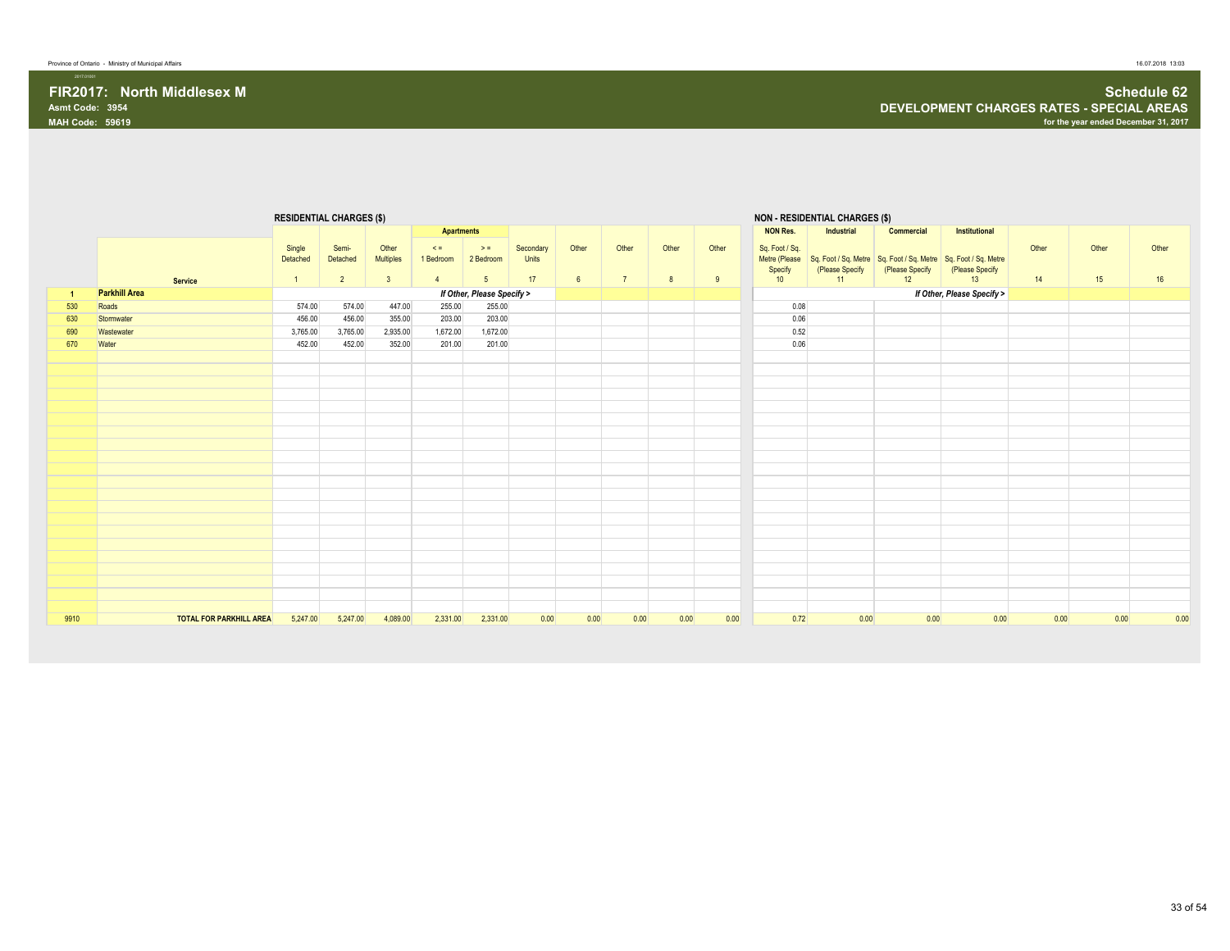|      |                                | <b>RESIDENTIAL CHARGES (\$)</b> |                                     |                                    |                                         |                                         |                          |                          |                         |            |            |                                                  | <b>NON - RESIDENTIAL CHARGES (\$)</b>                                                   |                       |                            |             |             |             |
|------|--------------------------------|---------------------------------|-------------------------------------|------------------------------------|-----------------------------------------|-----------------------------------------|--------------------------|--------------------------|-------------------------|------------|------------|--------------------------------------------------|-----------------------------------------------------------------------------------------|-----------------------|----------------------------|-------------|-------------|-------------|
|      |                                |                                 |                                     |                                    | <b>Apartments</b>                       |                                         |                          |                          |                         |            |            | <b>NON Res.</b>                                  | <b>Industrial</b>                                                                       | Commercial            | Institutional              |             |             |             |
|      | <b>Service</b>                 | Single<br>Detached              | Semi-<br>Detached<br>$\overline{2}$ | Other<br>Multiples<br>$\mathbf{3}$ | $\leq$ =<br>1 Bedroom<br>$\overline{4}$ | $>$ $=$<br>2 Bedroom<br>$5\phantom{.0}$ | Secondary<br>Units<br>17 | Other<br>$6\overline{6}$ | Other<br>$\overline{7}$ | Other<br>8 | Other<br>9 | Sq. Foot / Sq.<br>Metre (Please<br>Specify<br>10 | Sq. Foot / Sq. Metre Sq. Foot / Sq. Metre Sq. Foot / Sq. Metre<br>(Please Specify<br>11 | (Please Specify<br>12 | (Please Specify<br>13      | Other<br>14 | Other<br>15 | Other<br>16 |
| -1   | <b>Parkhill Area</b>           |                                 |                                     |                                    |                                         | If Other, Please Specify >              |                          |                          |                         |            |            |                                                  |                                                                                         |                       | If Other, Please Specify > |             |             |             |
| 530  | Roads                          | 574.00                          | 574.00                              | 447.00                             | 255.00                                  | 255.00                                  |                          |                          |                         |            |            | 0.08                                             |                                                                                         |                       |                            |             |             |             |
| 630  | Stormwater                     | 456.00                          | 456.00                              | 355.00                             | 203.00                                  | 203.00                                  |                          |                          |                         |            |            | 0.06                                             |                                                                                         |                       |                            |             |             |             |
| 690  | Wastewater                     | 3,765.00                        | 3,765.00                            | 2,935.00                           | 1,672.00                                | 1,672.00                                |                          |                          |                         |            |            | 0.52                                             |                                                                                         |                       |                            |             |             |             |
| 670  | Water                          | 452.00                          | 452.00                              | 352.00                             | 201.00                                  | 201.00                                  |                          |                          |                         |            |            | 0.06                                             |                                                                                         |                       |                            |             |             |             |
|      |                                |                                 |                                     |                                    |                                         |                                         |                          |                          |                         |            |            |                                                  |                                                                                         |                       |                            |             |             |             |
|      |                                |                                 |                                     |                                    |                                         |                                         |                          |                          |                         |            |            |                                                  |                                                                                         |                       |                            |             |             |             |
|      |                                |                                 |                                     |                                    |                                         |                                         |                          |                          |                         |            |            |                                                  |                                                                                         |                       |                            |             |             |             |
|      |                                |                                 |                                     |                                    |                                         |                                         |                          |                          |                         |            |            |                                                  |                                                                                         |                       |                            |             |             |             |
|      |                                |                                 |                                     |                                    |                                         |                                         |                          |                          |                         |            |            |                                                  |                                                                                         |                       |                            |             |             |             |
|      |                                |                                 |                                     |                                    |                                         |                                         |                          |                          |                         |            |            |                                                  |                                                                                         |                       |                            |             |             |             |
|      |                                |                                 |                                     |                                    |                                         |                                         |                          |                          |                         |            |            |                                                  |                                                                                         |                       |                            |             |             |             |
|      |                                |                                 |                                     |                                    |                                         |                                         |                          |                          |                         |            |            |                                                  |                                                                                         |                       |                            |             |             |             |
|      |                                |                                 |                                     |                                    |                                         |                                         |                          |                          |                         |            |            |                                                  |                                                                                         |                       |                            |             |             |             |
|      |                                |                                 |                                     |                                    |                                         |                                         |                          |                          |                         |            |            |                                                  |                                                                                         |                       |                            |             |             |             |
|      |                                |                                 |                                     |                                    |                                         |                                         |                          |                          |                         |            |            |                                                  |                                                                                         |                       |                            |             |             |             |
|      |                                |                                 |                                     |                                    |                                         |                                         |                          |                          |                         |            |            |                                                  |                                                                                         |                       |                            |             |             |             |
|      |                                |                                 |                                     |                                    |                                         |                                         |                          |                          |                         |            |            |                                                  |                                                                                         |                       |                            |             |             |             |
|      |                                |                                 |                                     |                                    |                                         |                                         |                          |                          |                         |            |            |                                                  |                                                                                         |                       |                            |             |             |             |
|      |                                |                                 |                                     |                                    |                                         |                                         |                          |                          |                         |            |            |                                                  |                                                                                         |                       |                            |             |             |             |
|      |                                |                                 |                                     |                                    |                                         |                                         |                          |                          |                         |            |            |                                                  |                                                                                         |                       |                            |             |             |             |
|      |                                |                                 |                                     |                                    |                                         |                                         |                          |                          |                         |            |            |                                                  |                                                                                         |                       |                            |             |             |             |
|      |                                |                                 |                                     |                                    |                                         |                                         |                          |                          |                         |            |            |                                                  |                                                                                         |                       |                            |             |             |             |
|      |                                |                                 |                                     |                                    |                                         |                                         |                          |                          |                         |            |            |                                                  |                                                                                         |                       |                            |             |             |             |
|      |                                |                                 |                                     |                                    |                                         |                                         |                          |                          |                         |            |            |                                                  |                                                                                         |                       |                            |             |             |             |
| 9910 | <b>TOTAL FOR PARKHILL AREA</b> | 5,247.00                        | 5,247.00                            | 4,089.00                           | 2,331.00                                | 2,331.00                                | 0.00                     | 0.00                     | 0.00                    | 0.00       | 0.00       | 0.72                                             | 0.00                                                                                    | 0.00                  | 0.00                       | 0.00        | 0.00        | 0.00        |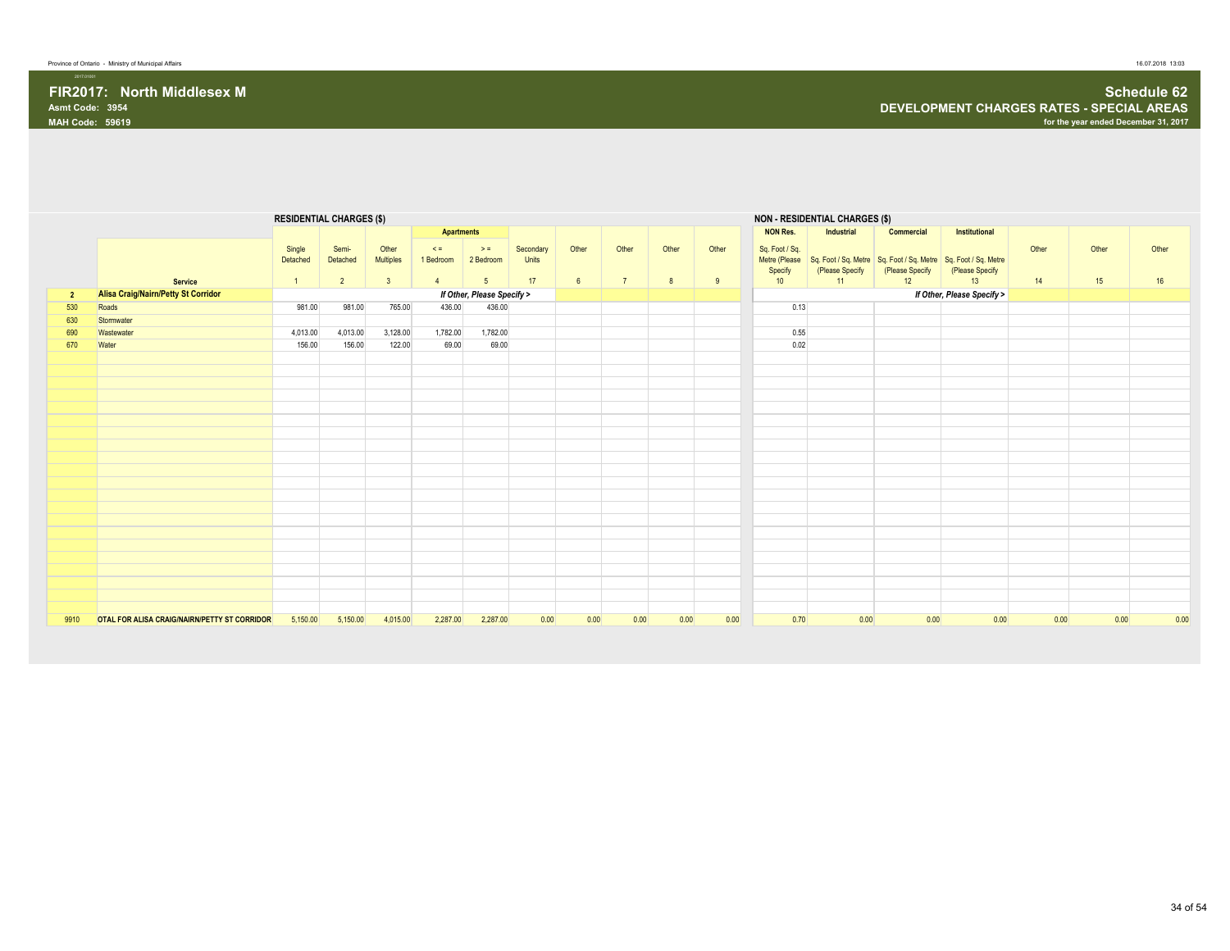|                |                                                              |                                      | <b>RESIDENTIAL CHARGES (\$)</b>     |                                               |                                         |                                                 |                          |                          |                         |            |            |                                 | <b>NON - RESIDENTIAL CHARGES (\$)</b> |                                                                                                       |                            |             |             |             |
|----------------|--------------------------------------------------------------|--------------------------------------|-------------------------------------|-----------------------------------------------|-----------------------------------------|-------------------------------------------------|--------------------------|--------------------------|-------------------------|------------|------------|---------------------------------|---------------------------------------|-------------------------------------------------------------------------------------------------------|----------------------------|-------------|-------------|-------------|
|                |                                                              |                                      |                                     |                                               | <b>Apartments</b>                       |                                                 |                          |                          |                         |            |            | <b>NON Res.</b>                 | Industrial                            | Commercial                                                                                            | Institutional              |             |             |             |
|                |                                                              | Single<br>Detached<br>$\overline{1}$ | Semi-<br>Detached<br>$\overline{2}$ | Other<br>Multiples<br>$\overline{\mathbf{3}}$ | $\leq$ =<br>1 Bedroom<br>$\overline{4}$ | $\Rightarrow$ =<br>2 Bedroom<br>$5\overline{)}$ | Secondary<br>Units<br>17 | Other<br>$6\overline{6}$ | Other<br>$\overline{7}$ | Other<br>8 | Other<br>9 | Sq. Foot / Sq.<br>Specify<br>10 | (Please Specify<br>11                 | Metre (Please Sq. Foot / Sq. Metre Sq. Foot / Sq. Metre Sq. Foot / Sq. Metre<br>(Please Specify<br>12 | (Please Specify<br>13      | Other<br>14 | Other<br>15 | Other<br>16 |
|                | <b>Service</b><br><b>Alisa Craig/Nairn/Petty St Corridor</b> |                                      |                                     |                                               |                                         | If Other, Please Specify >                      |                          |                          |                         |            |            |                                 |                                       |                                                                                                       |                            |             |             |             |
| $\overline{2}$ | Roads                                                        | 981.00                               | 981.00                              | 765.00                                        | 436.00                                  | 436.00                                          |                          |                          |                         |            |            | 0.13                            |                                       |                                                                                                       | If Other, Please Specify > |             |             |             |
| 530            |                                                              |                                      |                                     |                                               |                                         |                                                 |                          |                          |                         |            |            |                                 |                                       |                                                                                                       |                            |             |             |             |
| 630            | Stormwater                                                   |                                      |                                     |                                               |                                         |                                                 |                          |                          |                         |            |            |                                 |                                       |                                                                                                       |                            |             |             |             |
| 690            | Wastewater                                                   | 4,013.00                             | 4,013.00                            | 3,128.00                                      | 1,782.00                                | 1,782.00                                        |                          |                          |                         |            |            | 0.55                            |                                       |                                                                                                       |                            |             |             |             |
| 670            | Water                                                        | 156.00                               | 156.00                              | 122.00                                        | 69.00                                   | 69.00                                           |                          |                          |                         |            |            | 0.02                            |                                       |                                                                                                       |                            |             |             |             |
|                |                                                              |                                      |                                     |                                               |                                         |                                                 |                          |                          |                         |            |            |                                 |                                       |                                                                                                       |                            |             |             |             |
|                |                                                              |                                      |                                     |                                               |                                         |                                                 |                          |                          |                         |            |            |                                 |                                       |                                                                                                       |                            |             |             |             |
|                |                                                              |                                      |                                     |                                               |                                         |                                                 |                          |                          |                         |            |            |                                 |                                       |                                                                                                       |                            |             |             |             |
|                |                                                              |                                      |                                     |                                               |                                         |                                                 |                          |                          |                         |            |            |                                 |                                       |                                                                                                       |                            |             |             |             |
|                |                                                              |                                      |                                     |                                               |                                         |                                                 |                          |                          |                         |            |            |                                 |                                       |                                                                                                       |                            |             |             |             |
|                |                                                              |                                      |                                     |                                               |                                         |                                                 |                          |                          |                         |            |            |                                 |                                       |                                                                                                       |                            |             |             |             |
|                |                                                              |                                      |                                     |                                               |                                         |                                                 |                          |                          |                         |            |            |                                 |                                       |                                                                                                       |                            |             |             |             |
|                |                                                              |                                      |                                     |                                               |                                         |                                                 |                          |                          |                         |            |            |                                 |                                       |                                                                                                       |                            |             |             |             |
|                |                                                              |                                      |                                     |                                               |                                         |                                                 |                          |                          |                         |            |            |                                 |                                       |                                                                                                       |                            |             |             |             |
|                |                                                              |                                      |                                     |                                               |                                         |                                                 |                          |                          |                         |            |            |                                 |                                       |                                                                                                       |                            |             |             |             |
|                |                                                              |                                      |                                     |                                               |                                         |                                                 |                          |                          |                         |            |            |                                 |                                       |                                                                                                       |                            |             |             |             |
|                |                                                              |                                      |                                     |                                               |                                         |                                                 |                          |                          |                         |            |            |                                 |                                       |                                                                                                       |                            |             |             |             |
|                |                                                              |                                      |                                     |                                               |                                         |                                                 |                          |                          |                         |            |            |                                 |                                       |                                                                                                       |                            |             |             |             |
|                |                                                              |                                      |                                     |                                               |                                         |                                                 |                          |                          |                         |            |            |                                 |                                       |                                                                                                       |                            |             |             |             |
|                |                                                              |                                      |                                     |                                               |                                         |                                                 |                          |                          |                         |            |            |                                 |                                       |                                                                                                       |                            |             |             |             |
|                |                                                              |                                      |                                     |                                               |                                         |                                                 |                          |                          |                         |            |            |                                 |                                       |                                                                                                       |                            |             |             |             |
|                |                                                              |                                      |                                     |                                               |                                         |                                                 |                          |                          |                         |            |            |                                 |                                       |                                                                                                       |                            |             |             |             |
|                |                                                              |                                      |                                     |                                               |                                         |                                                 |                          |                          |                         |            |            |                                 |                                       |                                                                                                       |                            |             |             |             |
|                |                                                              |                                      |                                     |                                               |                                         |                                                 |                          |                          |                         |            |            |                                 |                                       |                                                                                                       |                            |             |             |             |
|                |                                                              |                                      |                                     |                                               |                                         |                                                 |                          |                          |                         |            |            |                                 |                                       |                                                                                                       |                            |             |             |             |
|                |                                                              |                                      |                                     |                                               |                                         |                                                 |                          |                          |                         |            |            |                                 |                                       |                                                                                                       |                            |             |             |             |
| 9910           | OTAL FOR ALISA CRAIG/NAIRN/PETTY ST CORRIDOR                 | 5,150.00                             | 5,150.00                            | 4,015.00                                      | 2,287.00                                | 2,287.00                                        | 0.00                     | 0.00                     | 0.00                    | 0.00       | 0.00       | 0.70                            | 0.00                                  | 0.00                                                                                                  | 0.00                       | 0.00        | 0.00        | 0.00        |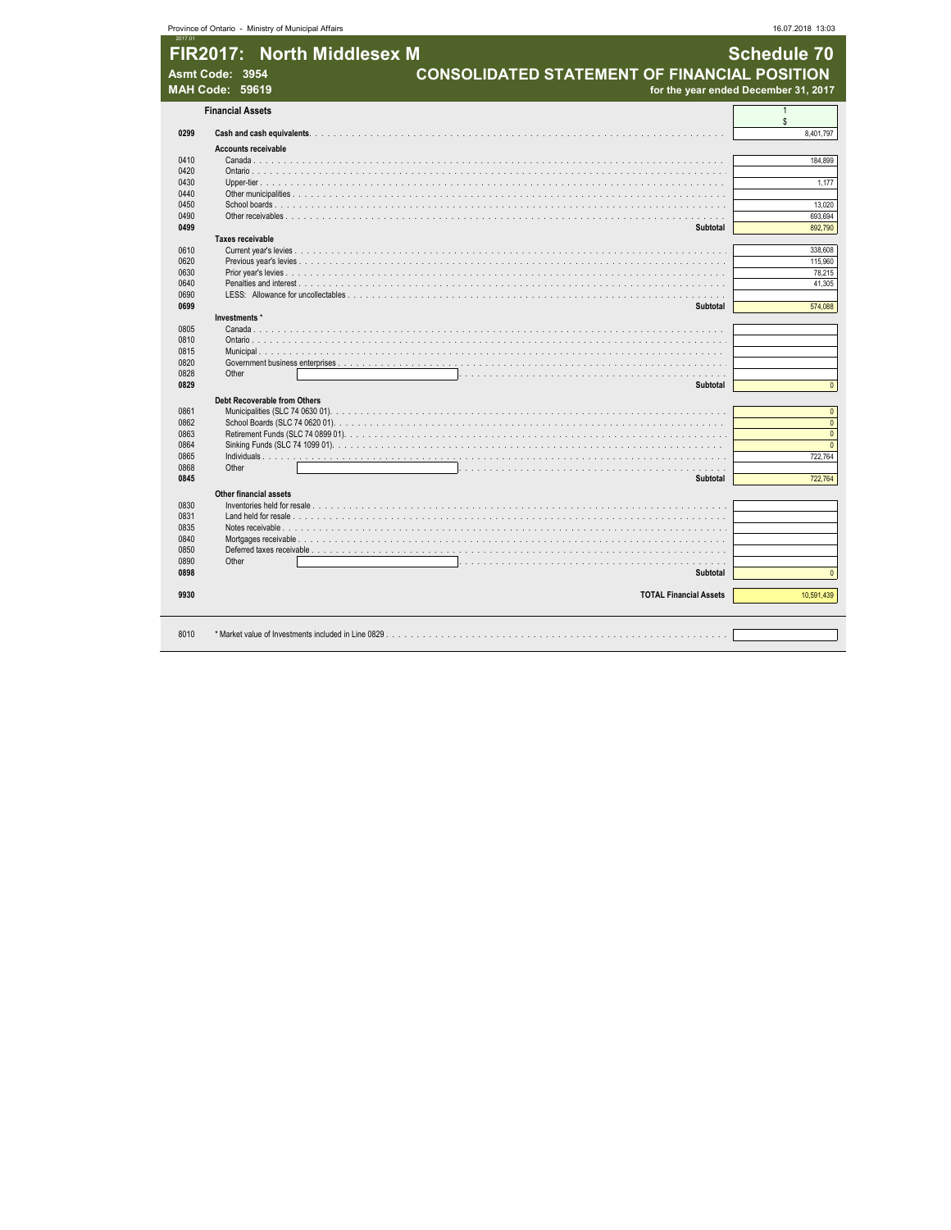|              | FIR2017: North Middlesex M<br><b>CONSOLIDATED STATEMENT OF FINANCIAL POSITION</b><br>Asmt Code: 3954<br><b>MAH Code: 59619</b> | <b>Schedule 70</b><br>for the year ended December 31, 2017 |
|--------------|--------------------------------------------------------------------------------------------------------------------------------|------------------------------------------------------------|
|              | <b>Financial Assets</b>                                                                                                        | $\mathbf{1}$                                               |
| 0299         |                                                                                                                                | $\mathbb{S}$<br>8,401,797                                  |
|              | <b>Accounts receivable</b>                                                                                                     |                                                            |
| 0410         |                                                                                                                                | 184,899                                                    |
| 0420         |                                                                                                                                |                                                            |
| 0430         |                                                                                                                                | 1,177                                                      |
| 0440         |                                                                                                                                |                                                            |
| 0450         |                                                                                                                                | 13.020                                                     |
| 0490         |                                                                                                                                | 693,694                                                    |
| 0499         | Subtotal                                                                                                                       | 892,790                                                    |
|              | Taxes receivable                                                                                                               |                                                            |
| 0610         |                                                                                                                                | 338,608                                                    |
| 0620<br>0630 |                                                                                                                                | 115,960                                                    |
|              |                                                                                                                                | 78,215                                                     |
|              |                                                                                                                                | 41,305                                                     |
|              |                                                                                                                                | 574,088                                                    |
|              | <b>Subtotal</b><br>Investments *                                                                                               |                                                            |
|              |                                                                                                                                |                                                            |
|              |                                                                                                                                |                                                            |
|              |                                                                                                                                |                                                            |
|              |                                                                                                                                |                                                            |
|              | Other                                                                                                                          |                                                            |
|              | Subtotal                                                                                                                       |                                                            |
|              |                                                                                                                                |                                                            |
|              | Debt Recoverable from Others                                                                                                   |                                                            |
|              |                                                                                                                                |                                                            |
|              |                                                                                                                                |                                                            |
|              |                                                                                                                                |                                                            |
|              |                                                                                                                                | 722.764                                                    |
|              | Other                                                                                                                          |                                                            |
|              | Subtotal                                                                                                                       | 722,764                                                    |
|              |                                                                                                                                |                                                            |
|              | <b>Other financial assets</b>                                                                                                  |                                                            |
|              |                                                                                                                                |                                                            |
|              |                                                                                                                                |                                                            |
|              |                                                                                                                                |                                                            |
|              |                                                                                                                                |                                                            |
|              |                                                                                                                                |                                                            |
|              | Other<br><b>Subtotal</b>                                                                                                       |                                                            |
| 0898         |                                                                                                                                |                                                            |
|              | <b>TOTAL Financial Assets</b>                                                                                                  |                                                            |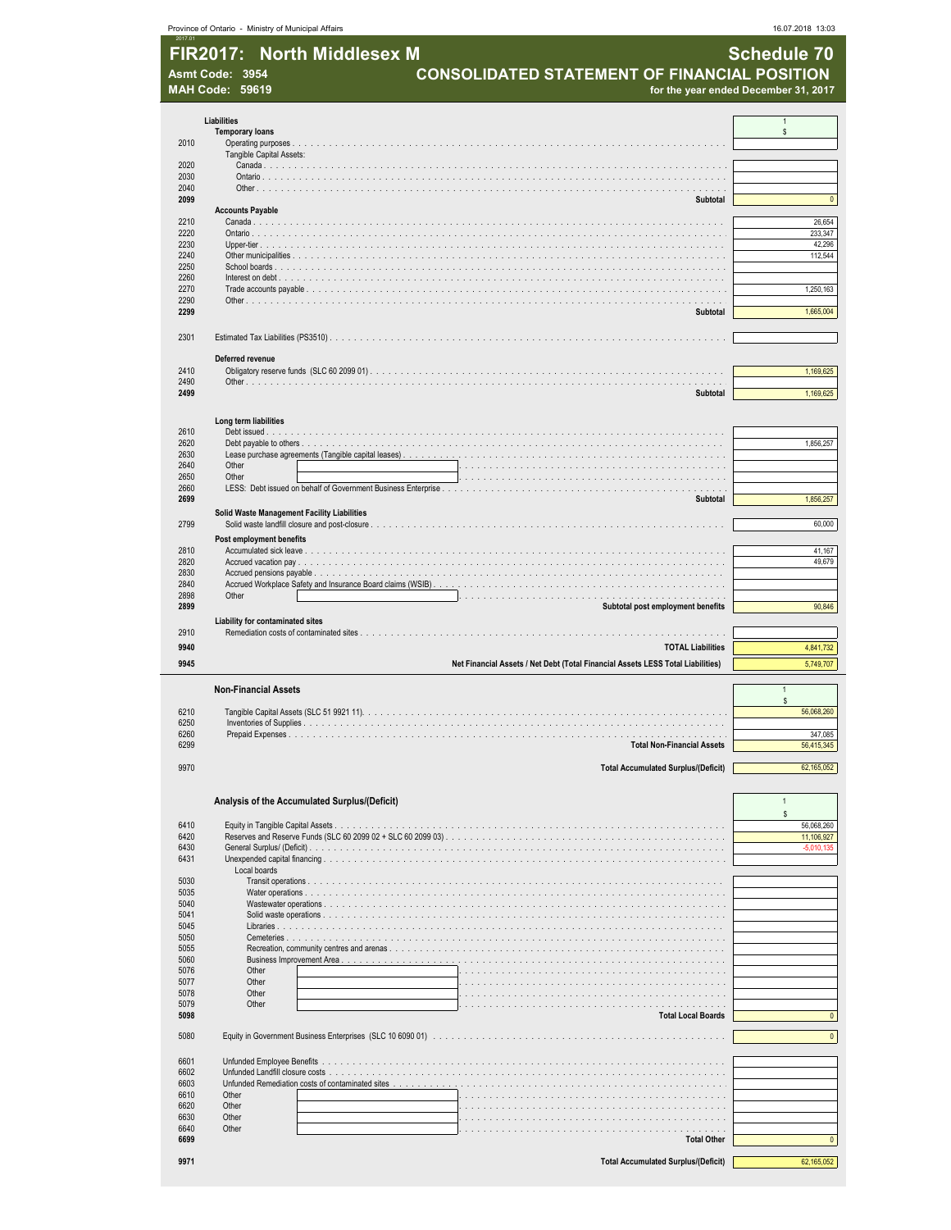|              | Province of Ontario - Ministry of Municipal Affairs |                                                                                 | 16.07.2018 13:03           |
|--------------|-----------------------------------------------------|---------------------------------------------------------------------------------|----------------------------|
|              | <b>North Middlesex M</b><br><b>FIR2017:</b>         |                                                                                 | <b>Schedule 70</b>         |
|              | Asmt Code: 3954                                     | CONSOLIDATED STATEMENT OF FINANCIAL POSITION                                    |                            |
|              | <b>MAH Code: 59619</b>                              | for the year ended December 31, 2017                                            |                            |
|              |                                                     |                                                                                 |                            |
|              | Liabilities<br><b>Temporary loans</b>               |                                                                                 | $\mathbf{1}$<br>\$         |
| 2010         |                                                     |                                                                                 |                            |
| 2020         | Tangible Capital Assets:                            |                                                                                 |                            |
| 2030         |                                                     |                                                                                 |                            |
| 2040<br>2099 |                                                     | Subtotal                                                                        | $\pmb{0}$                  |
|              | <b>Accounts Payable</b>                             |                                                                                 |                            |
| 2210<br>2220 |                                                     |                                                                                 | 26,654<br>233,347          |
| 2230         |                                                     |                                                                                 | 42,296                     |
| 2240<br>2250 |                                                     |                                                                                 | 112,544                    |
| 2260<br>2270 |                                                     |                                                                                 | 1,250,163                  |
| 2290         |                                                     |                                                                                 |                            |
| 2299         |                                                     | Subtotal                                                                        | 1,665,004                  |
| 2301         |                                                     |                                                                                 |                            |
|              | Deferred revenue                                    |                                                                                 |                            |
| 2410         |                                                     |                                                                                 | 1,169,625                  |
| 2490<br>2499 |                                                     | Subtotal                                                                        | 1,169,625                  |
|              |                                                     |                                                                                 |                            |
|              | Long term liabilities                               |                                                                                 |                            |
| 2610<br>2620 |                                                     |                                                                                 | 1,856,257                  |
| 2630<br>2640 | Other                                               |                                                                                 |                            |
| 2650         | Other                                               | .                                                                               |                            |
| 2660<br>2699 |                                                     | Subtotal                                                                        | 1,856,257                  |
|              | <b>Solid Waste Management Facility Liabilities</b>  |                                                                                 |                            |
| 2799         |                                                     |                                                                                 | 60,000                     |
| 2810         | Post employment benefits                            |                                                                                 | 41,167                     |
| 2820<br>2830 |                                                     |                                                                                 | 49,679                     |
| 2840         |                                                     |                                                                                 |                            |
| 2898<br>2899 | Other                                               | Subtotal post employment benefits                                               | 90,846                     |
|              | Liability for contaminated sites                    |                                                                                 |                            |
| 2910<br>9940 |                                                     | <b>TOTAL Liabilities</b>                                                        | 4,841,732                  |
| 9945         |                                                     | Net Financial Assets / Net Debt (Total Financial Assets LESS Total Liabilities) | 5,749,707                  |
|              |                                                     |                                                                                 |                            |
|              | <b>Non-Financial Assets</b>                         |                                                                                 | \$                         |
| 6210         |                                                     |                                                                                 | 56,068,260                 |
| 6250<br>6260 | inventories or Supplies<br>Prepaid Expenses.        |                                                                                 | 347,085                    |
| 6299         |                                                     | <b>Total Non-Financial Assets</b>                                               | 56,415,345                 |
| 9970         |                                                     | <b>Total Accumulated Surplus/(Deficit)</b>                                      | 62,165,052                 |
|              |                                                     |                                                                                 |                            |
|              | Analysis of the Accumulated Surplus/(Deficit)       |                                                                                 | 1                          |
| 6410         |                                                     |                                                                                 | \$<br>56,068,260           |
| 6420<br>6430 |                                                     |                                                                                 | 11,106,927<br>$-5,010,135$ |
| 6431         |                                                     |                                                                                 |                            |
| 5030         | Local boards                                        |                                                                                 |                            |
| 5035         |                                                     |                                                                                 |                            |
| 5040<br>5041 |                                                     |                                                                                 |                            |
| 5045<br>5050 |                                                     |                                                                                 |                            |
| 5055         |                                                     |                                                                                 |                            |
| 5060<br>5076 | Other                                               |                                                                                 |                            |
| 5077         | Other                                               |                                                                                 |                            |
| 5078<br>5079 | Other<br>Other                                      | .                                                                               |                            |
| 5098         |                                                     | <b>Total Local Boards</b>                                                       | $\pmb{0}$                  |
| 5080         |                                                     |                                                                                 | $\pmb{0}$                  |
| 6601         |                                                     |                                                                                 |                            |
| 6602         | Unfunded Landfill closure costs                     |                                                                                 |                            |
| 6603<br>6610 | Other                                               |                                                                                 |                            |
| 6620         | Other                                               |                                                                                 |                            |
| 6630<br>6640 | Other<br>Other                                      |                                                                                 |                            |
| 6699         |                                                     | <b>Total Other</b>                                                              | $\pmb{0}$                  |
| 9971         |                                                     | <b>Total Accumulated Surplus/(Deficit)</b>                                      | 62,165,052                 |
|              |                                                     |                                                                                 |                            |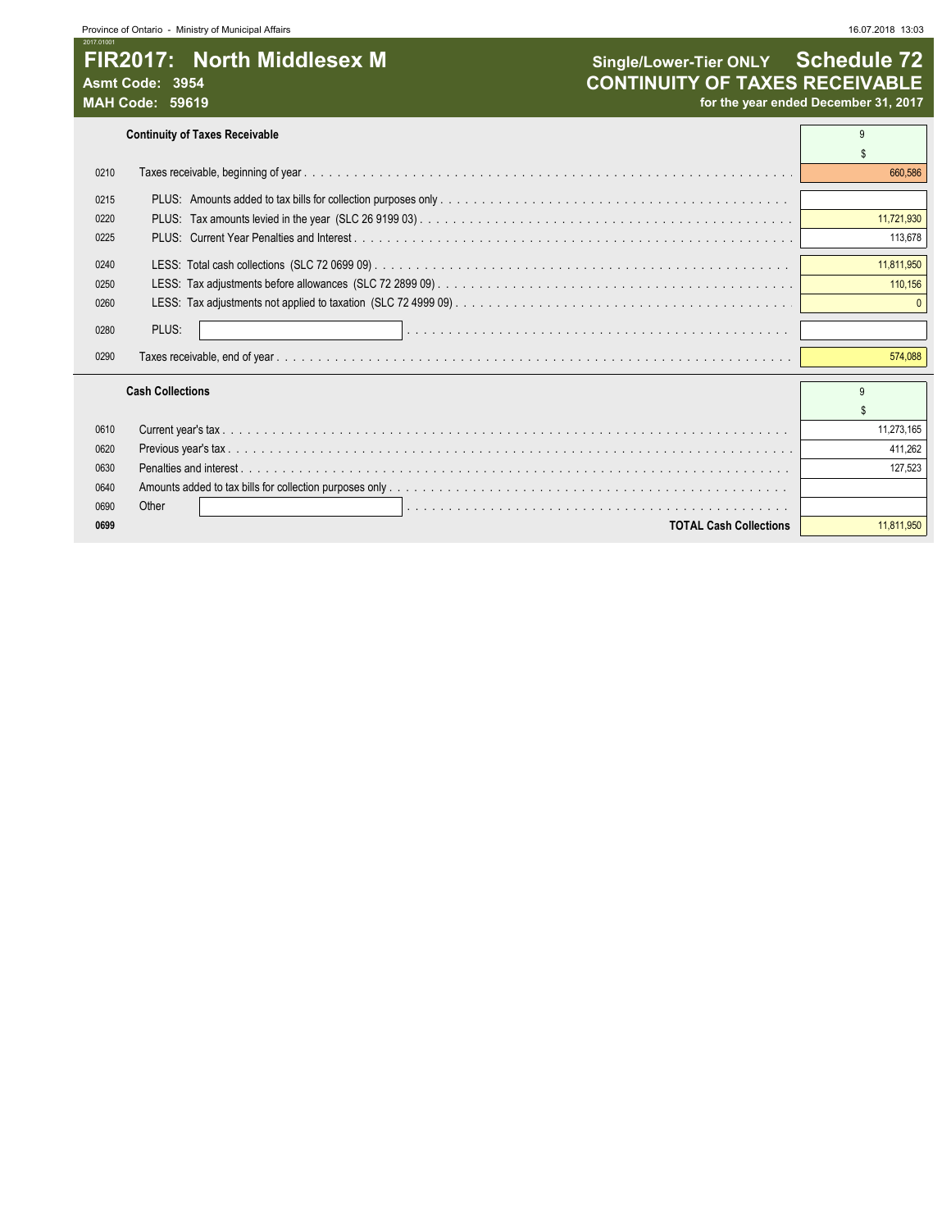## 2017.01001 FIR2017: North Middlesex M **Single/Lower-Tier ONLY** Schedule 72

**Continuity of Taxes Receivable** 9

| 0210 |                               | 660,586    |
|------|-------------------------------|------------|
| 0215 |                               |            |
| 0220 |                               | 11,721,930 |
| 0225 |                               | 113,678    |
| 0240 |                               | 11,811,950 |
| 0250 |                               | 110,156    |
| 0260 |                               |            |
| 0280 | PLUS:                         |            |
| 0290 | Taxes receivable, end of year | 574,088    |
|      | <b>Cash Collections</b>       |            |
|      |                               |            |
| 0610 |                               | 11,273,165 |
| 0620 |                               | 411.262    |
| 0630 | Penalties and interest.       | 127.523    |
| 0640 |                               |            |
| 0690 | Other                         |            |
| 0699 | <b>TOTAL Cash Collections</b> | 11.811.950 |
|      |                               |            |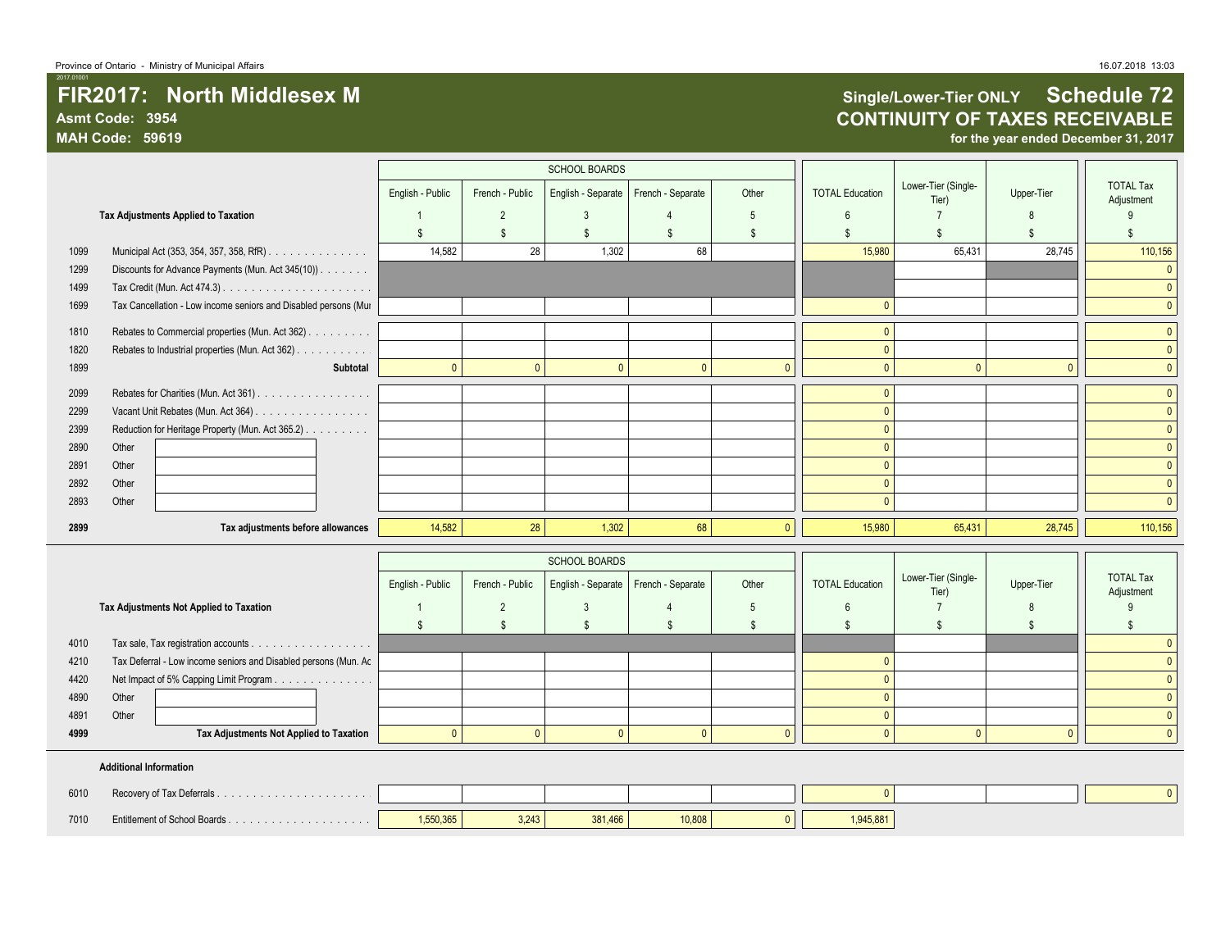# TIR2017: North Middlesex M **Single/Lower-Tier ONLY Schedule 72**<br>Asmt Code: 3954 **Single/Lower-Tier ONLY Schedule 72 Asmt Code: 3954 CONTINUITY OF TAXES RECEIVABLE**

for the year ended December 31, 2017

|      | <b>SCHOOL BOARDS</b>                                            |                  |                 |                      |                   |              |                        |                              |              |                                |
|------|-----------------------------------------------------------------|------------------|-----------------|----------------------|-------------------|--------------|------------------------|------------------------------|--------------|--------------------------------|
|      |                                                                 | English - Public | French - Public | English - Separate   | French - Separate | Other        | <b>TOTAL Education</b> | Lower-Tier (Single-<br>Tier) | Upper-Tier   | <b>TOTAL Tax</b><br>Adjustment |
|      | Tax Adjustments Applied to Taxation                             |                  | $\overline{2}$  | 3                    |                   | 5            | 6                      |                              |              |                                |
|      |                                                                 | \$               | $\mathbb{S}$    | $\mathfrak{S}$       | \$                | -S           | .\$                    | £.                           | ٩            | $\mathbf{\hat{S}}$             |
| 1099 | Municipal Act (353, 354, 357, 358, RfR)                         | 14.582           | 28              | 1,302                | 68                |              | 15,980                 | 65,431                       | 28,745       | 110,156                        |
| 1299 | Discounts for Advance Payments (Mun. Act 345(10))               |                  |                 |                      |                   |              |                        |                              |              | $\Omega$                       |
| 1499 |                                                                 |                  |                 |                      |                   |              |                        |                              |              | $\mathbf{0}$                   |
| 1699 | Tax Cancellation - Low income seniors and Disabled persons (Mur |                  |                 |                      |                   |              | $\mathbf{0}$           |                              |              | $\overline{0}$                 |
| 1810 | Rebates to Commercial properties (Mun. Act 362)                 |                  |                 |                      |                   |              | $\mathbf{0}$           |                              |              | $\overline{0}$                 |
| 1820 | Rebates to Industrial properties (Mun. Act 362)                 |                  |                 |                      |                   |              | $\mathbf{0}$           |                              |              | $\mathbf{0}$                   |
| 1899 | Subtotal                                                        | $\mathbf{0}$     | $\mathbf{0}$    | $\mathbf{0}$         | $\mathbf{0}$      | $\Omega$     | $\mathbf{0}$           | $\mathbf{0}$                 | $\mathbf{0}$ | $\mathbf{0}$                   |
| 2099 | Rebates for Charities (Mun. Act 361)                            |                  |                 |                      |                   |              | $\mathbf{0}$           |                              |              | $\overline{0}$                 |
| 2299 | Vacant Unit Rebates (Mun. Act 364)                              |                  |                 |                      |                   |              | $\mathbf{0}$           |                              |              | $\mathbf{0}$                   |
| 2399 | Reduction for Heritage Property (Mun. Act 365.2)                |                  |                 |                      |                   |              | $\Omega$               |                              |              | $\mathbf{0}$                   |
| 2890 | Other                                                           |                  |                 |                      |                   |              | $\Omega$               |                              |              | $\mathbf{0}$                   |
| 2891 | Other                                                           |                  |                 |                      |                   |              | $\mathbf{0}$           |                              |              | $\mathbf{0}$                   |
| 2892 | Other                                                           |                  |                 |                      |                   |              | $\mathbf{0}$           |                              |              | $\mathbf{0}$                   |
| 2893 | Other                                                           |                  |                 |                      |                   |              | $\Omega$               |                              |              | $\mathbf{0}$                   |
| 2899 | Tax adjustments before allowances                               | 14,582           | 28              | 1,302                | 68                | $\mathbf{0}$ | 15,980                 | 65,431                       | 28,745       | 110,156                        |
|      |                                                                 |                  |                 | <b>SCHOOL BOARDS</b> |                   |              |                        |                              |              |                                |
|      |                                                                 | English - Public | French - Public | English - Separate   | French - Separate | Other        | <b>TOTAL Education</b> | Lower-Tier (Single-<br>Tier) | Upper-Tier   | <b>TOTAL Tax</b><br>Adjustment |
|      | Tax Adjustments Not Applied to Taxation                         |                  | $\overline{2}$  | $\mathbf{3}$         | 4                 | 5            | 6                      | $\overline{7}$               | 8            | 9                              |
|      |                                                                 | \$               | $\mathbb{S}$    | \$                   | $\mathfrak{L}$    | \$           | -S                     | \$                           | S            | \$                             |
| 4010 |                                                                 |                  |                 |                      |                   |              |                        |                              |              | $\Omega$                       |
| 4210 | Tax Deferral - Low income seniors and Disabled persons (Mun. Ac |                  |                 |                      |                   |              | $\mathbf{0}$           |                              |              | $\mathbf{0}$                   |
| 4420 | Net Impact of 5% Capping Limit Program                          |                  |                 |                      |                   |              | $\Omega$               |                              |              | $\mathbf{0}$                   |
| 4890 | Other                                                           |                  |                 |                      |                   |              | $\Omega$               |                              |              | $\mathbf{0}$                   |
| 4891 | Other                                                           |                  |                 |                      |                   |              | $\Omega$               |                              |              | $\Omega$                       |

#### **Additional Information**

| 6010 |           |       |         |        |           |  |  |
|------|-----------|-------|---------|--------|-----------|--|--|
| 7010 | 1.550.365 | 3.243 | 381.466 | 10,808 | 1,945,881 |  |  |

**4999 Tax Adjustments Not Applied to Taxation** 0 0 0 0 0 0 0 0 0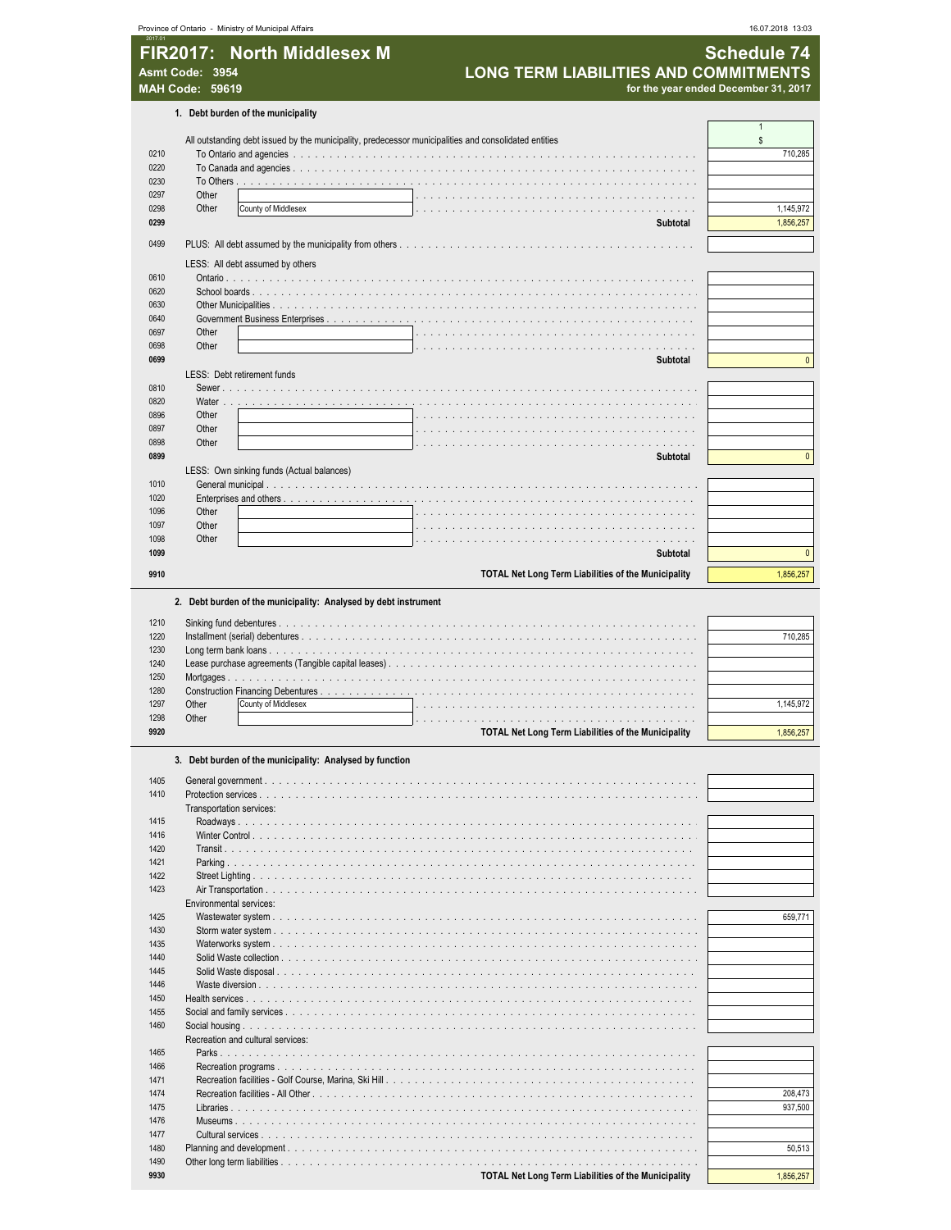| 2017.01                      | Province of Ontario - Ministry of Municipal Affairs                                                   |                                                            | 16.07.2018 13:03                     |
|------------------------------|-------------------------------------------------------------------------------------------------------|------------------------------------------------------------|--------------------------------------|
|                              | FIR2017: North Middlesex M                                                                            |                                                            | <b>Schedule 74</b>                   |
|                              |                                                                                                       | <b>LONG TERM LIABILITIES AND COMMITMENT</b>                |                                      |
|                              | Asmt Code: 3954                                                                                       |                                                            |                                      |
|                              | <b>MAH Code: 59619</b>                                                                                |                                                            | for the year ended December 31, 2017 |
|                              | 1. Debt burden of the municipality                                                                    |                                                            |                                      |
|                              |                                                                                                       |                                                            | $\mathbf{1}$                         |
|                              | All outstanding debt issued by the municipality, predecessor municipalities and consolidated entities |                                                            | \$                                   |
| 0210                         |                                                                                                       |                                                            | 710,285                              |
| 0220                         |                                                                                                       |                                                            |                                      |
| 0230                         |                                                                                                       |                                                            |                                      |
| 0297<br>0298                 | Other<br>Other                                                                                        |                                                            | 1,145,972                            |
| 0299                         | County of Middlesex                                                                                   | $\ldots$<br>Subtotal                                       | 1,856,257                            |
|                              |                                                                                                       |                                                            |                                      |
| 0499                         |                                                                                                       |                                                            |                                      |
|                              | LESS: All debt assumed by others                                                                      |                                                            |                                      |
| 0610                         |                                                                                                       |                                                            |                                      |
| 0620                         |                                                                                                       |                                                            |                                      |
| 0630                         |                                                                                                       |                                                            |                                      |
| 0640                         |                                                                                                       |                                                            |                                      |
| 0697                         | Other                                                                                                 |                                                            |                                      |
| 0698                         | Other                                                                                                 |                                                            |                                      |
| 0699                         |                                                                                                       | <b>Subtotal</b>                                            | $\mathbf{0}$                         |
|                              | LESS: Debt retirement funds                                                                           |                                                            |                                      |
| 0810<br>0820                 | Water                                                                                                 |                                                            |                                      |
| 0896                         | Other                                                                                                 |                                                            |                                      |
| 0897                         | Other                                                                                                 |                                                            |                                      |
| 0898                         | Other                                                                                                 |                                                            |                                      |
| 0899                         |                                                                                                       | Subtotal                                                   | $\mathbf{0}$                         |
|                              | LESS: Own sinking funds (Actual balances)                                                             |                                                            |                                      |
| 1010                         |                                                                                                       |                                                            |                                      |
| 1020                         |                                                                                                       |                                                            |                                      |
| 1096                         | Other                                                                                                 |                                                            |                                      |
| 1097                         | Other                                                                                                 |                                                            |                                      |
| 1098                         | Other                                                                                                 | .<br>.                                                     |                                      |
| 1099                         |                                                                                                       | <b>Subtotal</b>                                            | $\pmb{0}$                            |
| 9910                         |                                                                                                       | <b>TOTAL Net Long Term Liabilities of the Municipality</b> | 1,856,257                            |
| 1220<br>1230<br>1240<br>1250 |                                                                                                       |                                                            | 710.285                              |
| 1280                         |                                                                                                       |                                                            |                                      |
| 1297                         | County of Middlesex<br>Other                                                                          |                                                            | 1,145,972                            |
| 1298                         | Other                                                                                                 |                                                            |                                      |
| 9920                         |                                                                                                       | TOTAL Net Long Term Liabilities of the Municipality        | 1,856,257                            |
|                              |                                                                                                       |                                                            |                                      |
|                              | 3. Debt burden of the municipality: Analysed by function                                              |                                                            |                                      |
| 1405<br>1410                 | Protection services<br>Transportation services:                                                       |                                                            |                                      |
| 1415                         |                                                                                                       |                                                            |                                      |
| 1416                         |                                                                                                       |                                                            |                                      |
| 1420                         |                                                                                                       |                                                            |                                      |
| 1421                         |                                                                                                       |                                                            |                                      |
| 1422                         |                                                                                                       |                                                            |                                      |
| 1423                         | Environmental services:                                                                               |                                                            |                                      |
| 1425                         |                                                                                                       |                                                            | 659,771                              |
| 1430                         |                                                                                                       |                                                            |                                      |
| 1435                         |                                                                                                       |                                                            |                                      |
| 1440                         |                                                                                                       |                                                            |                                      |
| 1445                         |                                                                                                       |                                                            |                                      |
| 1446                         |                                                                                                       |                                                            |                                      |
| 1450                         |                                                                                                       |                                                            |                                      |
| 1455                         |                                                                                                       |                                                            |                                      |
| 1460<br>1465                 | Recreation and cultural services:                                                                     |                                                            |                                      |
| 1466                         |                                                                                                       |                                                            |                                      |
| 1471                         |                                                                                                       |                                                            |                                      |
| 1474                         |                                                                                                       |                                                            | 208,473                              |
| 1475                         |                                                                                                       |                                                            | 937,500                              |
| 1476                         | Museums.                                                                                              |                                                            |                                      |
|                              |                                                                                                       |                                                            |                                      |
| 1477                         |                                                                                                       | and and and and analysis                                   |                                      |
| 1480                         |                                                                                                       |                                                            | 50,513                               |
| 1490<br>9930                 |                                                                                                       | TOTAL Net Long Term Liabilities of the Municipality        | 1,856,257                            |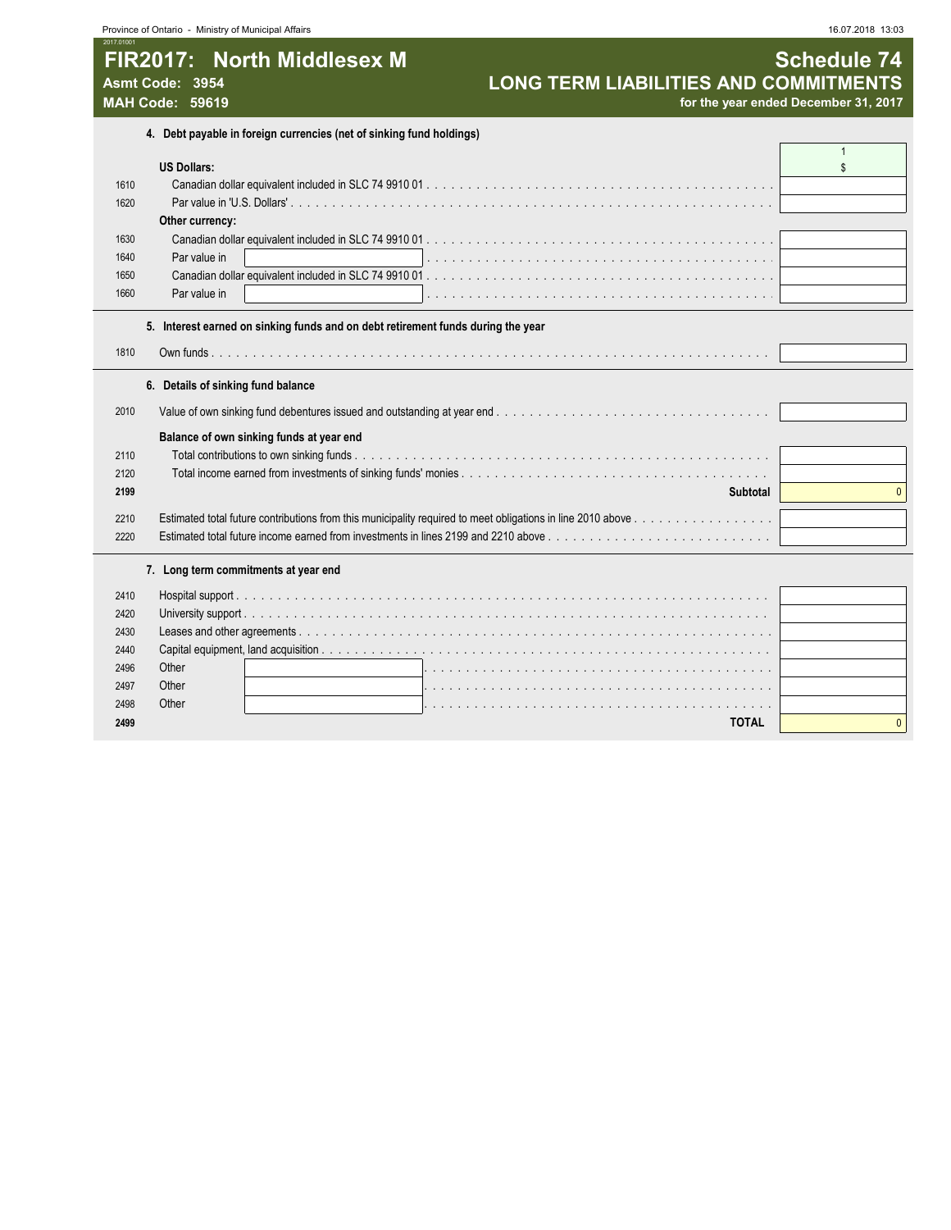|                                           | Province of Ontario - Ministry of Municipal Affairs                              |                                                                                      | 16.07.2018 13:03   |
|-------------------------------------------|----------------------------------------------------------------------------------|--------------------------------------------------------------------------------------|--------------------|
| Asmt Code: 3954<br><b>MAH Code: 59619</b> | FIR2017: North Middlesex M                                                       | <b>LONG TERM LIABILITIES AND COMMITMENTS</b><br>for the year ended December 31, 2017 | <b>Schedule 74</b> |
|                                           | 4. Debt payable in foreign currencies (net of sinking fund holdings)             |                                                                                      |                    |
|                                           | <b>US Dollars:</b>                                                               |                                                                                      |                    |
| 1610                                      |                                                                                  |                                                                                      |                    |
| 1620                                      |                                                                                  |                                                                                      |                    |
|                                           | Other currency:                                                                  |                                                                                      |                    |
| 1630<br>1640                              | Par value in                                                                     |                                                                                      |                    |
| 1650                                      |                                                                                  |                                                                                      |                    |
| 1660                                      | Par value in                                                                     |                                                                                      |                    |
|                                           |                                                                                  |                                                                                      |                    |
|                                           | 5. Interest earned on sinking funds and on debt retirement funds during the year |                                                                                      |                    |
| 1810                                      |                                                                                  |                                                                                      |                    |
|                                           | 6. Details of sinking fund balance                                               |                                                                                      |                    |
| 2010                                      |                                                                                  |                                                                                      |                    |
|                                           | Balance of own sinking funds at year end                                         |                                                                                      |                    |
| 2110                                      |                                                                                  |                                                                                      |                    |
| 2120                                      |                                                                                  |                                                                                      |                    |
| 2199                                      |                                                                                  | Subtotal                                                                             |                    |
| 2210                                      |                                                                                  |                                                                                      |                    |
| 2220                                      |                                                                                  |                                                                                      |                    |
|                                           |                                                                                  |                                                                                      |                    |
|                                           | 7. Long term commitments at year end                                             |                                                                                      |                    |
| 2410                                      |                                                                                  |                                                                                      |                    |
| 2420                                      |                                                                                  |                                                                                      |                    |
| 2430                                      |                                                                                  |                                                                                      |                    |
| 2440                                      |                                                                                  |                                                                                      |                    |
|                                           | Other                                                                            |                                                                                      |                    |
|                                           | Other                                                                            |                                                                                      |                    |
|                                           | Other                                                                            | <b>TOTAL</b>                                                                         |                    |
|                                           |                                                                                  |                                                                                      |                    |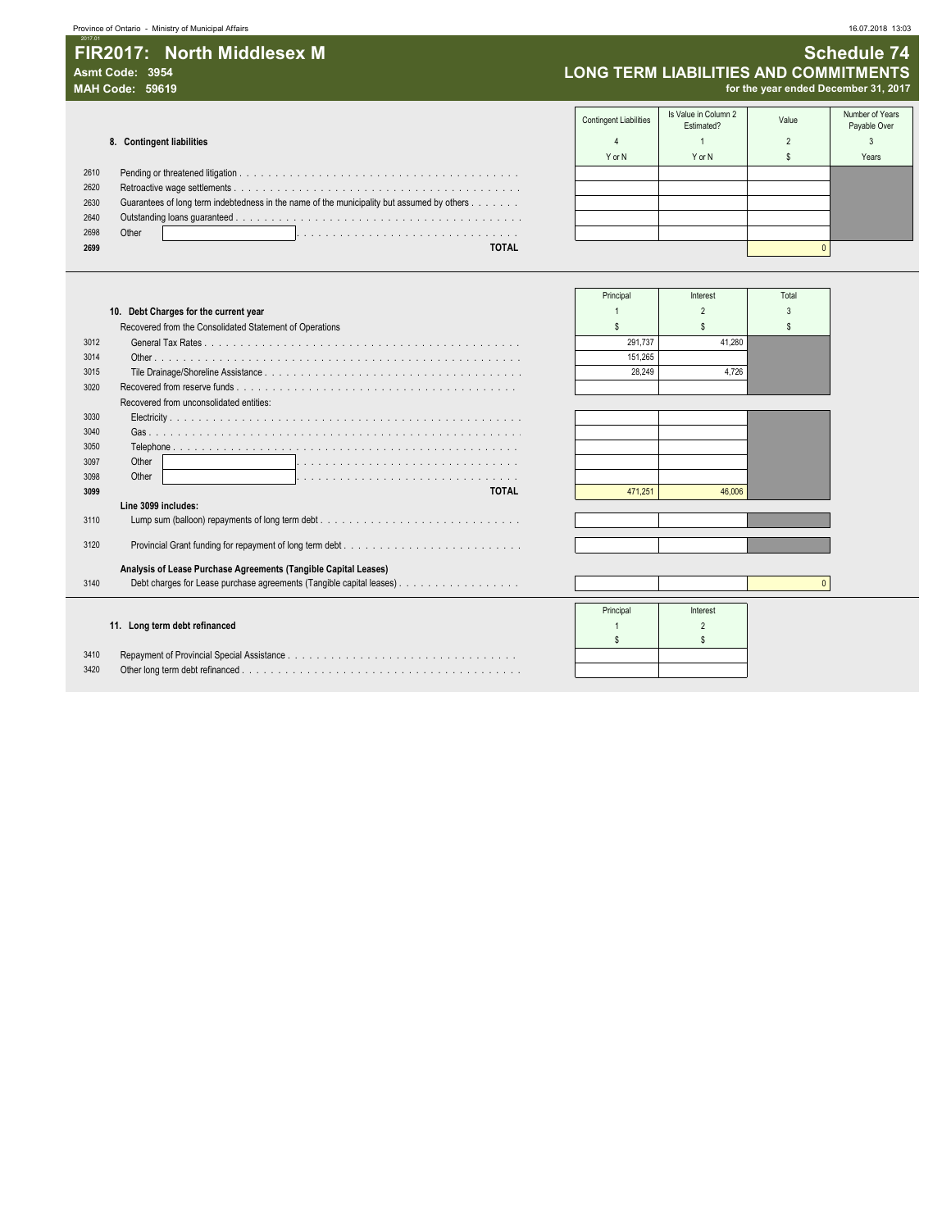#### **Asmt Code: 3954 LONG TERM LIABILITIES AND COMMITMENTS**

**MAH Code: 59619 for the year ended December 31, 2017**

|      |                                                                                            | .      | Estimated? | . | Payable Over |
|------|--------------------------------------------------------------------------------------------|--------|------------|---|--------------|
|      | 8. Contingent liabilities                                                                  |        |            |   |              |
|      |                                                                                            | Y or N | Y or N     |   | Years        |
| 2610 |                                                                                            |        |            |   |              |
| 2620 |                                                                                            |        |            |   |              |
| 2630 | Guarantees of long term indebtedness in the name of the municipality but assumed by others |        |            |   |              |
| 2640 |                                                                                            |        |            |   |              |
| 2698 | Other                                                                                      |        |            |   |              |
| 2699 | <b>TOTAL</b>                                                                               |        |            |   |              |
|      |                                                                                            |        |            |   |              |

| <b>Contingent Liabilities</b> | Is Value in Column 2<br>Estimated? | Value          | Number of Years<br>Payable Over |
|-------------------------------|------------------------------------|----------------|---------------------------------|
| 4                             |                                    | $\mathfrak{p}$ | 3                               |
| Y or N                        | Y or N                             |                | Years                           |
|                               |                                    |                |                                 |
|                               |                                    |                |                                 |
|                               |                                    |                |                                 |
|                               |                                    |                |                                 |
|                               |                                    |                |                                 |
|                               |                                    | $\Omega$       |                                 |

|                                                                 | Principal | Interest | Total |
|-----------------------------------------------------------------|-----------|----------|-------|
| 10. Debt Charges for the current year                           |           |          |       |
| Recovered from the Consolidated Statement of Operations         |           |          |       |
| 3012                                                            | 291.737   | 41.280   |       |
| 3014                                                            | 151.265   |          |       |
| 3015                                                            | 28.249    | 4.726    |       |
| 3020                                                            |           |          |       |
| Recovered from unconsolidated entities:                         |           |          |       |
| 3030                                                            |           |          |       |
| 3040                                                            |           |          |       |
| 3050                                                            |           |          |       |
| Other<br>3097                                                   |           |          |       |
| Other<br>3098                                                   |           |          |       |
| <b>TOTAL</b><br>3099                                            | 471.251   | 46,006   |       |
| Line 3099 includes:                                             |           |          |       |
| 3110                                                            |           |          |       |
| 3120                                                            |           |          |       |
| Analysis of Lease Purchase Agreements (Tangible Capital Leases) |           |          |       |
| 3140                                                            |           |          |       |
|                                                                 | Principal | Interest |       |
| 11. Long term debt refinanced                                   |           |          |       |
|                                                                 |           |          |       |
| 3410                                                            |           |          |       |
| 3420                                                            |           |          |       |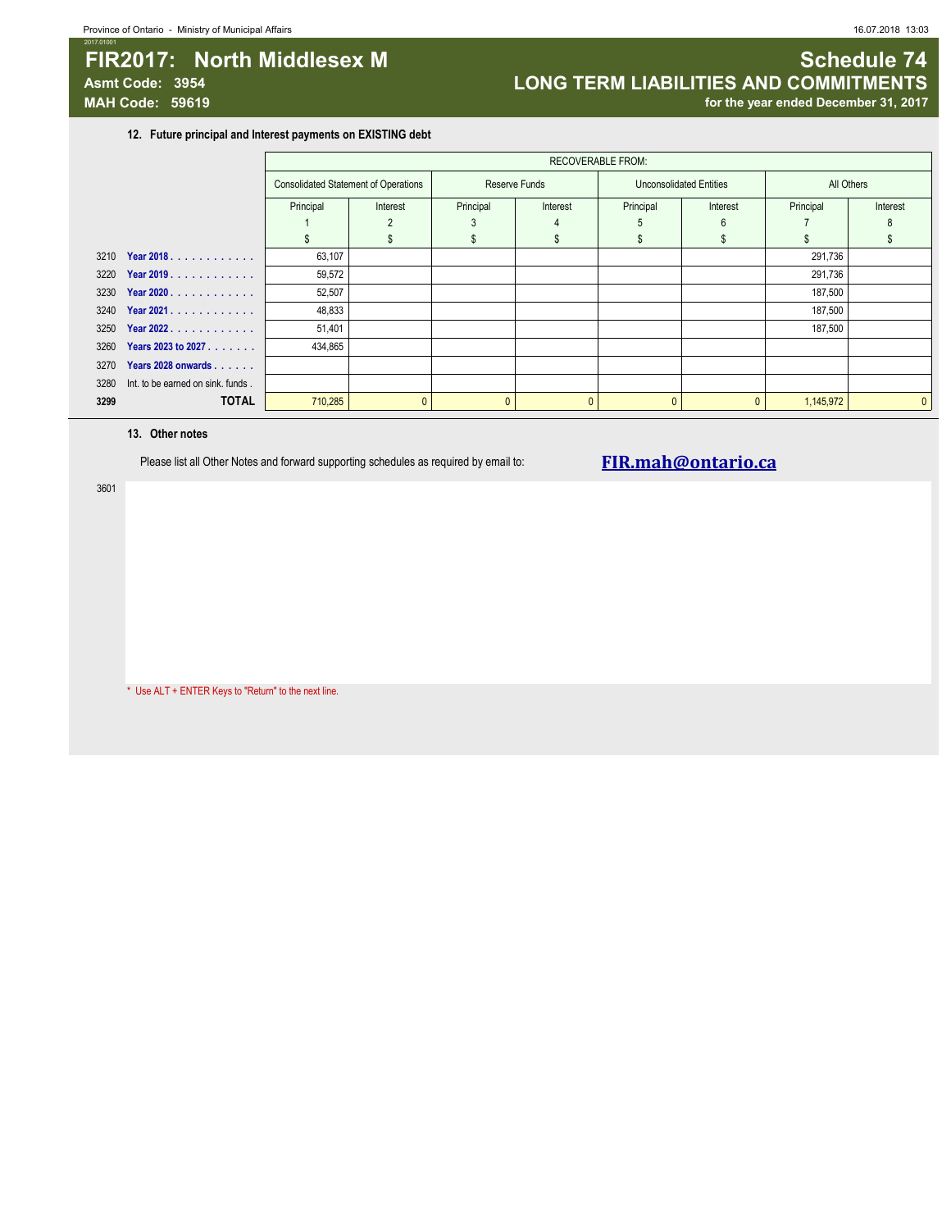### **FIR2017: North Middlesex M Schedule 74 Schedule 74 Asmt Code: 3954 LONG TERM LIABILITIES AND COMMITMENTS** for the year ended December 31, 2017

**12. Future principal and Interest payments on EXISTING debt**

|      |                                   |                                             | <b>RECOVERABLE FROM:</b> |                       |   |                                |          |            |              |  |
|------|-----------------------------------|---------------------------------------------|--------------------------|-----------------------|---|--------------------------------|----------|------------|--------------|--|
|      |                                   | <b>Consolidated Statement of Operations</b> |                          | Reserve Funds         |   | <b>Unconsolidated Entities</b> |          | All Others |              |  |
|      |                                   | Principal                                   | Interest                 | Principal<br>Interest |   | Principal<br>Interest          |          | Principal  | Interest     |  |
|      |                                   |                                             |                          |                       | 4 | 5                              | 6        |            | 8            |  |
|      |                                   |                                             |                          |                       |   | \$.                            |          |            |              |  |
| 3210 | Year 2018.                        | 63,107                                      |                          |                       |   |                                |          | 291,736    |              |  |
| 3220 | Year 2019.                        | 59,572                                      |                          |                       |   |                                |          | 291,736    |              |  |
| 3230 | Year 2020                         | 52,507                                      |                          |                       |   |                                |          | 187,500    |              |  |
| 3240 | Year 2021.                        | 48,833                                      |                          |                       |   |                                |          | 187,500    |              |  |
| 3250 | Year 2022.                        | 51,401                                      |                          |                       |   |                                |          | 187,500    |              |  |
| 3260 | Years 2023 to 2027                | 434,865                                     |                          |                       |   |                                |          |            |              |  |
| 3270 | Years 2028 onwards                |                                             |                          |                       |   |                                |          |            |              |  |
| 3280 | Int. to be earned on sink. funds. |                                             |                          |                       |   |                                |          |            |              |  |
| 3299 | <b>TOTAL</b>                      | 710,285                                     |                          | $\mathbf{0}$          |   | $\mathbf{0}$                   | $\Omega$ | 1,145,972  | $\mathbf{0}$ |  |

#### **13. Other notes**

Please list all Other Notes and forward supporting schedules as required by email to: **FIR.mah@ontario.ca** 

3601

\* Use ALT + ENTER Keys to "Return" to the next line.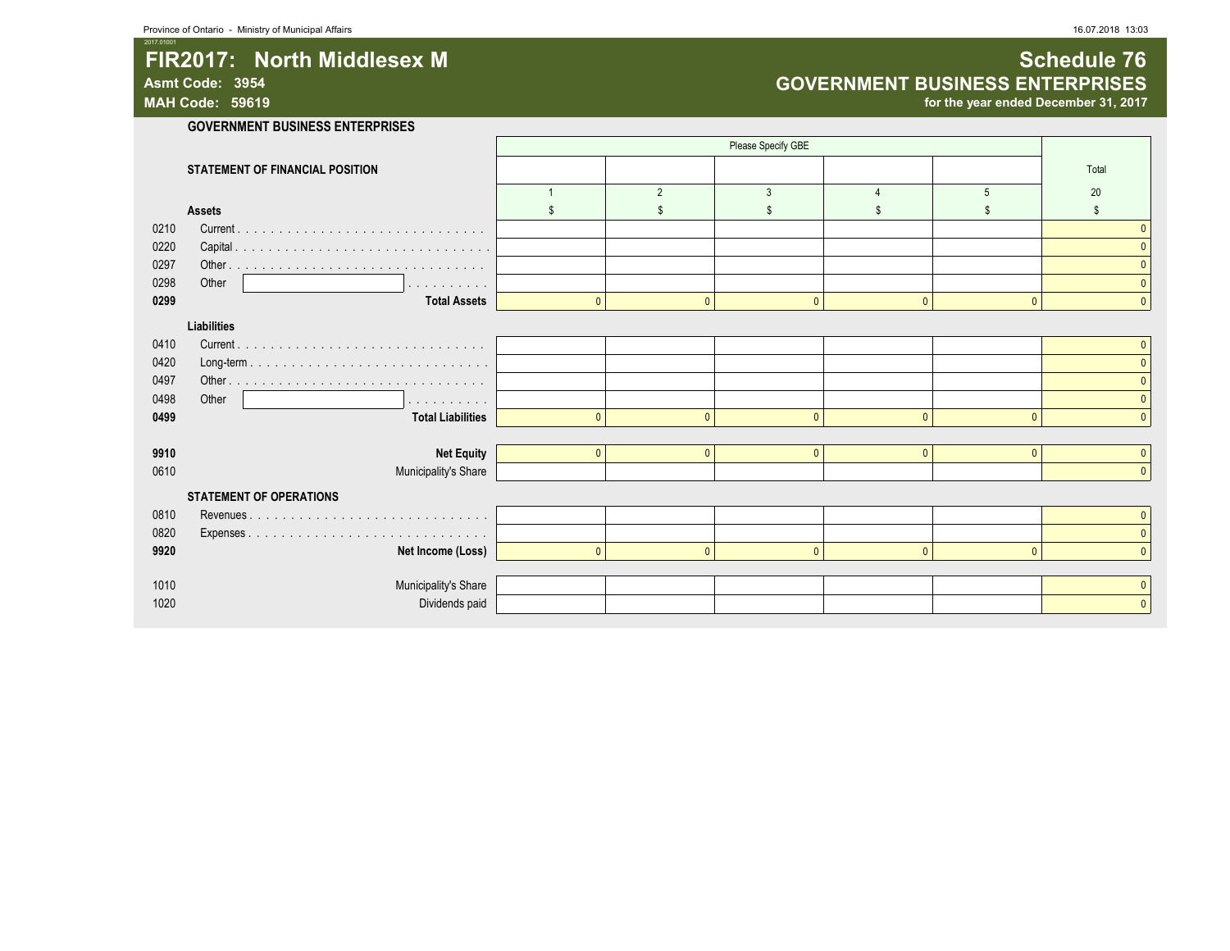## **FIR2017:** North Middlesex M **Schedule 76** and Schedule 76 Asmt Code: 3954<br>
MAH Code: 59619<br>
MAH Code: 59619<br> **GOVERNMENT BUSINESS ENTERPRISES**

for the year ended December 31, 2017

|      |                                 |          |                | Please Specify GBE |              |          |          |
|------|---------------------------------|----------|----------------|--------------------|--------------|----------|----------|
|      | STATEMENT OF FINANCIAL POSITION |          |                |                    |              |          | Total    |
|      |                                 |          | $\overline{2}$ | 3                  |              | .5       | 20       |
|      | <b>Assets</b>                   |          |                |                    |              |          |          |
| 0210 |                                 |          |                |                    |              |          |          |
| 0220 |                                 |          |                |                    |              |          |          |
| 0297 |                                 |          |                |                    |              |          |          |
| 0298 | Other<br>.                      |          |                |                    |              |          |          |
| 0299 | <b>Total Assets</b>             | $\Omega$ | $\Omega$       | $\mathbf{0}$       | $\mathbf{0}$ | $\Omega$ |          |
|      | Liabilities                     |          |                |                    |              |          |          |
| 0410 |                                 |          |                |                    |              |          |          |
| 0420 |                                 |          |                |                    |              |          |          |
| 0497 | Other.                          |          |                |                    |              |          |          |
| 0498 | Other<br>.                      |          |                |                    |              |          |          |
| 0499 | <b>Total Liabilities</b>        | $\Omega$ | n              | $\mathbf{0}$       | $\mathbf{0}$ | $\Omega$ |          |
|      |                                 |          |                |                    |              |          |          |
| 9910 | <b>Net Equity</b>               | $\Omega$ | $\mathbf{0}$   | $\mathbf{0}$       | $\mathbf{0}$ | $\Omega$ |          |
| 0610 | Municipality's Share            |          |                |                    |              |          | $\Omega$ |
|      | <b>STATEMENT OF OPERATIONS</b>  |          |                |                    |              |          |          |
| 0810 |                                 |          |                |                    |              |          |          |
| 0820 |                                 |          |                |                    |              |          |          |
| 9920 | Net Income (Loss)               |          | n              | $\Omega$           | $\mathbf{0}$ | $\Omega$ |          |
|      |                                 |          |                |                    |              |          |          |
| 1010 | Municipality's Share            |          |                |                    |              |          |          |
| 1020 | Dividends paid                  |          |                |                    |              |          |          |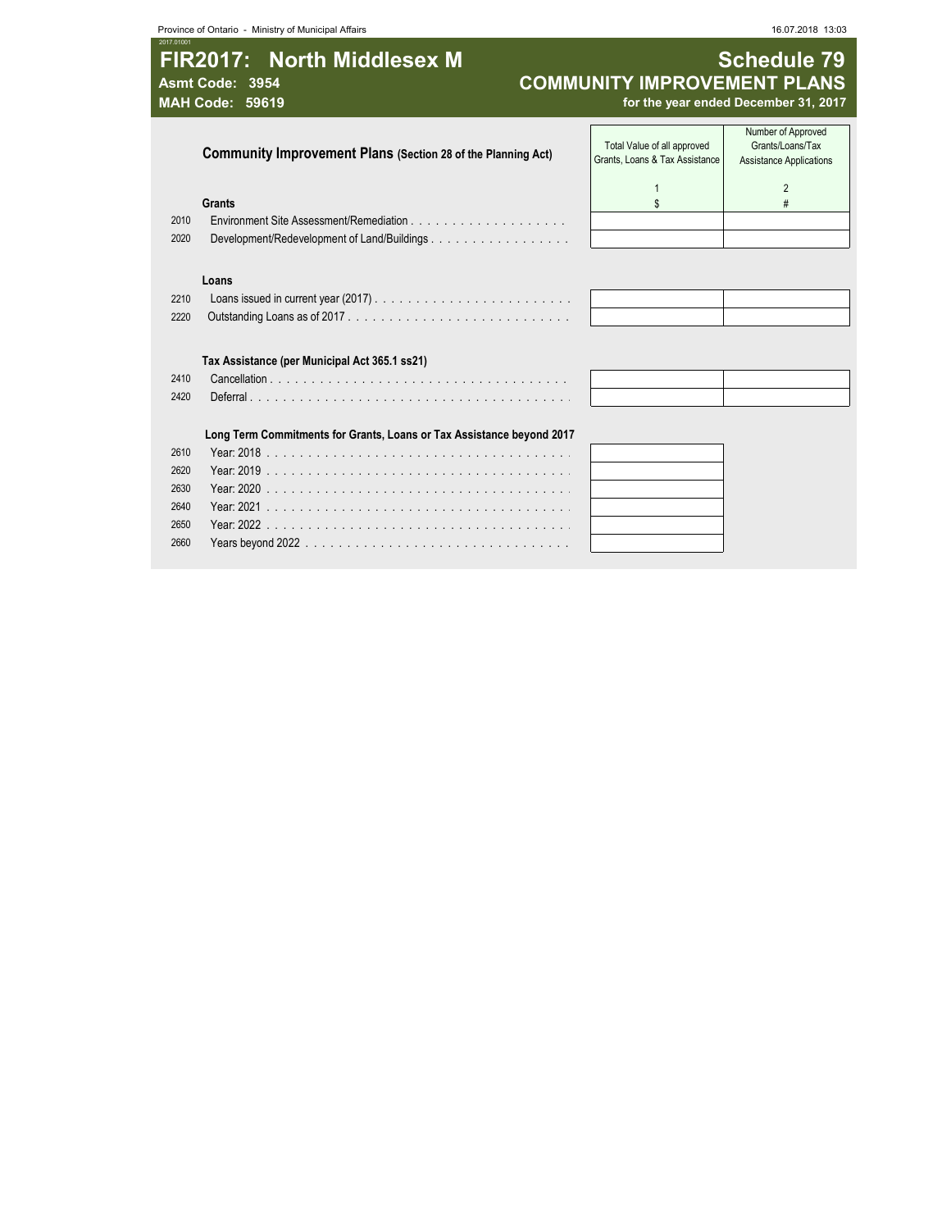# **FIR2017: North Middlesex M Schedule 79**<br>COMMUNITY IMPROVEMENT PLANS

2017.01001

#### Asmt Code: 3954 **COMMUNITY IMPROVEMENT PLANS**<br>MAH Code: 59619 *MAH* **Code: 59619** *COMMUNITY IMPROVEMENT PLANS* **MAH Code: 59619 for the year ended December 31, 2017**

|      | Community Improvement Plans (Section 28 of the Planning Act)          | Total Value of all approved<br>Grants, Loans & Tax Assistance | Number of Approved<br>Grants/Loans/Tax<br>Assistance Applications |  |
|------|-----------------------------------------------------------------------|---------------------------------------------------------------|-------------------------------------------------------------------|--|
|      |                                                                       |                                                               |                                                                   |  |
|      | Grants                                                                |                                                               |                                                                   |  |
| 2010 |                                                                       |                                                               |                                                                   |  |
| 2020 | Development/Redevelopment of Land/Buildings.                          |                                                               |                                                                   |  |
|      |                                                                       |                                                               |                                                                   |  |
|      | Loans                                                                 |                                                               |                                                                   |  |
| 2210 |                                                                       |                                                               |                                                                   |  |
| 2220 |                                                                       |                                                               |                                                                   |  |
|      |                                                                       |                                                               |                                                                   |  |
|      | Tax Assistance (per Municipal Act 365.1 ss21)                         |                                                               |                                                                   |  |
| 2410 |                                                                       |                                                               |                                                                   |  |
| 2420 |                                                                       |                                                               |                                                                   |  |
|      |                                                                       |                                                               |                                                                   |  |
|      | Long Term Commitments for Grants, Loans or Tax Assistance beyond 2017 |                                                               |                                                                   |  |
| 2610 | Year: 2018                                                            |                                                               |                                                                   |  |
| 2620 |                                                                       |                                                               |                                                                   |  |
| 2630 |                                                                       |                                                               |                                                                   |  |
| 2640 |                                                                       |                                                               |                                                                   |  |
| 2650 |                                                                       |                                                               |                                                                   |  |
| 2660 |                                                                       |                                                               |                                                                   |  |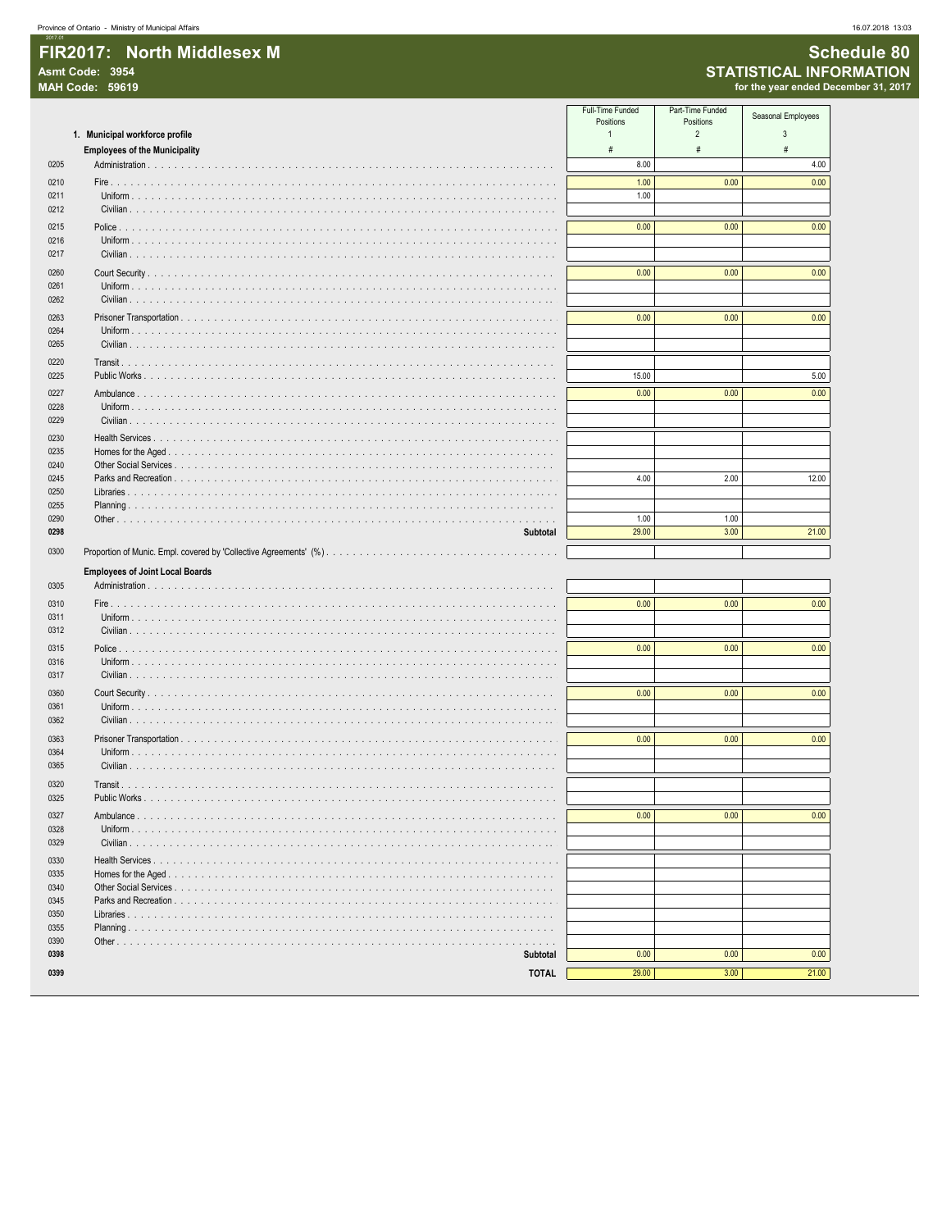|                  | FIR2017: North Middlesex M |
|------------------|----------------------------|
| Asmt Code: 3954  |                            |
| MAH Code: 59619, |                            |
|                  |                            |

16.07.2018 13:03

|              |                                              | Full-Time Funded<br>Positions | Part-Time Funded<br>Positions | Seasonal Employees |
|--------------|----------------------------------------------|-------------------------------|-------------------------------|--------------------|
|              | 1. Municipal workforce profile               | $\mathbf{1}$                  | $\overline{2}$                | 3                  |
|              | <b>Employees of the Municipality</b>         | #                             | $\#$                          | $\#$               |
| 0205         |                                              | 8.00                          |                               | 4.00               |
| 0210         |                                              | 1.00                          | 0.00                          | 0.00               |
| 0211         |                                              | 1.00                          |                               |                    |
| 0212         |                                              |                               |                               |                    |
| 0215         |                                              | 0.00                          | 0.00                          | 0.00               |
| 0216<br>0217 |                                              |                               |                               |                    |
| 0260         |                                              | 0.00                          | 0.00                          | 0.00               |
| 0261         |                                              |                               |                               |                    |
| 0262         |                                              |                               |                               |                    |
| 0263         |                                              | 0.00                          | 0.00                          | 0.00               |
| 0264         |                                              |                               |                               |                    |
| 0265         |                                              |                               |                               |                    |
| 0220         |                                              |                               |                               |                    |
| 0225         |                                              | 15.00                         |                               | 5.00               |
| 0227         |                                              | 0.00                          | 0.00                          | 0.00               |
| 0228<br>0229 | Uniform                                      |                               |                               |                    |
| 0230         |                                              |                               |                               |                    |
| 0235         |                                              |                               |                               |                    |
| 0240         |                                              |                               |                               |                    |
| 0245         |                                              | 4.00                          | 2.00                          | 12.00              |
| 0250<br>0255 |                                              |                               |                               |                    |
| 0290         |                                              | 1.00                          | 1.00                          |                    |
| 0298         | Subtotal                                     | 29.00                         | 3.00                          | 21.00              |
| 0300         |                                              |                               |                               |                    |
|              | <b>Employees of Joint Local Boards</b>       |                               |                               |                    |
| 0305         |                                              |                               |                               |                    |
| 0310         |                                              | 0.00                          | 0.00                          | 0.00               |
| 0311         |                                              |                               |                               |                    |
| 0312         |                                              |                               |                               |                    |
| 0315         |                                              | 0.00                          | 0.00                          | 0.00               |
| 0316         |                                              |                               |                               |                    |
| 0317         | $\mathbf{1}$                                 |                               |                               |                    |
| 0360<br>0361 |                                              | 0.00                          | 0.00                          | 0.00               |
| 0362         |                                              |                               |                               |                    |
| 0363         |                                              | 0.00                          | 0.00                          | 0.00               |
| 0364         | Uniform $\ldots \ldots \ldots \ldots \ldots$ |                               |                               |                    |
| 0365         |                                              |                               |                               |                    |
| 0320         | Transit                                      |                               |                               |                    |
| 0325         | Public Works                                 |                               |                               |                    |
| 0327         |                                              | 0.00                          | 0.00                          | 0.00               |
| 0328<br>0329 |                                              |                               |                               |                    |
|              |                                              |                               |                               |                    |
| 0330<br>0335 |                                              |                               |                               |                    |
| 0340         |                                              |                               |                               |                    |
| 0345         |                                              |                               |                               |                    |
| 0350         |                                              |                               |                               |                    |
| 0355<br>0390 |                                              |                               |                               |                    |
| 0398         | Subtotal                                     | 0.00                          | 0.00                          | 0.00               |
| 0399         | <b>TOTAL</b>                                 | 29.00                         | 3.00                          | 21.00              |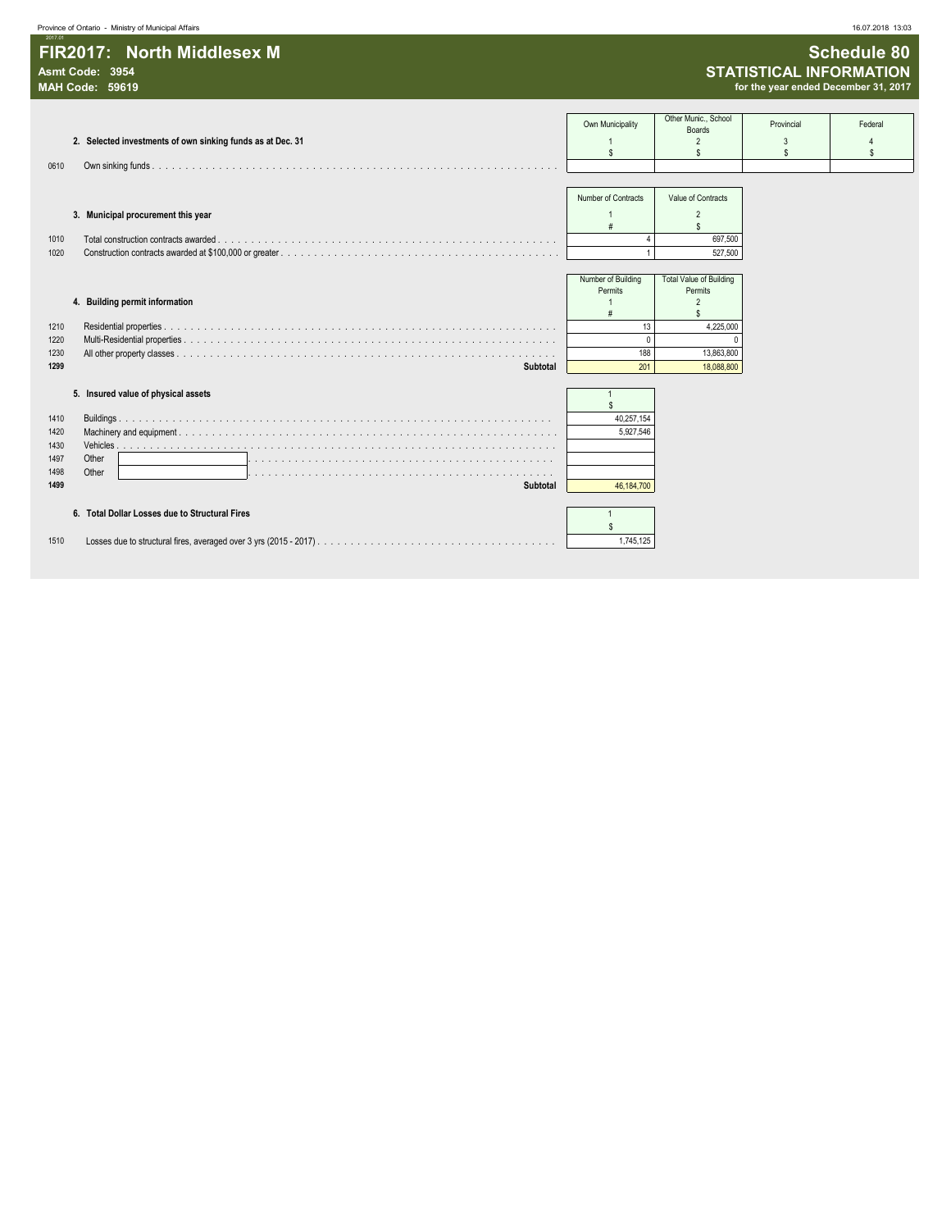| Ministry of Municipal Affairs<br>Province of Ontar | 16.07.2018 13:03 |
|----------------------------------------------------|------------------|
| <b>Contract Contract Contract Contract</b>         |                  |

| 2017.01                    |                                      |
|----------------------------|--------------------------------------|
| FIR2017: North Middlesex M | <b>Schedule 80</b>                   |
| Asmt Code: 3954            | <b>STATISTICAL INFORMATION</b>       |
| MAH Code: 59619            | for the year ended December 31, 2017 |

| Asmt Code: 3954<br><b>MAH Code: 59619</b>                      |                                     |                                                                   |                       | <b>STATISTICAL INFORMATION</b><br>for the year ended December 31, 2017 |
|----------------------------------------------------------------|-------------------------------------|-------------------------------------------------------------------|-----------------------|------------------------------------------------------------------------|
| 2. Selected investments of own sinking funds as at Dec. 31     | Own Municipality<br>\$              | Other Munic., School<br><b>Boards</b><br>$\overline{2}$<br>\$     | Provincial<br>3<br>\$ | Federal<br>S                                                           |
| 0610                                                           |                                     |                                                                   |                       |                                                                        |
| 3. Municipal procurement this year                             | Number of Contracts                 | Value of Contracts<br>$\overline{2}$                              |                       |                                                                        |
| Total construction contracts awarded.<br>1010<br>1020          | $\overline{4}$                      | $\mathbf{\hat{s}}$<br>697,500<br>527,500                          |                       |                                                                        |
| 4. Building permit information                                 | Number of Building<br>Permits<br>-1 | <b>Total Value of Building</b><br>Permits<br>$\overline{2}$<br>\$ |                       |                                                                        |
| 1210<br>1220<br>1230                                           | 13<br>$\mathbf 0$<br>188            | 4,225,000<br>13,863,800                                           |                       |                                                                        |
| 1299<br><b>Subtotal</b><br>5. Insured value of physical assets | 201                                 | 18,088,800                                                        |                       |                                                                        |
| 1410<br>1420<br>1430                                           | \$<br>40,257,154<br>5,927,546       |                                                                   |                       |                                                                        |
| 1497<br>Other<br>1498<br>Other<br>1499<br>Subtotal             | 46,184,700                          |                                                                   |                       |                                                                        |
| 6. Total Dollar Losses due to Structural Fires<br>1510         | \$<br>1,745,125                     |                                                                   |                       |                                                                        |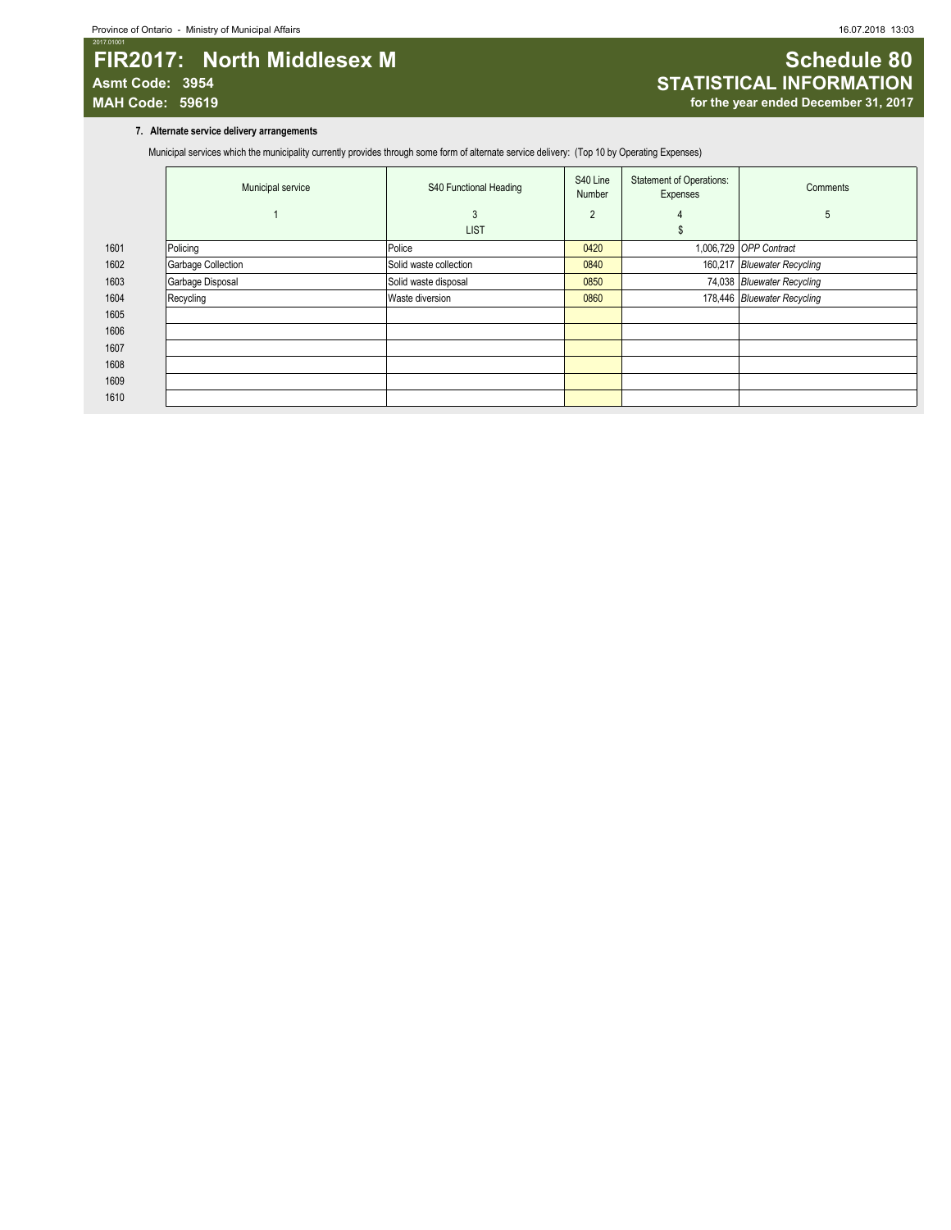## 2017.01001 **FIR2017:** North Middlesex M **Schedule 80 Asmt Code: 3954 STATISTICAL INFORMATION**

# for the year ended December 31, 2017

#### **7. Alternate service delivery arrangements**

Municipal services which the municipality currently provides through some form of alternate service delivery: (Top 10 by Operating Expenses)

|      | Municipal service  | S40 Functional Heading | S40 Line<br><b>Number</b> | <b>Statement of Operations:</b><br>Expenses | Comments                    |
|------|--------------------|------------------------|---------------------------|---------------------------------------------|-----------------------------|
|      |                    | 3                      | 2                         | 4                                           | 5                           |
|      |                    | <b>LIST</b>            |                           |                                             |                             |
| 1601 | Policing           | Police                 | 0420                      |                                             | 1,006,729 OPP Contract      |
| 1602 | Garbage Collection | Solid waste collection | 0840                      |                                             | 160,217 Bluewater Recycling |
| 1603 | Garbage Disposal   | Solid waste disposal   | 0850                      |                                             | 74,038 Bluewater Recycling  |
| 1604 | Recycling          | Waste diversion        | 0860                      |                                             | 178,446 Bluewater Recycling |
| 1605 |                    |                        |                           |                                             |                             |
| 1606 |                    |                        |                           |                                             |                             |
| 1607 |                    |                        |                           |                                             |                             |
| 1608 |                    |                        |                           |                                             |                             |
| 1609 |                    |                        |                           |                                             |                             |
| 1610 |                    |                        |                           |                                             |                             |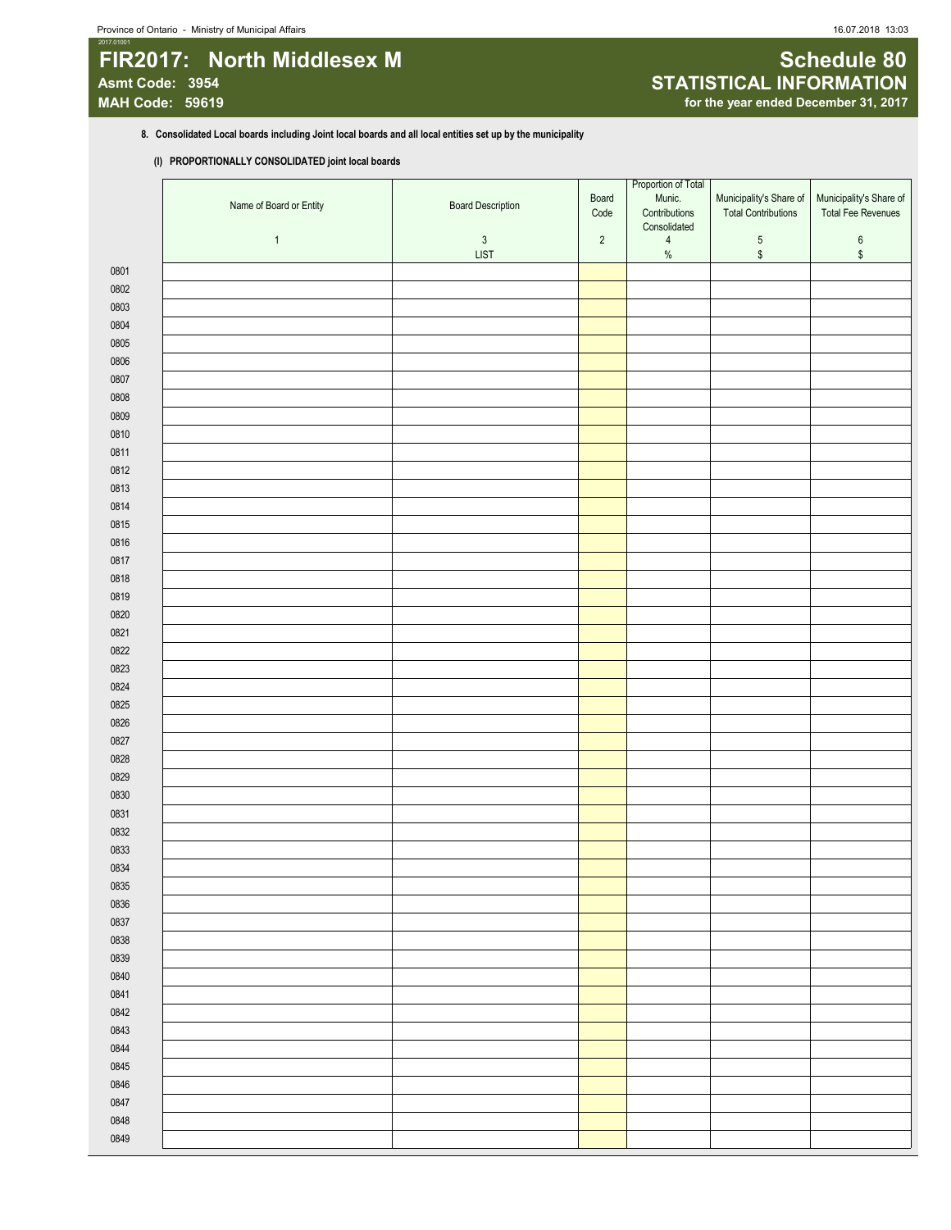## 2017.01001 **FIR2017:** North Middlesex M **Schedule 80** Schedule 80 **Asmt Code: 3954 STATISTICAL INFORMATION**

#### **8. Consolidated Local boards including Joint local boards and all local entities set up by the municipality**

#### **(I) PROPORTIONALLY CONSOLIDATED joint local boards**

|              | Name of Board or Entity | <b>Board Description</b>   | Board<br>Code | Proportion of Total<br>Munic.<br>Contributions<br>Consolidated | Municipality's Share of<br><b>Total Contributions</b> | Municipality's Share of<br>Total Fee Revenues |
|--------------|-------------------------|----------------------------|---------------|----------------------------------------------------------------|-------------------------------------------------------|-----------------------------------------------|
|              | $\mathbf{1}$            | $\mathsf 3$<br><b>LIST</b> | $\sqrt{2}$    | $\overline{\mathbf{4}}$<br>$\%$                                | $\mathbf 5$<br>\$                                     | $\,6\,$<br>\$                                 |
| 0801         |                         |                            |               |                                                                |                                                       |                                               |
| 0802         |                         |                            |               |                                                                |                                                       |                                               |
| 0803         |                         |                            |               |                                                                |                                                       |                                               |
| 0804         |                         |                            |               |                                                                |                                                       |                                               |
| 0805         |                         |                            |               |                                                                |                                                       |                                               |
| 0806         |                         |                            |               |                                                                |                                                       |                                               |
| 0807         |                         |                            |               |                                                                |                                                       |                                               |
| 0808         |                         |                            |               |                                                                |                                                       |                                               |
| 0809         |                         |                            |               |                                                                |                                                       |                                               |
| 0810         |                         |                            |               |                                                                |                                                       |                                               |
| 0811         |                         |                            |               |                                                                |                                                       |                                               |
| 0812         |                         |                            |               |                                                                |                                                       |                                               |
| 0813         |                         |                            |               |                                                                |                                                       |                                               |
| 0814         |                         |                            |               |                                                                |                                                       |                                               |
| 0815         |                         |                            |               |                                                                |                                                       |                                               |
| 0816<br>0817 |                         |                            |               |                                                                |                                                       |                                               |
| 0818         |                         |                            |               |                                                                |                                                       |                                               |
| 0819         |                         |                            |               |                                                                |                                                       |                                               |
| 0820         |                         |                            |               |                                                                |                                                       |                                               |
| 0821         |                         |                            |               |                                                                |                                                       |                                               |
| 0822         |                         |                            |               |                                                                |                                                       |                                               |
| 0823         |                         |                            |               |                                                                |                                                       |                                               |
| 0824         |                         |                            |               |                                                                |                                                       |                                               |
| 0825         |                         |                            |               |                                                                |                                                       |                                               |
| 0826         |                         |                            |               |                                                                |                                                       |                                               |
| 0827         |                         |                            |               |                                                                |                                                       |                                               |
| 0828         |                         |                            |               |                                                                |                                                       |                                               |
| 0829         |                         |                            |               |                                                                |                                                       |                                               |
| 0830         |                         |                            |               |                                                                |                                                       |                                               |
| 0831         |                         |                            |               |                                                                |                                                       |                                               |
| 0832         |                         |                            |               |                                                                |                                                       |                                               |
| 0833         |                         |                            |               |                                                                |                                                       |                                               |
| 0834         |                         |                            |               |                                                                |                                                       |                                               |
| 0835         |                         |                            |               |                                                                |                                                       |                                               |
| 0836         |                         |                            |               |                                                                |                                                       |                                               |
| 0837         |                         |                            |               |                                                                |                                                       |                                               |
| 0838         |                         |                            |               |                                                                |                                                       |                                               |
| 0839         |                         |                            |               |                                                                |                                                       |                                               |
| 0840         |                         |                            |               |                                                                |                                                       |                                               |
| 0841         |                         |                            |               |                                                                |                                                       |                                               |
| 0842<br>0843 |                         |                            |               |                                                                |                                                       |                                               |
| 0844         |                         |                            |               |                                                                |                                                       |                                               |
| 0845         |                         |                            |               |                                                                |                                                       |                                               |
| 0846         |                         |                            |               |                                                                |                                                       |                                               |
| 0847         |                         |                            |               |                                                                |                                                       |                                               |
| 0848         |                         |                            |               |                                                                |                                                       |                                               |
| 0849         |                         |                            |               |                                                                |                                                       |                                               |
|              |                         |                            |               |                                                                |                                                       |                                               |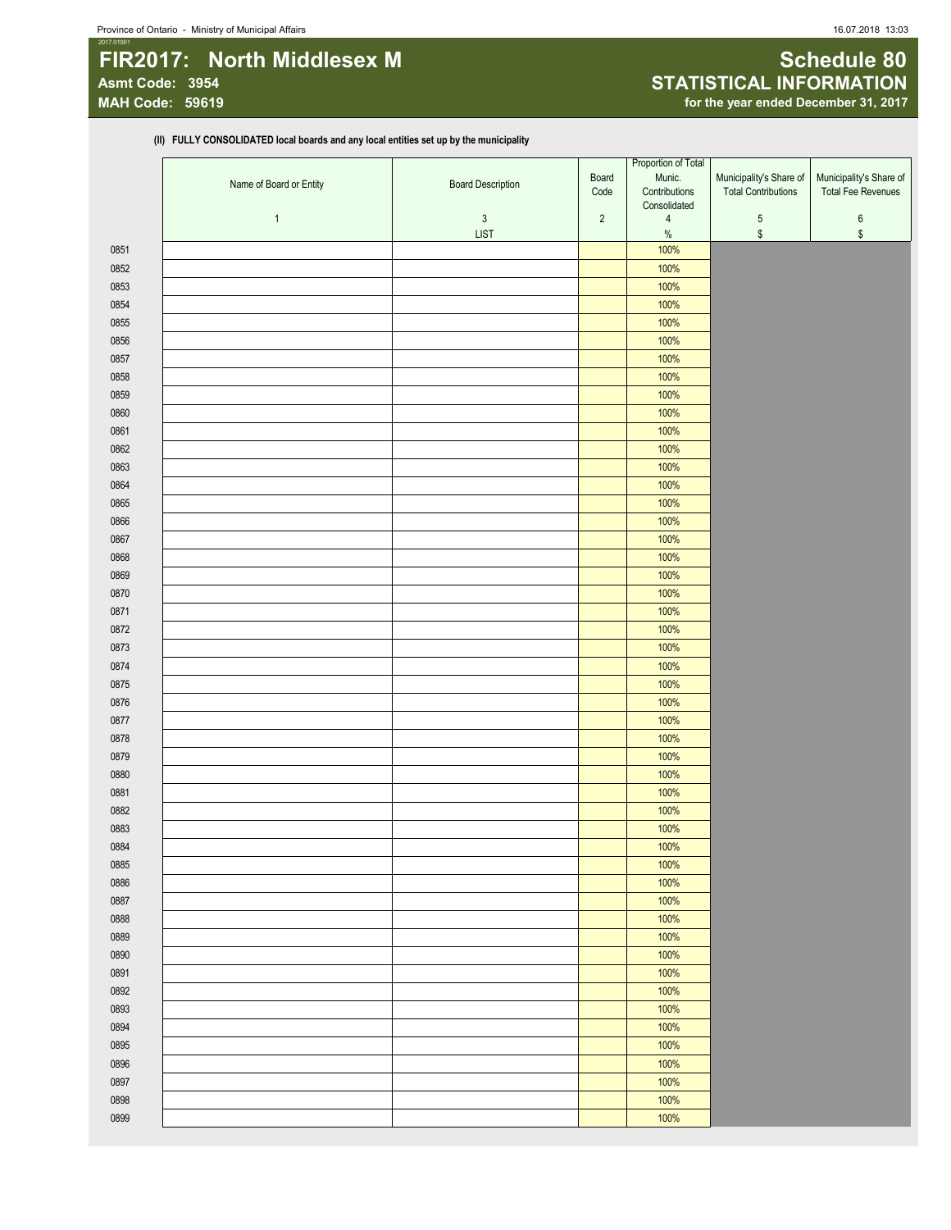## 2017.01001 **FIR2017:** North Middlesex M **Schedule 80** Schedule 80 **Asmt Code: 3954 STATISTICAL INFORMATION**

# for the year ended December 31, 2017

**(II) FULLY CONSOLIDATED local boards and any local entities set up by the municipality**

|      |                         |                           |                | Proportion of Total             |                            |                           |
|------|-------------------------|---------------------------|----------------|---------------------------------|----------------------------|---------------------------|
|      | Name of Board or Entity | <b>Board Description</b>  | Board          | Munic.                          | Municipality's Share of    | Municipality's Share of   |
|      |                         |                           | Code           | Contributions                   | <b>Total Contributions</b> | <b>Total Fee Revenues</b> |
|      |                         |                           |                | Consolidated                    |                            |                           |
|      | $\mathbf{1}$            | $\sqrt{3}$<br><b>LIST</b> | $\overline{2}$ | $\overline{\mathbf{4}}$<br>$\%$ | $\sqrt{5}$<br>$\,$         | $\boldsymbol{6}$          |
|      |                         |                           |                |                                 |                            | \$                        |
| 0851 |                         |                           |                | 100%                            |                            |                           |
| 0852 |                         |                           |                | 100%                            |                            |                           |
| 0853 |                         |                           |                | 100%                            |                            |                           |
| 0854 |                         |                           |                | 100%                            |                            |                           |
| 0855 |                         |                           |                | 100%                            |                            |                           |
| 0856 |                         |                           |                | 100%                            |                            |                           |
| 0857 |                         |                           |                | 100%                            |                            |                           |
| 0858 |                         |                           |                | 100%                            |                            |                           |
| 0859 |                         |                           |                | 100%                            |                            |                           |
| 0860 |                         |                           |                | 100%                            |                            |                           |
| 0861 |                         |                           |                | 100%                            |                            |                           |
| 0862 |                         |                           |                | 100%                            |                            |                           |
| 0863 |                         |                           |                | 100%                            |                            |                           |
| 0864 |                         |                           |                | 100%                            |                            |                           |
| 0865 |                         |                           |                | 100%                            |                            |                           |
| 0866 |                         |                           |                | 100%                            |                            |                           |
| 0867 |                         |                           |                | 100%                            |                            |                           |
| 0868 |                         |                           |                | 100%                            |                            |                           |
|      |                         |                           |                | 100%                            |                            |                           |
| 0869 |                         |                           |                |                                 |                            |                           |
| 0870 |                         |                           |                | 100%                            |                            |                           |
| 0871 |                         |                           |                | 100%                            |                            |                           |
| 0872 |                         |                           |                | 100%                            |                            |                           |
| 0873 |                         |                           |                | 100%                            |                            |                           |
| 0874 |                         |                           |                | 100%                            |                            |                           |
| 0875 |                         |                           |                | 100%                            |                            |                           |
| 0876 |                         |                           |                | 100%                            |                            |                           |
| 0877 |                         |                           |                | 100%                            |                            |                           |
| 0878 |                         |                           |                | 100%                            |                            |                           |
| 0879 |                         |                           |                | 100%                            |                            |                           |
| 0880 |                         |                           |                | 100%                            |                            |                           |
| 0881 |                         |                           |                | 100%                            |                            |                           |
| 0882 |                         |                           |                | 100%                            |                            |                           |
| 0883 |                         |                           |                | 100%                            |                            |                           |
| 0884 |                         |                           |                | 100%                            |                            |                           |
| 0885 |                         |                           |                | 100%                            |                            |                           |
| 0886 |                         |                           |                | 100%                            |                            |                           |
| 0887 |                         |                           |                | 100%                            |                            |                           |
|      |                         |                           |                | 100%                            |                            |                           |
| 0888 |                         |                           |                |                                 |                            |                           |
| 0889 |                         |                           |                | 100%                            |                            |                           |
| 0890 |                         |                           |                | 100%                            |                            |                           |
| 0891 |                         |                           |                | 100%                            |                            |                           |
| 0892 |                         |                           |                | 100%                            |                            |                           |
| 0893 |                         |                           |                | 100%                            |                            |                           |
| 0894 |                         |                           |                | 100%                            |                            |                           |
| 0895 |                         |                           |                | 100%                            |                            |                           |
| 0896 |                         |                           |                | 100%                            |                            |                           |
| 0897 |                         |                           |                | 100%                            |                            |                           |
| 0898 |                         |                           |                | 100%                            |                            |                           |
| 0899 |                         |                           |                | 100%                            |                            |                           |
|      |                         |                           |                |                                 |                            |                           |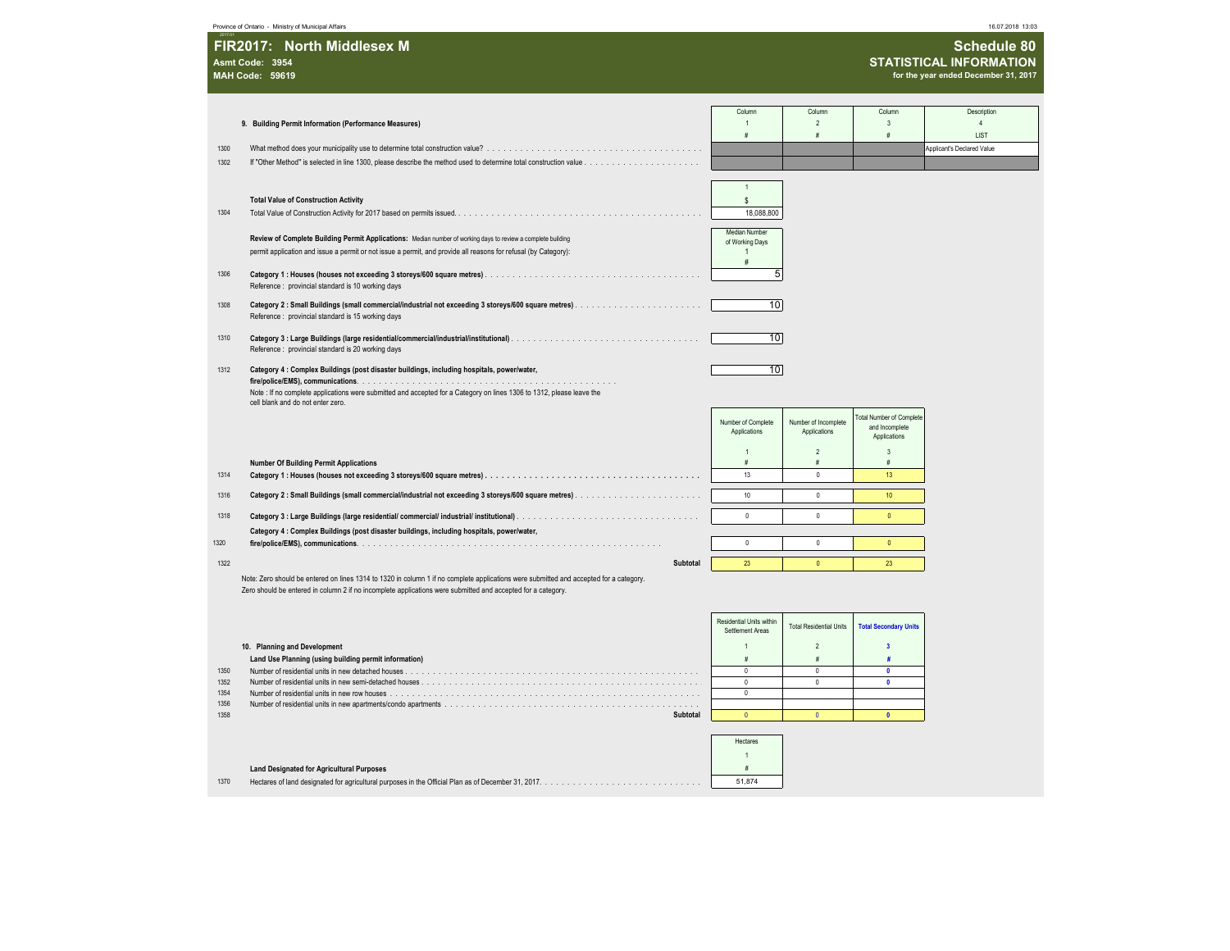Province of Ontario - Ministry of Municipal Affairs 16.07.2018 13:03

2017.01

| FIR2017: North Middlesex M | Schedule 80                          |
|----------------------------|--------------------------------------|
| Asmt Code: 3954            | <b>STATISTICAL INFORMATION</b>       |
| <b>MAH Code: 59619</b>     | for the year ended December 31, 2017 |
|                            |                                      |

|              |                                                                                                                                                                                                                                                        | Column                                       | Column                         | Column                                    | Description                |
|--------------|--------------------------------------------------------------------------------------------------------------------------------------------------------------------------------------------------------------------------------------------------------|----------------------------------------------|--------------------------------|-------------------------------------------|----------------------------|
|              | 9. Building Permit Information (Performance Measures)                                                                                                                                                                                                  | $\overline{1}$                               | $\overline{2}$                 | $\mathbf{3}$                              | $\Delta$                   |
|              |                                                                                                                                                                                                                                                        | $\dot{H}$                                    |                                | #                                         | LIST                       |
| 1300         |                                                                                                                                                                                                                                                        |                                              |                                |                                           | Applicant's Declared Value |
| 1302         |                                                                                                                                                                                                                                                        |                                              |                                |                                           |                            |
|              |                                                                                                                                                                                                                                                        |                                              |                                |                                           |                            |
|              |                                                                                                                                                                                                                                                        |                                              |                                |                                           |                            |
|              | <b>Total Value of Construction Activity</b>                                                                                                                                                                                                            | \$                                           |                                |                                           |                            |
| 1304         |                                                                                                                                                                                                                                                        | 18,088,800                                   |                                |                                           |                            |
|              |                                                                                                                                                                                                                                                        |                                              |                                |                                           |                            |
|              | Review of Complete Building Permit Applications: Median number of working days to review a complete building                                                                                                                                           | <b>Median Number</b><br>of Working Days      |                                |                                           |                            |
|              | permit application and issue a permit or not issue a permit, and provide all reasons for refusal (by Category):                                                                                                                                        |                                              |                                |                                           |                            |
|              |                                                                                                                                                                                                                                                        | #                                            |                                |                                           |                            |
| 1306         |                                                                                                                                                                                                                                                        | 5                                            |                                |                                           |                            |
|              | Reference: provincial standard is 10 working days                                                                                                                                                                                                      |                                              |                                |                                           |                            |
| 1308         |                                                                                                                                                                                                                                                        | 10                                           |                                |                                           |                            |
|              | Reference : provincial standard is 15 working days                                                                                                                                                                                                     |                                              |                                |                                           |                            |
|              |                                                                                                                                                                                                                                                        |                                              |                                |                                           |                            |
| 1310         | Reference : provincial standard is 20 working days                                                                                                                                                                                                     | 10                                           |                                |                                           |                            |
|              |                                                                                                                                                                                                                                                        |                                              |                                |                                           |                            |
| 1312         | Category 4 : Complex Buildings (post disaster buildings, including hospitals, power/water,                                                                                                                                                             | $\overline{10}$                              |                                |                                           |                            |
|              |                                                                                                                                                                                                                                                        |                                              |                                |                                           |                            |
|              | Note : If no complete applications were submitted and accepted for a Category on lines 1306 to 1312, please leave the<br>cell blank and do not enter zero.                                                                                             |                                              |                                |                                           |                            |
|              |                                                                                                                                                                                                                                                        |                                              |                                |                                           |                            |
|              |                                                                                                                                                                                                                                                        | Number of Complete                           | Number of Incomplete           | otal Number of Complete<br>and Incomplete |                            |
|              |                                                                                                                                                                                                                                                        | Applications                                 | Applications                   | Applications                              |                            |
|              |                                                                                                                                                                                                                                                        |                                              | $\overline{2}$                 | $\overline{3}$                            |                            |
|              | <b>Number Of Building Permit Applications</b>                                                                                                                                                                                                          | #                                            | $\#$                           | $\#$                                      |                            |
| 1314         |                                                                                                                                                                                                                                                        | 13                                           | $\Omega$                       | 13                                        |                            |
| 1316         | Category 2: Small Buildings (small commercial/industrial not exceeding 3 storeys/600 square metres).                                                                                                                                                   | 10                                           | $\mathbf 0$                    | 10 <sup>°</sup>                           |                            |
|              |                                                                                                                                                                                                                                                        |                                              |                                |                                           |                            |
| 1318         |                                                                                                                                                                                                                                                        | $\mathbf{0}$                                 | $\theta$                       | $\mathbf{0}$                              |                            |
|              | Category 4 : Complex Buildings (post disaster buildings, including hospitals, power/water,                                                                                                                                                             |                                              |                                |                                           |                            |
| 1320         |                                                                                                                                                                                                                                                        | $\theta$                                     | $\theta$                       | $\mathbf{0}$                              |                            |
| 1322         | Subtotal                                                                                                                                                                                                                                               | 23                                           | $\overline{0}$                 | 23 <sup>°</sup>                           |                            |
|              |                                                                                                                                                                                                                                                        |                                              |                                |                                           |                            |
|              | Note: Zero should be entered on lines 1314 to 1320 in column 1 if no complete applications were submitted and accepted for a category.<br>Zero should be entered in column 2 if no incomplete applications were submitted and accepted for a category. |                                              |                                |                                           |                            |
|              |                                                                                                                                                                                                                                                        |                                              |                                |                                           |                            |
|              |                                                                                                                                                                                                                                                        |                                              |                                |                                           |                            |
|              |                                                                                                                                                                                                                                                        | Residential Units within<br>Settlement Areas | <b>Total Residential Units</b> | <b>Total Secondary Units</b>              |                            |
|              |                                                                                                                                                                                                                                                        |                                              |                                |                                           |                            |
|              | 10. Planning and Development                                                                                                                                                                                                                           |                                              | $\overline{\phantom{a}}$       | $\overline{\mathbf{3}}$                   |                            |
|              | Land Use Planning (using building permit information)                                                                                                                                                                                                  | $\dot{H}$                                    | #                              | 亜                                         |                            |
| 1350<br>1352 |                                                                                                                                                                                                                                                        | $\Omega$<br>$\mathbb O$                      | $\Omega$<br>$\Omega$           | $\mathbf{0}$<br>$\mathbf{0}$              |                            |
| 1354         |                                                                                                                                                                                                                                                        | $\mathbb O$                                  |                                |                                           |                            |
| 1356         |                                                                                                                                                                                                                                                        |                                              |                                |                                           |                            |

1358 **Subtotal** 0 0 **0** Hectares 1 **Land Designated for Agricultural Purposes** # 1370 Hectares of land designated for agricultural purposes in the Official Plan as of December 31, 2017. . . . . . . . . . . . . . . . . . . . . . . . . . . . . . . . . . . . . . . . . . . . . . . . . . . . . . . . . . . . . . . . 51,874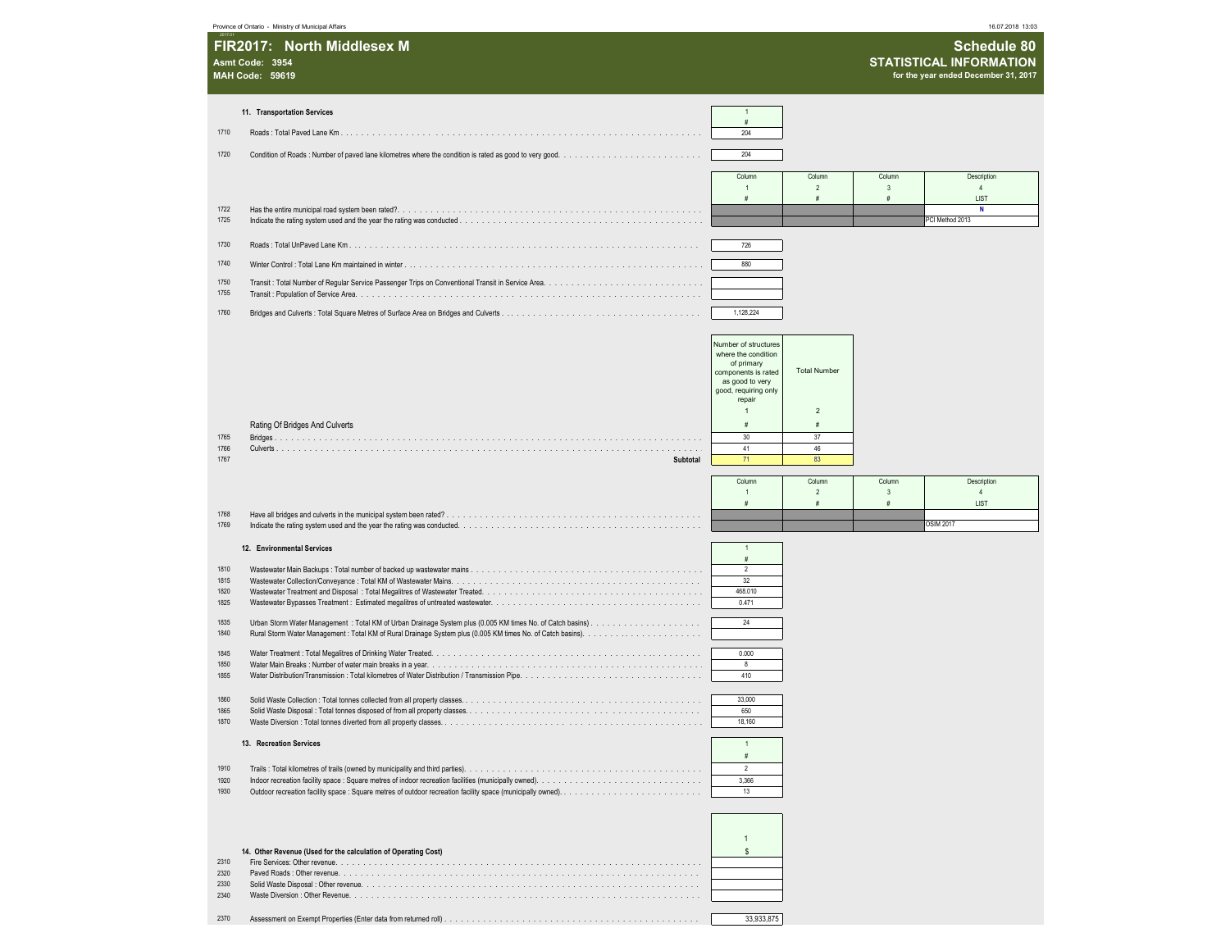|              | Province of Ontario - Ministry of Municipal Affairs            |                                                           |                          |                        | 16.07.2018 13:03                     |  |
|--------------|----------------------------------------------------------------|-----------------------------------------------------------|--------------------------|------------------------|--------------------------------------|--|
|              | FIR2017: North Middlesex M                                     |                                                           |                          |                        | Schedule 80                          |  |
|              | Asmt Code: 3954                                                |                                                           |                          |                        | <b>STATISTICAL INFORMATION</b>       |  |
|              | <b>MAH Code: 59619</b>                                         |                                                           |                          |                        | for the year ended December 31, 2017 |  |
|              | 11. Transportation Services                                    | $\overline{1}$                                            |                          |                        |                                      |  |
| 1710         |                                                                | #<br>204                                                  |                          |                        |                                      |  |
| 1720         |                                                                |                                                           |                          |                        |                                      |  |
|              |                                                                | 204                                                       |                          |                        |                                      |  |
|              |                                                                | Column                                                    | Column<br>$\overline{2}$ | Column<br>3            | Description<br>$\overline{4}$        |  |
| 1722         |                                                                | #                                                         | #                        | #                      | LIST<br>N                            |  |
| 1725         |                                                                |                                                           |                          |                        | PCI Method 2013                      |  |
| 1730         |                                                                | 726                                                       |                          |                        |                                      |  |
| 1740         |                                                                | 880                                                       |                          |                        |                                      |  |
| 1750         |                                                                |                                                           |                          |                        |                                      |  |
| 1755         |                                                                |                                                           |                          |                        |                                      |  |
| 1760         |                                                                | 1,128,224                                                 |                          |                        |                                      |  |
|              |                                                                |                                                           |                          |                        |                                      |  |
|              |                                                                | Number of structures<br>where the condition<br>of primary |                          |                        |                                      |  |
|              |                                                                | components is rated                                       | <b>Total Number</b>      |                        |                                      |  |
|              |                                                                | as good to very<br>good, requiring only                   |                          |                        |                                      |  |
|              |                                                                | repair<br>$\mathbf{1}$                                    | $\overline{2}$           |                        |                                      |  |
|              | Rating Of Bridges And Culverts                                 | #                                                         | #                        |                        |                                      |  |
| 1765<br>1766 |                                                                | 30<br>41                                                  | 37<br>46                 |                        |                                      |  |
| 1767         | Subtotal                                                       | 71                                                        | 83                       |                        |                                      |  |
|              |                                                                | Column<br>$\overline{1}$                                  | Column<br>$\overline{2}$ | Column<br>$\mathbf{3}$ | Description<br>$\overline{4}$        |  |
|              |                                                                | #                                                         | $\#$                     | #                      | LIST                                 |  |
| 1768<br>1769 |                                                                |                                                           |                          |                        | <b>OSIM 2017</b>                     |  |
|              | 12. Environmental Services                                     | $\overline{1}$                                            |                          |                        |                                      |  |
| 1810         |                                                                | $\#$<br>$\overline{2}$                                    |                          |                        |                                      |  |
| 1815<br>1820 |                                                                | 32<br>468.010                                             |                          |                        |                                      |  |
| 1825         |                                                                | 0.471                                                     |                          |                        |                                      |  |
| 1835         |                                                                | 24                                                        |                          |                        |                                      |  |
| 1840         |                                                                |                                                           |                          |                        |                                      |  |
| 1845<br>1850 |                                                                | 0.000<br>8                                                |                          |                        |                                      |  |
| 1855         |                                                                | 410                                                       |                          |                        |                                      |  |
| 1860         |                                                                | 33,000                                                    |                          |                        |                                      |  |
| 1865<br>1870 |                                                                | 650<br>18,160                                             |                          |                        |                                      |  |
|              | 13. Recreation Services                                        | $\mathbf{1}$                                              |                          |                        |                                      |  |
|              |                                                                | #                                                         |                          |                        |                                      |  |
| 1910<br>1920 |                                                                | 2<br>3.366                                                |                          |                        |                                      |  |
| 1930         |                                                                | 13                                                        |                          |                        |                                      |  |
|              |                                                                |                                                           |                          |                        |                                      |  |
|              |                                                                | $\overline{1}$                                            |                          |                        |                                      |  |
|              | 14. Other Revenue (Used for the calculation of Operating Cost) | \$                                                        |                          |                        |                                      |  |
| 2310<br>2320 |                                                                |                                                           |                          |                        |                                      |  |
| 2330<br>2340 |                                                                |                                                           |                          |                        |                                      |  |
|              |                                                                |                                                           |                          |                        |                                      |  |
| 2370         |                                                                | 33,933,875                                                |                          |                        |                                      |  |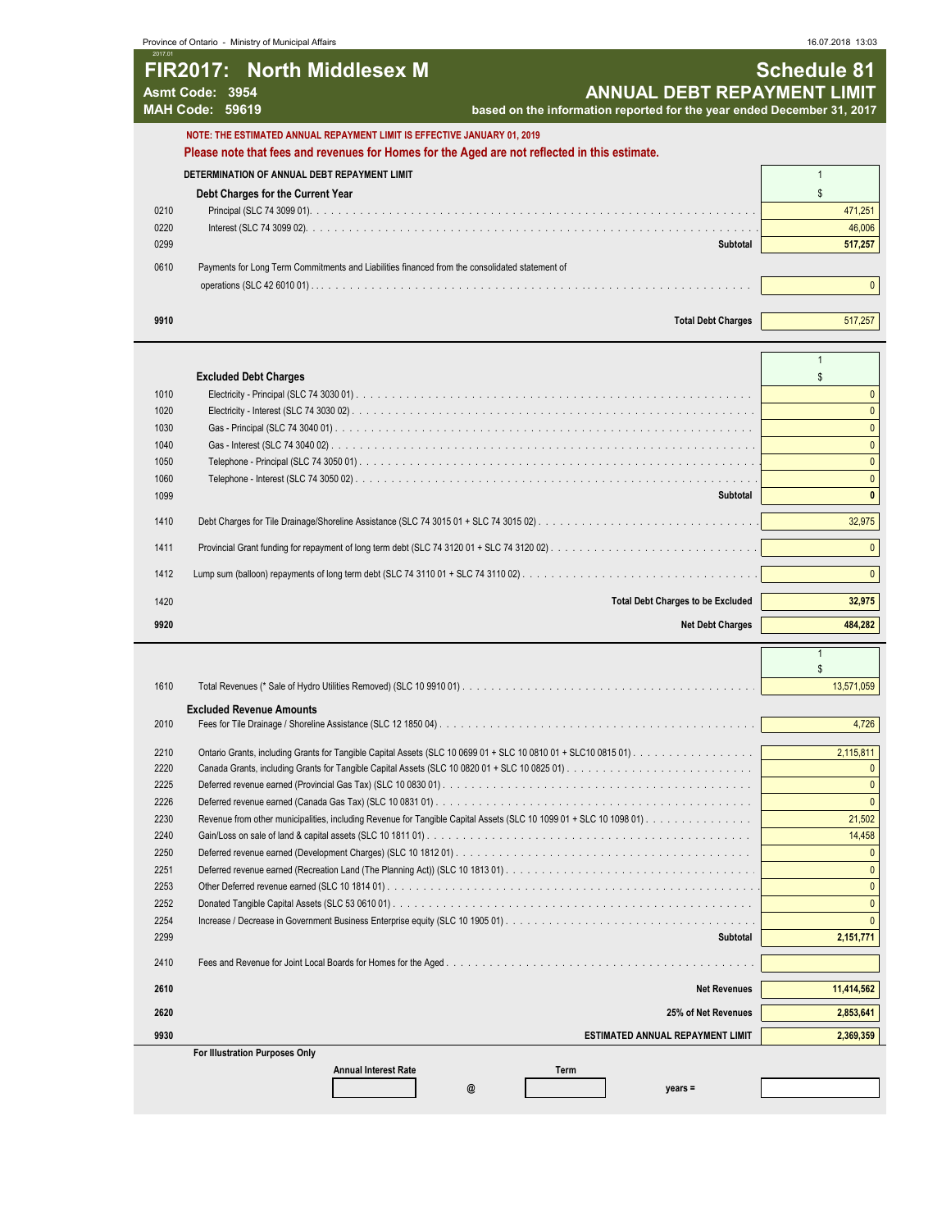Province of Ontario - Ministry of Municipal Affairs **Annual Debt Repayment Debt Repayment Limitia** Province of Ontario - Ministry of Municipal Affairs 16.07.2018 13:03

| 2017.01 | <b>FIR2017: North Middlesex M</b><br>Asmt Code: 3954<br><b>MAH Code: 59619</b>                                                                                            | <b>ANNUAL DEBT REPAYMENT LIMIT</b><br>based on the information reported for the year ended December 31, 2017 | <b>Schedule 81</b> |
|---------|---------------------------------------------------------------------------------------------------------------------------------------------------------------------------|--------------------------------------------------------------------------------------------------------------|--------------------|
|         | NOTE: THE ESTIMATED ANNUAL REPAYMENT LIMIT IS EFFECTIVE JANUARY 01, 2019<br>Please note that fees and revenues for Homes for the Aged are not reflected in this estimate. |                                                                                                              |                    |
|         | DETERMINATION OF ANNUAL DEBT REPAYMENT LIMIT                                                                                                                              |                                                                                                              |                    |
|         | Debt Charges for the Current Year                                                                                                                                         |                                                                                                              |                    |
| 0210    |                                                                                                                                                                           |                                                                                                              | 471,251            |
| 0220    |                                                                                                                                                                           |                                                                                                              | 46,006             |
| 0299    |                                                                                                                                                                           | Subtotal                                                                                                     | 517,257            |
| 0610    | Payments for Long Term Commitments and Liabilities financed from the consolidated statement of                                                                            |                                                                                                              |                    |
|         |                                                                                                                                                                           |                                                                                                              |                    |
| 9910    |                                                                                                                                                                           | <b>Total Debt Charges</b>                                                                                    | 517,257            |

|      | <b>Excluded Debt Charges</b>             |         |  |
|------|------------------------------------------|---------|--|
| 1010 |                                          |         |  |
| 1020 |                                          |         |  |
| 1030 |                                          |         |  |
| 1040 |                                          |         |  |
| 1050 |                                          |         |  |
| 1060 |                                          |         |  |
| 1099 | Subtotal                                 |         |  |
| 1410 |                                          | 32.975  |  |
| 1411 |                                          |         |  |
|      |                                          |         |  |
| 1420 | <b>Total Debt Charges to be Excluded</b> | 32,975  |  |
| 9920 | <b>Net Debt Charges</b>                  | 484,282 |  |

| 1610 |                                     | 13,571,059 |
|------|-------------------------------------|------------|
|      | <b>Excluded Revenue Amounts</b>     |            |
| 2010 |                                     | 4,726      |
| 2210 |                                     | 2.115.811  |
| 2220 |                                     |            |
| 2225 |                                     |            |
| 2226 |                                     |            |
| 2230 |                                     | 21,502     |
|      |                                     |            |
| 2240 |                                     | 14,458     |
| 2250 |                                     |            |
| 2251 |                                     |            |
| 2253 |                                     |            |
| 2252 |                                     |            |
| 2254 |                                     |            |
| 2299 | Subtotal                            | 2,151,771  |
| 2410 |                                     |            |
| 2610 | <b>Net Revenues</b>                 | 11,414,562 |
| 2620 | 25% of Net Revenues                 | 2,853,641  |
| 9930 | ESTIMATED ANNUAL REPAYMENT LIMIT    | 2,369,359  |
|      | For Illustration Purposes Only      |            |
|      | <b>Annual Interest Rate</b><br>Term |            |
|      | $vears =$                           |            |

1

 $\sqrt{ }$ 

 $\overline{\phantom{a}}$